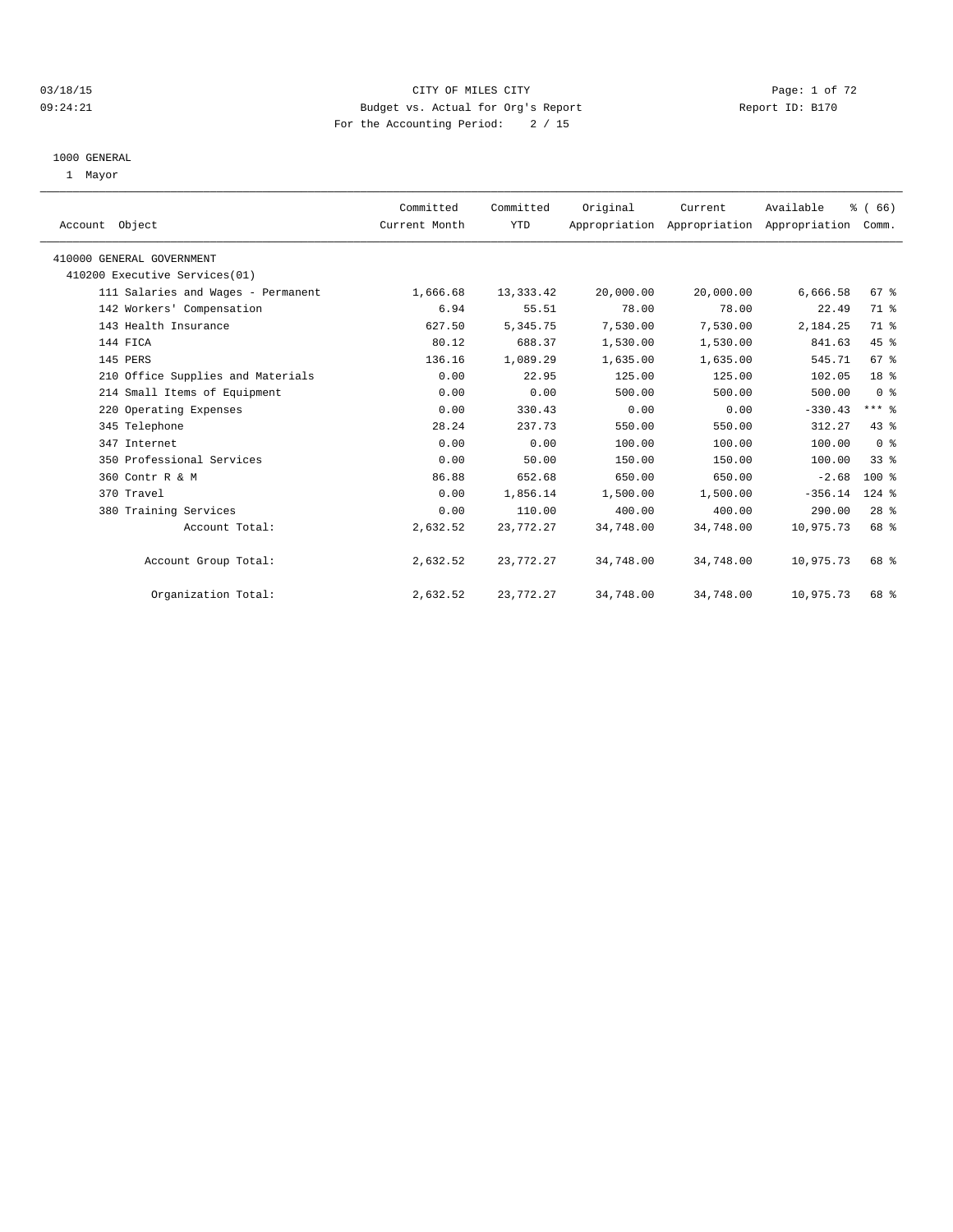## 03/18/15 CITY OF MILES CITY Page: 1 of 72 09:24:21 Budget vs. Actual for Org's Report Report ID: B170 For the Accounting Period: 2 / 15

#### 1000 GENERAL

1 Mayor

| Account Object                     | Committed<br>Current Month | Committed<br>YTD | Original  | Current<br>Appropriation Appropriation Appropriation | Available | % (66)<br>Comm. |  |
|------------------------------------|----------------------------|------------------|-----------|------------------------------------------------------|-----------|-----------------|--|
| 410000 GENERAL GOVERNMENT          |                            |                  |           |                                                      |           |                 |  |
| 410200 Executive Services(01)      |                            |                  |           |                                                      |           |                 |  |
| 111 Salaries and Wages - Permanent | 1,666.68                   | 13, 333. 42      | 20,000.00 | 20,000.00                                            | 6,666.58  | 67 %            |  |
| 142 Workers' Compensation          | 6.94                       | 55.51            | 78.00     | 78.00                                                | 22.49     | 71 %            |  |
| 143 Health Insurance               | 627.50                     | 5,345.75         | 7,530.00  | 7,530.00                                             | 2,184.25  | 71 %            |  |
| 144 FICA                           | 80.12                      | 688.37           | 1,530.00  | 1,530.00                                             | 841.63    | 45 %            |  |
| 145 PERS                           | 136.16                     | 1,089.29         | 1,635.00  | 1,635.00                                             | 545.71    | 67 %            |  |
| 210 Office Supplies and Materials  | 0.00                       | 22.95            | 125.00    | 125.00                                               | 102.05    | 18 %            |  |
| 214 Small Items of Equipment       | 0.00                       | 0.00             | 500.00    | 500.00                                               | 500.00    | 0 <sup>8</sup>  |  |
| 220 Operating Expenses             | 0.00                       | 330.43           | 0.00      | 0.00                                                 | $-330.43$ | $***$ $-$       |  |
| 345 Telephone                      | 28.24                      | 237.73           | 550.00    | 550.00                                               | 312.27    | 43.8            |  |
| 347 Internet                       | 0.00                       | 0.00             | 100.00    | 100.00                                               | 100.00    | 0 <sup>8</sup>  |  |
| 350 Professional Services          | 0.00                       | 50.00            | 150.00    | 150.00                                               | 100.00    | $33$ $%$        |  |
| 360 Contr R & M                    | 86.88                      | 652.68           | 650.00    | 650.00                                               | $-2.68$   | $100*$          |  |
| 370 Travel                         | 0.00                       | 1,856.14         | 1,500.00  | 1,500.00                                             | $-356.14$ | $124$ $%$       |  |
| 380 Training Services              | 0.00                       | 110.00           | 400.00    | 400.00                                               | 290.00    | 28 <sup>8</sup> |  |
| Account Total:                     | 2,632.52                   | 23,772.27        | 34,748.00 | 34,748.00                                            | 10,975.73 | 68 %            |  |
| Account Group Total:               | 2,632.52                   | 23,772.27        | 34,748.00 | 34,748.00                                            | 10,975.73 | 68 %            |  |
| Organization Total:                | 2,632.52                   | 23,772.27        | 34,748.00 | 34,748.00                                            | 10,975.73 | 68 %            |  |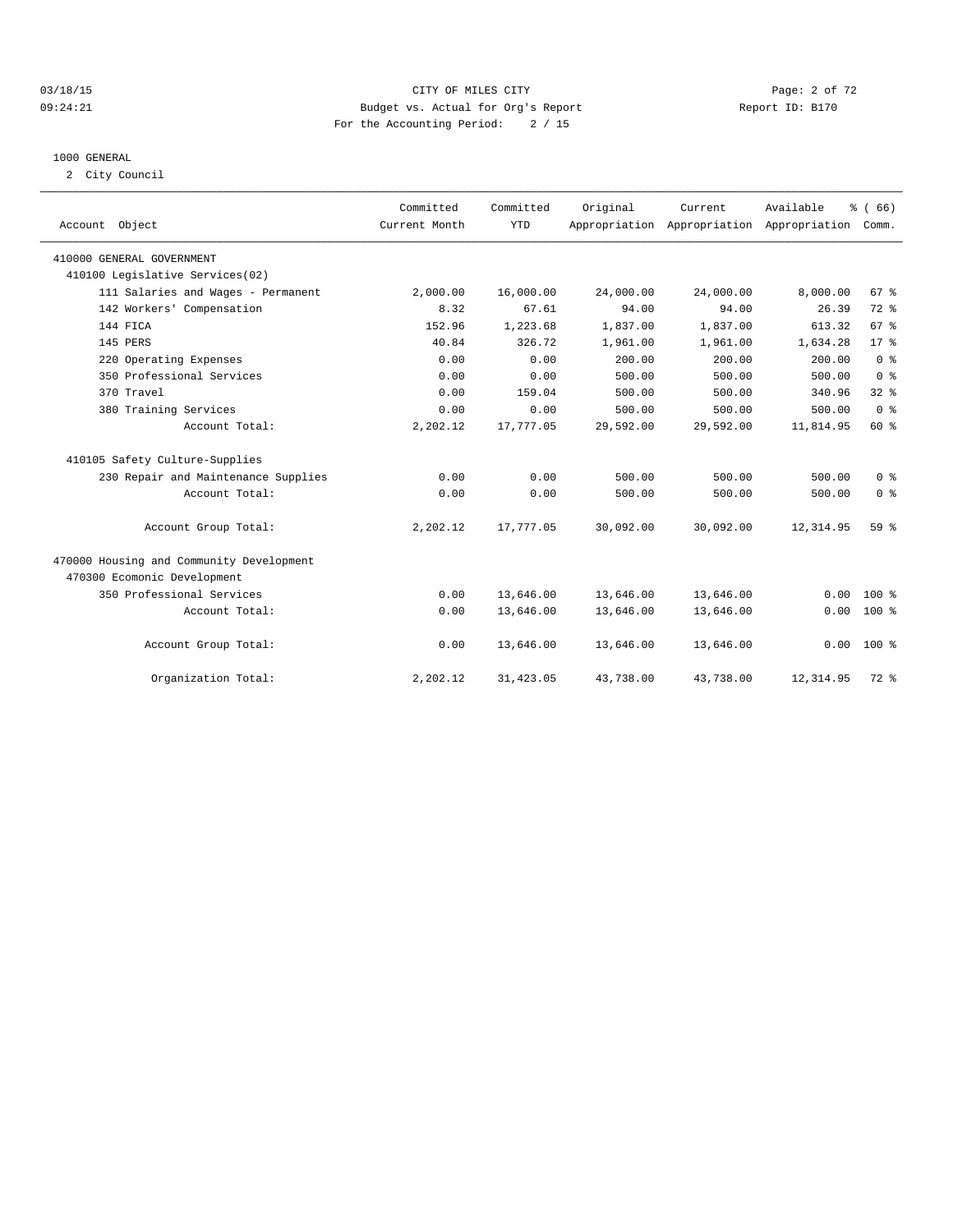## 03/18/15 CITY OF MILES CITY Page: 2 of 72 09:24:21 Budget vs. Actual for Org's Report Changer Report ID: B170 For the Accounting Period: 2 / 15

#### 1000 GENERAL

2 City Council

| Account Object                           | Committed<br>Current Month | Committed<br><b>YTD</b> | Original  | Current   | Available<br>Appropriation Appropriation Appropriation | % (66)<br>Comm. |
|------------------------------------------|----------------------------|-------------------------|-----------|-----------|--------------------------------------------------------|-----------------|
| 410000 GENERAL GOVERNMENT                |                            |                         |           |           |                                                        |                 |
| 410100 Legislative Services(02)          |                            |                         |           |           |                                                        |                 |
| 111 Salaries and Wages - Permanent       | 2,000.00                   | 16,000.00               | 24,000.00 | 24,000.00 | 8,000.00                                               | 67 %            |
| 142 Workers' Compensation                | 8.32                       | 67.61                   | 94.00     | 94.00     | 26.39                                                  | $72$ $%$        |
| 144 FICA                                 | 152.96                     | 1,223.68                | 1,837.00  | 1,837.00  | 613.32                                                 | 67 <sup>8</sup> |
| 145 PERS                                 | 40.84                      | 326.72                  | 1,961.00  | 1,961.00  | 1,634.28                                               | 17 <sup>8</sup> |
| 220 Operating Expenses                   | 0.00                       | 0.00                    | 200.00    | 200.00    | 200.00                                                 | 0 <sup>8</sup>  |
| 350 Professional Services                | 0.00                       | 0.00                    | 500.00    | 500.00    | 500.00                                                 | 0 <sup>8</sup>  |
| 370 Travel                               | 0.00                       | 159.04                  | 500.00    | 500.00    | 340.96                                                 | $32$ $%$        |
| 380 Training Services                    | 0.00                       | 0.00                    | 500.00    | 500.00    | 500.00                                                 | 0 <sup>8</sup>  |
| Account Total:                           | 2,202.12                   | 17,777.05               | 29,592.00 | 29,592.00 | 11,814.95                                              | 60%             |
| 410105 Safety Culture-Supplies           |                            |                         |           |           |                                                        |                 |
| 230 Repair and Maintenance Supplies      | 0.00                       | 0.00                    | 500.00    | 500.00    | 500.00                                                 | 0 <sup>8</sup>  |
| Account Total:                           | 0.00                       | 0.00                    | 500.00    | 500.00    | 500.00                                                 | 0 <sup>8</sup>  |
| Account Group Total:                     | 2,202.12                   | 17,777.05               | 30,092.00 | 30,092.00 | 12, 314.95                                             | 59 <sub>8</sub> |
| 470000 Housing and Community Development |                            |                         |           |           |                                                        |                 |
| 470300 Ecomonic Development              |                            |                         |           |           |                                                        |                 |
| 350 Professional Services                | 0.00                       | 13,646.00               | 13,646.00 | 13,646.00 | 0.00                                                   | $100*$          |
| Account Total:                           | 0.00                       | 13,646.00               | 13,646.00 | 13,646.00 | 0.00                                                   | $100*$          |
| Account Group Total:                     | 0.00                       | 13,646.00               | 13,646.00 | 13,646.00 | 0.00                                                   | $100*$          |
| Organization Total:                      | 2,202.12                   | 31,423.05               | 43,738.00 | 43,738.00 | 12, 314.95                                             | $72$ $%$        |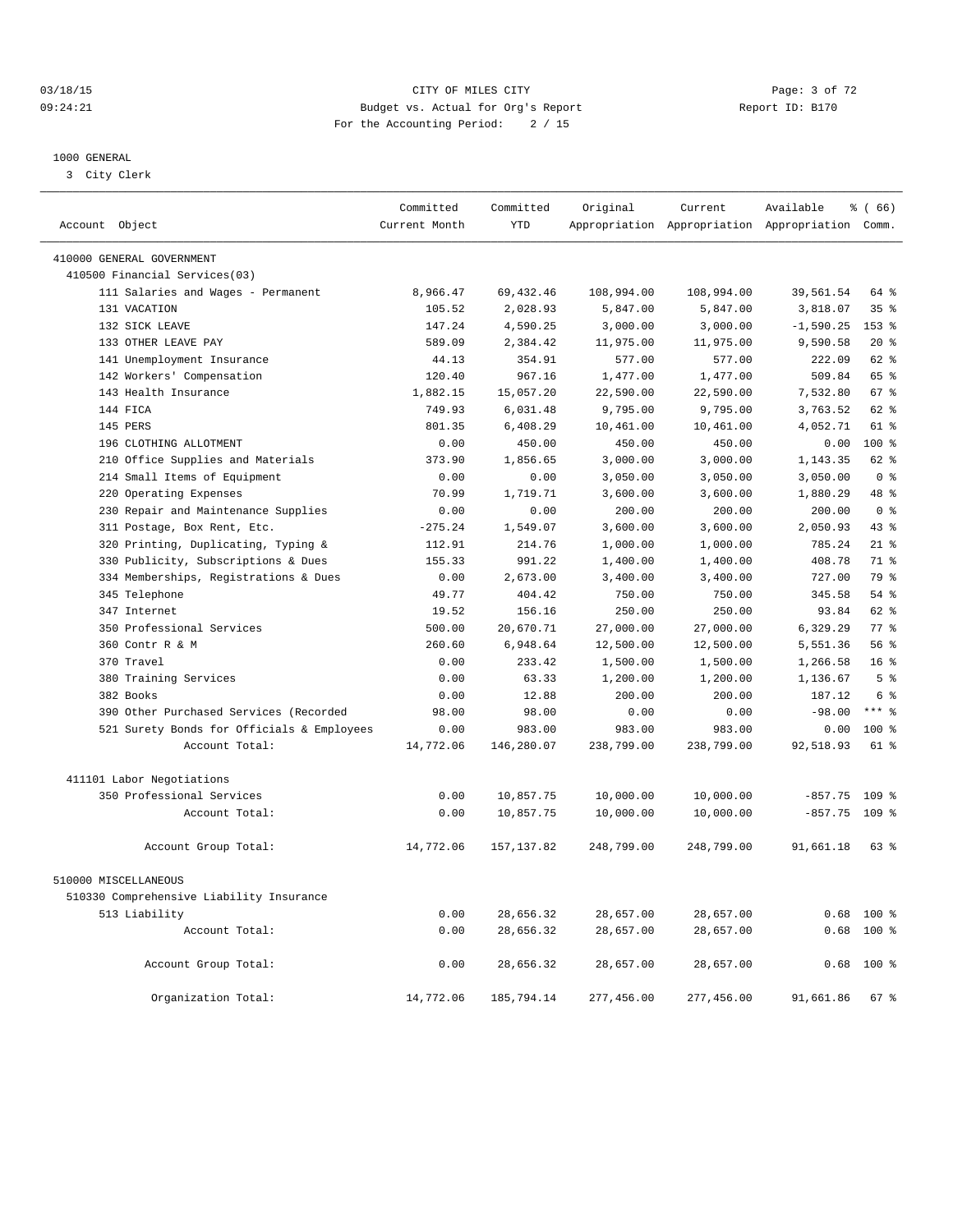## 03/18/15 Page: 3 of 72 09:24:21 Budget vs. Actual for Org's Report Changer Report ID: B170 For the Accounting Period: 2 / 15

————————————————————————————————————————————————————————————————————————————————————————————————————————————————————————————————————

#### 1000 GENERAL

3 City Clerk

|                                            | Committed     | Committed   | Original   | Current    | Available                                       | % (66)          |
|--------------------------------------------|---------------|-------------|------------|------------|-------------------------------------------------|-----------------|
| Account Object                             | Current Month | <b>YTD</b>  |            |            | Appropriation Appropriation Appropriation Comm. |                 |
| 410000 GENERAL GOVERNMENT                  |               |             |            |            |                                                 |                 |
| 410500 Financial Services(03)              |               |             |            |            |                                                 |                 |
| 111 Salaries and Wages - Permanent         | 8,966.47      | 69, 432.46  | 108,994.00 | 108,994.00 | 39,561.54                                       | 64 %            |
| 131 VACATION                               | 105.52        | 2,028.93    | 5,847.00   | 5,847.00   | 3,818.07                                        | 35%             |
| 132 SICK LEAVE                             | 147.24        | 4,590.25    | 3,000.00   | 3,000.00   | $-1,590.25$                                     | $153$ %         |
| 133 OTHER LEAVE PAY                        | 589.09        | 2,384.42    | 11,975.00  | 11,975.00  | 9,590.58                                        | $20*$           |
| 141 Unemployment Insurance                 | 44.13         | 354.91      | 577.00     | 577.00     | 222.09                                          | 62 %            |
| 142 Workers' Compensation                  | 120.40        | 967.16      | 1,477.00   | 1,477.00   | 509.84                                          | 65 %            |
| 143 Health Insurance                       | 1,882.15      | 15,057.20   | 22,590.00  | 22,590.00  | 7,532.80                                        | 67 %            |
| 144 FICA                                   | 749.93        | 6,031.48    | 9,795.00   | 9,795.00   | 3,763.52                                        | 62 %            |
| 145 PERS                                   | 801.35        | 6,408.29    | 10,461.00  | 10,461.00  | 4,052.71                                        | $61*$           |
| 196 CLOTHING ALLOTMENT                     | 0.00          | 450.00      | 450.00     | 450.00     | 0.00                                            | $100*$          |
| 210 Office Supplies and Materials          | 373.90        | 1,856.65    | 3,000.00   | 3,000.00   | 1,143.35                                        | 62 %            |
| 214 Small Items of Equipment               | 0.00          | 0.00        | 3,050.00   | 3,050.00   | 3,050.00                                        | 0 <sup>8</sup>  |
| 220 Operating Expenses                     | 70.99         | 1,719.71    | 3,600.00   | 3,600.00   | 1,880.29                                        | 48 %            |
| 230 Repair and Maintenance Supplies        | 0.00          | 0.00        | 200.00     | 200.00     | 200.00                                          | 0 <sup>8</sup>  |
| 311 Postage, Box Rent, Etc.                | $-275.24$     | 1,549.07    | 3,600.00   | 3,600.00   | 2,050.93                                        | 43 %            |
| 320 Printing, Duplicating, Typing &        | 112.91        | 214.76      | 1,000.00   | 1,000.00   | 785.24                                          | 21.8            |
| 330 Publicity, Subscriptions & Dues        | 155.33        | 991.22      | 1,400.00   | 1,400.00   | 408.78                                          | 71 %            |
| 334 Memberships, Registrations & Dues      | 0.00          | 2,673.00    | 3,400.00   | 3,400.00   | 727.00                                          | 79 %            |
| 345 Telephone                              | 49.77         | 404.42      | 750.00     | 750.00     | 345.58                                          | 54 %            |
| 347 Internet                               | 19.52         | 156.16      | 250.00     | 250.00     | 93.84                                           | 62 %            |
| 350 Professional Services                  | 500.00        | 20,670.71   | 27,000.00  | 27,000.00  | 6,329.29                                        | 77.8            |
| 360 Contr R & M                            | 260.60        | 6,948.64    | 12,500.00  | 12,500.00  | 5,551.36                                        | 56 <sup>8</sup> |
| 370 Travel                                 | 0.00          | 233.42      | 1,500.00   | 1,500.00   | 1,266.58                                        | 16 <sup>8</sup> |
| 380 Training Services                      | 0.00          | 63.33       | 1,200.00   | 1,200.00   | 1,136.67                                        | 5 <sup>°</sup>  |
| 382 Books                                  | 0.00          | 12.88       | 200.00     | 200.00     | 187.12                                          | 6 %             |
| 390 Other Purchased Services (Recorded     | 98.00         | 98.00       | 0.00       | 0.00       | $-98.00$                                        | $***$ $%$       |
| 521 Surety Bonds for Officials & Employees | 0.00          | 983.00      | 983.00     | 983.00     | 0.00                                            | 100 %           |
| Account Total:                             | 14,772.06     | 146,280.07  | 238,799.00 | 238,799.00 | 92,518.93                                       | 61 %            |
|                                            |               |             |            |            |                                                 |                 |
| 411101 Labor Negotiations                  |               |             |            |            |                                                 |                 |
| 350 Professional Services                  | 0.00          | 10,857.75   | 10,000.00  | 10,000.00  | $-857.75$ 109 %                                 |                 |
| Account Total:                             | 0.00          | 10,857.75   | 10,000.00  | 10,000.00  | $-857.75$                                       | 109 %           |
| Account Group Total:                       | 14,772.06     | 157, 137.82 | 248,799.00 | 248,799.00 | 91,661.18                                       | 63 %            |
| 510000 MISCELLANEOUS                       |               |             |            |            |                                                 |                 |
| 510330 Comprehensive Liability Insurance   |               |             |            |            |                                                 |                 |
| 513 Liability                              | 0.00          | 28,656.32   | 28,657.00  | 28,657.00  |                                                 | $0.68$ 100 %    |
| Account Total:                             | 0.00          | 28,656.32   | 28,657.00  | 28,657.00  | 0.68                                            | $100*$          |
|                                            |               |             |            |            |                                                 |                 |
| Account Group Total:                       | 0.00          | 28,656.32   | 28,657.00  | 28,657.00  | 0.68                                            | $100*$          |
| Organization Total:                        | 14,772.06     | 185,794.14  | 277,456.00 | 277,456.00 | 91,661.86                                       | 67 %            |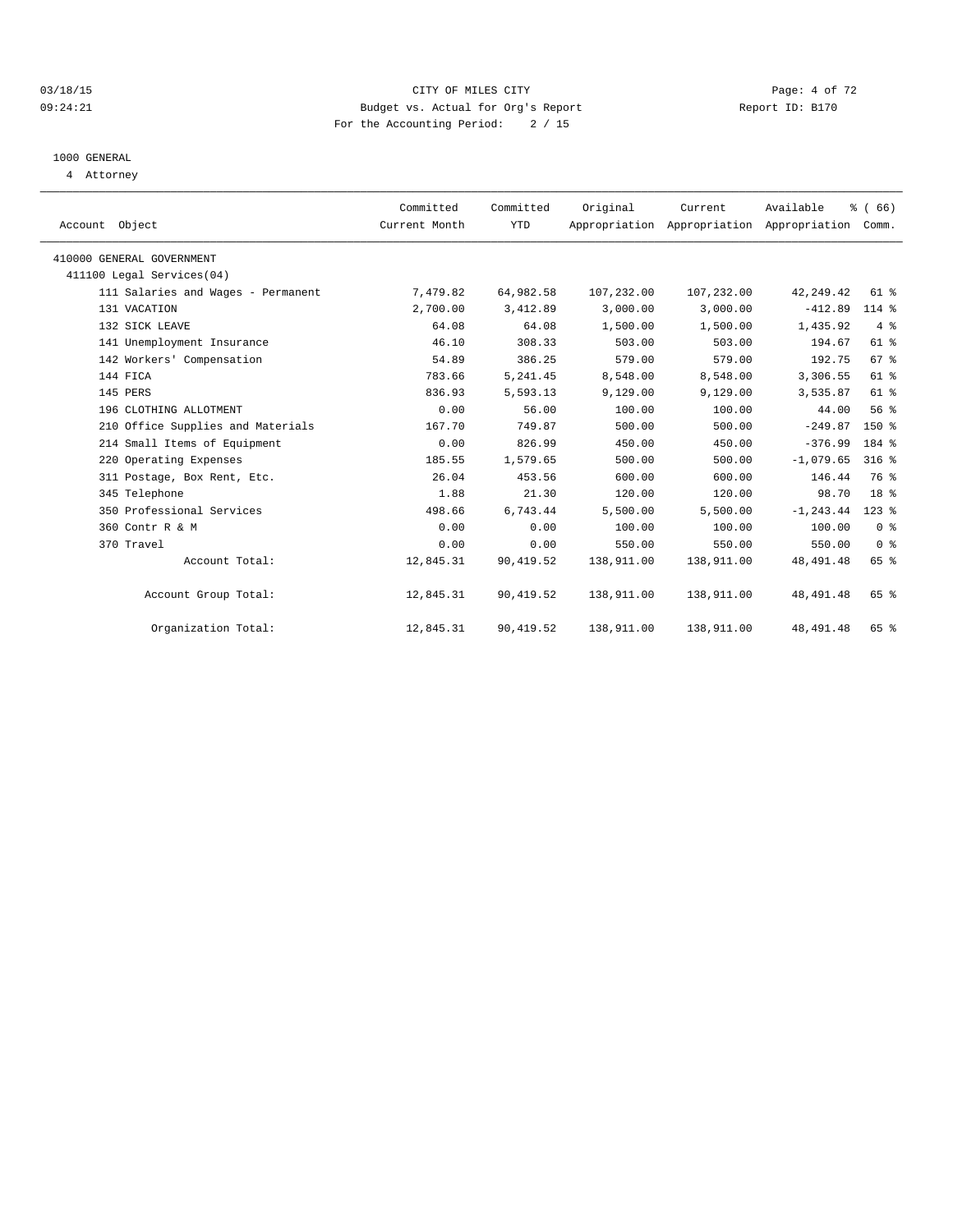#### 03/18/15 CITY OF MILES CITY Page: 4 of 72 09:24:21 Budget vs. Actual for Org's Report Communication Report ID: B170 For the Accounting Period: 2 / 15

# 1000 GENERAL

4 Attorney

| Account Object                     | Committed<br>Current Month | Committed<br><b>YTD</b> | Original   | Current    | Available<br>Appropriation Appropriation Appropriation | % (66)<br>Comm. |  |
|------------------------------------|----------------------------|-------------------------|------------|------------|--------------------------------------------------------|-----------------|--|
| 410000 GENERAL GOVERNMENT          |                            |                         |            |            |                                                        |                 |  |
| 411100 Legal Services(04)          |                            |                         |            |            |                                                        |                 |  |
| 111 Salaries and Wages - Permanent | 7,479.82                   | 64,982.58               | 107,232.00 | 107,232.00 | 42, 249.42                                             | $61$ $%$        |  |
| 131 VACATION                       | 2,700.00                   | 3,412.89                | 3,000.00   | 3,000.00   | $-412.89$                                              | $114$ %         |  |
| 132 SICK LEAVE                     | 64.08                      | 64.08                   | 1,500.00   | 1,500.00   | 1,435.92                                               | $4\degree$      |  |
| 141 Unemployment Insurance         | 46.10                      | 308.33                  | 503.00     | 503.00     | 194.67                                                 | $61$ $%$        |  |
| 142 Workers' Compensation          | 54.89                      | 386.25                  | 579.00     | 579.00     | 192.75                                                 | 67 <sup>8</sup> |  |
| 144 FICA                           | 783.66                     | 5, 241.45               | 8,548.00   | 8,548.00   | 3,306.55                                               | $61$ $%$        |  |
| 145 PERS                           | 836.93                     | 5,593.13                | 9,129.00   | 9,129.00   | 3,535.87                                               | 61 %            |  |
| 196 CLOTHING ALLOTMENT             | 0.00                       | 56.00                   | 100.00     | 100.00     | 44.00                                                  | 56 %            |  |
| 210 Office Supplies and Materials  | 167.70                     | 749.87                  | 500.00     | 500.00     | $-249.87$                                              | $150*$          |  |
| 214 Small Items of Equipment       | 0.00                       | 826.99                  | 450.00     | 450.00     | $-376.99$                                              | 184 %           |  |
| 220 Operating Expenses             | 185.55                     | 1,579.65                | 500.00     | 500.00     | $-1,079.65$                                            | $316$ $%$       |  |
| 311 Postage, Box Rent, Etc.        | 26.04                      | 453.56                  | 600.00     | 600.00     | 146.44                                                 | 76 %            |  |
| 345 Telephone                      | 1.88                       | 21.30                   | 120.00     | 120.00     | 98.70                                                  | 18 <sup>8</sup> |  |
| 350 Professional Services          | 498.66                     | 6,743.44                | 5,500.00   | 5,500.00   | $-1, 243.44$                                           | $123$ $%$       |  |
| 360 Contr R & M                    | 0.00                       | 0.00                    | 100.00     | 100.00     | 100.00                                                 | 0 <sup>8</sup>  |  |
| 370 Travel                         | 0.00                       | 0.00                    | 550.00     | 550.00     | 550.00                                                 | 0 <sup>8</sup>  |  |
| Account Total:                     | 12,845.31                  | 90,419.52               | 138,911.00 | 138,911.00 | 48, 491.48                                             | 65 %            |  |
| Account Group Total:               | 12,845.31                  | 90, 419.52              | 138,911.00 | 138,911.00 | 48, 491.48                                             | 65 %            |  |
| Organization Total:                | 12,845.31                  | 90,419.52               | 138,911.00 | 138,911.00 | 48, 491.48                                             | 65 %            |  |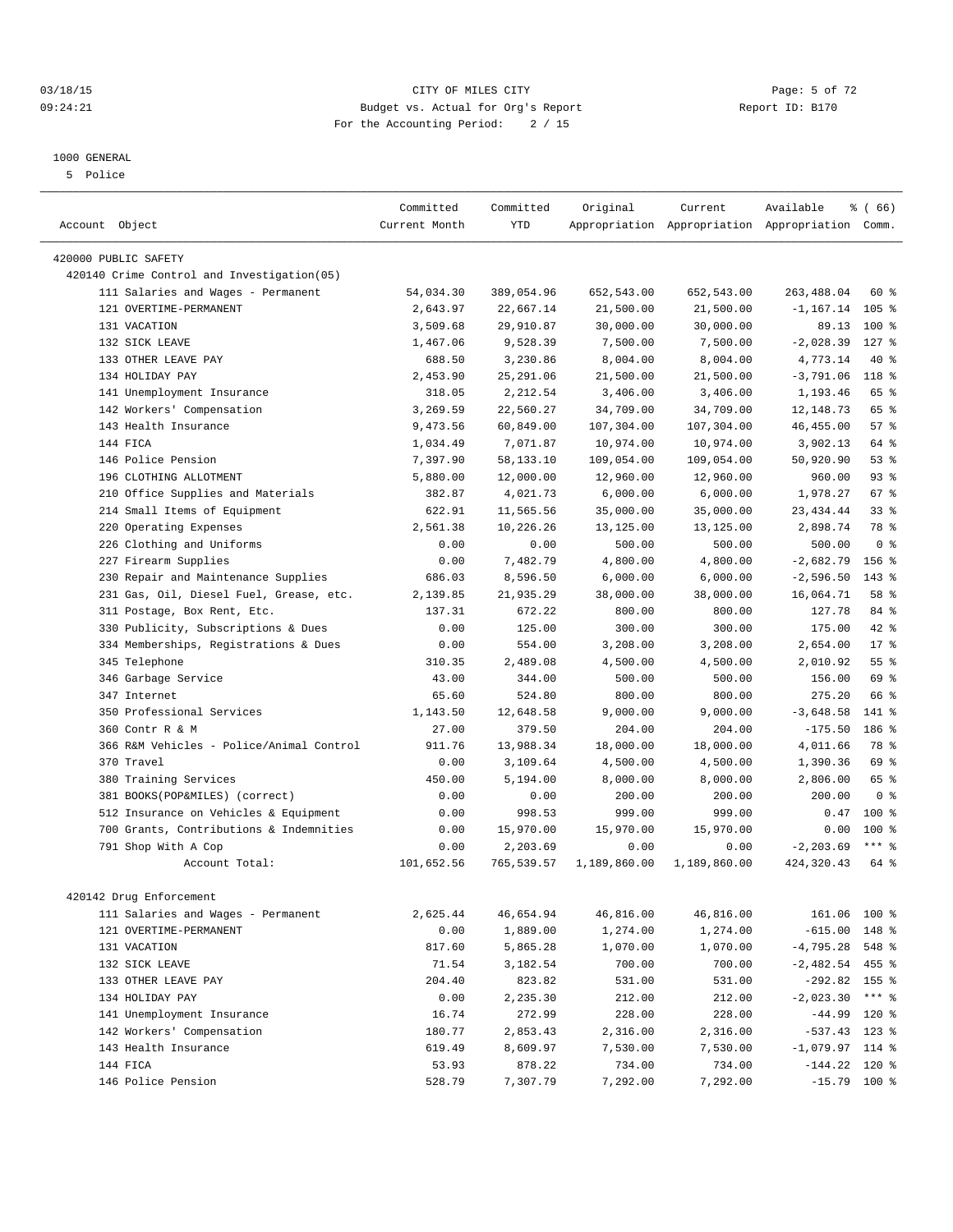#### 03/18/15 Page: 5 of 72 09:24:21 Budget vs. Actual for Org's Report Communication Report ID: B170 For the Accounting Period: 2 / 15

————————————————————————————————————————————————————————————————————————————————————————————————————————————————————————————————————

## 1000 GENERAL

5 Police

|                                            | Committed     | Committed  | Original           | Current      | Available                                       | <sub>ර</sub> ි (66) |
|--------------------------------------------|---------------|------------|--------------------|--------------|-------------------------------------------------|---------------------|
| Account Object                             | Current Month | <b>YTD</b> |                    |              | Appropriation Appropriation Appropriation Comm. |                     |
| 420000 PUBLIC SAFETY                       |               |            |                    |              |                                                 |                     |
| 420140 Crime Control and Investigation(05) |               |            |                    |              |                                                 |                     |
| 111 Salaries and Wages - Permanent         | 54,034.30     | 389,054.96 | 652,543.00         | 652,543.00   | 263, 488.04                                     | 60 %                |
| 121 OVERTIME-PERMANENT                     | 2,643.97      | 22,667.14  | 21,500.00          | 21,500.00    | $-1, 167.14$ 105 %                              |                     |
| 131 VACATION                               | 3,509.68      | 29,910.87  | 30,000.00          | 30,000.00    | 89.13                                           | 100 %               |
| 132 SICK LEAVE                             | 1,467.06      | 9,528.39   | 7,500.00           | 7,500.00     | $-2,028.39$                                     | $127$ %             |
| 133 OTHER LEAVE PAY                        | 688.50        | 3,230.86   | 8,004.00           | 8,004.00     | 4,773.14                                        | 40 %                |
| 134 HOLIDAY PAY                            | 2,453.90      | 25, 291.06 | 21,500.00          | 21,500.00    | $-3,791.06$ 118 %                               |                     |
| 141 Unemployment Insurance                 | 318.05        | 2,212.54   | 3,406.00           | 3,406.00     | 1,193.46                                        | 65 %                |
|                                            |               |            |                    |              | 12, 148.73                                      |                     |
| 142 Workers' Compensation                  | 3,269.59      | 22,560.27  | 34,709.00          | 34,709.00    |                                                 | 65 %                |
| 143 Health Insurance                       | 9,473.56      | 60,849.00  | 107,304.00         | 107,304.00   | 46, 455.00                                      | 57%                 |
| 144 FICA                                   | 1,034.49      | 7,071.87   | 10,974.00          | 10,974.00    | 3,902.13                                        | 64 %                |
| 146 Police Pension                         | 7,397.90      | 58,133.10  | 109,054.00         | 109,054.00   | 50,920.90                                       | 53%                 |
| 196 CLOTHING ALLOTMENT                     | 5,880.00      | 12,000.00  | 12,960.00          | 12,960.00    | 960.00                                          | 93%                 |
| 210 Office Supplies and Materials          | 382.87        | 4,021.73   | 6,000.00           | 6,000.00     | 1,978.27                                        | 67 %                |
| 214 Small Items of Equipment               | 622.91        | 11,565.56  | 35,000.00          | 35,000.00    | 23, 434.44                                      | 33 <sup>8</sup>     |
| 220 Operating Expenses                     | 2,561.38      | 10,226.26  | 13,125.00          | 13,125.00    | 2,898.74                                        | 78 %                |
| 226 Clothing and Uniforms                  | 0.00          | 0.00       | 500.00             | 500.00       | 500.00                                          | 0 <sup>8</sup>      |
| 227 Firearm Supplies                       | 0.00          | 7,482.79   | 4,800.00           | 4,800.00     | $-2,682.79$                                     | 156 %               |
| 230 Repair and Maintenance Supplies        | 686.03        | 8,596.50   | 6,000.00           | 6,000.00     | $-2,596.50$                                     | $143$ %             |
| 231 Gas, Oil, Diesel Fuel, Grease, etc.    | 2,139.85      | 21,935.29  | 38,000.00          | 38,000.00    | 16,064.71                                       | 58 %                |
| 311 Postage, Box Rent, Etc.                | 137.31        | 672.22     | 800.00             | 800.00       | 127.78                                          | 84 %                |
| 330 Publicity, Subscriptions & Dues        | 0.00          | 125.00     | 300.00             | 300.00       | 175.00                                          | 42 %                |
| 334 Memberships, Registrations & Dues      | 0.00          | 554.00     | 3,208.00           | 3,208.00     | 2,654.00                                        | 17 <sup>8</sup>     |
| 345 Telephone                              | 310.35        | 2,489.08   | 4,500.00           | 4,500.00     | 2,010.92                                        | $55$ $%$            |
| 346 Garbage Service                        | 43.00         | 344.00     | 500.00             | 500.00       | 156.00                                          | 69 %                |
| 347 Internet                               | 65.60         | 524.80     | 800.00             | 800.00       | 275.20                                          | 66 %                |
| 350 Professional Services                  | 1,143.50      | 12,648.58  | 9,000.00           | 9,000.00     | $-3,648.58$                                     | 141 %               |
| 360 Contr R & M                            | 27.00         | 379.50     | 204.00             | 204.00       | $-175.50$                                       | 186 %               |
| 366 R&M Vehicles - Police/Animal Control   | 911.76        | 13,988.34  | 18,000.00          | 18,000.00    | 4,011.66                                        | 78 %                |
| 370 Travel                                 | 0.00          | 3,109.64   | 4,500.00           | 4,500.00     | 1,390.36                                        | 69 %                |
| 380 Training Services                      | 450.00        | 5,194.00   | 8,000.00           | 8,000.00     | 2,806.00                                        | 65 %                |
| 381 BOOKS(POP&MILES) (correct)             | 0.00          | 0.00       | 200.00             | 200.00       | 200.00                                          | 0 <sup>8</sup>      |
| 512 Insurance on Vehicles & Equipment      | 0.00          | 998.53     | 999.00             | 999.00       | 0.47                                            | $100*$              |
| 700 Grants, Contributions & Indemnities    | 0.00          | 15,970.00  | 15,970.00          | 15,970.00    | 0.00                                            | 100 %               |
| 791 Shop With A Cop                        | 0.00          | 2,203.69   | 0.00               | 0.00         | $-2, 203.69$                                    | $***$ $-$           |
| Account Total:                             | 101,652.56    | 765,539.57 | 1,189,860.00       | 1,189,860.00 | 424, 320.43                                     | 64 %                |
| 420142 Drug Enforcement                    |               |            |                    |              |                                                 |                     |
| 111 Salaries and Wages - Permanent         | 2,625.44      | 46,654.94  | 46,816.00          | 46,816.00    | 161.06 100 %                                    |                     |
| 121 OVERTIME-PERMANENT                     | 0.00          | 1,889.00   | 1,274.00           | 1,274.00     | $-615.00$ 148 %                                 |                     |
| 131 VACATION                               | 817.60        | 5,865.28   | 1,070.00           | 1,070.00     | $-4,795.28$ 548 %                               |                     |
| 132 SICK LEAVE                             | 71.54         | 3,182.54   | 700.00             | 700.00       | $-2,482.54$ 455 %                               |                     |
| 133 OTHER LEAVE PAY                        | 204.40        | 823.82     | 531.00             | 531.00       | $-292.82$ 155 %                                 |                     |
| 134 HOLIDAY PAY                            | 0.00          | 2,235.30   | 212.00             | 212.00       | $-2,023.30$ *** \$                              |                     |
| 141 Unemployment Insurance                 | 16.74         | 272.99     | 228.00             | 228.00       |                                                 | $-44.99$ 120 %      |
| 142 Workers' Compensation                  | 180.77        | 2,853.43   | 2,316.00           | 2,316.00     | $-537.43$ 123 %                                 |                     |
|                                            | 619.49        | 8,609.97   |                    | 7,530.00     | $-1,079.97$ 114 %                               |                     |
| 143 Health Insurance<br>144 FICA           | 53.93         | 878.22     | 7,530.00<br>734.00 | 734.00       | $-144.22$ 120 %                                 |                     |
| 146 Police Pension                         | 528.79        | 7,307.79   | 7,292.00           | 7,292.00     |                                                 | $-15.79$ 100 %      |
|                                            |               |            |                    |              |                                                 |                     |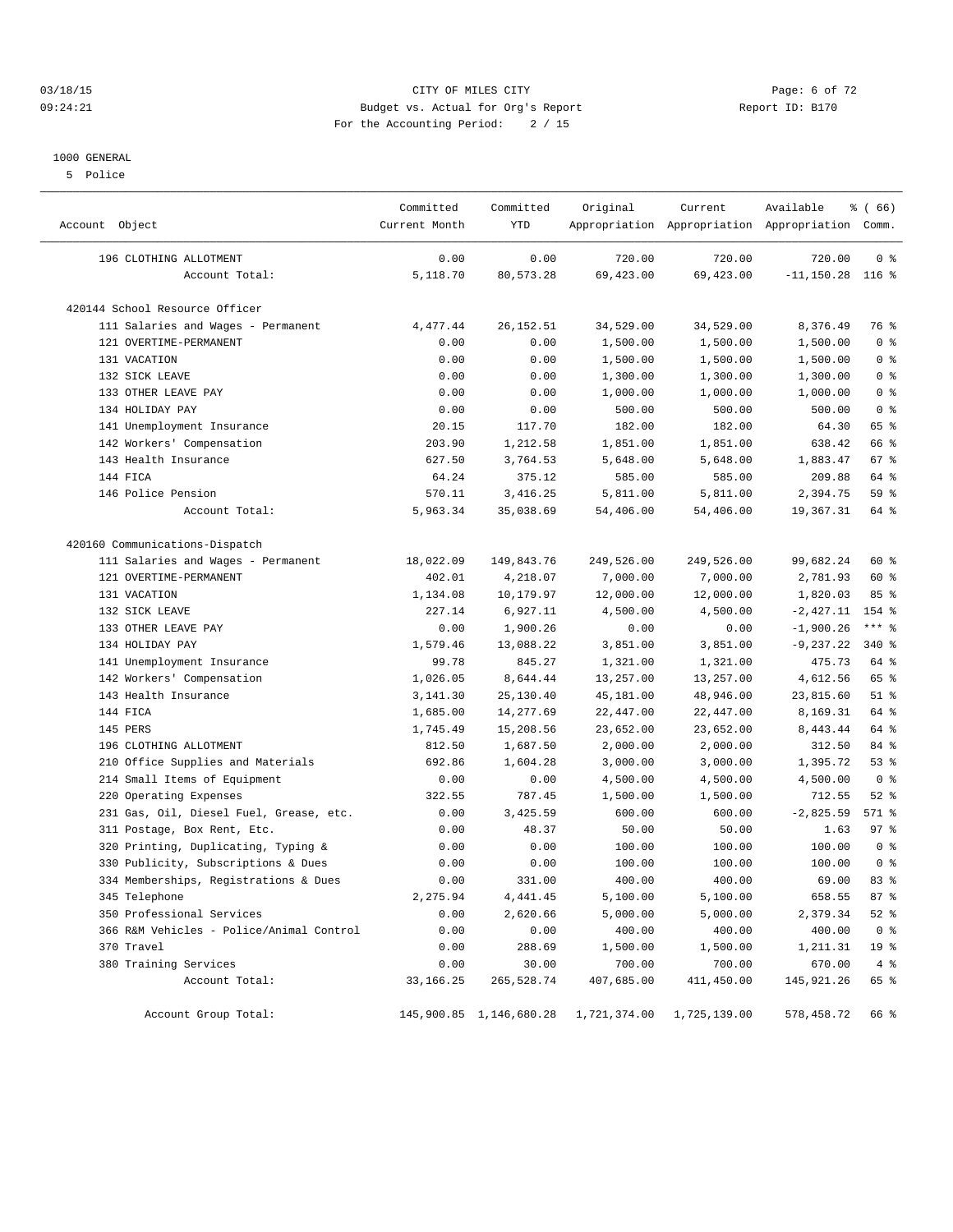#### 03/18/15 CITY OF MILES CITY Page: 6 of 72 09:24:21 Budget vs. Actual for Org's Report Changer Report ID: B170 For the Accounting Period: 2 / 15

#### 1000 GENERAL

5 Police

| Account Object                           | Committed<br>Current Month | Committed<br><b>YTD</b> | Original     | Current      | Available<br>Appropriation Appropriation Appropriation Comm. | % (66)          |
|------------------------------------------|----------------------------|-------------------------|--------------|--------------|--------------------------------------------------------------|-----------------|
| 196 CLOTHING ALLOTMENT                   | 0.00                       | 0.00                    | 720.00       | 720.00       | 720.00                                                       | 0 <sup>8</sup>  |
| Account Total:                           | 5,118.70                   | 80,573.28               | 69,423.00    | 69,423.00    | $-11, 150.28$ 116 %                                          |                 |
| 420144 School Resource Officer           |                            |                         |              |              |                                                              |                 |
| 111 Salaries and Wages - Permanent       | 4,477.44                   | 26, 152.51              | 34,529.00    | 34,529.00    | 8,376.49                                                     | 76 %            |
| 121 OVERTIME-PERMANENT                   | 0.00                       | 0.00                    | 1,500.00     | 1,500.00     | 1,500.00                                                     | 0 <sup>8</sup>  |
| 131 VACATION                             | 0.00                       | 0.00                    | 1,500.00     | 1,500.00     | 1,500.00                                                     | 0 <sup>8</sup>  |
| 132 SICK LEAVE                           | 0.00                       | 0.00                    | 1,300.00     | 1,300.00     | 1,300.00                                                     | 0 <sup>8</sup>  |
| 133 OTHER LEAVE PAY                      | 0.00                       | 0.00                    | 1,000.00     | 1,000.00     | 1,000.00                                                     | 0 <sup>8</sup>  |
| 134 HOLIDAY PAY                          | 0.00                       | 0.00                    | 500.00       | 500.00       | 500.00                                                       | 0 <sup>8</sup>  |
| 141 Unemployment Insurance               | 20.15                      | 117.70                  | 182.00       | 182.00       | 64.30                                                        | 65 %            |
| 142 Workers' Compensation                | 203.90                     | 1,212.58                | 1,851.00     | 1,851.00     | 638.42                                                       | 66 %            |
| 143 Health Insurance                     | 627.50                     | 3,764.53                | 5,648.00     | 5,648.00     | 1,883.47                                                     | 67 %            |
| 144 FICA                                 | 64.24                      | 375.12                  | 585.00       | 585.00       | 209.88                                                       | 64 %            |
| 146 Police Pension                       | 570.11                     | 3,416.25                | 5,811.00     | 5,811.00     | 2,394.75                                                     | 59 %            |
| Account Total:                           | 5,963.34                   | 35,038.69               | 54,406.00    | 54,406.00    | 19,367.31                                                    | 64 %            |
| 420160 Communications-Dispatch           |                            |                         |              |              |                                                              |                 |
| 111 Salaries and Wages - Permanent       | 18,022.09                  | 149,843.76              | 249,526.00   | 249,526.00   | 99,682.24                                                    | 60 %            |
| 121 OVERTIME-PERMANENT                   | 402.01                     | 4,218.07                | 7,000.00     | 7,000.00     | 2,781.93                                                     | 60 %            |
| 131 VACATION                             | 1,134.08                   | 10,179.97               | 12,000.00    | 12,000.00    | 1,820.03                                                     | 85%             |
| 132 SICK LEAVE                           | 227.14                     | 6,927.11                | 4,500.00     | 4,500.00     | $-2,427.11$                                                  | 154 %           |
| 133 OTHER LEAVE PAY                      | 0.00                       | 1,900.26                | 0.00         | 0.00         | $-1,900.26$                                                  | $***$ $_{8}$    |
| 134 HOLIDAY PAY                          | 1,579.46                   | 13,088.22               | 3,851.00     | 3,851.00     | $-9, 237.22$                                                 | 340 %           |
| 141 Unemployment Insurance               | 99.78                      | 845.27                  | 1,321.00     | 1,321.00     | 475.73                                                       | 64 %            |
| 142 Workers' Compensation                | 1,026.05                   | 8,644.44                | 13,257.00    | 13,257.00    | 4,612.56                                                     | 65 %            |
| 143 Health Insurance                     | 3, 141.30                  | 25,130.40               | 45,181.00    | 48,946.00    | 23,815.60                                                    | $51$ %          |
| 144 FICA                                 | 1,685.00                   | 14,277.69               | 22,447.00    | 22,447.00    | 8,169.31                                                     | 64 %            |
| 145 PERS                                 | 1,745.49                   | 15,208.56               | 23,652.00    | 23,652.00    | 8,443.44                                                     | 64 %            |
| 196 CLOTHING ALLOTMENT                   | 812.50                     | 1,687.50                | 2,000.00     | 2,000.00     | 312.50                                                       | 84 %            |
| 210 Office Supplies and Materials        | 692.86                     | 1,604.28                | 3,000.00     | 3,000.00     | 1,395.72                                                     | 53%             |
| 214 Small Items of Equipment             | 0.00                       | 0.00                    | 4,500.00     | 4,500.00     | 4,500.00                                                     | 0 <sup>8</sup>  |
| 220 Operating Expenses                   | 322.55                     | 787.45                  | 1,500.00     | 1,500.00     | 712.55                                                       | $52$ $%$        |
| 231 Gas, Oil, Diesel Fuel, Grease, etc.  | 0.00                       | 3,425.59                | 600.00       | 600.00       | $-2,825.59$                                                  | 571 %           |
| 311 Postage, Box Rent, Etc.              | 0.00                       | 48.37                   | 50.00        | 50.00        | 1.63                                                         | 97%             |
| 320 Printing, Duplicating, Typing &      | 0.00                       | 0.00                    | 100.00       | 100.00       | 100.00                                                       | 0 <sup>8</sup>  |
| 330 Publicity, Subscriptions & Dues      | 0.00                       | 0.00                    | 100.00       | 100.00       | 100.00                                                       | 0 <sup>8</sup>  |
| 334 Memberships, Registrations & Dues    | 0.00                       | 331.00                  | 400.00       | 400.00       | 69.00                                                        | 83%             |
| 345 Telephone                            | 2,275.94                   | 4, 441.45               | 5,100.00     | 5,100.00     | 658.55                                                       | 87%             |
| 350 Professional Services                | 0.00                       | 2,620.66                | 5,000.00     | 5,000.00     | 2,379.34                                                     | $52$ $%$        |
| 366 R&M Vehicles - Police/Animal Control | 0.00                       | 0.00                    | 400.00       | 400.00       | 400.00                                                       | 0 <sup>8</sup>  |
| 370 Travel                               | 0.00                       | 288.69                  | 1,500.00     | 1,500.00     | 1,211.31                                                     | 19 <sup>°</sup> |
| 380 Training Services                    | 0.00                       | 30.00                   | 700.00       | 700.00       | 670.00                                                       | 4%              |
| Account Total:                           | 33, 166. 25                | 265,528.74              | 407,685.00   | 411,450.00   | 145,921.26                                                   | 65 %            |
| Account Group Total:                     |                            | 145,900.85 1,146,680.28 | 1,721,374.00 | 1,725,139.00 | 578,458.72                                                   | 66 %            |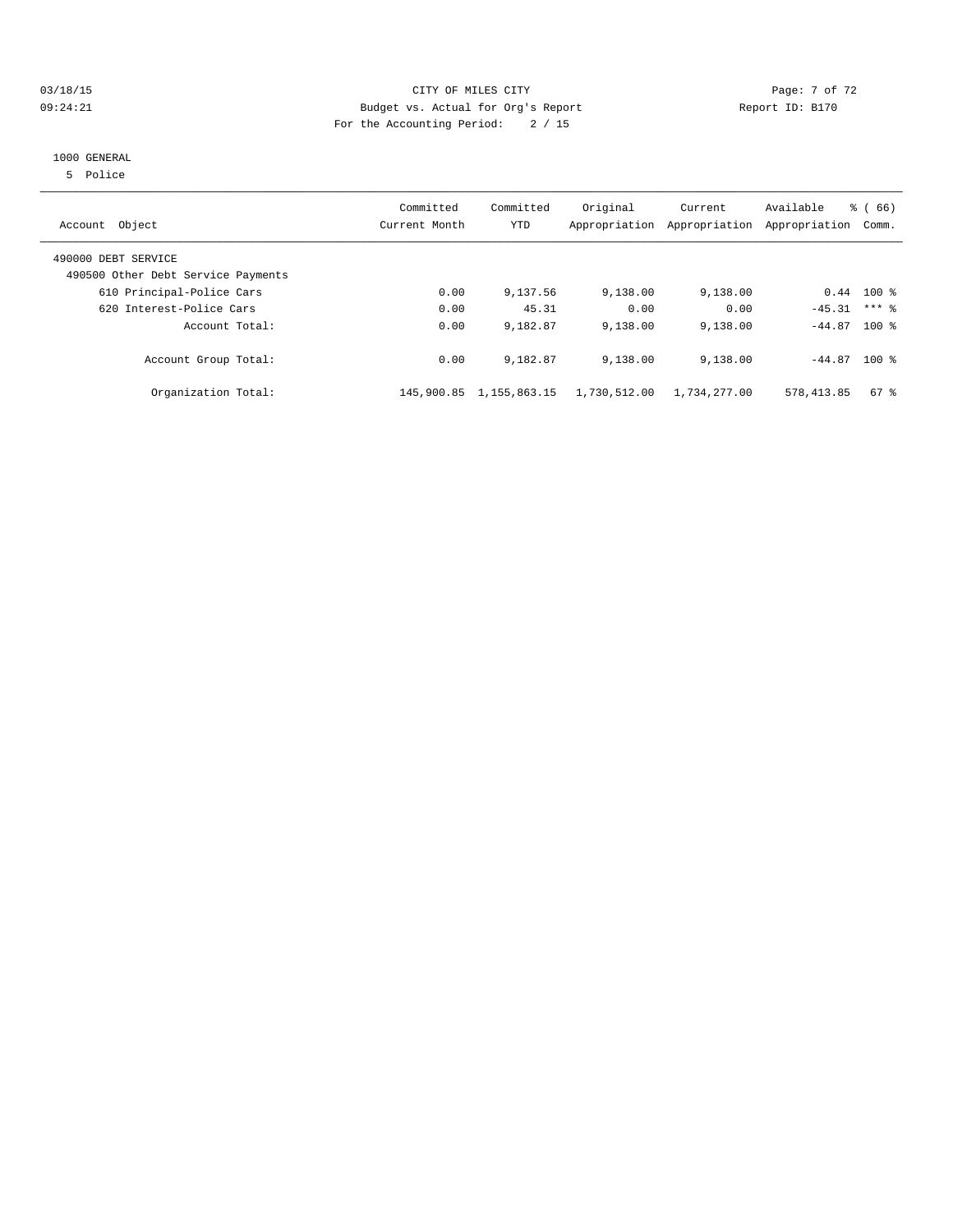#### 03/18/15 Page: 7 of 72 09:24:21 Budget vs. Actual for Org's Report Report ID: B170 For the Accounting Period: 2 / 15

#### 1000 GENERAL

5 Police

| Account Object                                            | Committed<br>Current Month | Committed<br>YTD | Original     | Current<br>Appropriation Appropriation | Available<br>Appropriation | % (66)<br>Comm. |
|-----------------------------------------------------------|----------------------------|------------------|--------------|----------------------------------------|----------------------------|-----------------|
| 490000 DEBT SERVICE<br>490500 Other Debt Service Payments |                            |                  |              |                                        |                            |                 |
| 610 Principal-Police Cars                                 | 0.00                       | 9,137.56         | 9,138.00     | 9,138.00                               |                            | $0.44$ 100 %    |
| 620 Interest-Police Cars                                  | 0.00                       | 45.31            | 0.00         | 0.00                                   | $-45.31$                   | $***$ 2         |
| Account Total:                                            | 0.00                       | 9,182.87         | 9,138.00     | 9,138.00                               | $-44.87$ 100 %             |                 |
| Account Group Total:                                      | 0.00                       | 9,182.87         | 9,138.00     | 9,138.00                               | $-44.87$ 100 %             |                 |
| Organization Total:                                       | 145,900.85                 | 1,155,863.15     | 1,730,512.00 | 1,734,277.00                           | 578, 413.85                | $67$ %          |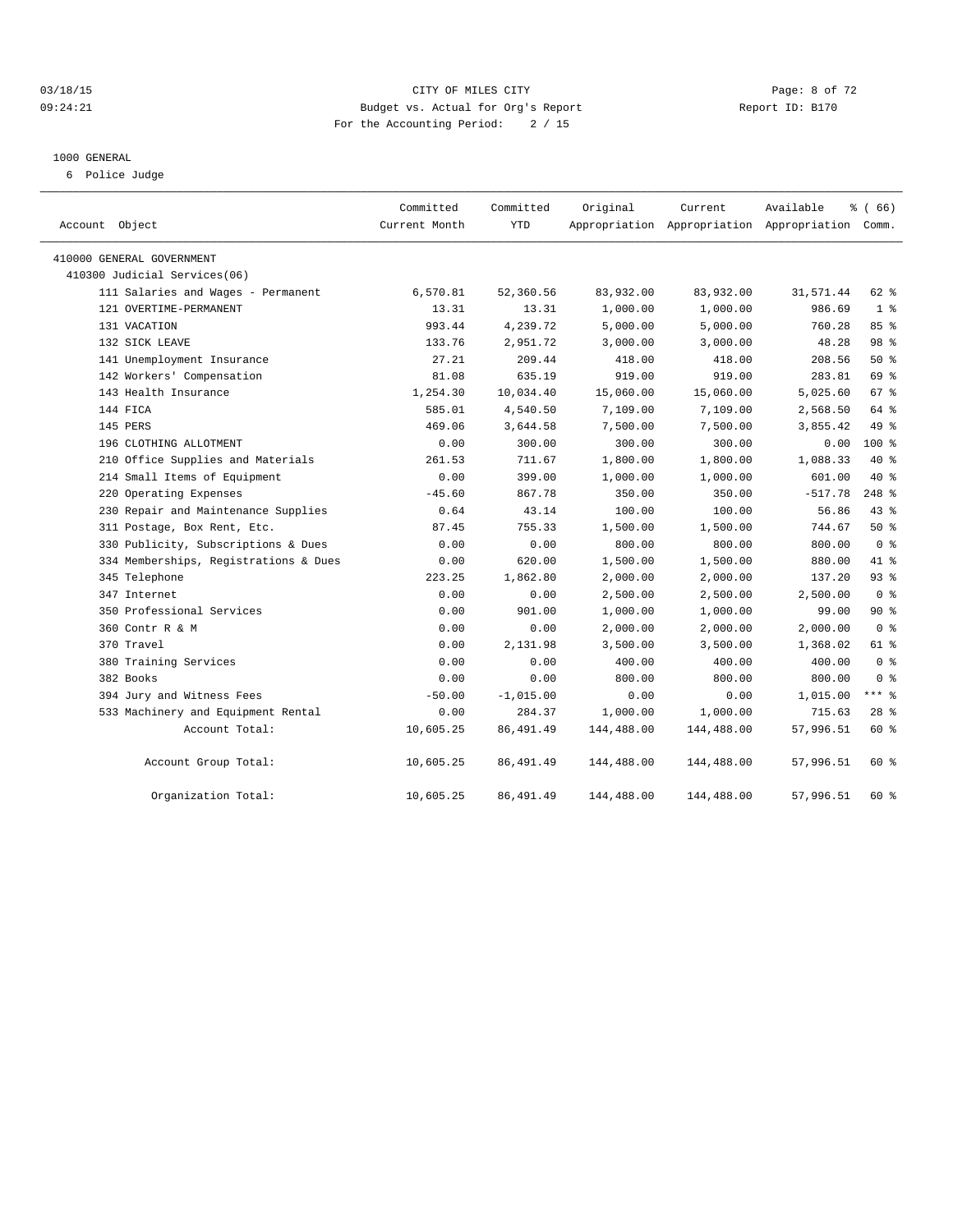#### 03/18/15 CITY OF MILES CITY Page: 8 of 72 09:24:21 Budget vs. Actual for Org's Report Communication Report ID: B170 For the Accounting Period: 2 / 15

#### 1000 GENERAL

6 Police Judge

| Account Object                        | Committed<br>Current Month | Committed<br><b>YTD</b> | Original   | Current<br>Appropriation Appropriation Appropriation Comm. | Available | % (66)          |  |
|---------------------------------------|----------------------------|-------------------------|------------|------------------------------------------------------------|-----------|-----------------|--|
| 410000 GENERAL GOVERNMENT             |                            |                         |            |                                                            |           |                 |  |
| 410300 Judicial Services(06)          |                            |                         |            |                                                            |           |                 |  |
| 111 Salaries and Wages - Permanent    | 6,570.81                   | 52,360.56               | 83,932.00  | 83,932.00                                                  | 31,571.44 | 62 %            |  |
| 121 OVERTIME-PERMANENT                | 13.31                      | 13.31                   | 1,000.00   | 1,000.00                                                   | 986.69    | 1 <sup>8</sup>  |  |
| 131 VACATION                          | 993.44                     | 4,239.72                | 5,000.00   | 5,000.00                                                   | 760.28    | 85%             |  |
| 132 SICK LEAVE                        | 133.76                     | 2,951.72                | 3,000.00   | 3,000.00                                                   | 48.28     | 98 %            |  |
| 141 Unemployment Insurance            | 27.21                      | 209.44                  | 418.00     | 418.00                                                     | 208.56    | $50*$           |  |
| 142 Workers' Compensation             | 81.08                      | 635.19                  | 919.00     | 919.00                                                     | 283.81    | 69 %            |  |
| 143 Health Insurance                  | 1,254.30                   | 10,034.40               | 15,060.00  | 15,060.00                                                  | 5,025.60  | 67 %            |  |
| 144 FICA                              | 585.01                     | 4,540.50                | 7,109.00   | 7,109.00                                                   | 2,568.50  | 64 %            |  |
| 145 PERS                              | 469.06                     | 3,644.58                | 7,500.00   | 7,500.00                                                   | 3,855.42  | 49 %            |  |
| 196 CLOTHING ALLOTMENT                | 0.00                       | 300.00                  | 300.00     | 300.00                                                     | 0.00      | $100*$          |  |
| 210 Office Supplies and Materials     | 261.53                     | 711.67                  | 1,800.00   | 1,800.00                                                   | 1,088.33  | $40*$           |  |
| 214 Small Items of Equipment          | 0.00                       | 399.00                  | 1,000.00   | 1,000.00                                                   | 601.00    | $40*$           |  |
| 220 Operating Expenses                | $-45.60$                   | 867.78                  | 350.00     | 350.00                                                     | $-517.78$ | 248 %           |  |
| 230 Repair and Maintenance Supplies   | 0.64                       | 43.14                   | 100.00     | 100.00                                                     | 56.86     | $43$ %          |  |
| 311 Postage, Box Rent, Etc.           | 87.45                      | 755.33                  | 1,500.00   | 1,500.00                                                   | 744.67    | 50%             |  |
| 330 Publicity, Subscriptions & Dues   | 0.00                       | 0.00                    | 800.00     | 800.00                                                     | 800.00    | 0 <sup>8</sup>  |  |
| 334 Memberships, Registrations & Dues | 0.00                       | 620.00                  | 1,500.00   | 1,500.00                                                   | 880.00    | 41.8            |  |
| 345 Telephone                         | 223.25                     | 1,862.80                | 2,000.00   | 2,000.00                                                   | 137.20    | 93 %            |  |
| 347 Internet                          | 0.00                       | 0.00                    | 2,500.00   | 2,500.00                                                   | 2,500.00  | 0 <sup>8</sup>  |  |
| 350 Professional Services             | 0.00                       | 901.00                  | 1,000.00   | 1,000.00                                                   | 99.00     | $90*$           |  |
| 360 Contr R & M                       | 0.00                       | 0.00                    | 2,000.00   | 2,000.00                                                   | 2,000.00  | 0 <sup>8</sup>  |  |
| 370 Travel                            | 0.00                       | 2,131.98                | 3,500.00   | 3,500.00                                                   | 1,368.02  | 61 %            |  |
| 380 Training Services                 | 0.00                       | 0.00                    | 400.00     | 400.00                                                     | 400.00    | 0 <sup>8</sup>  |  |
| 382 Books                             | 0.00                       | 0.00                    | 800.00     | 800.00                                                     | 800.00    | 0 <sup>8</sup>  |  |
| 394 Jury and Witness Fees             | $-50.00$                   | $-1,015.00$             | 0.00       | 0.00                                                       | 1,015.00  | $***$ 8         |  |
| 533 Machinery and Equipment Rental    | 0.00                       | 284.37                  | 1,000.00   | 1,000.00                                                   | 715.63    | 28 <sup>8</sup> |  |
| Account Total:                        | 10,605.25                  | 86, 491.49              | 144,488.00 | 144,488.00                                                 | 57,996.51 | 60 %            |  |
| Account Group Total:                  | 10,605.25                  | 86, 491.49              | 144,488.00 | 144,488.00                                                 | 57,996.51 | 60 %            |  |
| Organization Total:                   | 10,605.25                  | 86, 491.49              | 144,488.00 | 144,488.00                                                 | 57,996.51 | 60 %            |  |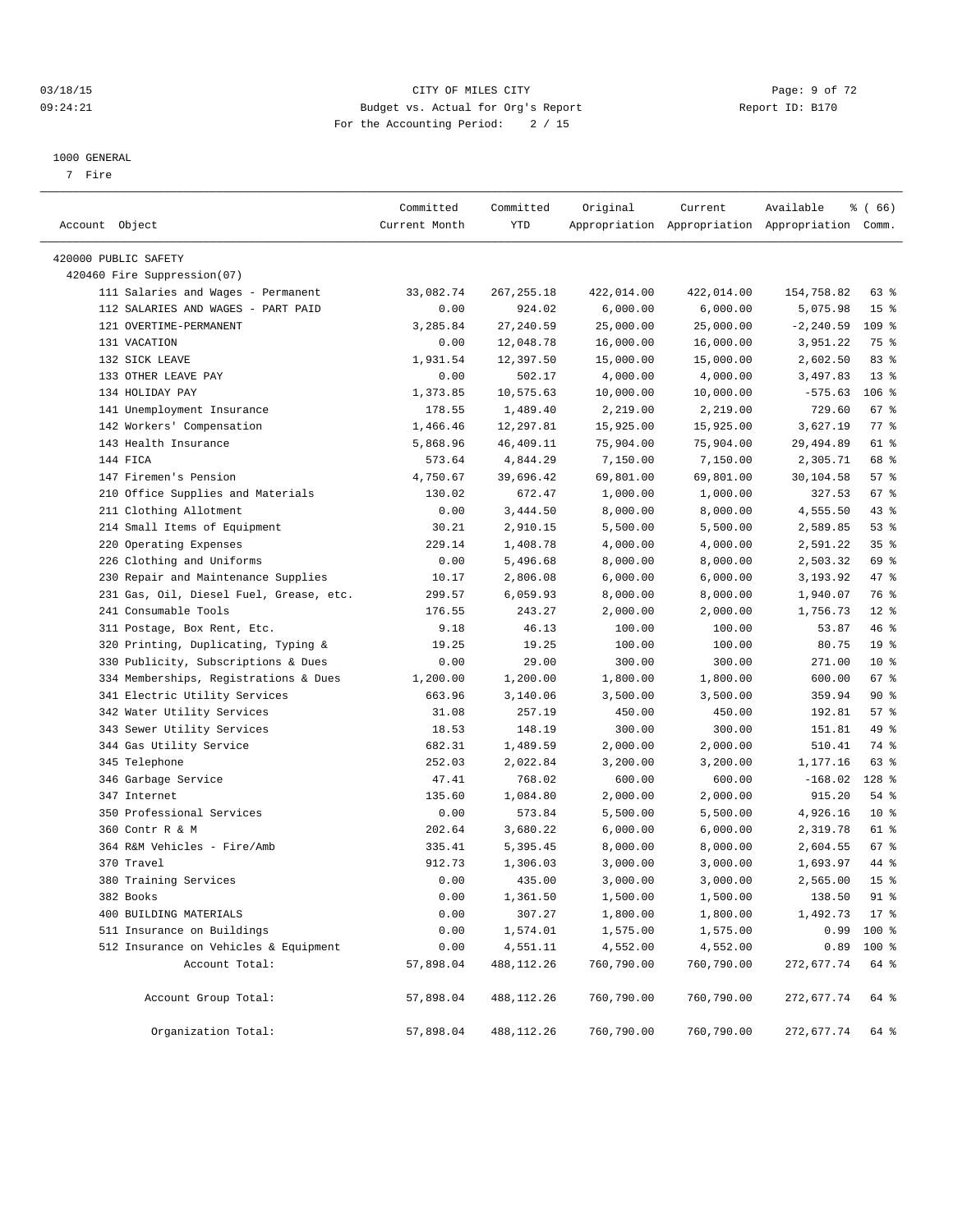#### 03/18/15 Page: 9 of 72 09:24:21 Budget vs. Actual for Org's Report Changer Report ID: B170 For the Accounting Period: 2 / 15

————————————————————————————————————————————————————————————————————————————————————————————————————————————————————————————————————

#### 1000 GENERAL

7 Fire

|                                         | Committed     | Committed   | Original   | Current    | Available                                       | <sub>है</sub> (66) |  |
|-----------------------------------------|---------------|-------------|------------|------------|-------------------------------------------------|--------------------|--|
| Account Object                          | Current Month | YTD         |            |            | Appropriation Appropriation Appropriation Comm. |                    |  |
| 420000 PUBLIC SAFETY                    |               |             |            |            |                                                 |                    |  |
| 420460 Fire Suppression(07)             |               |             |            |            |                                                 |                    |  |
| 111 Salaries and Wages - Permanent      | 33,082.74     | 267,255.18  | 422,014.00 | 422,014.00 | 154,758.82                                      | 63 %               |  |
| 112 SALARIES AND WAGES - PART PAID      | 0.00          | 924.02      | 6,000.00   | 6,000.00   | 5,075.98                                        | 15 <sup>°</sup>    |  |
| 121 OVERTIME-PERMANENT                  | 3,285.84      | 27, 240.59  | 25,000.00  | 25,000.00  | $-2, 240.59$                                    | $109$ %            |  |
| 131 VACATION                            | 0.00          | 12,048.78   | 16,000.00  | 16,000.00  | 3,951.22                                        | 75 %               |  |
| 132 SICK LEAVE                          | 1,931.54      | 12,397.50   | 15,000.00  | 15,000.00  | 2,602.50                                        | 83%                |  |
| 133 OTHER LEAVE PAY                     | 0.00          | 502.17      | 4,000.00   | 4,000.00   | 3,497.83                                        | $13*$              |  |
| 134 HOLIDAY PAY                         | 1,373.85      | 10,575.63   | 10,000.00  | 10,000.00  | $-575.63$                                       | 106 %              |  |
| 141 Unemployment Insurance              | 178.55        | 1,489.40    | 2,219.00   | 2,219.00   | 729.60                                          | 67 %               |  |
| 142 Workers' Compensation               | 1,466.46      | 12,297.81   | 15,925.00  | 15,925.00  | 3,627.19                                        | 77 %               |  |
| 143 Health Insurance                    | 5,868.96      | 46,409.11   | 75,904.00  | 75,904.00  | 29, 494.89                                      | 61 %               |  |
| 144 FICA                                | 573.64        | 4,844.29    | 7,150.00   | 7,150.00   | 2,305.71                                        | 68 %               |  |
| 147 Firemen's Pension                   | 4,750.67      | 39,696.42   | 69,801.00  | 69,801.00  | 30,104.58                                       | 57%                |  |
| 210 Office Supplies and Materials       | 130.02        | 672.47      | 1,000.00   | 1,000.00   | 327.53                                          | 67 %               |  |
| 211 Clothing Allotment                  | 0.00          | 3,444.50    | 8,000.00   | 8,000.00   | 4,555.50                                        | 43 %               |  |
| 214 Small Items of Equipment            | 30.21         | 2,910.15    | 5,500.00   | 5,500.00   | 2,589.85                                        | 53 %               |  |
| 220 Operating Expenses                  | 229.14        | 1,408.78    | 4,000.00   | 4,000.00   | 2,591.22                                        | 35%                |  |
| 226 Clothing and Uniforms               | 0.00          | 5,496.68    | 8,000.00   | 8,000.00   | 2,503.32                                        | 69 %               |  |
| 230 Repair and Maintenance Supplies     | 10.17         | 2,806.08    | 6,000.00   | 6,000.00   | 3,193.92                                        | 47 %               |  |
| 231 Gas, Oil, Diesel Fuel, Grease, etc. | 299.57        | 6,059.93    | 8,000.00   | 8,000.00   | 1,940.07                                        | 76 %               |  |
| 241 Consumable Tools                    | 176.55        | 243.27      | 2,000.00   | 2,000.00   | 1,756.73                                        | $12*$              |  |
| 311 Postage, Box Rent, Etc.             | 9.18          | 46.13       | 100.00     | 100.00     | 53.87                                           | 46 %               |  |
| 320 Printing, Duplicating, Typing &     | 19.25         | 19.25       | 100.00     | 100.00     | 80.75                                           | 19 <sup>°</sup>    |  |
| 330 Publicity, Subscriptions & Dues     | 0.00          | 29.00       | 300.00     | 300.00     | 271.00                                          | $10*$              |  |
| 334 Memberships, Registrations & Dues   | 1,200.00      | 1,200.00    | 1,800.00   | 1,800.00   | 600.00                                          | 67%                |  |
| 341 Electric Utility Services           | 663.96        | 3,140.06    | 3,500.00   | 3,500.00   | 359.94                                          | 90%                |  |
| 342 Water Utility Services              | 31.08         | 257.19      | 450.00     | 450.00     | 192.81                                          | 57%                |  |
| 343 Sewer Utility Services              | 18.53         | 148.19      | 300.00     | 300.00     | 151.81                                          | 49 %               |  |
| 344 Gas Utility Service                 | 682.31        | 1,489.59    | 2,000.00   | 2,000.00   | 510.41                                          | 74 %               |  |
| 345 Telephone                           | 252.03        | 2,022.84    | 3,200.00   | 3,200.00   | 1,177.16                                        | 63 %               |  |
| 346 Garbage Service                     | 47.41         | 768.02      | 600.00     | 600.00     | $-168.02$                                       | 128 %              |  |
| 347 Internet                            | 135.60        | 1,084.80    | 2,000.00   | 2,000.00   | 915.20                                          | 54 %               |  |
| 350 Professional Services               | 0.00          | 573.84      | 5,500.00   | 5,500.00   | 4,926.16                                        | $10*$              |  |
| 360 Contr R & M                         | 202.64        | 3,680.22    | 6,000.00   | 6,000.00   | 2,319.78                                        | 61 %               |  |
| 364 R&M Vehicles - Fire/Amb             | 335.41        | 5,395.45    | 8,000.00   | 8,000.00   | 2,604.55                                        | 67 %               |  |
| 370 Travel                              | 912.73        | 1,306.03    | 3,000.00   | 3,000.00   | 1,693.97                                        | 44 %               |  |
| 380 Training Services                   | 0.00          | 435.00      | 3,000.00   | 3,000.00   | 2,565.00                                        | 15 <sup>°</sup>    |  |
| 382 Books                               | 0.00          | 1,361.50    | 1,500.00   | 1,500.00   | 138.50                                          | $91$ %             |  |
| 400 BUILDING MATERIALS                  | 0.00          | 307.27      | 1,800.00   | 1,800.00   | $1,492.73$ 17 %                                 |                    |  |
| 511 Insurance on Buildings              | 0.00          | 1,574.01    | 1,575.00   | 1,575.00   |                                                 | $0.99$ 100 %       |  |
| 512 Insurance on Vehicles & Equipment   | 0.00          | 4,551.11    | 4,552.00   | 4,552.00   |                                                 | $0.89$ 100 %       |  |
| Account Total:                          | 57,898.04     | 488, 112.26 | 760,790.00 | 760,790.00 | 272,677.74                                      | 64 %               |  |
| Account Group Total:                    | 57,898.04     | 488,112.26  | 760,790.00 | 760,790.00 | 272,677.74                                      | 64 %               |  |
| Organization Total:                     | 57,898.04     | 488,112.26  | 760,790.00 | 760,790.00 | 272,677.74 64 %                                 |                    |  |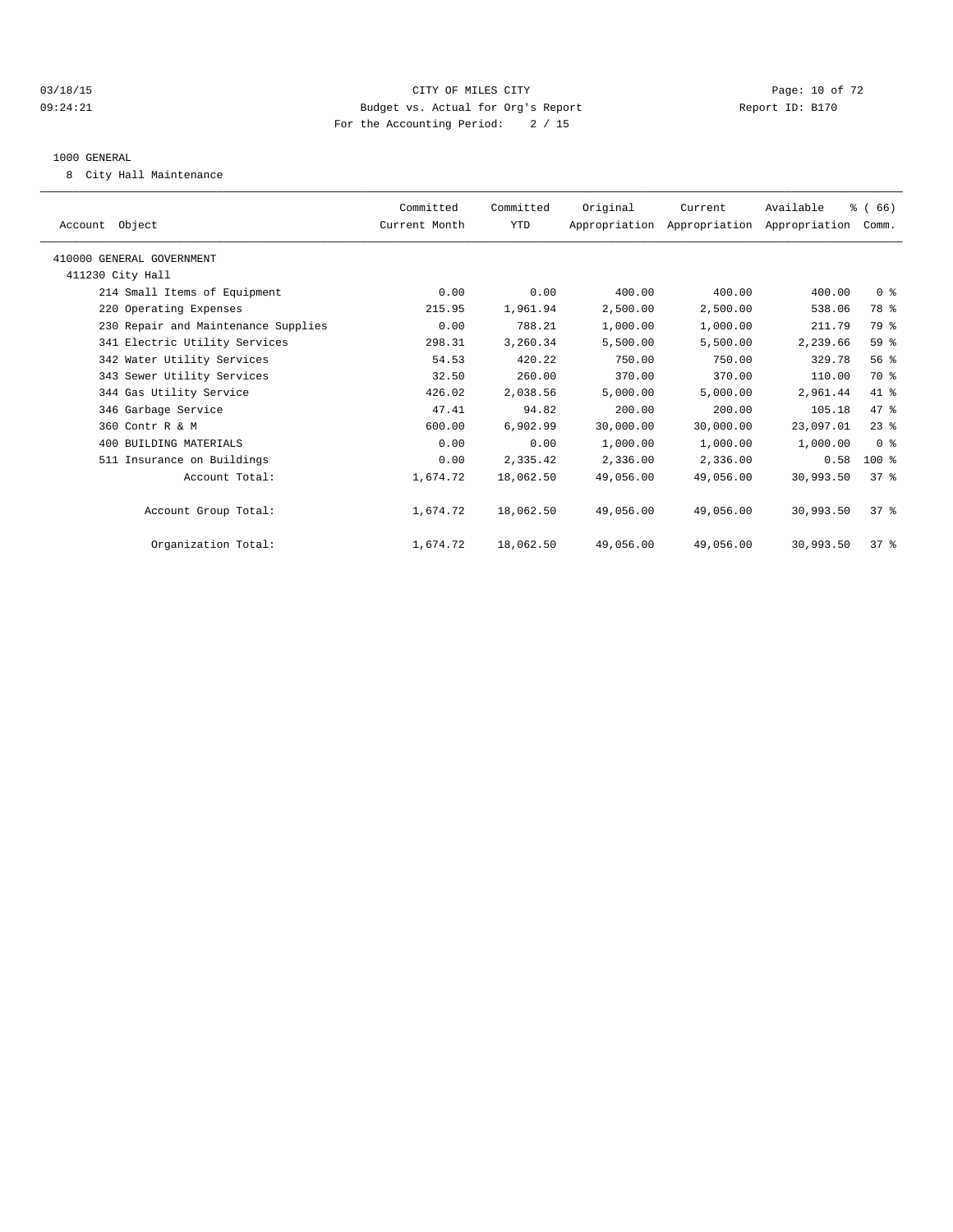#### 03/18/15 Page: 10 of 72 09:24:21 Budget vs. Actual for Org's Report Communication Report ID: B170 For the Accounting Period: 2 / 15

#### 1000 GENERAL

8 City Hall Maintenance

| Committed<br>Current Month | Committed<br>YTD | Original  | Current   | Available |                                                                                                                                                                                                                  |
|----------------------------|------------------|-----------|-----------|-----------|------------------------------------------------------------------------------------------------------------------------------------------------------------------------------------------------------------------|
|                            |                  |           |           |           |                                                                                                                                                                                                                  |
|                            |                  |           |           |           |                                                                                                                                                                                                                  |
| 0.00                       | 0.00             | 400.00    | 400.00    | 400.00    |                                                                                                                                                                                                                  |
| 215.95                     | 1,961.94         | 2,500.00  | 2,500.00  | 538.06    |                                                                                                                                                                                                                  |
| 0.00                       | 788.21           | 1,000.00  | 1,000.00  | 211.79    |                                                                                                                                                                                                                  |
| 298.31                     | 3,260.34         | 5,500.00  | 5,500.00  | 2,239.66  |                                                                                                                                                                                                                  |
| 54.53                      | 420.22           | 750.00    | 750.00    | 329.78    |                                                                                                                                                                                                                  |
| 32.50                      | 260.00           | 370.00    | 370.00    | 110.00    |                                                                                                                                                                                                                  |
| 426.02                     | 2,038.56         | 5,000.00  | 5,000.00  | 2,961.44  |                                                                                                                                                                                                                  |
| 47.41                      | 94.82            | 200.00    | 200.00    | 105.18    |                                                                                                                                                                                                                  |
| 600.00                     | 6,902.99         | 30,000.00 | 30,000.00 | 23,097.01 |                                                                                                                                                                                                                  |
| 0.00                       | 0.00             | 1,000.00  | 1,000.00  | 1,000.00  |                                                                                                                                                                                                                  |
| 0.00                       | 2,335.42         | 2,336.00  | 2,336.00  | 0.58      |                                                                                                                                                                                                                  |
| 1,674.72                   | 18,062.50        | 49,056.00 | 49,056.00 | 30,993.50 |                                                                                                                                                                                                                  |
| 1,674.72                   | 18,062.50        | 49,056.00 | 49,056.00 | 30,993.50 |                                                                                                                                                                                                                  |
| 1,674.72                   | 18,062.50        | 49,056.00 | 49,056.00 | 30,993.50 |                                                                                                                                                                                                                  |
|                            |                  |           |           |           | % (66)<br>Appropriation Appropriation Appropriation Comm.<br>0 <sup>8</sup><br>78 %<br>79 %<br>59 %<br>56%<br>70 %<br>41 %<br>47 %<br>$23$ $%$<br>0 <sup>8</sup><br>$100$ %<br>$37*$<br>$37*$<br>37 <sup>8</sup> |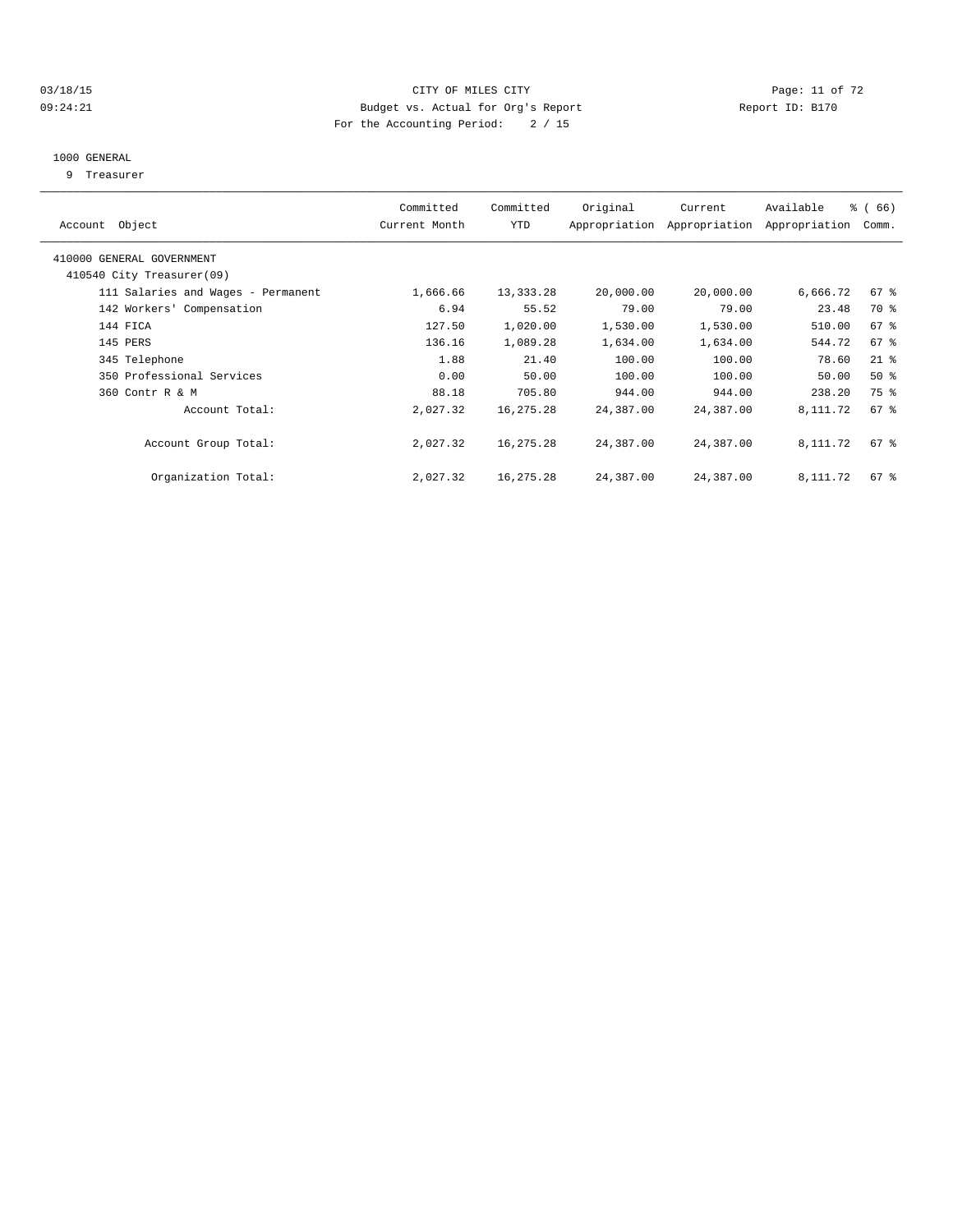#### 03/18/15 Page: 11 of 72 09:24:21 Budget vs. Actual for Org's Report Communication Report ID: B170 For the Accounting Period: 2 / 15

## 1000 GENERAL

9 Treasurer

| Account Object                     | Committed<br>Current Month | Committed<br>YTD | Original  | Current<br>Appropriation Appropriation | Available<br>Appropriation | $\frac{3}{6}$ (66)<br>Comm. |
|------------------------------------|----------------------------|------------------|-----------|----------------------------------------|----------------------------|-----------------------------|
| 410000 GENERAL GOVERNMENT          |                            |                  |           |                                        |                            |                             |
| 410540 City Treasurer(09)          |                            |                  |           |                                        |                            |                             |
| 111 Salaries and Wages - Permanent | 1,666.66                   | 13,333.28        | 20,000.00 | 20,000.00                              | 6,666.72                   | 67 %                        |
| 142 Workers' Compensation          | 6.94                       | 55.52            | 79.00     | 79.00                                  | 23.48                      | 70 %                        |
| 144 FICA                           | 127.50                     | 1,020.00         | 1,530.00  | 1,530.00                               | 510.00                     | 67 %                        |
| 145 PERS                           | 136.16                     | 1,089.28         | 1,634.00  | 1,634.00                               | 544.72                     | 67 %                        |
| 345 Telephone                      | 1.88                       | 21.40            | 100.00    | 100.00                                 | 78.60                      | $21$ %                      |
| 350 Professional Services          | 0.00                       | 50.00            | 100.00    | 100.00                                 | 50.00                      | $50*$                       |
| 360 Contr R & M                    | 88.18                      | 705.80           | 944.00    | 944.00                                 | 238.20                     | 75 %                        |
| Account Total:                     | 2,027.32                   | 16,275.28        | 24,387.00 | 24,387.00                              | 8,111.72                   | $67$ $\frac{6}{3}$          |
| Account Group Total:               | 2,027.32                   | 16,275.28        | 24,387.00 | 24,387.00                              | 8,111.72                   | $67$ %                      |
| Organization Total:                | 2,027.32                   | 16,275.28        | 24,387.00 | 24,387.00                              | 8,111.72                   | $67$ %                      |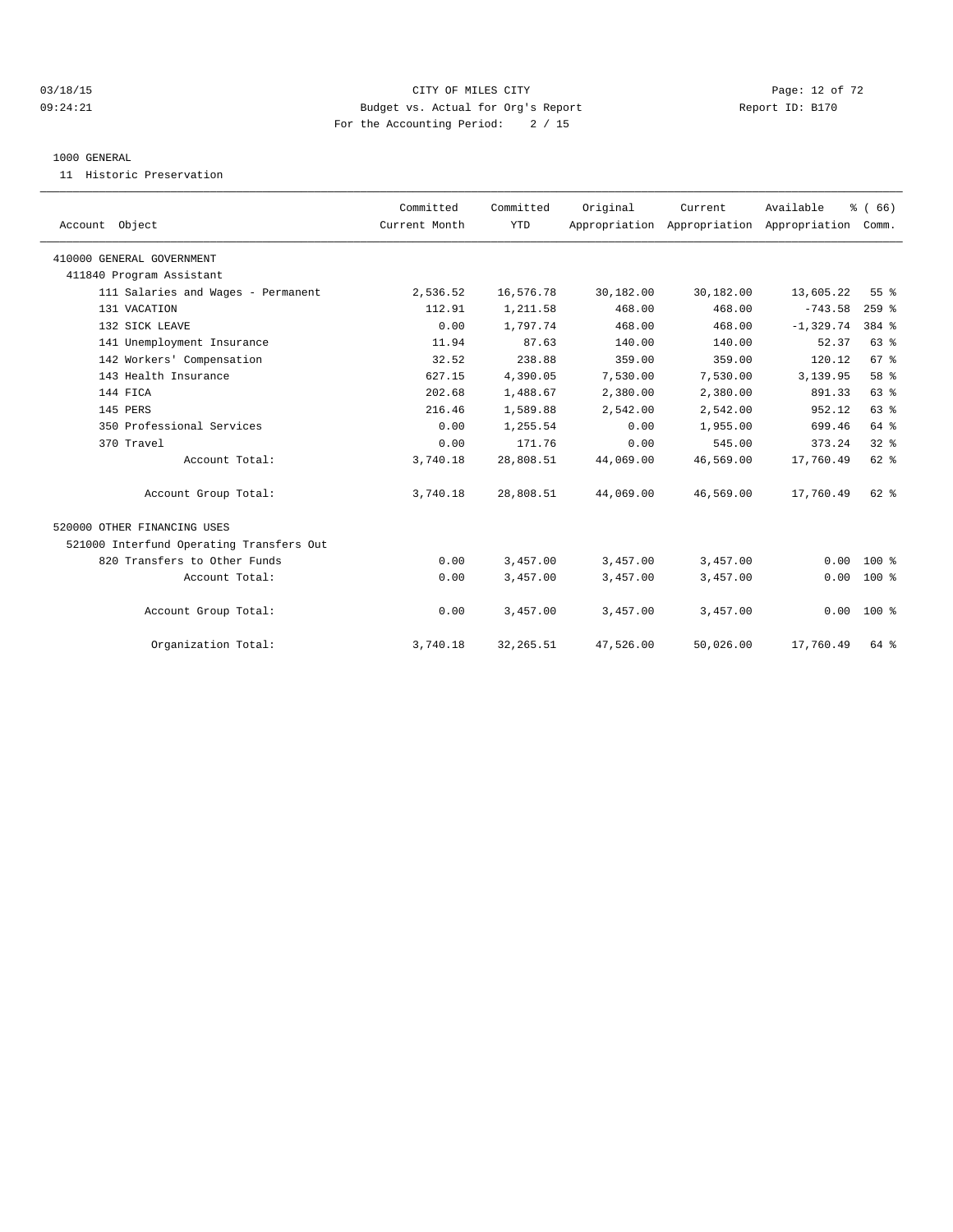#### $O3/18/15$  Page: 12 of 72 09:24:21 Budget vs. Actual for Org's Report Communication Report ID: B170 For the Accounting Period: 2 / 15

#### 1000 GENERAL

11 Historic Preservation

| Account Object                           | Committed<br>Current Month | Committed<br><b>YTD</b> | Original  | Current<br>Appropriation Appropriation Appropriation | Available    | % (66)<br>Comm. |  |
|------------------------------------------|----------------------------|-------------------------|-----------|------------------------------------------------------|--------------|-----------------|--|
| 410000 GENERAL GOVERNMENT                |                            |                         |           |                                                      |              |                 |  |
| 411840 Program Assistant                 |                            |                         |           |                                                      |              |                 |  |
| 111 Salaries and Wages - Permanent       | 2,536.52                   | 16,576.78               | 30,182.00 | 30,182.00                                            | 13,605.22    | 55 %            |  |
| 131 VACATION                             | 112.91                     | 1,211.58                | 468.00    | 468.00                                               | $-743.58$    | $259$ $%$       |  |
| 132 SICK LEAVE                           | 0.00                       | 1,797.74                | 468.00    | 468.00                                               | $-1, 329.74$ | 384 %           |  |
| 141 Unemployment Insurance               | 11.94                      | 87.63                   | 140.00    | 140.00                                               | 52.37        | 63%             |  |
| 142 Workers' Compensation                | 32.52                      | 238.88                  | 359.00    | 359.00                                               | 120.12       | 67 <sup>8</sup> |  |
| 143 Health Insurance                     | 627.15                     | 4,390.05                | 7,530.00  | 7,530.00                                             | 3,139.95     | 58 %            |  |
| 144 FICA                                 | 202.68                     | 1,488.67                | 2,380.00  | 2,380.00                                             | 891.33       | 63%             |  |
| 145 PERS                                 | 216.46                     | 1,589.88                | 2,542.00  | 2,542.00                                             | 952.12       | 63%             |  |
| 350 Professional Services                | 0.00                       | 1,255.54                | 0.00      | 1,955.00                                             | 699.46       | 64 %            |  |
| 370 Travel                               | 0.00                       | 171.76                  | 0.00      | 545.00                                               | 373.24       | 32 <sup>8</sup> |  |
| Account Total:                           | 3,740.18                   | 28,808.51               | 44,069.00 | 46,569.00                                            | 17,760.49    | 62 %            |  |
| Account Group Total:                     | 3,740.18                   | 28,808.51               | 44,069.00 | 46,569.00                                            | 17,760.49    | $62*$           |  |
| 520000 OTHER FINANCING USES              |                            |                         |           |                                                      |              |                 |  |
| 521000 Interfund Operating Transfers Out |                            |                         |           |                                                      |              |                 |  |
| 820 Transfers to Other Funds             | 0.00                       | 3,457.00                | 3,457.00  | 3,457.00                                             | 0.00         | 100 %           |  |
| Account Total:                           | 0.00                       | 3,457.00                | 3,457.00  | 3,457.00                                             | 0.00         | $100*$          |  |
| Account Group Total:                     | 0.00                       | 3,457.00                | 3,457.00  | 3,457.00                                             |              | $0.00 100$ %    |  |
| Organization Total:                      | 3,740.18                   | 32, 265.51              | 47,526.00 | 50,026.00                                            | 17,760.49    | 64 %            |  |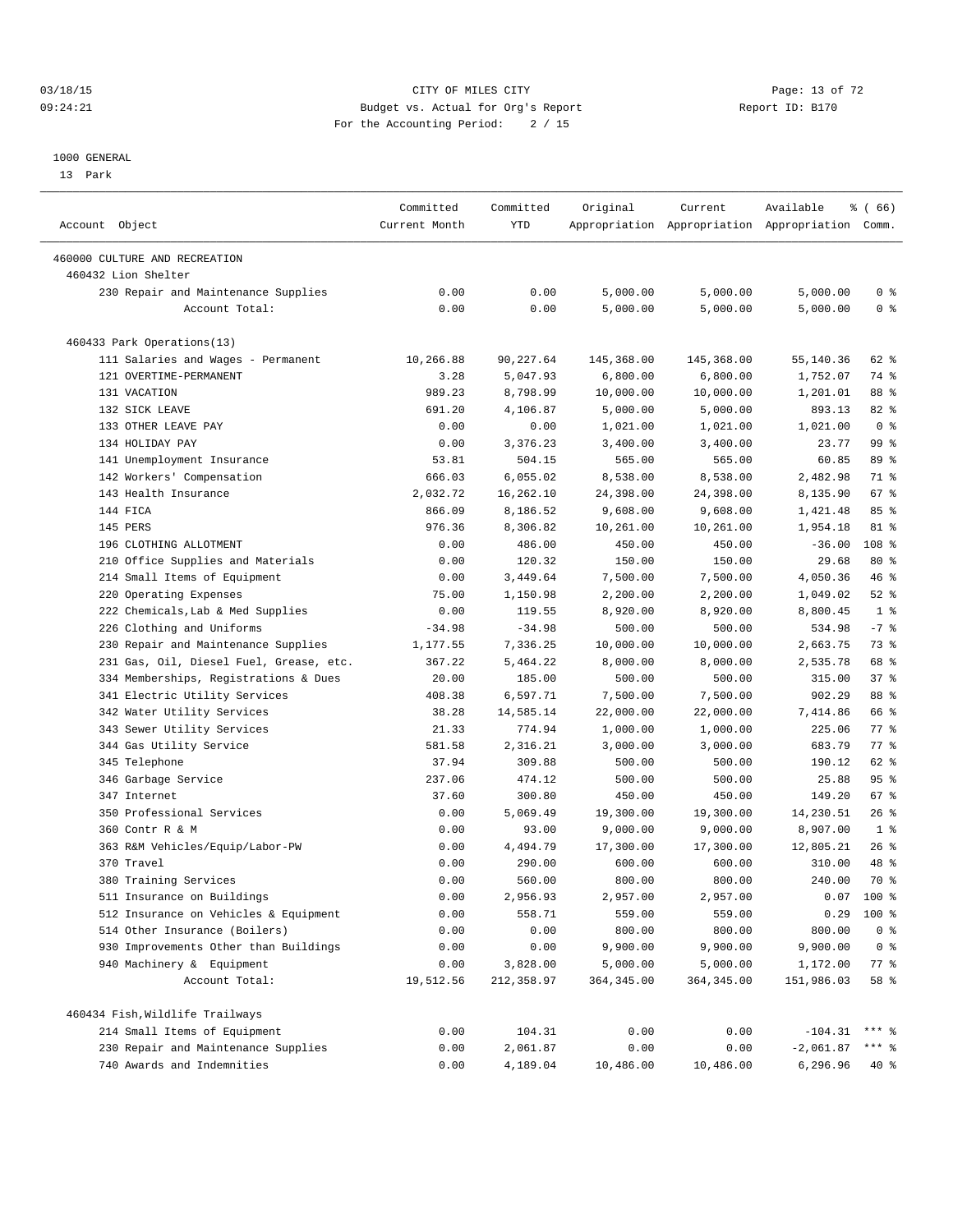#### 03/18/15 Page: 13 of 72 09:24:21 Budget vs. Actual for Org's Report Communication Report ID: B170 For the Accounting Period: 2 / 15

————————————————————————————————————————————————————————————————————————————————————————————————————————————————————————————————————

#### 1000 GENERAL

13 Park

|                                                      | Committed     | Committed  | Original    | Current                                         | Available       | <sub>ර</sub> ි (66) |
|------------------------------------------------------|---------------|------------|-------------|-------------------------------------------------|-----------------|---------------------|
| Account Object                                       | Current Month | YTD        |             | Appropriation Appropriation Appropriation Comm. |                 |                     |
|                                                      |               |            |             |                                                 |                 |                     |
| 460000 CULTURE AND RECREATION<br>460432 Lion Shelter |               |            |             |                                                 |                 |                     |
| 230 Repair and Maintenance Supplies                  | 0.00          | 0.00       | 5,000.00    | 5,000.00                                        | 5,000.00        | 0 <sup>8</sup>      |
| Account Total:                                       | 0.00          | 0.00       | 5,000.00    | 5,000.00                                        | 5,000.00        | 0 <sup>8</sup>      |
|                                                      |               |            |             |                                                 |                 |                     |
| 460433 Park Operations(13)                           |               |            |             |                                                 |                 |                     |
| 111 Salaries and Wages - Permanent                   | 10,266.88     | 90,227.64  | 145,368.00  | 145,368.00                                      | 55,140.36       | 62 %                |
| 121 OVERTIME-PERMANENT                               | 3.28          | 5,047.93   | 6,800.00    | 6,800.00                                        | 1,752.07        | 74 %                |
| 131 VACATION                                         | 989.23        | 8,798.99   | 10,000.00   | 10,000.00                                       | 1,201.01        | 88 %                |
| 132 SICK LEAVE                                       | 691.20        | 4,106.87   | 5,000.00    | 5,000.00                                        | 893.13          | 82 %                |
| 133 OTHER LEAVE PAY                                  | 0.00          | 0.00       | 1,021.00    | 1,021.00                                        | 1,021.00        | 0 <sup>8</sup>      |
| 134 HOLIDAY PAY                                      | 0.00          | 3,376.23   | 3,400.00    | 3,400.00                                        | 23.77           | 99 %                |
| 141 Unemployment Insurance                           | 53.81         | 504.15     | 565.00      | 565.00                                          | 60.85           | 89 %                |
| 142 Workers' Compensation                            | 666.03        | 6,055.02   | 8,538.00    | 8,538.00                                        | 2,482.98        | 71 %                |
| 143 Health Insurance                                 | 2,032.72      | 16,262.10  | 24,398.00   | 24,398.00                                       | 8,135.90        | 67 %                |
| 144 FICA                                             | 866.09        | 8,186.52   | 9,608.00    | 9,608.00                                        | 1,421.48        | 85%                 |
| 145 PERS                                             | 976.36        | 8,306.82   | 10,261.00   | 10,261.00                                       | 1,954.18        | 81 %                |
| 196 CLOTHING ALLOTMENT                               | 0.00          | 486.00     | 450.00      | 450.00                                          | $-36.00$        | 108 <sup>8</sup>    |
| 210 Office Supplies and Materials                    | 0.00          | 120.32     | 150.00      | 150.00                                          | 29.68           | 80 %                |
| 214 Small Items of Equipment                         | 0.00          | 3,449.64   | 7,500.00    | 7,500.00                                        | 4,050.36        | 46 %                |
| 220 Operating Expenses                               | 75.00         | 1,150.98   | 2,200.00    | 2,200.00                                        | 1,049.02        | $52$ $%$            |
| 222 Chemicals, Lab & Med Supplies                    | 0.00          | 119.55     | 8,920.00    | 8,920.00                                        | 8,800.45        | 1 <sup>8</sup>      |
| 226 Clothing and Uniforms                            | $-34.98$      | $-34.98$   | 500.00      | 500.00                                          | 534.98          | $-7$ $%$            |
| 230 Repair and Maintenance Supplies                  | 1,177.55      | 7,336.25   | 10,000.00   | 10,000.00                                       | 2,663.75        | 73 %                |
| 231 Gas, Oil, Diesel Fuel, Grease, etc.              | 367.22        | 5,464.22   | 8,000.00    | 8,000.00                                        | 2,535.78        | 68 %                |
| 334 Memberships, Registrations & Dues                | 20.00         | 185.00     | 500.00      | 500.00                                          | 315.00          | 37%                 |
| 341 Electric Utility Services                        | 408.38        | 6,597.71   | 7,500.00    | 7,500.00                                        | 902.29          | 88 %                |
| 342 Water Utility Services                           | 38.28         | 14,585.14  | 22,000.00   | 22,000.00                                       | 7,414.86        | 66 %                |
| 343 Sewer Utility Services                           | 21.33         | 774.94     | 1,000.00    | 1,000.00                                        | 225.06          | 77.                 |
| 344 Gas Utility Service                              | 581.58        | 2,316.21   | 3,000.00    | 3,000.00                                        | 683.79          | 77 %                |
| 345 Telephone                                        | 37.94         | 309.88     | 500.00      | 500.00                                          | 190.12          | 62 %                |
| 346 Garbage Service                                  | 237.06        | 474.12     | 500.00      | 500.00                                          | 25.88           | 95%                 |
| 347 Internet                                         | 37.60         | 300.80     | 450.00      | 450.00                                          | 149.20          | 67 %                |
| 350 Professional Services                            | 0.00          | 5,069.49   | 19,300.00   | 19,300.00                                       | 14,230.51       | $26$ %              |
| 360 Contr R & M                                      | 0.00          | 93.00      | 9,000.00    | 9,000.00                                        | 8,907.00        | 1 <sup>8</sup>      |
| 363 R&M Vehicles/Equip/Labor-PW                      | 0.00          | 4,494.79   | 17,300.00   | 17,300.00                                       | 12,805.21       | $26$ %              |
| 370 Travel                                           | 0.00          | 290.00     | 600.00      | 600.00                                          | 310.00          | 48 %                |
| 380 Training Services                                | 0.00          | 560.00     | 800.00      | 800.00                                          | 240.00          | 70 %                |
| 511 Insurance on Buildings                           | 0.00          | 2,956.93   | 2,957.00    | 2,957.00                                        |                 | $0.07$ 100 %        |
| 512 Insurance on Vehicles & Equipment                | 0.00          | 558.71     | 559.00      | 559.00                                          |                 | $0.29$ 100 %        |
| 514 Other Insurance (Boilers)                        | 0.00          | 0.00       | 800.00      | 800.00                                          | 800.00          | 0 <sup>8</sup>      |
| 930 Improvements Other than Buildings                | 0.00          | 0.00       | 9,900.00    | 9,900.00                                        | 9,900.00        | 0 <sup>8</sup>      |
| 940 Machinery & Equipment                            | 0.00          | 3,828.00   | 5,000.00    | 5,000.00                                        | 1,172.00        | 77 %                |
| Account Total:                                       | 19,512.56     | 212,358.97 | 364, 345.00 | 364, 345.00                                     | 151,986.03      | 58 %                |
|                                                      |               |            |             |                                                 |                 |                     |
| 460434 Fish, Wildlife Trailways                      |               |            |             |                                                 |                 |                     |
| 214 Small Items of Equipment                         | 0.00          | 104.31     | 0.00        | 0.00                                            | $-104.31$ *** % |                     |
| 230 Repair and Maintenance Supplies                  | 0.00          | 2,061.87   | 0.00        | 0.00                                            | $-2,061.87$     | $***$ $_{8}$        |
| 740 Awards and Indemnities                           | 0.00          | 4,189.04   | 10,486.00   | 10,486.00                                       | 6,296.96        | 40 %                |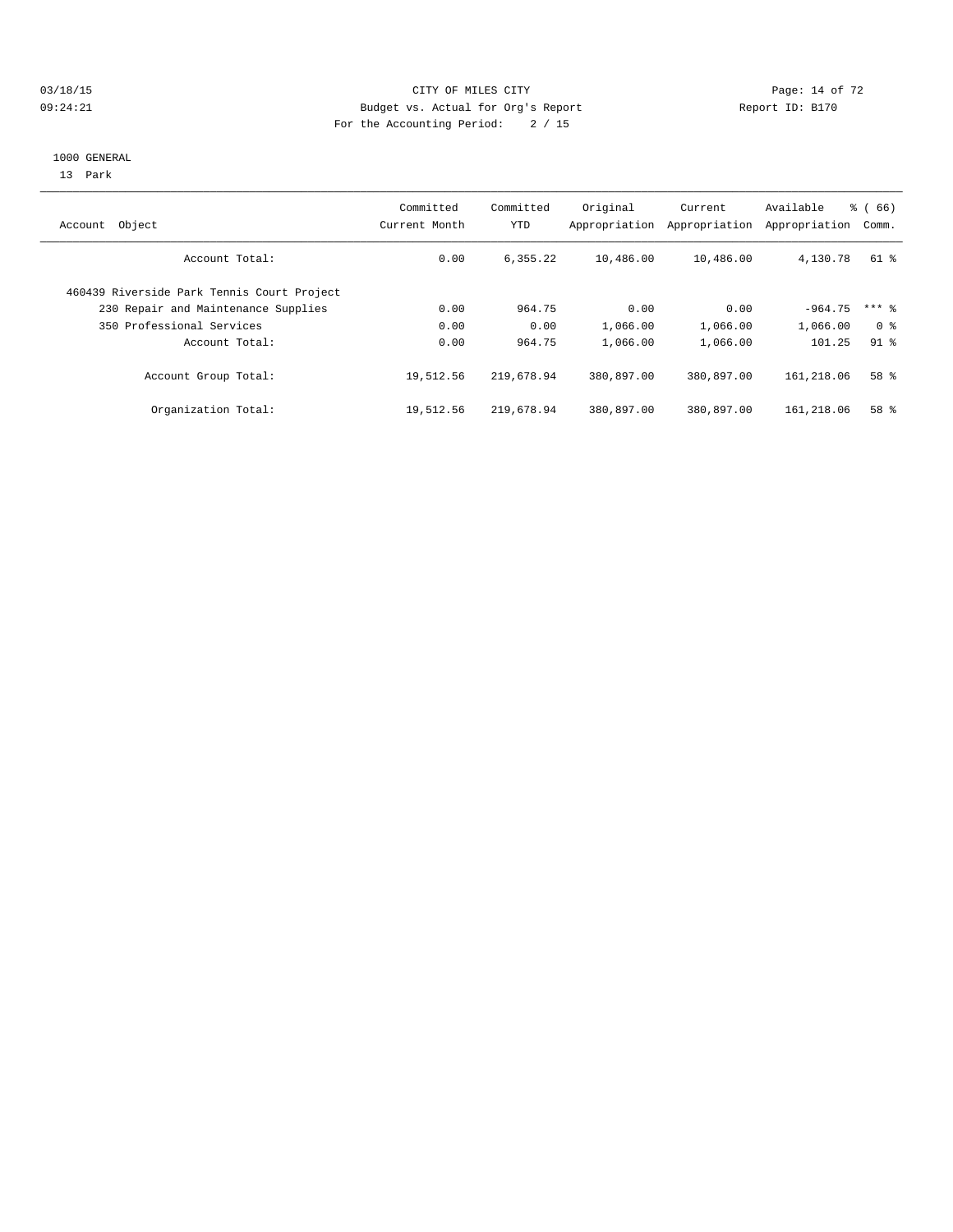#### $O3/18/15$  Page: 14 of 72 09:24:21 Budget vs. Actual for Org's Report Communication Report ID: B170 For the Accounting Period: 2 / 15

#### 1000 GENERAL

13 Park

| Object<br>Account                          | Committed<br>Current Month | Committed<br>YTD | Original<br>Appropriation | Current<br>Appropriation | Available<br>Appropriation | $\frac{6}{6}$ (66)<br>Comm. |
|--------------------------------------------|----------------------------|------------------|---------------------------|--------------------------|----------------------------|-----------------------------|
| Account Total:                             | 0.00                       | 6,355.22         | 10,486.00                 | 10,486.00                | 4,130.78                   | 61 %                        |
| 460439 Riverside Park Tennis Court Project |                            |                  |                           |                          |                            |                             |
| 230 Repair and Maintenance Supplies        | 0.00                       | 964.75           | 0.00                      | 0.00                     | $-964.75$                  | $***$ 8                     |
| 350 Professional Services                  | 0.00                       | 0.00             | 1,066.00                  | 1,066.00                 | 1,066.00                   | 0 <sup>8</sup>              |
| Account Total:                             | 0.00                       | 964.75           | 1,066.00                  | 1,066.00                 | 101.25                     | $91$ %                      |
| Account Group Total:                       | 19,512.56                  | 219,678.94       | 380,897.00                | 380,897.00               | 161,218.06                 | 58 %                        |
| Organization Total:                        | 19,512.56                  | 219,678.94       | 380,897.00                | 380,897.00               | 161,218.06                 | 58 %                        |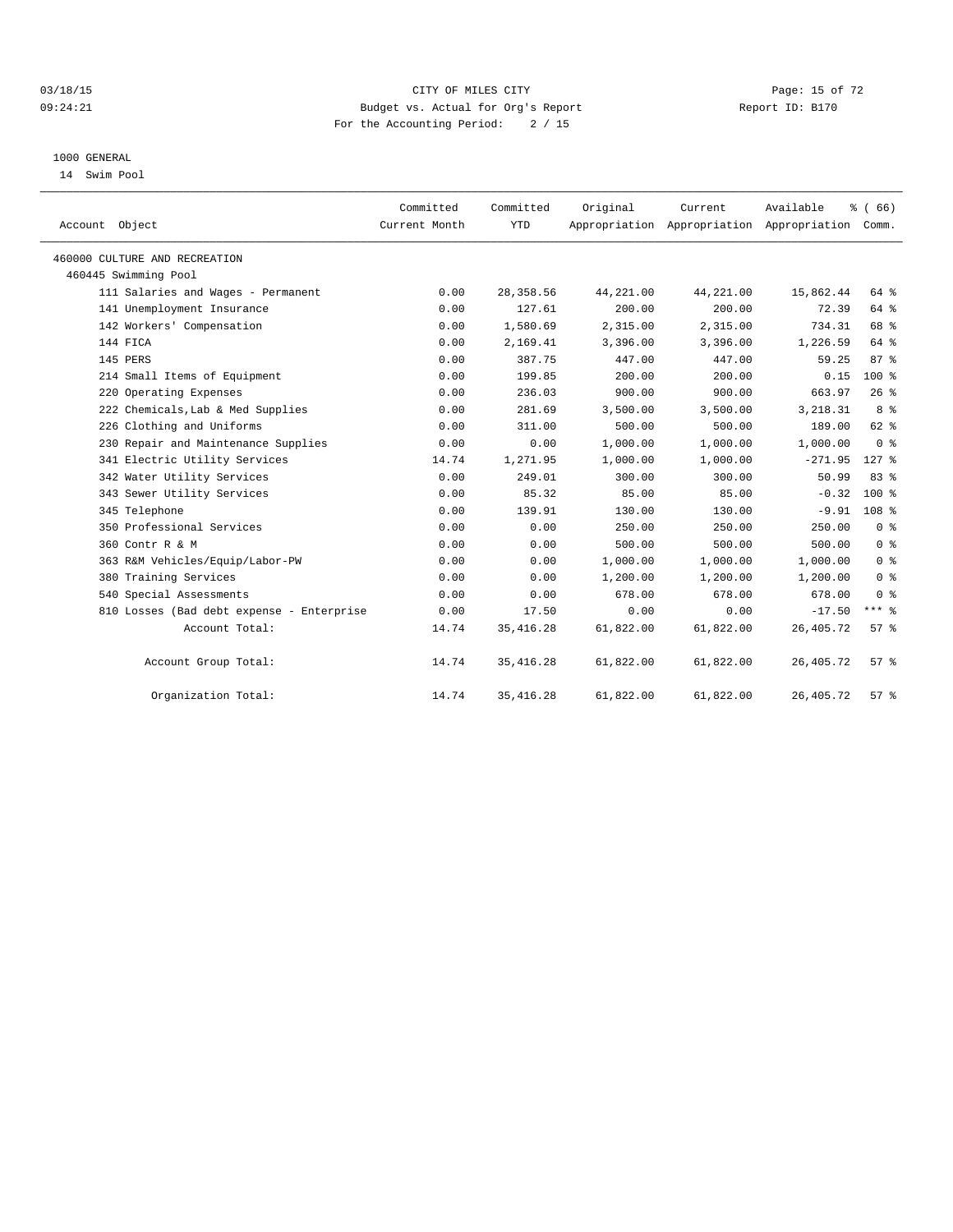#### $03/18/15$  Page: 15 of 72 09:24:21 Budget vs. Actual for Org's Report Communication Report ID: B170 For the Accounting Period: 2 / 15

#### 1000 GENERAL

14 Swim Pool

| Account Object                            | Committed<br>Current Month | Committed<br><b>YTD</b> | Original  | Current   | Available<br>Appropriation Appropriation Appropriation | % (66)<br>Comm.  |  |
|-------------------------------------------|----------------------------|-------------------------|-----------|-----------|--------------------------------------------------------|------------------|--|
| 460000 CULTURE AND RECREATION             |                            |                         |           |           |                                                        |                  |  |
| 460445 Swimming Pool                      |                            |                         |           |           |                                                        |                  |  |
| 111 Salaries and Wages - Permanent        | 0.00                       | 28, 358.56              | 44,221.00 | 44,221.00 | 15,862.44                                              | 64 %             |  |
| 141 Unemployment Insurance                | 0.00                       | 127.61                  | 200.00    | 200.00    | 72.39                                                  | 64 %             |  |
| 142 Workers' Compensation                 | 0.00                       | 1,580.69                | 2,315.00  | 2,315.00  | 734.31                                                 | 68 %             |  |
| 144 FICA                                  | 0.00                       | 2,169.41                | 3,396.00  | 3,396.00  | 1,226.59                                               | 64 %             |  |
| 145 PERS                                  | 0.00                       | 387.75                  | 447.00    | 447.00    | 59.25                                                  | 87%              |  |
| 214 Small Items of Equipment              | 0.00                       | 199.85                  | 200.00    | 200.00    | 0.15                                                   | $100*$           |  |
| 220 Operating Expenses                    | 0.00                       | 236.03                  | 900.00    | 900.00    | 663.97                                                 | 26%              |  |
| 222 Chemicals, Lab & Med Supplies         | 0.00                       | 281.69                  | 3,500.00  | 3,500.00  | 3,218.31                                               | 8 <sup>8</sup>   |  |
| 226 Clothing and Uniforms                 | 0.00                       | 311.00                  | 500.00    | 500.00    | 189.00                                                 | 62 %             |  |
| 230 Repair and Maintenance Supplies       | 0.00                       | 0.00                    | 1,000.00  | 1,000.00  | 1,000.00                                               | 0 <sup>8</sup>   |  |
| 341 Electric Utility Services             | 14.74                      | 1,271.95                | 1,000.00  | 1,000.00  | $-271.95$                                              | $127$ $%$        |  |
| 342 Water Utility Services                | 0.00                       | 249.01                  | 300.00    | 300.00    | 50.99                                                  | 83 %             |  |
| 343 Sewer Utility Services                | 0.00                       | 85.32                   | 85.00     | 85.00     | $-0.32$                                                | $100*$           |  |
| 345 Telephone                             | 0.00                       | 139.91                  | 130.00    | 130.00    | $-9.91$                                                | 108 <sup>8</sup> |  |
| 350 Professional Services                 | 0.00                       | 0.00                    | 250.00    | 250.00    | 250.00                                                 | 0 <sup>8</sup>   |  |
| 360 Contr R & M                           | 0.00                       | 0.00                    | 500.00    | 500.00    | 500.00                                                 | 0 <sup>8</sup>   |  |
| 363 R&M Vehicles/Equip/Labor-PW           | 0.00                       | 0.00                    | 1,000.00  | 1,000.00  | 1,000.00                                               | 0 <sup>8</sup>   |  |
| 380 Training Services                     | 0.00                       | 0.00                    | 1,200.00  | 1,200.00  | 1,200.00                                               | 0 <sup>8</sup>   |  |
| 540 Special Assessments                   | 0.00                       | 0.00                    | 678.00    | 678.00    | 678.00                                                 | 0 <sup>8</sup>   |  |
| 810 Losses (Bad debt expense - Enterprise | 0.00                       | 17.50                   | 0.00      | 0.00      | $-17.50$                                               | $***$ $-$        |  |
| Account Total:                            | 14.74                      | 35, 416.28              | 61,822.00 | 61,822.00 | 26, 405. 72                                            | 57 <sup>8</sup>  |  |
| Account Group Total:                      | 14.74                      | 35, 416.28              | 61,822.00 | 61,822.00 | 26,405.72                                              | 57%              |  |
| Organization Total:                       | 14.74                      | 35, 416.28              | 61,822.00 | 61,822.00 | 26, 405. 72                                            | 57 <sup>8</sup>  |  |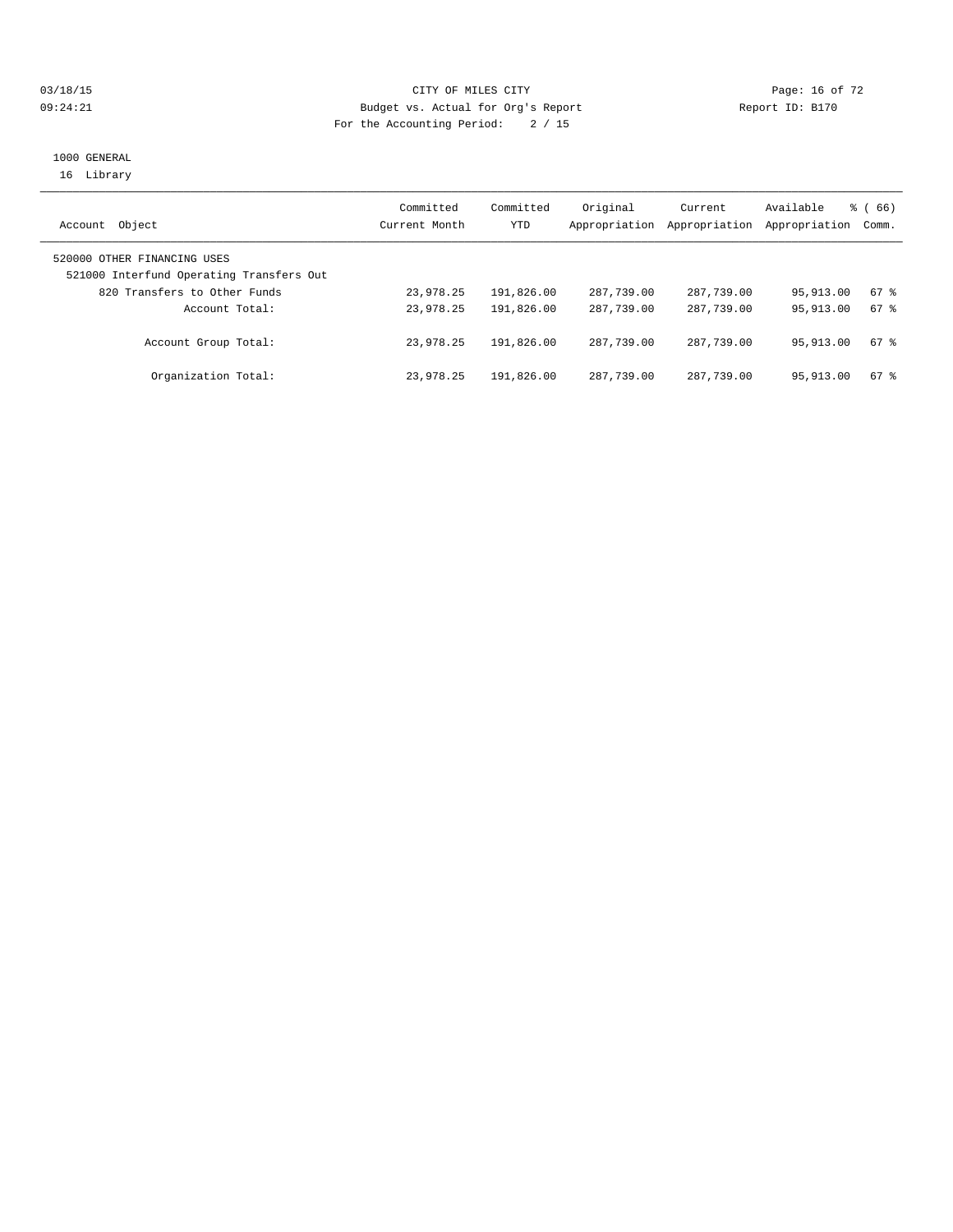#### $03/18/15$  Page: 16 of 72 09:24:21 Budget vs. Actual for Org's Report Report ID: B170 For the Accounting Period: 2 / 15

#### 1000 GENERAL 16 Library

| Object<br>Account                                                       | Committed<br>Current Month | Committed<br>YTD | Original<br>Appropriation | Current<br>Appropriation | Available<br>Appropriation | $\frac{3}{6}$ (66)<br>Comm. |
|-------------------------------------------------------------------------|----------------------------|------------------|---------------------------|--------------------------|----------------------------|-----------------------------|
| 520000 OTHER FINANCING USES<br>521000 Interfund Operating Transfers Out |                            |                  |                           |                          |                            |                             |
| 820 Transfers to Other Funds                                            | 23,978.25                  | 191,826.00       | 287,739.00                | 287,739.00               | 95,913.00                  | 67 %                        |
| Account Total:                                                          | 23,978.25                  | 191,826.00       | 287,739.00                | 287,739.00               | 95, 913, 00                | $67$ $%$                    |
| Account Group Total:                                                    | 23,978.25                  | 191,826.00       | 287,739.00                | 287,739.00               | 95,913.00                  | $67$ $%$                    |
| Organization Total:                                                     | 23,978.25                  | 191,826.00       | 287,739.00                | 287,739.00               | 95,913.00                  | 67 %                        |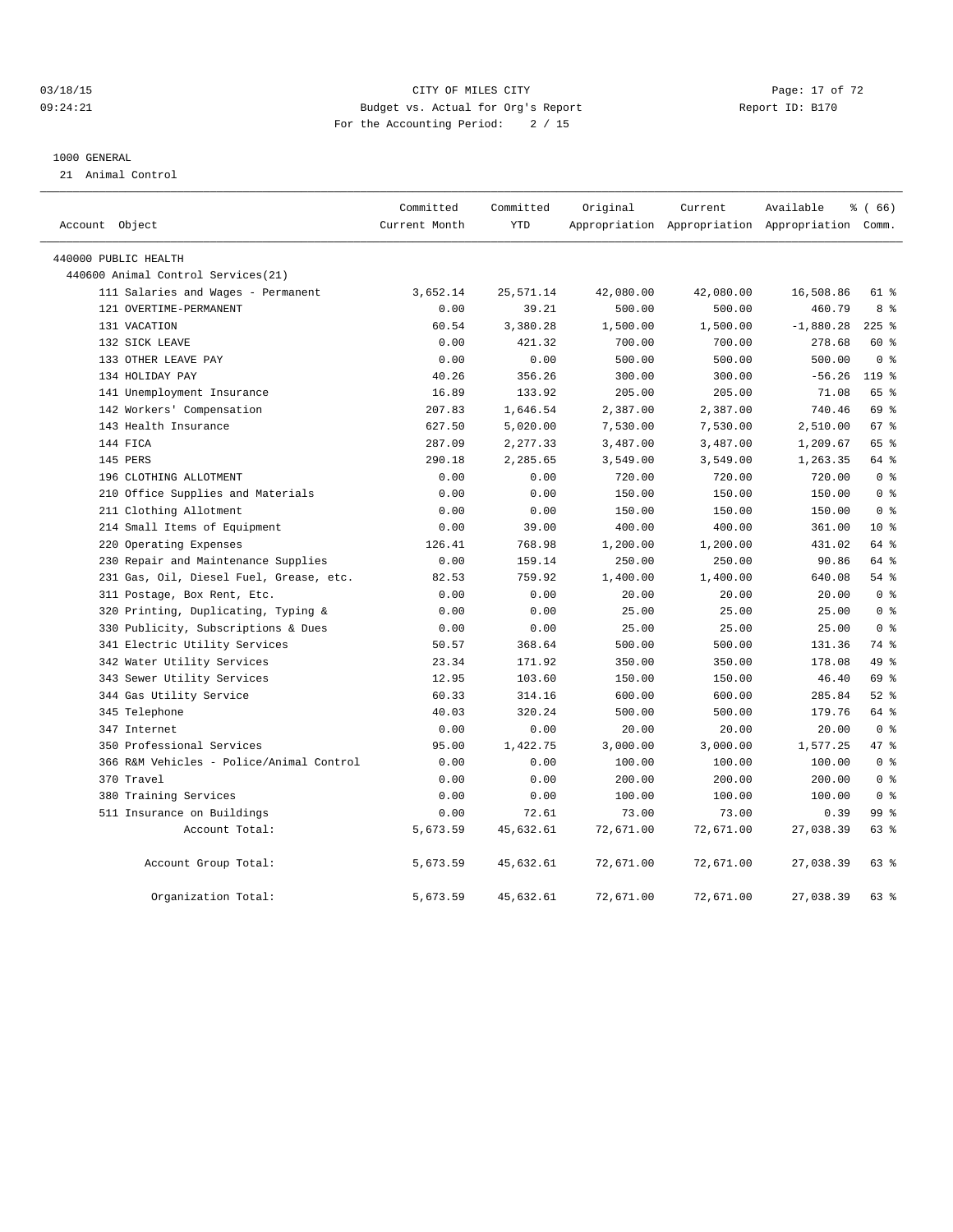## $03/18/15$  Page: 17 of 72 09:24:21 Budget vs. Actual for Org's Report Communication Report ID: B170 For the Accounting Period: 2 / 15

#### 1000 GENERAL

21 Animal Control

|                |                                          | Committed     | Committed  | Original  | Current   | Available                                       | % (66)          |
|----------------|------------------------------------------|---------------|------------|-----------|-----------|-------------------------------------------------|-----------------|
| Account Object |                                          | Current Month | <b>YTD</b> |           |           | Appropriation Appropriation Appropriation Comm. |                 |
|                | 440000 PUBLIC HEALTH                     |               |            |           |           |                                                 |                 |
|                | 440600 Animal Control Services (21)      |               |            |           |           |                                                 |                 |
|                | 111 Salaries and Wages - Permanent       | 3,652.14      | 25,571.14  | 42,080.00 | 42,080.00 | 16,508.86                                       | 61 %            |
|                | 121 OVERTIME-PERMANENT                   | 0.00          | 39.21      | 500.00    | 500.00    | 460.79                                          | 8 %             |
|                | 131 VACATION                             | 60.54         | 3,380.28   | 1,500.00  | 1,500.00  | $-1,880.28$                                     | $225$ %         |
|                | 132 SICK LEAVE                           | 0.00          | 421.32     | 700.00    | 700.00    | 278.68                                          | 60 %            |
|                | 133 OTHER LEAVE PAY                      | 0.00          | 0.00       | 500.00    | 500.00    | 500.00                                          | 0 <sup>8</sup>  |
|                | 134 HOLIDAY PAY                          | 40.26         | 356.26     | 300.00    | 300.00    | $-56.26$                                        | $119*$          |
|                | 141 Unemployment Insurance               | 16.89         | 133.92     | 205.00    | 205.00    | 71.08                                           | 65 %            |
|                | 142 Workers' Compensation                | 207.83        | 1,646.54   | 2,387.00  | 2,387.00  | 740.46                                          | 69 %            |
|                | 143 Health Insurance                     | 627.50        | 5,020.00   | 7,530.00  | 7,530.00  | 2,510.00                                        | 67 <sup>8</sup> |
|                | 144 FICA                                 | 287.09        | 2,277.33   | 3,487.00  | 3,487.00  | 1,209.67                                        | 65 %            |
|                | 145 PERS                                 | 290.18        | 2,285.65   | 3,549.00  | 3,549.00  | 1,263.35                                        | 64 %            |
|                | 196 CLOTHING ALLOTMENT                   | 0.00          | 0.00       | 720.00    | 720.00    | 720.00                                          | 0 <sup>8</sup>  |
|                | 210 Office Supplies and Materials        | 0.00          | 0.00       | 150.00    | 150.00    | 150.00                                          | 0 <sup>8</sup>  |
|                | 211 Clothing Allotment                   | 0.00          | 0.00       | 150.00    | 150.00    | 150.00                                          | 0 <sup>8</sup>  |
|                | 214 Small Items of Equipment             | 0.00          | 39.00      | 400.00    | 400.00    | 361.00                                          | $10*$           |
|                | 220 Operating Expenses                   | 126.41        | 768.98     | 1,200.00  | 1,200.00  | 431.02                                          | 64 %            |
|                | 230 Repair and Maintenance Supplies      | 0.00          | 159.14     | 250.00    | 250.00    | 90.86                                           | 64 %            |
|                | 231 Gas, Oil, Diesel Fuel, Grease, etc.  | 82.53         | 759.92     | 1,400.00  | 1,400.00  | 640.08                                          | $54$ $%$        |
|                | 311 Postage, Box Rent, Etc.              | 0.00          | 0.00       | 20.00     | 20.00     | 20.00                                           | 0 <sup>8</sup>  |
|                | 320 Printing, Duplicating, Typing &      | 0.00          | 0.00       | 25.00     | 25.00     | 25.00                                           | 0 <sup>8</sup>  |
|                | 330 Publicity, Subscriptions & Dues      | 0.00          | 0.00       | 25.00     | 25.00     | 25.00                                           | 0 <sup>8</sup>  |
|                | 341 Electric Utility Services            | 50.57         | 368.64     | 500.00    | 500.00    | 131.36                                          | 74 %            |
|                | 342 Water Utility Services               | 23.34         | 171.92     | 350.00    | 350.00    | 178.08                                          | 49 %            |
|                | 343 Sewer Utility Services               | 12.95         | 103.60     | 150.00    | 150.00    | 46.40                                           | 69 %            |
|                | 344 Gas Utility Service                  | 60.33         | 314.16     | 600.00    | 600.00    | 285.84                                          | $52$ $%$        |
|                | 345 Telephone                            | 40.03         | 320.24     | 500.00    | 500.00    | 179.76                                          | 64 %            |
|                | 347 Internet                             | 0.00          | 0.00       | 20.00     | 20.00     | 20.00                                           | 0 <sup>8</sup>  |
|                | 350 Professional Services                | 95.00         | 1,422.75   | 3,000.00  | 3,000.00  | 1,577.25                                        | 47 %            |
|                | 366 R&M Vehicles - Police/Animal Control | 0.00          | 0.00       | 100.00    | 100.00    | 100.00                                          | 0 <sup>8</sup>  |
|                | 370 Travel                               | 0.00          | 0.00       | 200.00    | 200.00    | 200.00                                          | 0 <sup>8</sup>  |
|                | 380 Training Services                    | 0.00          | 0.00       | 100.00    | 100.00    | 100.00                                          | 0 <sup>8</sup>  |
|                | 511 Insurance on Buildings               | 0.00          | 72.61      | 73.00     | 73.00     | 0.39                                            | 99 %            |
|                | Account Total:                           | 5,673.59      | 45,632.61  | 72,671.00 | 72,671.00 | 27,038.39                                       | 63 %            |
|                | Account Group Total:                     | 5,673.59      | 45,632.61  | 72,671.00 | 72,671.00 | 27,038.39                                       | 63 %            |
|                | Organization Total:                      | 5,673.59      | 45,632.61  | 72,671.00 | 72,671.00 | 27,038.39                                       | 63 %            |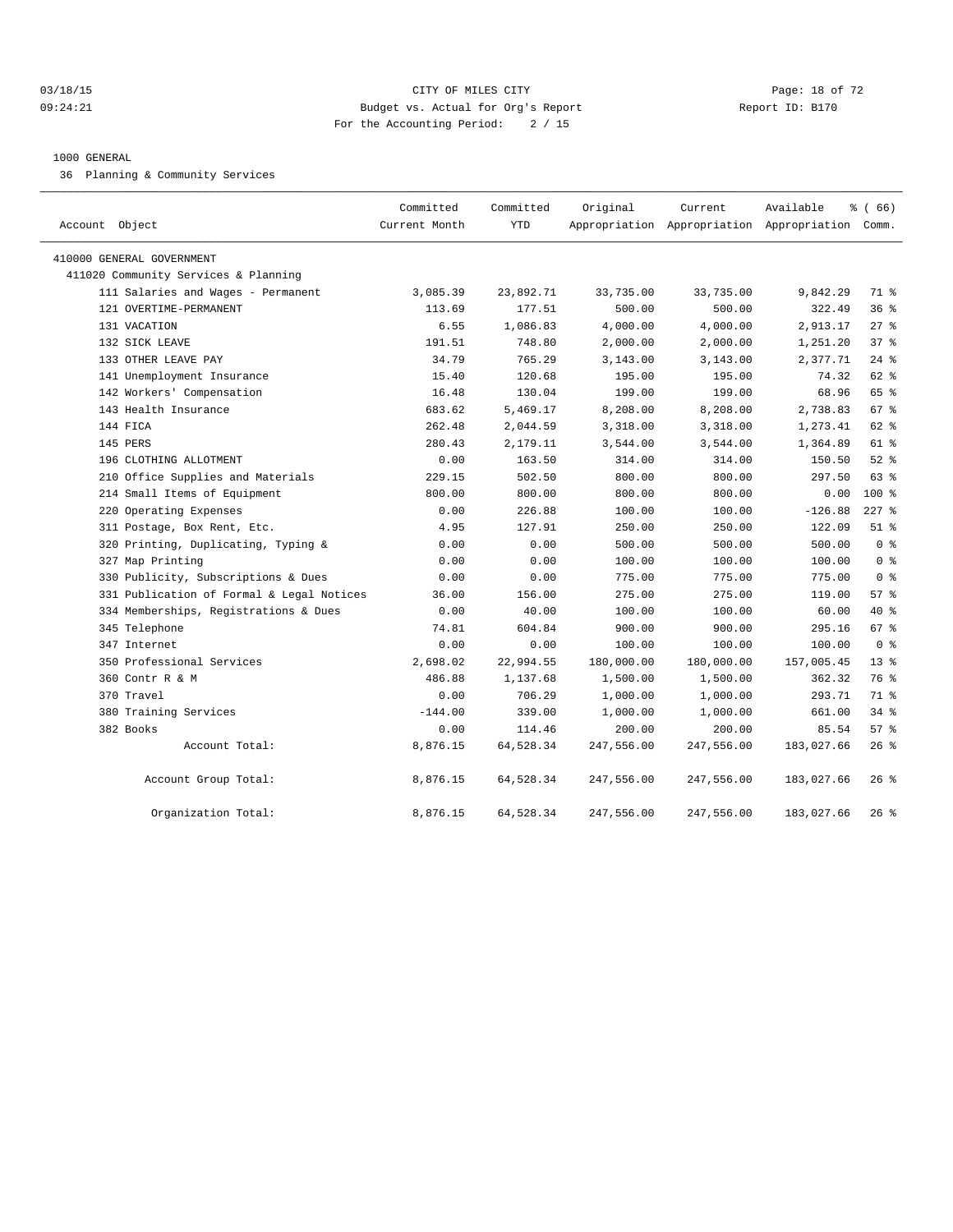#### 03/18/15 Page: 18 of 72 09:24:21 Budget vs. Actual for Org's Report Communication Report ID: B170 For the Accounting Period: 2 / 15

#### 1000 GENERAL

36 Planning & Community Services

| Account Object                            | Committed<br>Current Month | Committed<br><b>YTD</b> | Original   | Current    | Available<br>Appropriation Appropriation Appropriation Comm. | % (66)          |
|-------------------------------------------|----------------------------|-------------------------|------------|------------|--------------------------------------------------------------|-----------------|
| 410000 GENERAL GOVERNMENT                 |                            |                         |            |            |                                                              |                 |
| 411020 Community Services & Planning      |                            |                         |            |            |                                                              |                 |
| 111 Salaries and Wages - Permanent        | 3,085.39                   | 23,892.71               | 33,735.00  | 33,735.00  | 9,842.29                                                     | 71 %            |
| 121 OVERTIME-PERMANENT                    | 113.69                     | 177.51                  | 500.00     | 500.00     | 322.49                                                       | 36 <sup>8</sup> |
| 131 VACATION                              | 6.55                       | 1,086.83                | 4,000.00   | 4,000.00   | 2,913.17                                                     | $27$ $%$        |
| 132 SICK LEAVE                            | 191.51                     | 748.80                  | 2,000.00   | 2,000.00   | 1,251.20                                                     | 37%             |
| 133 OTHER LEAVE PAY                       | 34.79                      | 765.29                  | 3,143.00   | 3,143.00   | 2,377.71                                                     | $24$ %          |
| 141 Unemployment Insurance                | 15.40                      | 120.68                  | 195.00     | 195.00     | 74.32                                                        | $62$ $%$        |
| 142 Workers' Compensation                 | 16.48                      | 130.04                  | 199.00     | 199.00     | 68.96                                                        | 65 %            |
| 143 Health Insurance                      | 683.62                     | 5,469.17                | 8,208.00   | 8,208.00   | 2,738.83                                                     | 67 %            |
| 144 FICA                                  | 262.48                     | 2,044.59                | 3,318.00   | 3,318.00   | 1,273.41                                                     | 62 %            |
| 145 PERS                                  | 280.43                     | 2,179.11                | 3,544.00   | 3,544.00   | 1,364.89                                                     | 61 %            |
| 196 CLOTHING ALLOTMENT                    | 0.00                       | 163.50                  | 314.00     | 314.00     | 150.50                                                       | $52$ $%$        |
| 210 Office Supplies and Materials         | 229.15                     | 502.50                  | 800.00     | 800.00     | 297.50                                                       | 63 %            |
| 214 Small Items of Equipment              | 800.00                     | 800.00                  | 800.00     | 800.00     | 0.00                                                         | 100 %           |
| 220 Operating Expenses                    | 0.00                       | 226.88                  | 100.00     | 100.00     | $-126.88$                                                    | $227$ %         |
| 311 Postage, Box Rent, Etc.               | 4.95                       | 127.91                  | 250.00     | 250.00     | 122.09                                                       | $51$ $%$        |
| 320 Printing, Duplicating, Typing &       | 0.00                       | 0.00                    | 500.00     | 500.00     | 500.00                                                       | 0 <sup>8</sup>  |
| 327 Map Printing                          | 0.00                       | 0.00                    | 100.00     | 100.00     | 100.00                                                       | 0 <sup>8</sup>  |
| 330 Publicity, Subscriptions & Dues       | 0.00                       | 0.00                    | 775.00     | 775.00     | 775.00                                                       | 0 <sup>8</sup>  |
| 331 Publication of Formal & Legal Notices | 36.00                      | 156.00                  | 275.00     | 275.00     | 119.00                                                       | 57 <sub>8</sub> |
| 334 Memberships, Registrations & Dues     | 0.00                       | 40.00                   | 100.00     | 100.00     | 60.00                                                        | $40*$           |
| 345 Telephone                             | 74.81                      | 604.84                  | 900.00     | 900.00     | 295.16                                                       | 67 %            |
| 347 Internet                              | 0.00                       | 0.00                    | 100.00     | 100.00     | 100.00                                                       | 0 <sup>8</sup>  |
| 350 Professional Services                 | 2,698.02                   | 22,994.55               | 180,000.00 | 180,000.00 | 157,005.45                                                   | $13*$           |
| 360 Contr R & M                           | 486.88                     | 1,137.68                | 1,500.00   | 1,500.00   | 362.32                                                       | 76 %            |
| 370 Travel                                | 0.00                       | 706.29                  | 1,000.00   | 1,000.00   | 293.71                                                       | 71 %            |
| 380 Training Services                     | $-144.00$                  | 339.00                  | 1,000.00   | 1,000.00   | 661.00                                                       | 34%             |
| 382 Books                                 | 0.00                       | 114.46                  | 200.00     | 200.00     | 85.54                                                        | 57 <sub>8</sub> |
| Account Total:                            | 8,876.15                   | 64,528.34               | 247,556.00 | 247,556.00 | 183,027.66                                                   | $26$ %          |
| Account Group Total:                      | 8,876.15                   | 64,528.34               | 247,556.00 | 247,556.00 | 183,027.66                                                   | $26$ %          |
| Organization Total:                       | 8,876.15                   | 64,528.34               | 247,556.00 | 247,556.00 | 183,027.66                                                   | $26$ %          |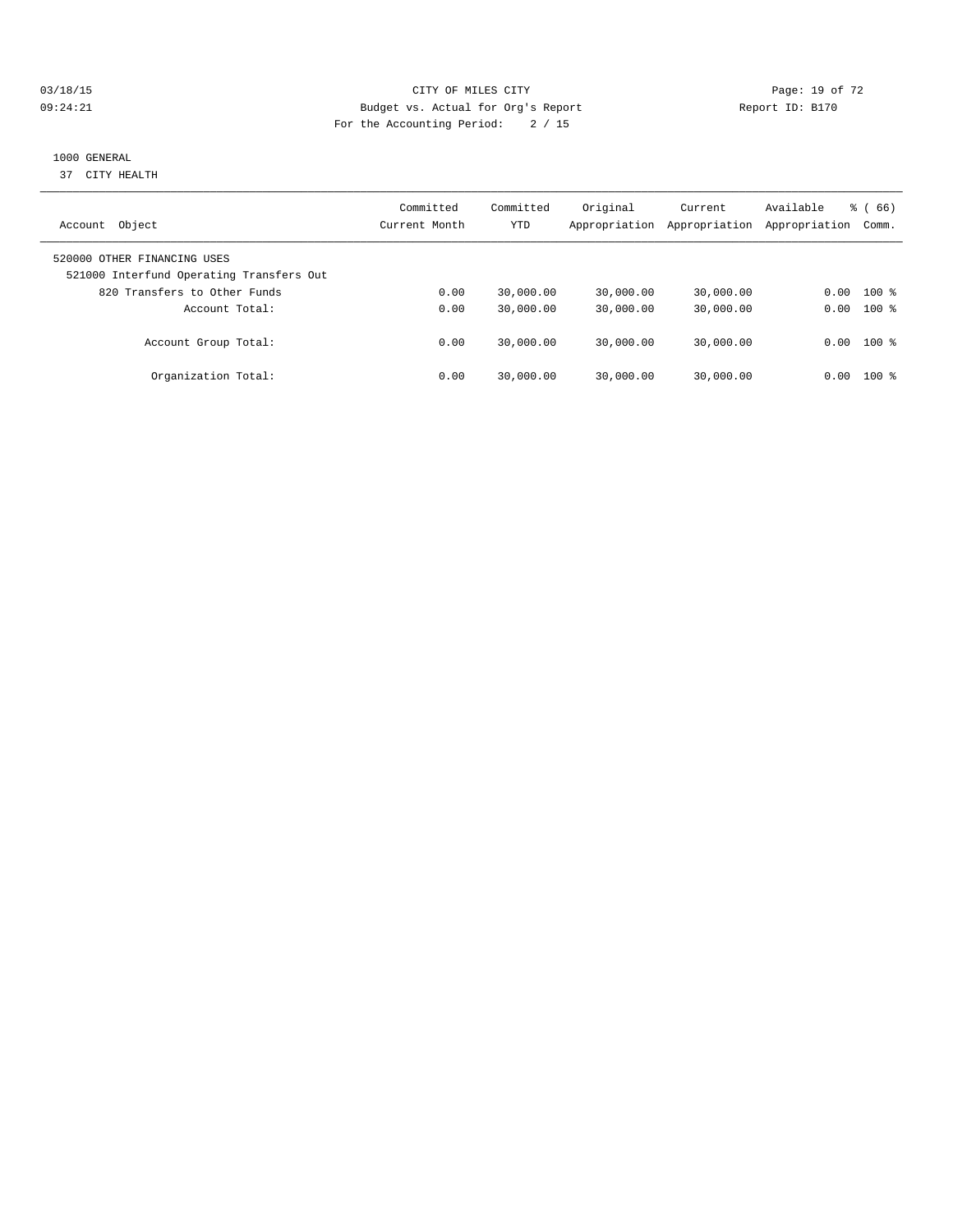## 03/18/15 Page: 19 of 72 09:24:21 Budget vs. Actual for Org's Report Communication Report ID: B170 For the Accounting Period: 2 / 15

## 1000 GENERAL

37 CITY HEALTH

| Object<br>Account                                                       | Committed<br>Current Month | Committed<br>YTD | Original<br>Appropriation | Current<br>Appropriation | Available<br>Appropriation | (66)<br>ී (<br>Comm. |
|-------------------------------------------------------------------------|----------------------------|------------------|---------------------------|--------------------------|----------------------------|----------------------|
| 520000 OTHER FINANCING USES<br>521000 Interfund Operating Transfers Out |                            |                  |                           |                          |                            |                      |
| 820 Transfers to Other Funds                                            | 0.00                       | 30,000.00        | 30,000.00                 | 30,000.00                | 0.00                       | $100*$               |
| Account Total:                                                          | 0.00                       | 30,000.00        | 30,000.00                 | 30,000.00                | 0.00                       | $100*$               |
| Account Group Total:                                                    | 0.00                       | 30,000.00        | 30,000.00                 | 30,000.00                | 0.00                       | $100$ %              |
| Organization Total:                                                     | 0.00                       | 30,000.00        | 30,000.00                 | 30,000.00                | 0.00                       | 100 %                |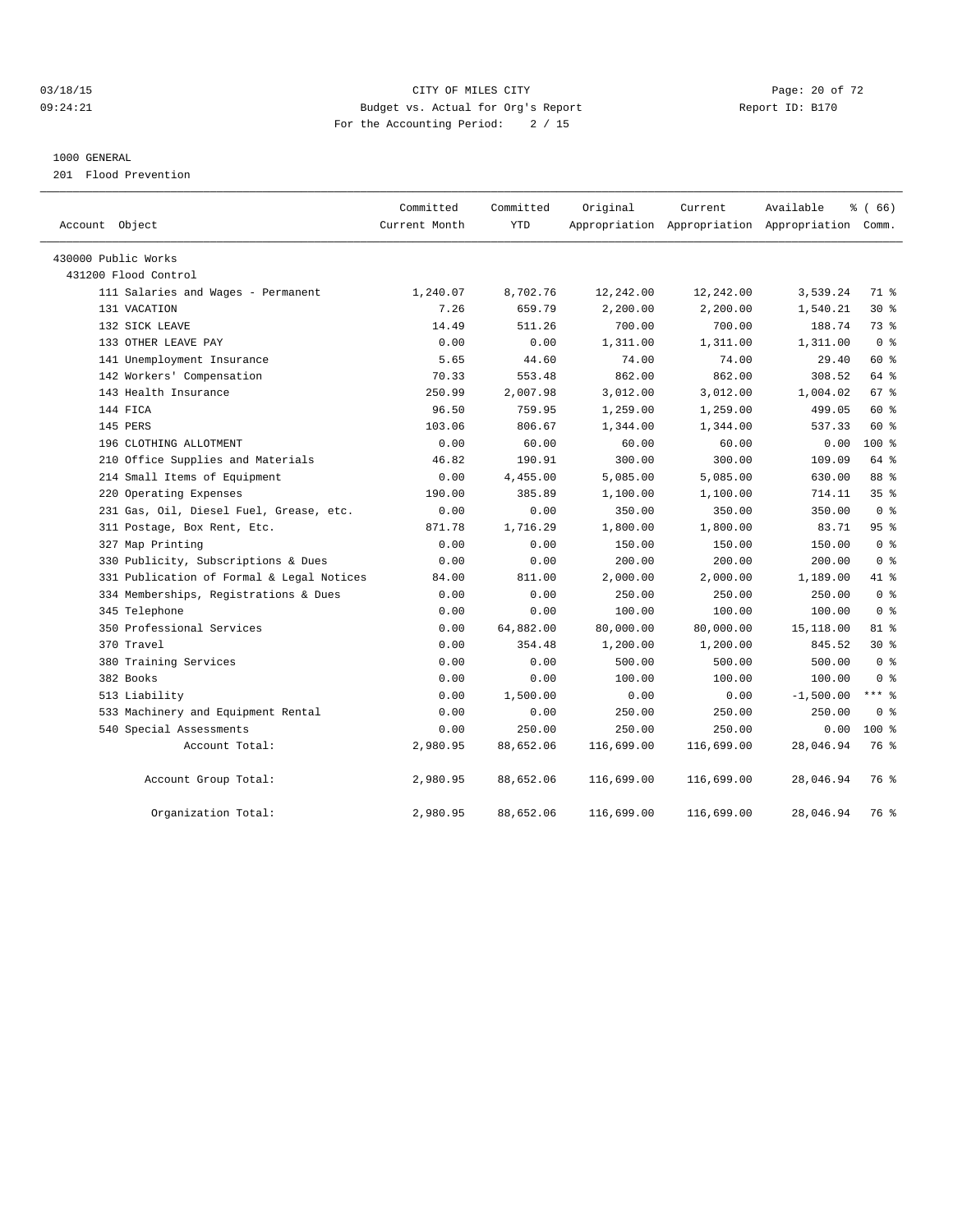## 03/18/15 Page: 20 of 72 09:24:21 Budget vs. Actual for Org's Report Communication Report ID: B170 For the Accounting Period: 2 / 15

#### 1000 GENERAL

201 Flood Prevention

| Account Object                            | Committed<br>Current Month | Committed<br><b>YTD</b> | Original   | Current    | Available<br>Appropriation Appropriation Appropriation Comm. | % (66)          |  |
|-------------------------------------------|----------------------------|-------------------------|------------|------------|--------------------------------------------------------------|-----------------|--|
| 430000 Public Works                       |                            |                         |            |            |                                                              |                 |  |
| 431200 Flood Control                      |                            |                         |            |            |                                                              |                 |  |
| 111 Salaries and Wages - Permanent        | 1,240.07                   | 8,702.76                | 12,242.00  | 12,242.00  | 3,539.24                                                     | 71 %            |  |
| 131 VACATION                              | 7.26                       | 659.79                  | 2,200.00   | 2,200.00   | 1,540.21                                                     | $30*$           |  |
| 132 SICK LEAVE                            | 14.49                      | 511.26                  | 700.00     | 700.00     | 188.74                                                       | 73 %            |  |
| 133 OTHER LEAVE PAY                       | 0.00                       | 0.00                    | 1,311.00   | 1,311.00   | 1,311.00                                                     | 0 <sup>8</sup>  |  |
| 141 Unemployment Insurance                | 5.65                       | 44.60                   | 74.00      | 74.00      | 29.40                                                        | 60 %            |  |
| 142 Workers' Compensation                 | 70.33                      | 553.48                  | 862.00     | 862.00     | 308.52                                                       | 64 %            |  |
| 143 Health Insurance                      | 250.99                     | 2,007.98                | 3,012.00   | 3,012.00   | 1,004.02                                                     | 67 %            |  |
| 144 FICA                                  | 96.50                      | 759.95                  | 1,259.00   | 1,259.00   | 499.05                                                       | 60 %            |  |
| 145 PERS                                  | 103.06                     | 806.67                  | 1,344.00   | 1,344.00   | 537.33                                                       | 60 %            |  |
| 196 CLOTHING ALLOTMENT                    | 0.00                       | 60.00                   | 60.00      | 60.00      | 0.00                                                         | $100*$          |  |
| 210 Office Supplies and Materials         | 46.82                      | 190.91                  | 300.00     | 300.00     | 109.09                                                       | 64 %            |  |
| 214 Small Items of Equipment              | 0.00                       | 4,455.00                | 5,085.00   | 5,085.00   | 630.00                                                       | 88 %            |  |
| 220 Operating Expenses                    | 190.00                     | 385.89                  | 1,100.00   | 1,100.00   | 714.11                                                       | 35 <sup>8</sup> |  |
| 231 Gas, Oil, Diesel Fuel, Grease, etc.   | 0.00                       | 0.00                    | 350.00     | 350.00     | 350.00                                                       | 0 <sup>8</sup>  |  |
| 311 Postage, Box Rent, Etc.               | 871.78                     | 1,716.29                | 1,800.00   | 1,800.00   | 83.71                                                        | 95%             |  |
| 327 Map Printing                          | 0.00                       | 0.00                    | 150.00     | 150.00     | 150.00                                                       | 0 <sup>8</sup>  |  |
| 330 Publicity, Subscriptions & Dues       | 0.00                       | 0.00                    | 200.00     | 200.00     | 200.00                                                       | 0 <sup>8</sup>  |  |
| 331 Publication of Formal & Legal Notices | 84.00                      | 811.00                  | 2,000.00   | 2,000.00   | 1,189.00                                                     | 41.8            |  |
| 334 Memberships, Registrations & Dues     | 0.00                       | 0.00                    | 250.00     | 250.00     | 250.00                                                       | 0 <sup>8</sup>  |  |
| 345 Telephone                             | 0.00                       | 0.00                    | 100.00     | 100.00     | 100.00                                                       | 0 <sup>8</sup>  |  |
| 350 Professional Services                 | 0.00                       | 64,882.00               | 80,000.00  | 80,000.00  | 15,118.00                                                    | 81 %            |  |
| 370 Travel                                | 0.00                       | 354.48                  | 1,200.00   | 1,200.00   | 845.52                                                       | $30*$           |  |
| 380 Training Services                     | 0.00                       | 0.00                    | 500.00     | 500.00     | 500.00                                                       | 0 <sup>8</sup>  |  |
| 382 Books                                 | 0.00                       | 0.00                    | 100.00     | 100.00     | 100.00                                                       | 0 <sup>8</sup>  |  |
| 513 Liability                             | 0.00                       | 1,500.00                | 0.00       | 0.00       | $-1,500.00$                                                  | *** 8           |  |
| 533 Machinery and Equipment Rental        | 0.00                       | 0.00                    | 250.00     | 250.00     | 250.00                                                       | 0 <sup>8</sup>  |  |
| 540 Special Assessments                   | 0.00                       | 250.00                  | 250.00     | 250.00     | 0.00                                                         | $100*$          |  |
| Account Total:                            | 2,980.95                   | 88,652.06               | 116,699.00 | 116,699.00 | 28,046.94                                                    | 76 %            |  |
| Account Group Total:                      | 2,980.95                   | 88,652.06               | 116,699.00 | 116,699.00 | 28,046.94                                                    | 76 %            |  |
| Organization Total:                       | 2,980.95                   | 88,652.06               | 116,699.00 | 116,699.00 | 28,046.94                                                    | 76 %            |  |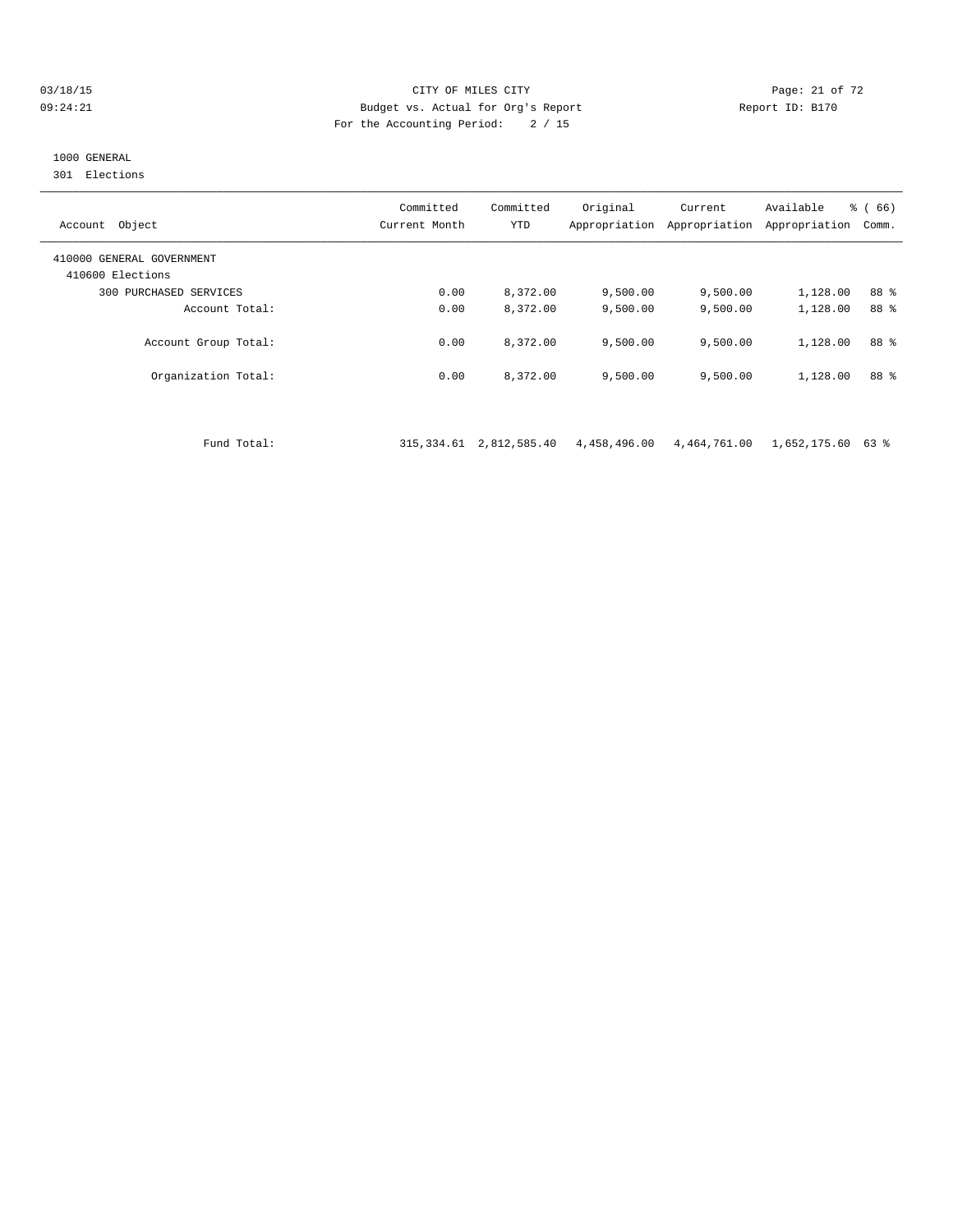#### 03/18/15 Page: 21 of 72 09:24:21 Budget vs. Actual for Org's Report Report ID: B170 For the Accounting Period: 2 / 15

# 1000 GENERAL

301 Elections

| Object<br>Account                             | Committed<br>Current Month | Committed<br>YTD | Original<br>Appropriation | Current<br>Appropriation | Available<br>Appropriation | % (66)<br>Comm. |
|-----------------------------------------------|----------------------------|------------------|---------------------------|--------------------------|----------------------------|-----------------|
| 410000 GENERAL GOVERNMENT<br>410600 Elections |                            |                  |                           |                          |                            |                 |
| 300 PURCHASED SERVICES                        | 0.00                       | 8,372.00         | 9,500.00                  | 9.500.00                 | 1,128.00                   | 88 %            |
| Account Total:                                | 0.00                       | 8,372.00         | 9,500.00                  | 9.500.00                 | 1,128.00                   | 88 %            |
| Account Group Total:                          | 0.00                       | 8,372.00         | 9,500.00                  | 9,500.00                 | 1,128.00                   | 88 %            |
| Organization Total:                           | 0.00                       | 8,372.00         | 9,500.00                  | 9,500.00                 | 1,128.00                   | 88 %            |

Fund Total: 315,334.61 2,812,585.40 4,458,496.00 4,464,761.00 1,652,175.60 63 %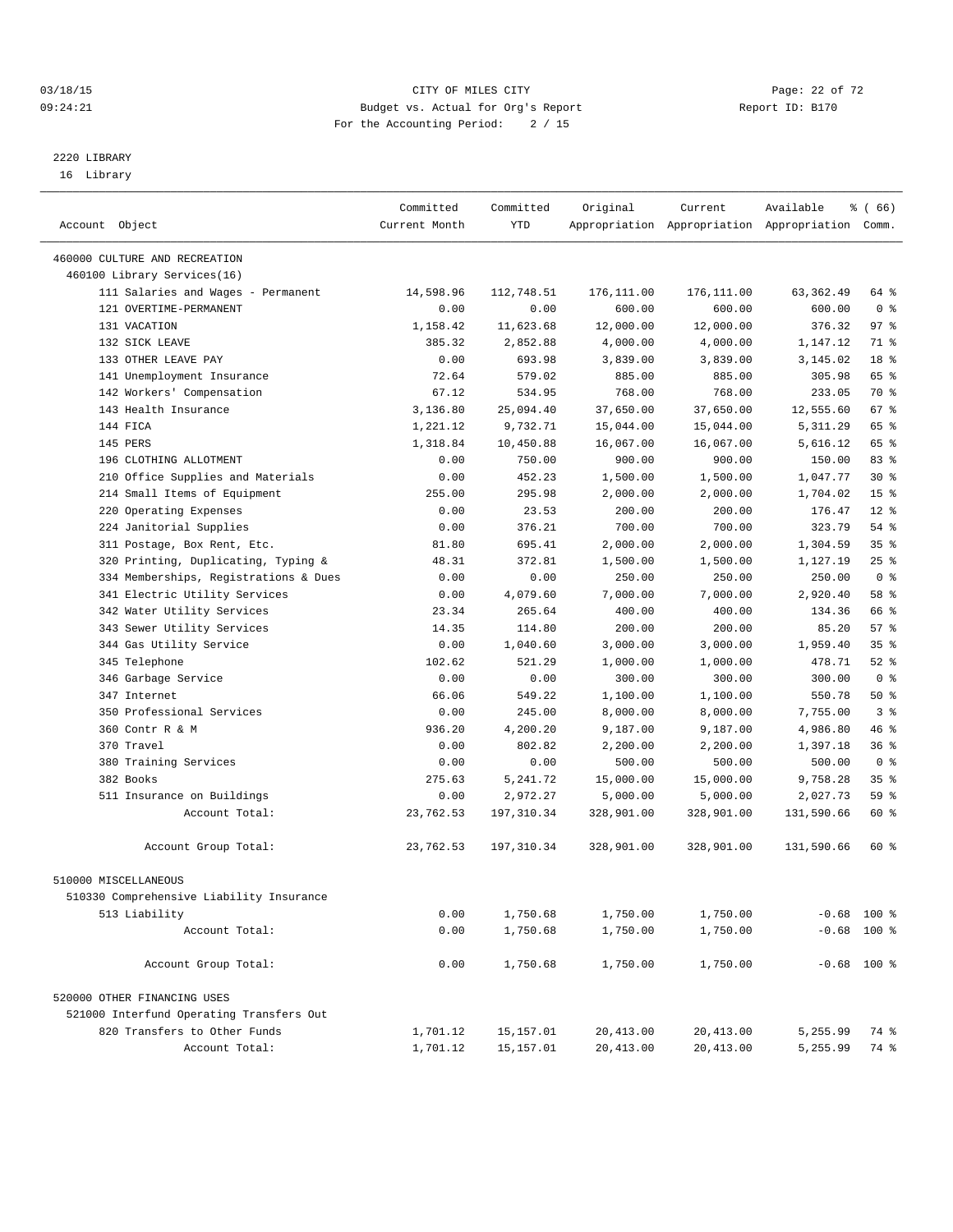#### 03/18/15 Page: 22 of 72 09:24:21 Budget vs. Actual for Org's Report Communication Report ID: B170 For the Accounting Period: 2 / 15

————————————————————————————————————————————————————————————————————————————————————————————————————————————————————————————————————

# 2220 LIBRARY

16 Library

|                                          | Committed     | Committed  | Original   | Current    | Available                                       | ៖ ( 66)               |  |
|------------------------------------------|---------------|------------|------------|------------|-------------------------------------------------|-----------------------|--|
| Account Object                           | Current Month | YTD        |            |            | Appropriation Appropriation Appropriation Comm. |                       |  |
|                                          |               |            |            |            |                                                 |                       |  |
| 460000 CULTURE AND RECREATION            |               |            |            |            |                                                 |                       |  |
| 460100 Library Services(16)              | 14,598.96     | 112,748.51 | 176,111.00 | 176,111.00 | 63, 362.49                                      | 64 %                  |  |
| 111 Salaries and Wages - Permanent       |               |            | 600.00     |            |                                                 |                       |  |
| 121 OVERTIME-PERMANENT<br>131 VACATION   | 0.00          | 0.00       |            | 600.00     | 600.00                                          | 0 <sup>8</sup><br>97% |  |
|                                          | 1,158.42      | 11,623.68  | 12,000.00  | 12,000.00  | 376.32                                          | 71 %                  |  |
| 132 SICK LEAVE<br>133 OTHER LEAVE PAY    | 385.32        | 2,852.88   | 4,000.00   | 4,000.00   | 1,147.12                                        | 18 %                  |  |
|                                          | 0.00          | 693.98     | 3,839.00   | 3,839.00   | 3,145.02                                        | 65 %                  |  |
| 141 Unemployment Insurance               | 72.64         | 579.02     | 885.00     | 885.00     | 305.98                                          |                       |  |
| 142 Workers' Compensation                | 67.12         | 534.95     | 768.00     | 768.00     | 233.05                                          | 70 %                  |  |
| 143 Health Insurance                     | 3,136.80      | 25,094.40  | 37,650.00  | 37,650.00  | 12,555.60                                       | 67 %                  |  |
| 144 FICA                                 | 1,221.12      | 9,732.71   | 15,044.00  | 15,044.00  | 5, 311.29                                       | 65 %                  |  |
| 145 PERS                                 | 1,318.84      | 10,450.88  | 16,067.00  | 16,067.00  | 5,616.12                                        | 65 %                  |  |
| 196 CLOTHING ALLOTMENT                   | 0.00          | 750.00     | 900.00     | 900.00     | 150.00                                          | 83 %                  |  |
| 210 Office Supplies and Materials        | 0.00          | 452.23     | 1,500.00   | 1,500.00   | 1,047.77                                        | $30*$                 |  |
| 214 Small Items of Equipment             | 255.00        | 295.98     | 2,000.00   | 2,000.00   | 1,704.02                                        | 15 <sup>°</sup>       |  |
| 220 Operating Expenses                   | 0.00          | 23.53      | 200.00     | 200.00     | 176.47                                          | $12*$                 |  |
| 224 Janitorial Supplies                  | 0.00          | 376.21     | 700.00     | 700.00     | 323.79                                          | 54 %                  |  |
| 311 Postage, Box Rent, Etc.              | 81.80         | 695.41     | 2,000.00   | 2,000.00   | 1,304.59                                        | 35%                   |  |
| 320 Printing, Duplicating, Typing &      | 48.31         | 372.81     | 1,500.00   | 1,500.00   | 1,127.19                                        | 25%                   |  |
| 334 Memberships, Registrations & Dues    | 0.00          | 0.00       | 250.00     | 250.00     | 250.00                                          | 0 <sup>8</sup>        |  |
| 341 Electric Utility Services            | 0.00          | 4,079.60   | 7,000.00   | 7,000.00   | 2,920.40                                        | 58 %                  |  |
| 342 Water Utility Services               | 23.34         | 265.64     | 400.00     | 400.00     | 134.36                                          | 66 %                  |  |
| 343 Sewer Utility Services               | 14.35         | 114.80     | 200.00     | 200.00     | 85.20                                           | 57%                   |  |
| 344 Gas Utility Service                  | 0.00          | 1,040.60   | 3,000.00   | 3,000.00   | 1,959.40                                        | 35 <sup>8</sup>       |  |
| 345 Telephone                            | 102.62        | 521.29     | 1,000.00   | 1,000.00   | 478.71                                          | $52$ $%$              |  |
| 346 Garbage Service                      | 0.00          | 0.00       | 300.00     | 300.00     | 300.00                                          | 0 <sup>8</sup>        |  |
| 347 Internet                             | 66.06         | 549.22     | 1,100.00   | 1,100.00   | 550.78                                          | 50%                   |  |
| 350 Professional Services                | 0.00          | 245.00     | 8,000.00   | 8,000.00   | 7,755.00                                        | 3 <sup>8</sup>        |  |
| 360 Contr R & M                          | 936.20        | 4,200.20   | 9,187.00   | 9,187.00   | 4,986.80                                        | 46 %                  |  |
| 370 Travel                               | 0.00          | 802.82     | 2,200.00   | 2,200.00   | 1,397.18                                        | 36%                   |  |
| 380 Training Services                    | 0.00          | 0.00       | 500.00     | 500.00     | 500.00                                          | 0 <sup>8</sup>        |  |
| 382 Books                                | 275.63        | 5, 241.72  | 15,000.00  | 15,000.00  | 9,758.28                                        | 35 <sup>8</sup>       |  |
| 511 Insurance on Buildings               | 0.00          | 2,972.27   | 5,000.00   | 5,000.00   | 2,027.73                                        | 59 %                  |  |
| Account Total:                           | 23,762.53     | 197,310.34 | 328,901.00 | 328,901.00 | 131,590.66                                      | 60 %                  |  |
| Account Group Total:                     | 23,762.53     | 197,310.34 | 328,901.00 | 328,901.00 | 131,590.66                                      | 60 %                  |  |
| 510000 MISCELLANEOUS                     |               |            |            |            |                                                 |                       |  |
| 510330 Comprehensive Liability Insurance |               |            |            |            |                                                 |                       |  |
| 513 Liability                            | 0.00          | 1,750.68   | 1,750.00   | 1,750.00   | $-0.68$ 100 %                                   |                       |  |
| Account Total:                           | 0.00          | 1,750.68   | 1,750.00   | 1,750.00   | $-0.68$ 100 %                                   |                       |  |
|                                          |               |            |            |            |                                                 |                       |  |
| Account Group Total:                     | 0.00          | 1,750.68   | 1,750.00   | 1,750.00   | $-0.68$ 100 %                                   |                       |  |
| 520000 OTHER FINANCING USES              |               |            |            |            |                                                 |                       |  |
| 521000 Interfund Operating Transfers Out |               |            |            |            |                                                 |                       |  |
| 820 Transfers to Other Funds             | 1,701.12      | 15,157.01  | 20,413.00  | 20, 413.00 | 5,255.99                                        | 74 %                  |  |
| Account Total:                           | 1,701.12      | 15,157.01  | 20, 413.00 | 20, 413.00 | 5,255.99                                        | 74 %                  |  |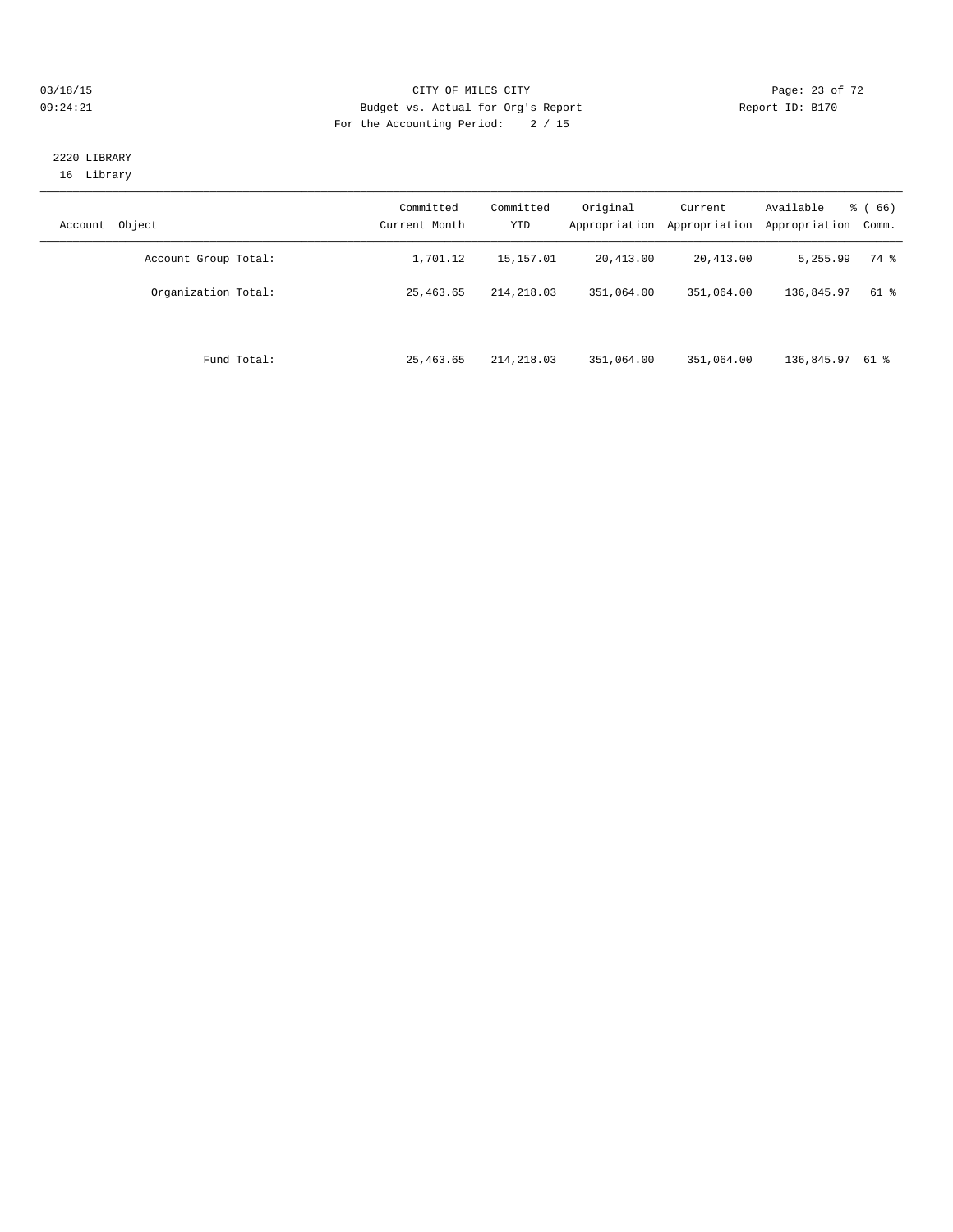#### 03/18/15 Page: 23 of 72 09:24:21 Budget vs. Actual for Org's Report Communication Report ID: B170 For the Accounting Period: 2 / 15

#### 2220 LIBRARY 16 Library

| Object<br>Account    | Committed<br>Current Month | Committed<br><b>YTD</b> | Original<br>Appropriation | Current<br>Appropriation | Available<br>Appropriation | $\frac{6}{6}$ (66)<br>Comm. |
|----------------------|----------------------------|-------------------------|---------------------------|--------------------------|----------------------------|-----------------------------|
| Account Group Total: | 1,701.12                   | 15,157.01               | 20,413.00                 | 20,413.00                | 5,255.99                   | 74 %                        |
| Organization Total:  | 25, 463.65                 | 214, 218, 03            | 351,064.00                | 351,064.00               | 136,845.97                 | 61 %                        |
| Fund Total:          | 25,463.65                  | 214,218.03              | 351,064.00                | 351,064.00               | 136,845.97 61 %            |                             |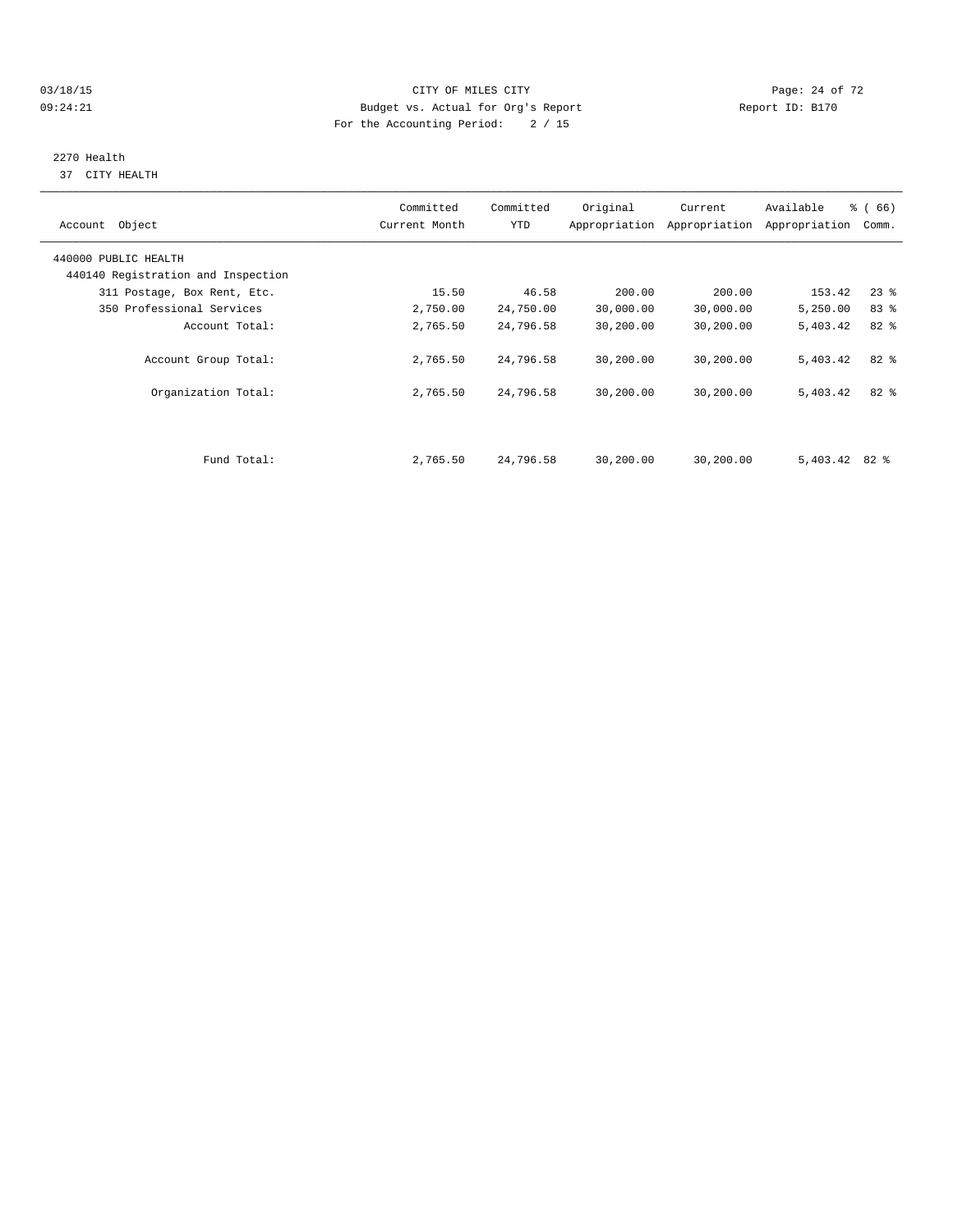#### $O3/18/15$  Page: 24 of 72 09:24:21 Budget vs. Actual for Org's Report Communication Report ID: B170 For the Accounting Period: 2 / 15

# 2270 Health

37 CITY HEALTH

| Account Object                     | Committed<br>Current Month | Committed<br>YTD | Original  | Current<br>Appropriation Appropriation | Available<br>Appropriation | % (66)<br>Comm. |
|------------------------------------|----------------------------|------------------|-----------|----------------------------------------|----------------------------|-----------------|
| 440000 PUBLIC HEALTH               |                            |                  |           |                                        |                            |                 |
| 440140 Registration and Inspection |                            |                  |           |                                        |                            |                 |
| 311 Postage, Box Rent, Etc.        | 15.50                      | 46.58            | 200.00    | 200.00                                 | 153.42                     | $23$ %          |
| 350 Professional Services          | 2,750.00                   | 24,750.00        | 30,000.00 | 30,000.00                              | 5,250.00                   | 83 %            |
| Account Total:                     | 2,765.50                   | 24,796.58        | 30,200.00 | 30,200.00                              | 5,403.42                   | 82 %            |
| Account Group Total:               | 2,765.50                   | 24,796.58        | 30,200.00 | 30,200.00                              | 5,403.42                   | $82*$           |
| Organization Total:                | 2,765.50                   | 24,796.58        | 30,200.00 | 30,200.00                              | 5,403.42                   | $82*$           |
|                                    |                            |                  |           |                                        |                            |                 |
| Fund Total:                        | 2,765.50                   | 24,796.58        | 30,200.00 | 30,200.00                              | $5,403.42$ 82 %            |                 |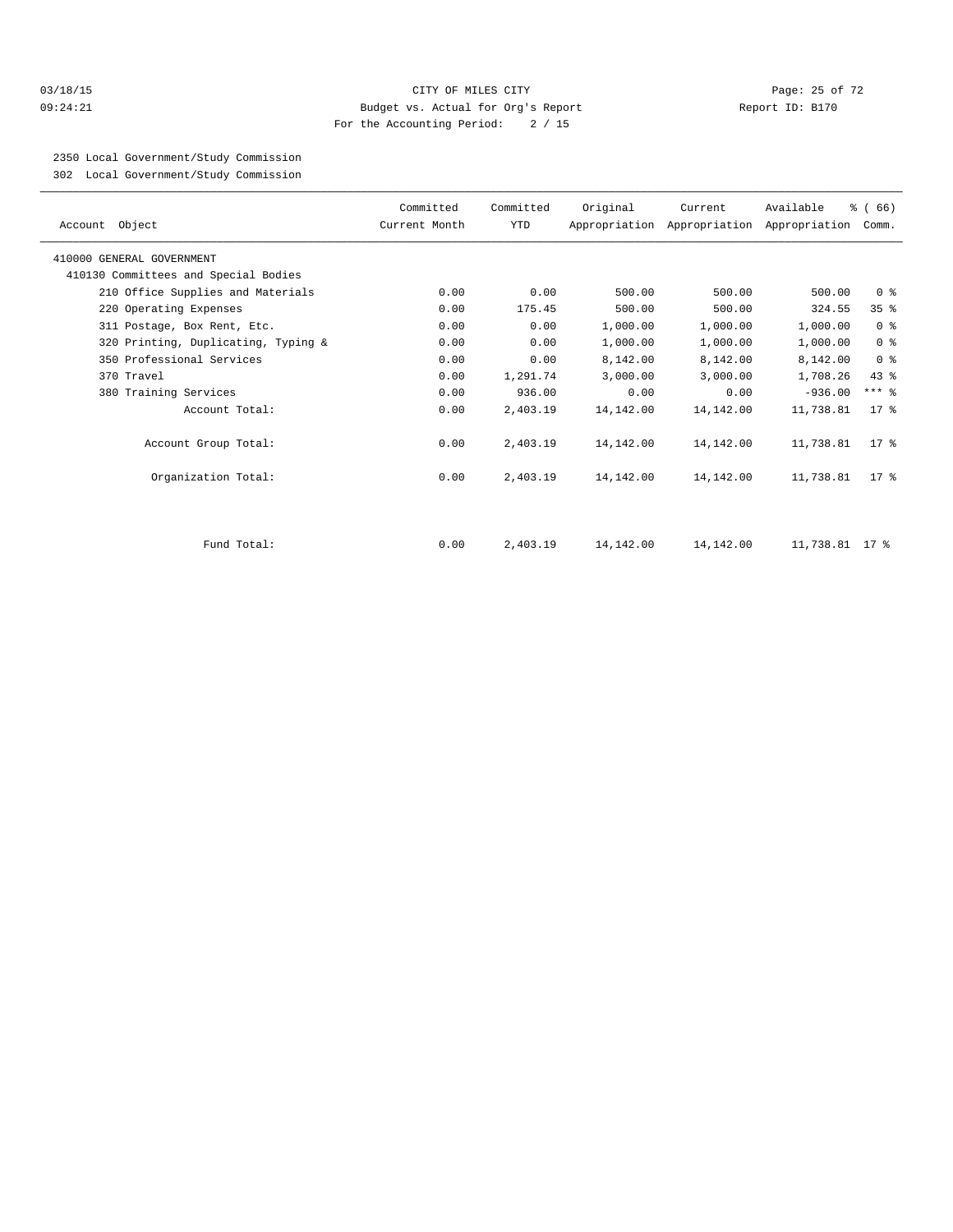#### 03/18/15 Page: 25 of 72 09:24:21 Budget vs. Actual for Org's Report Report ID: B170 For the Accounting Period: 2 / 15

2350 Local Government/Study Commission

302 Local Government/Study Commission

| Account Object                       | Committed<br>Current Month | Committed<br>YTD | Original  | Current   | Available<br>Appropriation Appropriation Appropriation Comm. | % (66)          |
|--------------------------------------|----------------------------|------------------|-----------|-----------|--------------------------------------------------------------|-----------------|
| 410000 GENERAL GOVERNMENT            |                            |                  |           |           |                                                              |                 |
| 410130 Committees and Special Bodies |                            |                  |           |           |                                                              |                 |
| 210 Office Supplies and Materials    | 0.00                       | 0.00             | 500.00    | 500.00    | 500.00                                                       | 0 <sup>8</sup>  |
| 220 Operating Expenses               | 0.00                       | 175.45           | 500.00    | 500.00    | 324.55                                                       | 35 <sup>8</sup> |
| 311 Postage, Box Rent, Etc.          | 0.00                       | 0.00             | 1,000.00  | 1,000.00  | 1,000.00                                                     | 0 <sup>8</sup>  |
| 320 Printing, Duplicating, Typing &  | 0.00                       | 0.00             | 1,000.00  | 1,000.00  | 1,000.00                                                     | 0 <sup>8</sup>  |
| 350 Professional Services            | 0.00                       | 0.00             | 8,142.00  | 8,142.00  | 8,142.00                                                     | 0 <sup>8</sup>  |
| 370 Travel                           | 0.00                       | 1,291.74         | 3,000.00  | 3,000.00  | 1,708.26                                                     | $43*$           |
| 380 Training Services                | 0.00                       | 936.00           | 0.00      | 0.00      | $-936.00$                                                    | $***$ $-$       |
| Account Total:                       | 0.00                       | 2,403.19         | 14,142.00 | 14,142.00 | 11,738.81                                                    | $17*$           |
| Account Group Total:                 | 0.00                       | 2,403.19         | 14,142.00 | 14,142.00 | 11,738.81                                                    | $17*$           |
| Organization Total:                  | 0.00                       | 2,403.19         | 14,142.00 | 14,142.00 | 11,738.81                                                    | $17*$           |
|                                      |                            |                  |           |           |                                                              |                 |
| Fund Total:                          | 0.00                       | 2,403.19         | 14,142.00 | 14,142.00 | 11,738.81 17 %                                               |                 |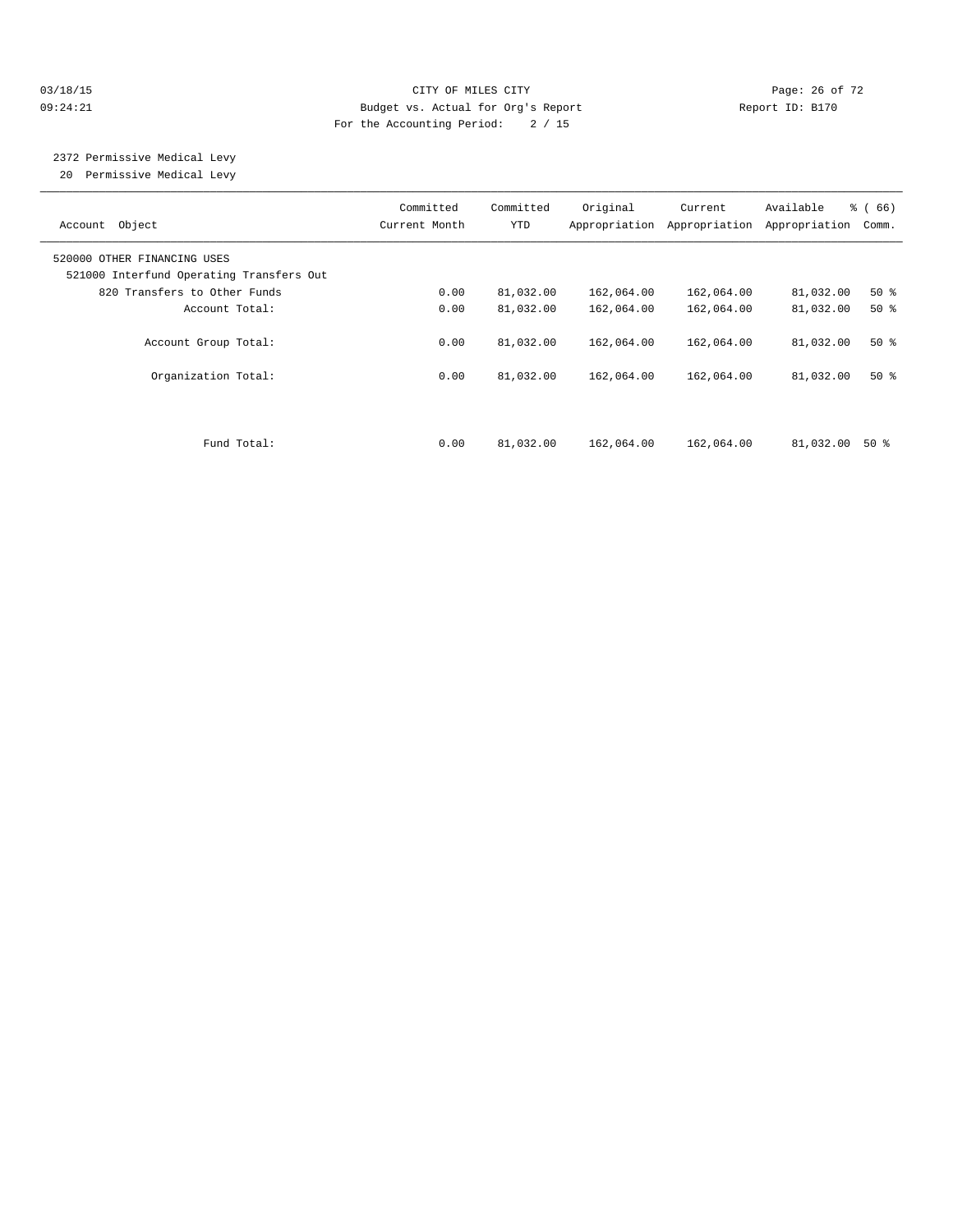## 03/18/15 Page: 26 of 72 09:24:21 Budget vs. Actual for Org's Report Communication Report ID: B170 For the Accounting Period: 2 / 15

 2372 Permissive Medical Levy 20 Permissive Medical Levy

| Account Object                                                          | Committed<br>Current Month | Committed<br>YTD | Original<br>Appropriation | Current<br>Appropriation | Available<br>Appropriation | $\frac{3}{6}$ (66)<br>Comm. |
|-------------------------------------------------------------------------|----------------------------|------------------|---------------------------|--------------------------|----------------------------|-----------------------------|
| 520000 OTHER FINANCING USES<br>521000 Interfund Operating Transfers Out |                            |                  |                           |                          |                            |                             |
| 820 Transfers to Other Funds                                            | 0.00                       | 81,032.00        | 162,064.00                | 162,064.00               | 81,032.00                  | $50*$                       |
| Account Total:                                                          | 0.00                       | 81,032.00        | 162,064.00                | 162,064.00               | 81,032.00                  | $50*$                       |
| Account Group Total:                                                    | 0.00                       | 81,032.00        | 162,064.00                | 162,064.00               | 81,032.00                  | $50*$                       |
| Organization Total:                                                     | 0.00                       | 81,032.00        | 162,064.00                | 162,064.00               | 81,032.00                  | $50*$                       |
| Fund Total:                                                             | 0.00                       | 81,032.00        | 162,064.00                | 162,064.00               | 81,032.00                  | 50 %                        |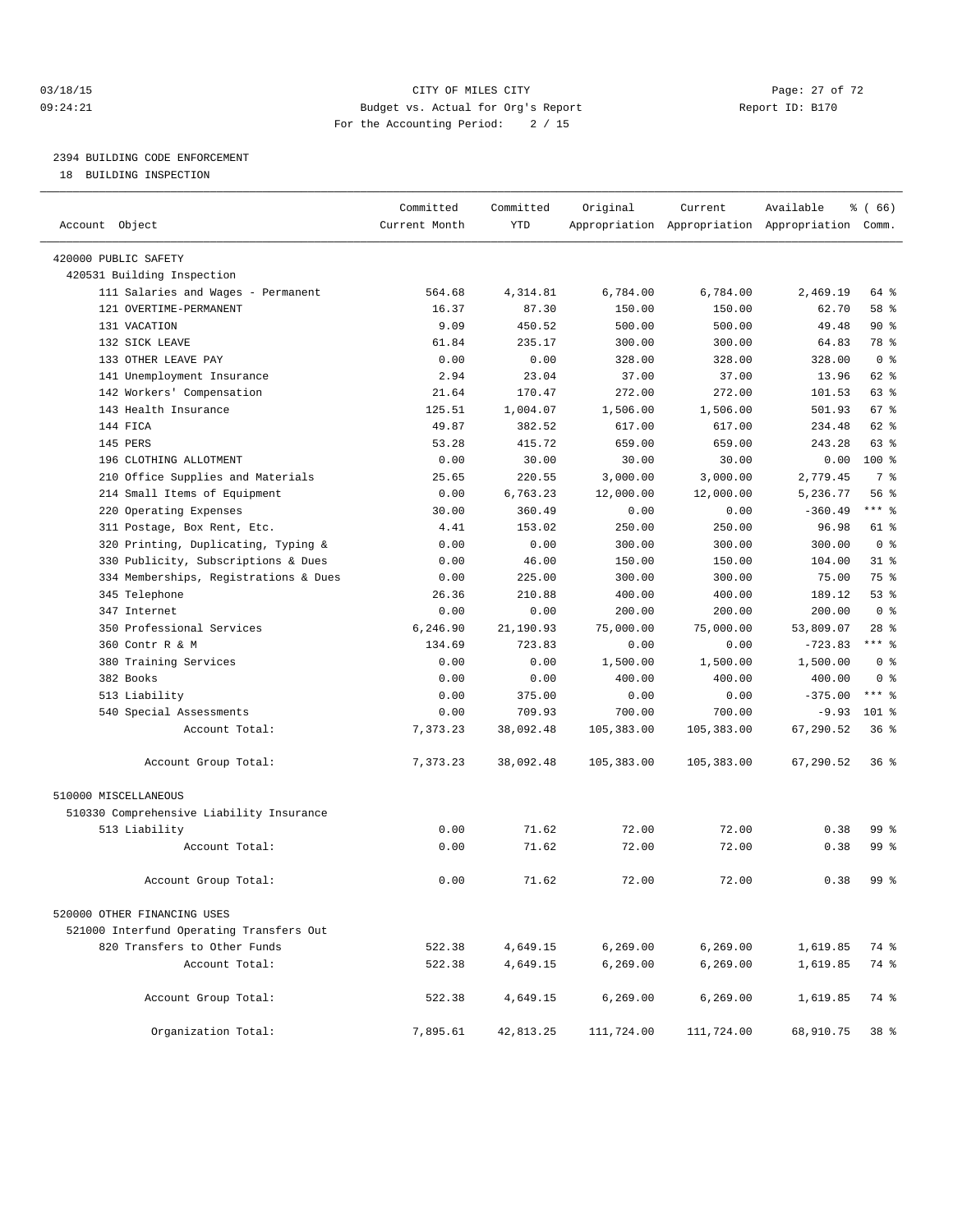#### 03/18/15 Page: 27 of 72 09:24:21 Budget vs. Actual for Org's Report Report ID: B170 For the Accounting Period: 2 / 15

————————————————————————————————————————————————————————————————————————————————————————————————————————————————————————————————————

# 2394 BUILDING CODE ENFORCEMENT

18 BUILDING INSPECTION

|                                          | Committed     | Committed | Original   | Current    | Available                                       | % (66)          |
|------------------------------------------|---------------|-----------|------------|------------|-------------------------------------------------|-----------------|
| Account Object                           | Current Month | YTD       |            |            | Appropriation Appropriation Appropriation Comm. |                 |
| 420000 PUBLIC SAFETY                     |               |           |            |            |                                                 |                 |
| 420531 Building Inspection               |               |           |            |            |                                                 |                 |
| 111 Salaries and Wages - Permanent       | 564.68        | 4,314.81  | 6,784.00   | 6,784.00   | 2,469.19                                        | 64 %            |
| 121 OVERTIME-PERMANENT                   | 16.37         | 87.30     | 150.00     | 150.00     | 62.70                                           | 58 %            |
| 131 VACATION                             | 9.09          | 450.52    | 500.00     | 500.00     | 49.48                                           | $90*$           |
| 132 SICK LEAVE                           | 61.84         | 235.17    | 300.00     | 300.00     | 64.83                                           | 78 %            |
| 133 OTHER LEAVE PAY                      | 0.00          | 0.00      | 328.00     | 328.00     | 328.00                                          | 0 <sup>8</sup>  |
| 141 Unemployment Insurance               | 2.94          | 23.04     | 37.00      | 37.00      | 13.96                                           | 62 %            |
| 142 Workers' Compensation                | 21.64         | 170.47    | 272.00     | 272.00     | 101.53                                          | 63 %            |
| 143 Health Insurance                     | 125.51        | 1,004.07  | 1,506.00   | 1,506.00   | 501.93                                          | 67 %            |
| 144 FICA                                 | 49.87         | 382.52    | 617.00     | 617.00     | 234.48                                          | 62 %            |
| 145 PERS                                 | 53.28         | 415.72    | 659.00     | 659.00     | 243.28                                          | 63 %            |
| 196 CLOTHING ALLOTMENT                   | 0.00          | 30.00     | 30.00      | 30.00      | 0.00                                            | 100 %           |
| 210 Office Supplies and Materials        | 25.65         | 220.55    | 3,000.00   | 3,000.00   | 2,779.45                                        | 7 %             |
| 214 Small Items of Equipment             | 0.00          | 6,763.23  | 12,000.00  | 12,000.00  | 5,236.77                                        | 56%             |
| 220 Operating Expenses                   | 30.00         | 360.49    | 0.00       | 0.00       | $-360.49$                                       | $***$ 8         |
| 311 Postage, Box Rent, Etc.              | 4.41          | 153.02    | 250.00     | 250.00     | 96.98                                           | 61 %            |
| 320 Printing, Duplicating, Typing &      | 0.00          | 0.00      | 300.00     | 300.00     | 300.00                                          | 0 <sup>8</sup>  |
| 330 Publicity, Subscriptions & Dues      | 0.00          | 46.00     | 150.00     | 150.00     | 104.00                                          | $31$ %          |
| 334 Memberships, Registrations & Dues    | 0.00          | 225.00    | 300.00     | 300.00     | 75.00                                           | 75 %            |
| 345 Telephone                            | 26.36         | 210.88    | 400.00     | 400.00     | 189.12                                          | 53%             |
| 347 Internet                             | 0.00          | 0.00      | 200.00     | 200.00     | 200.00                                          | 0 <sup>8</sup>  |
| 350 Professional Services                | 6,246.90      | 21,190.93 | 75,000.00  | 75,000.00  | 53,809.07                                       | $28$ %          |
| 360 Contr R & M                          | 134.69        | 723.83    | 0.00       | 0.00       | $-723.83$                                       | $***$ $_{8}$    |
| 380 Training Services                    | 0.00          | 0.00      | 1,500.00   | 1,500.00   | 1,500.00                                        | 0 <sup>8</sup>  |
| 382 Books                                | 0.00          | 0.00      | 400.00     | 400.00     | 400.00                                          | 0 <sup>8</sup>  |
| 513 Liability                            | 0.00          | 375.00    | 0.00       | 0.00       | $-375.00$                                       | $***$ 8         |
| 540 Special Assessments                  | 0.00          | 709.93    | 700.00     | 700.00     | $-9.93$                                         | $101$ %         |
| Account Total:                           | 7,373.23      | 38,092.48 | 105,383.00 | 105,383.00 | 67,290.52                                       | 36%             |
|                                          |               |           |            |            |                                                 |                 |
| Account Group Total:                     | 7,373.23      | 38,092.48 | 105,383.00 | 105,383.00 | 67,290.52                                       | 36%             |
| 510000 MISCELLANEOUS                     |               |           |            |            |                                                 |                 |
| 510330 Comprehensive Liability Insurance |               |           |            |            |                                                 |                 |
| 513 Liability                            | 0.00          | 71.62     | 72.00      | 72.00      | 0.38                                            | 99 %            |
| Account Total:                           | 0.00          | 71.62     | 72.00      | 72.00      | 0.38                                            | $99*$           |
|                                          |               |           |            |            |                                                 |                 |
| Account Group Total:                     | 0.00          | 71.62     | 72.00      | 72.00      | 0.38                                            | 99 %            |
| 520000 OTHER FINANCING USES              |               |           |            |            |                                                 |                 |
| 521000 Interfund Operating Transfers Out |               |           |            |            |                                                 |                 |
| 820 Transfers to Other Funds             | 522.38        | 4,649.15  | 6,269.00   | 6,269.00   | 1,619.85                                        | 74 %            |
| Account Total:                           | 522.38        | 4,649.15  | 6, 269.00  | 6, 269.00  | 1,619.85                                        | 74 %            |
|                                          |               |           |            |            |                                                 |                 |
| Account Group Total:                     | 522.38        | 4,649.15  | 6, 269.00  | 6, 269.00  | 1,619.85                                        | 74 %            |
| Organization Total:                      | 7,895.61      | 42,813.25 | 111,724.00 | 111,724.00 | 68,910.75                                       | 38 <sup>8</sup> |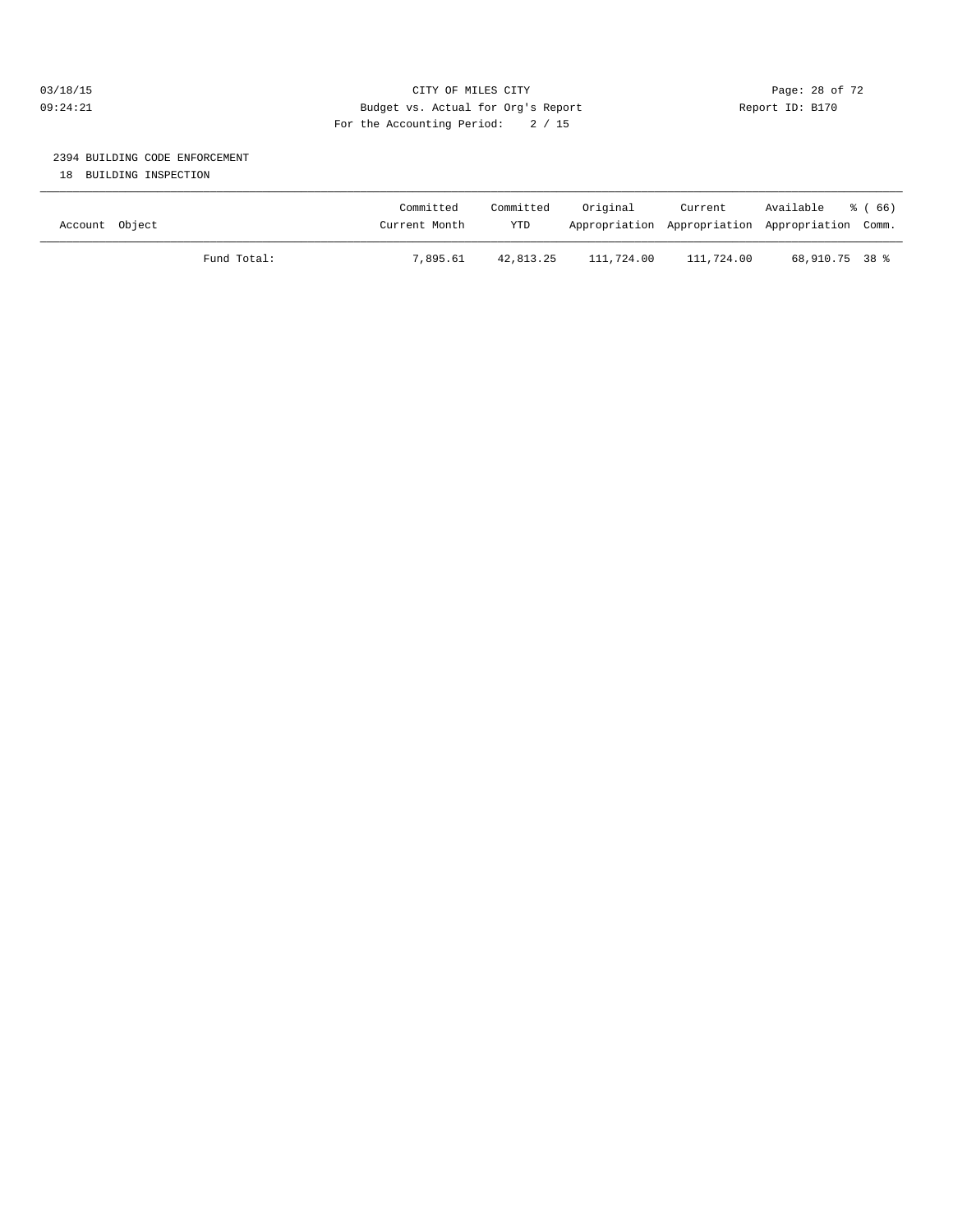## 03/18/15 Page: 28 of 72 09:24:21 Budget vs. Actual for Org's Report Report ID: B170 For the Accounting Period: 2 / 15

# 2394 BUILDING CODE ENFORCEMENT

18 BUILDING INSPECTION

| Account Object |             | Committed<br>Current Month | Committed<br><b>YTD</b> | Original   | Current    | Available<br>Appropriation Appropriation Appropriation Comm. | ී ( 66 ) |
|----------------|-------------|----------------------------|-------------------------|------------|------------|--------------------------------------------------------------|----------|
|                | Fund Total: | 7,895.61                   | 42,813.25               | 111,724.00 | 111,724.00 | 68,910.75 38 %                                               |          |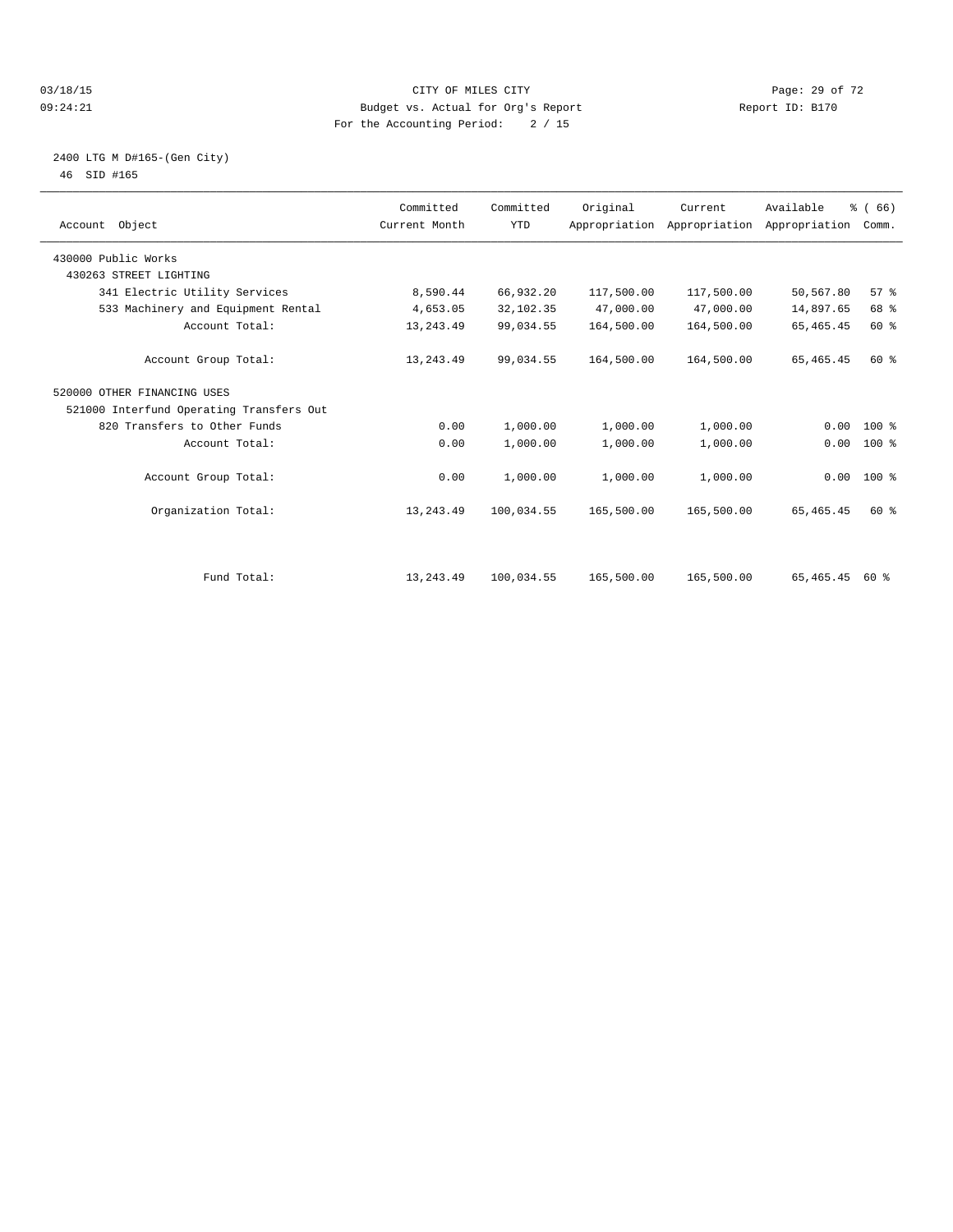#### 03/18/15 Page: 29 of 72 09:24:21 Budget vs. Actual for Org's Report Communication Report ID: B170 For the Accounting Period: 2 / 15

#### 2400 LTG M D#165-(Gen City) 46 SID #165

| Account Object                           | Committed<br>Current Month | Committed<br><b>YTD</b> | Original   | Current<br>Appropriation Appropriation Appropriation | Available   | % (66)<br>Comm. |  |
|------------------------------------------|----------------------------|-------------------------|------------|------------------------------------------------------|-------------|-----------------|--|
| 430000 Public Works                      |                            |                         |            |                                                      |             |                 |  |
| 430263 STREET LIGHTING                   |                            |                         |            |                                                      |             |                 |  |
| 341 Electric Utility Services            | 8,590.44                   | 66,932.20               | 117,500.00 | 117,500.00                                           | 50,567.80   | 57 <sup>8</sup> |  |
| 533 Machinery and Equipment Rental       | 4,653.05                   | 32,102.35               | 47,000.00  | 47,000.00                                            | 14,897.65   | 68 %            |  |
| Account Total:                           | 13, 243.49                 | 99,034.55               | 164,500.00 | 164,500.00                                           | 65, 465. 45 | 60 %            |  |
| Account Group Total:                     | 13, 243.49                 | 99,034.55               | 164,500.00 | 164,500.00                                           | 65, 465. 45 | 60 %            |  |
| 520000 OTHER FINANCING USES              |                            |                         |            |                                                      |             |                 |  |
| 521000 Interfund Operating Transfers Out |                            |                         |            |                                                      |             |                 |  |
| 820 Transfers to Other Funds             | 0.00                       | 1,000.00                | 1,000.00   | 1,000.00                                             | 0.00        | $100*$          |  |
| Account Total:                           | 0.00                       | 1,000.00                | 1,000.00   | 1,000.00                                             | 0.00        | $100*$          |  |
| Account Group Total:                     | 0.00                       | 1,000.00                | 1,000.00   | 1,000.00                                             |             | $0.00$ 100 %    |  |
| Organization Total:                      | 13, 243.49                 | 100,034.55              | 165,500.00 | 165,500.00                                           | 65, 465. 45 | 60 %            |  |
|                                          |                            |                         |            |                                                      |             |                 |  |
| Fund Total:                              | 13, 243.49                 | 100,034.55              | 165,500.00 | 165,500.00                                           | 65,465.45   | 60 %            |  |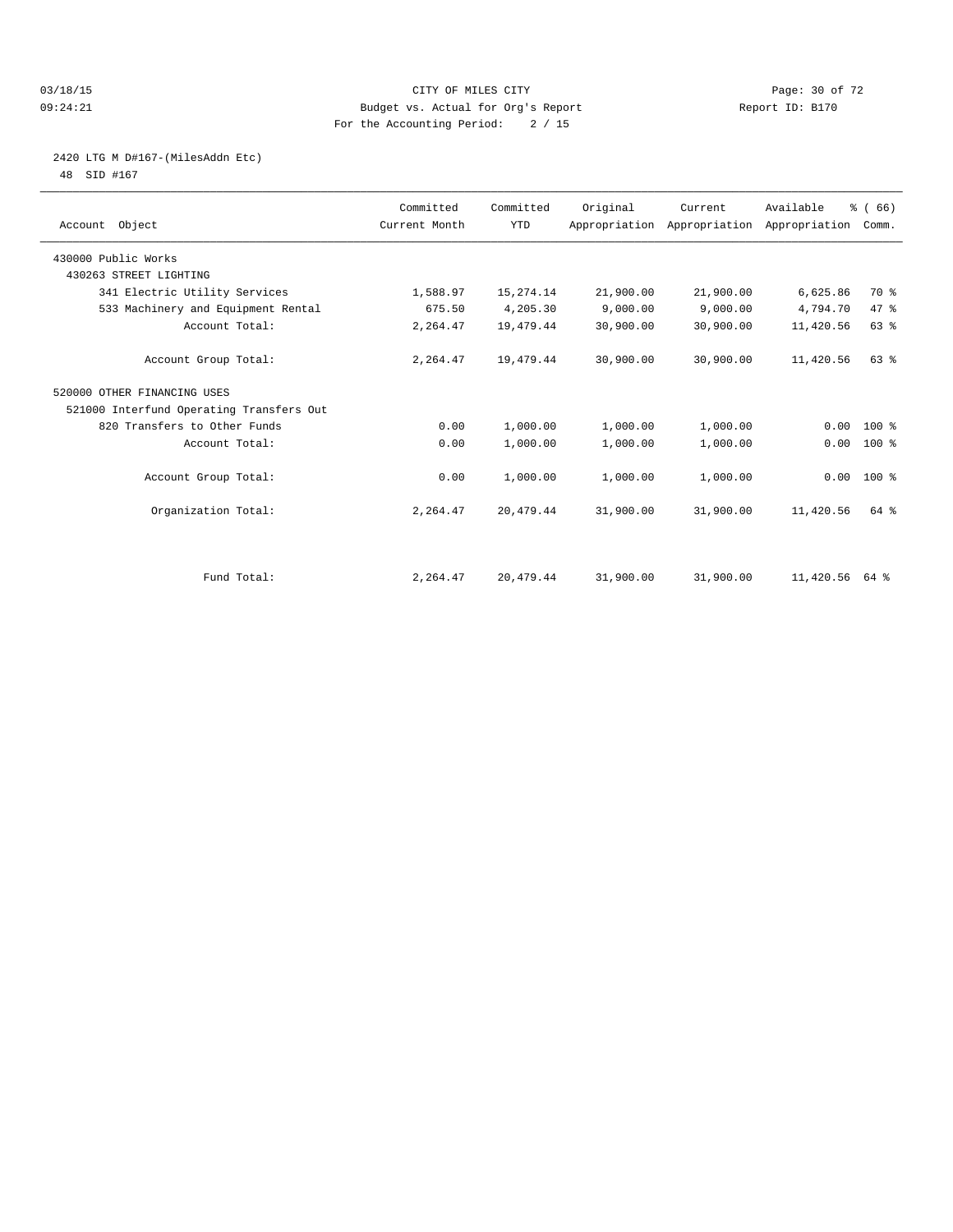#### 03/18/15 Page: 30 of 72 09:24:21 Budget vs. Actual for Org's Report Report ID: B170 For the Accounting Period: 2 / 15

# 2420 LTG M D#167-(MilesAddn Etc)

48 SID #167

| Account Object                           | Committed<br>Current Month | Committed<br><b>YTD</b> | Original  | Current<br>Appropriation Appropriation Appropriation | Available      | % (66)<br>Comm. |  |
|------------------------------------------|----------------------------|-------------------------|-----------|------------------------------------------------------|----------------|-----------------|--|
| 430000 Public Works                      |                            |                         |           |                                                      |                |                 |  |
| 430263 STREET LIGHTING                   |                            |                         |           |                                                      |                |                 |  |
| 341 Electric Utility Services            | 1,588.97                   | 15, 274. 14             | 21,900.00 | 21,900.00                                            | 6,625.86       | 70 %            |  |
| 533 Machinery and Equipment Rental       | 675.50                     | 4,205.30                | 9,000.00  | 9,000.00                                             | 4,794.70       | 47 %            |  |
| Account Total:                           | 2,264.47                   | 19,479.44               | 30,900.00 | 30,900.00                                            | 11,420.56      | 63 %            |  |
| Account Group Total:                     | 2,264.47                   | 19,479.44               | 30,900.00 | 30,900.00                                            | 11,420.56      | 63%             |  |
| 520000 OTHER FINANCING USES              |                            |                         |           |                                                      |                |                 |  |
| 521000 Interfund Operating Transfers Out |                            |                         |           |                                                      |                |                 |  |
| 820 Transfers to Other Funds             | 0.00                       | 1,000.00                | 1,000.00  | 1,000.00                                             | 0.00           | $100*$          |  |
| Account Total:                           | 0.00                       | 1,000.00                | 1,000.00  | 1,000.00                                             | 0.00           | 100 %           |  |
| Account Group Total:                     | 0.00                       | 1,000.00                | 1,000.00  | 1,000.00                                             |                | $0.00$ 100 %    |  |
| Organization Total:                      | 2,264.47                   | 20,479.44               | 31,900.00 | 31,900.00                                            | 11,420.56      | 64 %            |  |
|                                          |                            |                         |           |                                                      |                |                 |  |
| Fund Total:                              | 2,264.47                   | 20,479.44               | 31,900.00 | 31,900.00                                            | 11,420.56 64 % |                 |  |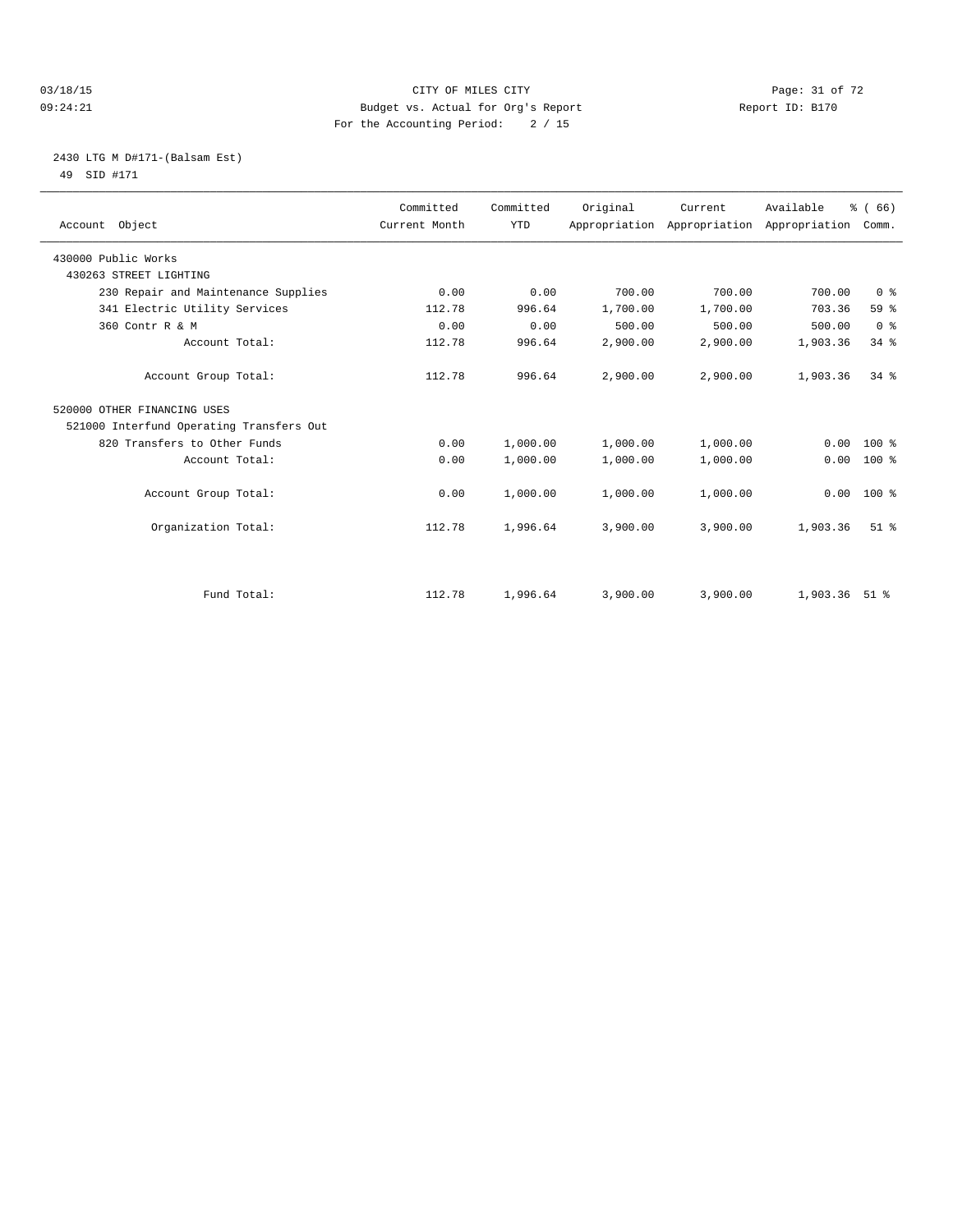#### 03/18/15 Page: 31 of 72 09:24:21 Budget vs. Actual for Org's Report Communication Report ID: B170 For the Accounting Period: 2 / 15

## 2430 LTG M D#171-(Balsam Est) 49 SID #171

| Account Object                           | Committed<br>Current Month | Committed<br><b>YTD</b> | Original | Current<br>Appropriation Appropriation Appropriation | Available | % (66)<br>Comm. |
|------------------------------------------|----------------------------|-------------------------|----------|------------------------------------------------------|-----------|-----------------|
| 430000 Public Works                      |                            |                         |          |                                                      |           |                 |
| 430263 STREET LIGHTING                   |                            |                         |          |                                                      |           |                 |
| 230 Repair and Maintenance Supplies      | 0.00                       | 0.00                    | 700.00   | 700.00                                               | 700.00    | 0 <sup>8</sup>  |
| 341 Electric Utility Services            | 112.78                     | 996.64                  | 1,700.00 | 1,700.00                                             | 703.36    | 59 %            |
| 360 Contr R & M                          | 0.00                       | 0.00                    | 500.00   | 500.00                                               | 500.00    | 0 <sup>8</sup>  |
| Account Total:                           | 112.78                     | 996.64                  | 2,900.00 | 2,900.00                                             | 1,903.36  | 34.8            |
| Account Group Total:                     | 112.78                     | 996.64                  | 2,900.00 | 2,900.00                                             | 1,903.36  | $34$ $%$        |
| 520000 OTHER FINANCING USES              |                            |                         |          |                                                      |           |                 |
| 521000 Interfund Operating Transfers Out |                            |                         |          |                                                      |           |                 |
| 820 Transfers to Other Funds             | 0.00                       | 1,000.00                | 1,000.00 | 1,000.00                                             | 0.00      | $100*$          |
| Account Total:                           | 0.00                       | 1,000.00                | 1,000.00 | 1,000.00                                             | 0.00      | $100*$          |
| Account Group Total:                     | 0.00                       | 1,000.00                | 1,000.00 | 1,000.00                                             | 0.00      | $100*$          |
| Organization Total:                      | 112.78                     | 1,996.64                | 3,900.00 | 3,900.00                                             | 1,903.36  | $51$ $%$        |
|                                          |                            |                         |          |                                                      |           |                 |
| Fund Total:                              | 112.78                     | 1,996.64                | 3,900.00 | 3,900.00                                             | 1,903.36  | 51 %            |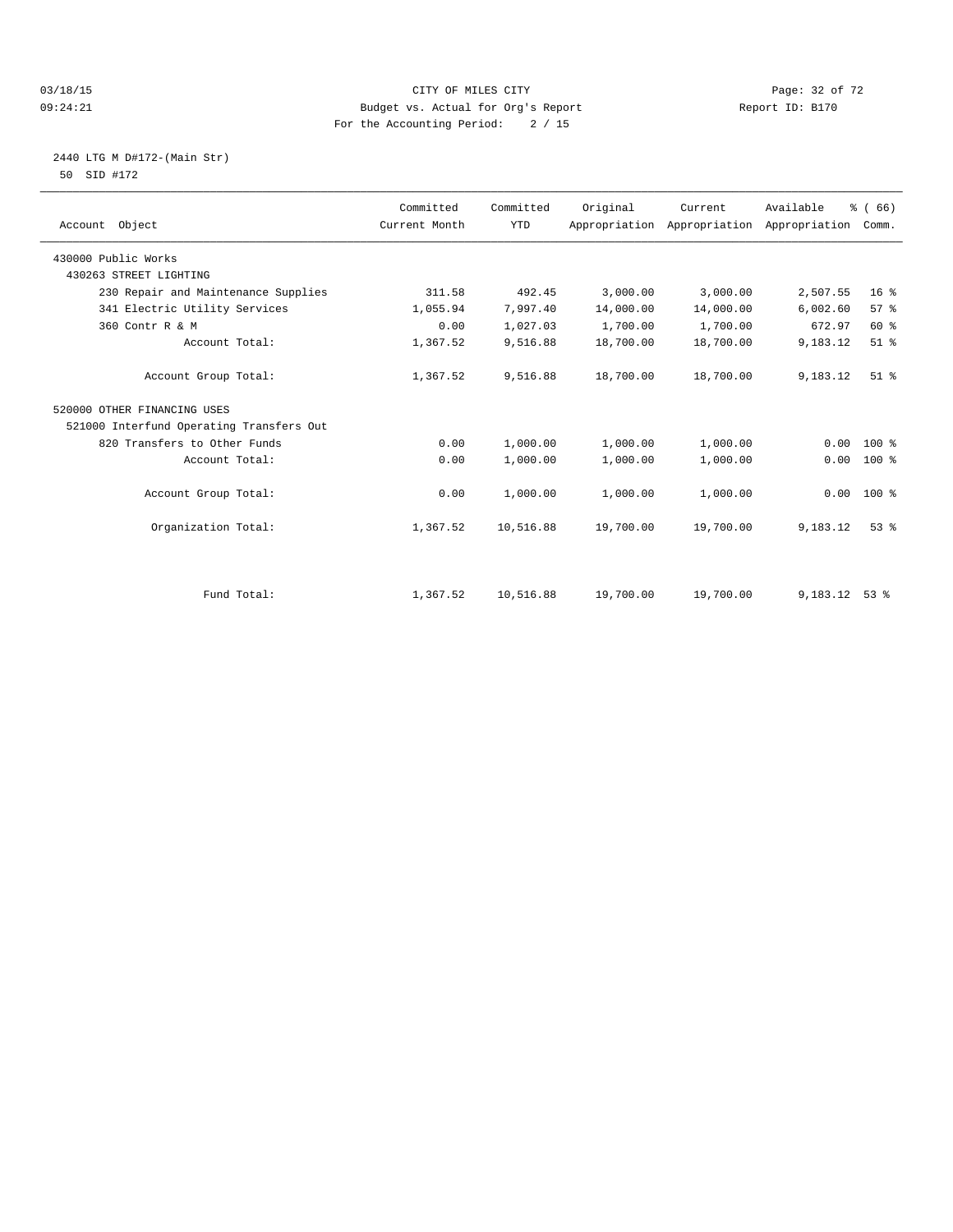#### 03/18/15 Page: 32 of 72 09:24:21 Budget vs. Actual for Org's Report Communication Report ID: B170 For the Accounting Period: 2 / 15

## 2440 LTG M D#172-(Main Str) 50 SID #172

| Account Object                           | Committed<br>Current Month | Committed<br><b>YTD</b> | Original  | Current<br>Appropriation Appropriation | Available<br>Appropriation | % (66)<br>Comm. |
|------------------------------------------|----------------------------|-------------------------|-----------|----------------------------------------|----------------------------|-----------------|
| 430000 Public Works                      |                            |                         |           |                                        |                            |                 |
| 430263 STREET LIGHTING                   |                            |                         |           |                                        |                            |                 |
| 230 Repair and Maintenance Supplies      | 311.58                     | 492.45                  | 3,000.00  | 3,000.00                               | 2,507.55                   | 16 <sup>°</sup> |
| 341 Electric Utility Services            | 1,055.94                   | 7,997.40                | 14,000.00 | 14,000.00                              | 6,002.60                   | 57 <sup>8</sup> |
| 360 Contr R & M                          | 0.00                       | 1,027.03                | 1,700.00  | 1,700.00                               | 672.97                     | 60 %            |
| Account Total:                           | 1,367.52                   | 9,516.88                | 18,700.00 | 18,700.00                              | 9,183.12                   | $51$ %          |
| Account Group Total:                     | 1,367.52                   | 9,516.88                | 18,700.00 | 18,700.00                              | 9,183.12                   | $51$ $%$        |
| 520000 OTHER FINANCING USES              |                            |                         |           |                                        |                            |                 |
| 521000 Interfund Operating Transfers Out |                            |                         |           |                                        |                            |                 |
| 820 Transfers to Other Funds             | 0.00                       | 1,000.00                | 1,000.00  | 1,000.00                               | 0.00                       | $100*$          |
| Account Total:                           | 0.00                       | 1,000.00                | 1,000.00  | 1,000.00                               | 0.00                       | $100*$          |
| Account Group Total:                     | 0.00                       | 1,000.00                | 1,000.00  | 1,000.00                               | 0.00                       | $100*$          |
| Organization Total:                      | 1,367.52                   | 10,516.88               | 19,700.00 | 19,700.00                              | 9,183.12                   | 53 <sup>8</sup> |
|                                          |                            |                         |           |                                        |                            |                 |
| Fund Total:                              | 1,367.52                   | 10,516.88               | 19,700.00 | 19,700.00                              | 9,183.12                   | $53$ $%$        |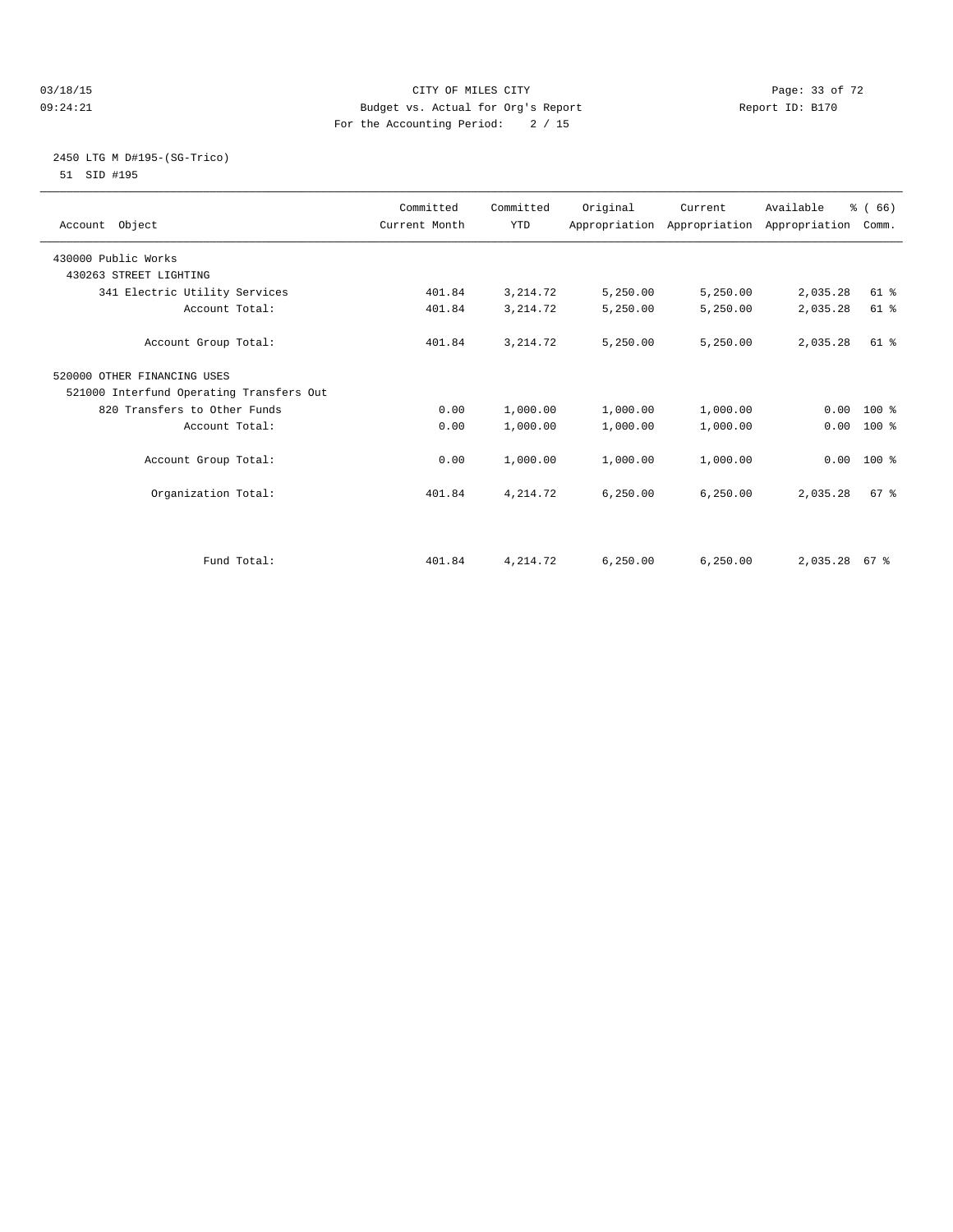#### 03/18/15 Page: 33 of 72 09:24:21 Budget vs. Actual for Org's Report Communication Report ID: B170 For the Accounting Period: 2 / 15

#### 2450 LTG M D#195-(SG-Trico) 51 SID #195

| Account Object                           | Committed<br>Current Month | Committed<br><b>YTD</b> | Original  | Current<br>Appropriation Appropriation Appropriation | Available | % (66)<br>Comm. |
|------------------------------------------|----------------------------|-------------------------|-----------|------------------------------------------------------|-----------|-----------------|
| 430000 Public Works                      |                            |                         |           |                                                      |           |                 |
| 430263 STREET LIGHTING                   |                            |                         |           |                                                      |           |                 |
| 341 Electric Utility Services            | 401.84                     | 3, 214.72               | 5,250.00  | 5,250.00                                             | 2,035.28  | 61 %            |
| Account Total:                           | 401.84                     | 3, 214.72               | 5,250.00  | 5,250.00                                             | 2,035.28  | 61 %            |
| Account Group Total:                     | 401.84                     | 3, 214.72               | 5,250.00  | 5,250.00                                             | 2,035.28  | 61 %            |
| 520000 OTHER FINANCING USES              |                            |                         |           |                                                      |           |                 |
| 521000 Interfund Operating Transfers Out |                            |                         |           |                                                      |           |                 |
| 820 Transfers to Other Funds             | 0.00                       | 1,000.00                | 1,000.00  | 1,000.00                                             |           | $0.00 100$ %    |
| Account Total:                           | 0.00                       | 1,000.00                | 1,000.00  | 1,000.00                                             | 0.00      | 100 %           |
| Account Group Total:                     | 0.00                       | 1,000.00                | 1,000.00  | 1,000.00                                             |           | $0.00$ 100 %    |
| Organization Total:                      | 401.84                     | 4, 214.72               | 6, 250.00 | 6, 250.00                                            | 2,035.28  | 67 %            |
|                                          |                            |                         |           |                                                      |           |                 |
| Fund Total:                              | 401.84                     | 4, 214.72               | 6, 250.00 | 6.250.00                                             | 2,035.28  | 67 %            |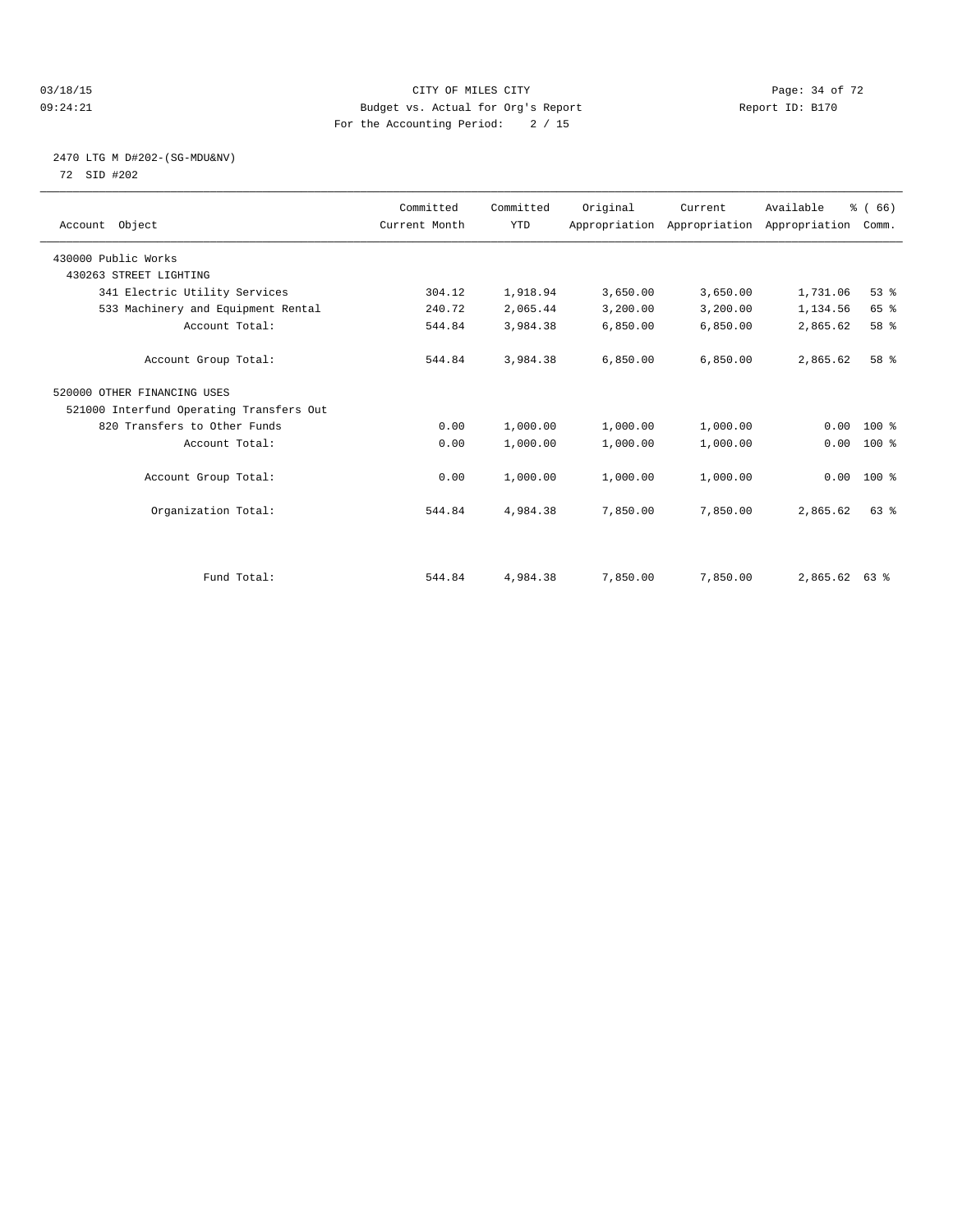#### 03/18/15 Page: 34 of 72 09:24:21 Budget vs. Actual for Org's Report Communication Report ID: B170 For the Accounting Period: 2 / 15

## 2470 LTG M D#202-(SG-MDU&NV) 72 SID #202

| Account Object                           | Committed<br>Current Month | Committed<br><b>YTD</b> | Original | Current<br>Appropriation Appropriation Appropriation | Available       | % (66)<br>Comm. |  |
|------------------------------------------|----------------------------|-------------------------|----------|------------------------------------------------------|-----------------|-----------------|--|
| 430000 Public Works                      |                            |                         |          |                                                      |                 |                 |  |
| 430263 STREET LIGHTING                   |                            |                         |          |                                                      |                 |                 |  |
| 341 Electric Utility Services            | 304.12                     | 1,918.94                | 3,650.00 | 3,650.00                                             | 1,731.06        | 53%             |  |
| 533 Machinery and Equipment Rental       | 240.72                     | 2,065.44                | 3,200.00 | 3,200.00                                             | 1,134.56        | 65 %            |  |
| Account Total:                           | 544.84                     | 3,984.38                | 6,850.00 | 6,850.00                                             | 2,865.62        | 58 %            |  |
| Account Group Total:                     | 544.84                     | 3,984.38                | 6,850.00 | 6,850.00                                             | 2,865.62        | 58 %            |  |
| 520000 OTHER FINANCING USES              |                            |                         |          |                                                      |                 |                 |  |
| 521000 Interfund Operating Transfers Out |                            |                         |          |                                                      |                 |                 |  |
| 820 Transfers to Other Funds             | 0.00                       | 1,000.00                | 1,000.00 | 1,000.00                                             | 0.00            | $100*$          |  |
| Account Total:                           | 0.00                       | 1,000.00                | 1,000.00 | 1,000.00                                             | 0.00            | $100*$          |  |
| Account Group Total:                     | 0.00                       | 1,000.00                | 1,000.00 | 1,000.00                                             |                 | $0.00$ 100 %    |  |
| Organization Total:                      | 544.84                     | 4,984.38                | 7,850.00 | 7,850.00                                             | 2,865.62        | 63%             |  |
|                                          |                            |                         |          |                                                      |                 |                 |  |
| Fund Total:                              | 544.84                     | 4,984.38                | 7,850.00 | 7,850.00                                             | $2,865.62$ 63 % |                 |  |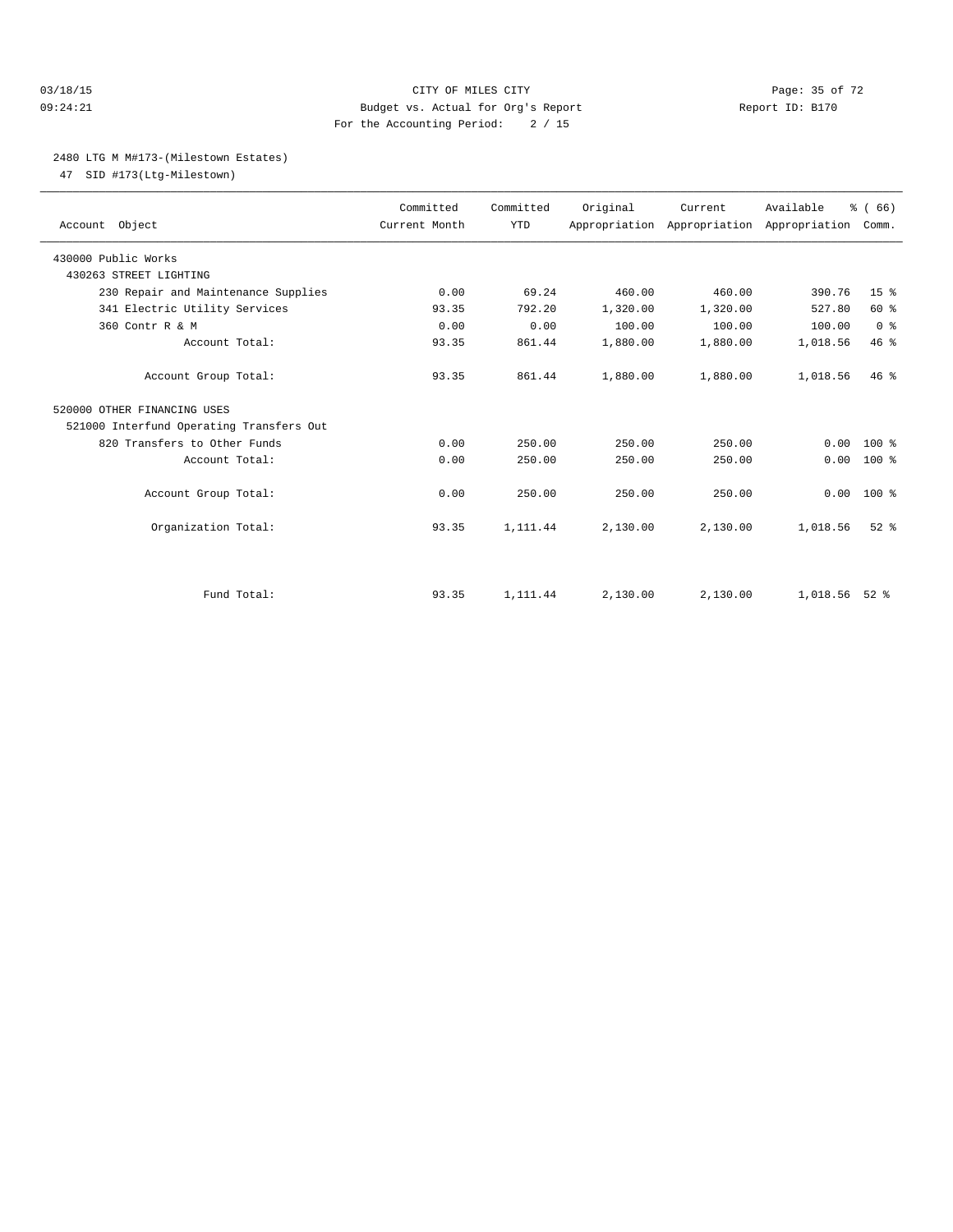#### 03/18/15 Page: 35 of 72 09:24:21 Budget vs. Actual for Org's Report Report ID: B170 For the Accounting Period: 2 / 15

#### 2480 LTG M M#173-(Milestown Estates)

47 SID #173(Ltg-Milestown)

| Account Object                           | Committed<br>Current Month | Committed<br><b>YTD</b> | Original | Current<br>Appropriation Appropriation Appropriation | Available | % (66)<br>Comm. |  |
|------------------------------------------|----------------------------|-------------------------|----------|------------------------------------------------------|-----------|-----------------|--|
| 430000 Public Works                      |                            |                         |          |                                                      |           |                 |  |
| 430263 STREET LIGHTING                   |                            |                         |          |                                                      |           |                 |  |
| 230 Repair and Maintenance Supplies      | 0.00                       | 69.24                   | 460.00   | 460.00                                               | 390.76    | 15 <sup>8</sup> |  |
| 341 Electric Utility Services            | 93.35                      | 792.20                  | 1,320.00 | 1,320.00                                             | 527.80    | 60 %            |  |
| 360 Contr R & M                          | 0.00                       | 0.00                    | 100.00   | 100.00                                               | 100.00    | 0 <sup>8</sup>  |  |
| Account Total:                           | 93.35                      | 861.44                  | 1,880.00 | 1,880.00                                             | 1,018.56  | 46.8            |  |
| Account Group Total:                     | 93.35                      | 861.44                  | 1,880.00 | 1,880.00                                             | 1,018.56  | $46*$           |  |
| 520000 OTHER FINANCING USES              |                            |                         |          |                                                      |           |                 |  |
| 521000 Interfund Operating Transfers Out |                            |                         |          |                                                      |           |                 |  |
| 820 Transfers to Other Funds             | 0.00                       | 250.00                  | 250.00   | 250.00                                               | 0.00      | $100*$          |  |
| Account Total:                           | 0.00                       | 250.00                  | 250.00   | 250.00                                               | 0.00      | $100*$          |  |
| Account Group Total:                     | 0.00                       | 250.00                  | 250.00   | 250.00                                               | 0.00      | $100*$          |  |
| Organization Total:                      | 93.35                      | 1,111.44                | 2,130.00 | 2,130.00                                             | 1,018.56  | $52$ $%$        |  |
|                                          |                            |                         |          |                                                      |           |                 |  |
| Fund Total:                              | 93.35                      | 1,111.44                | 2,130.00 | 2,130.00                                             | 1,018.56  | $52$ $%$        |  |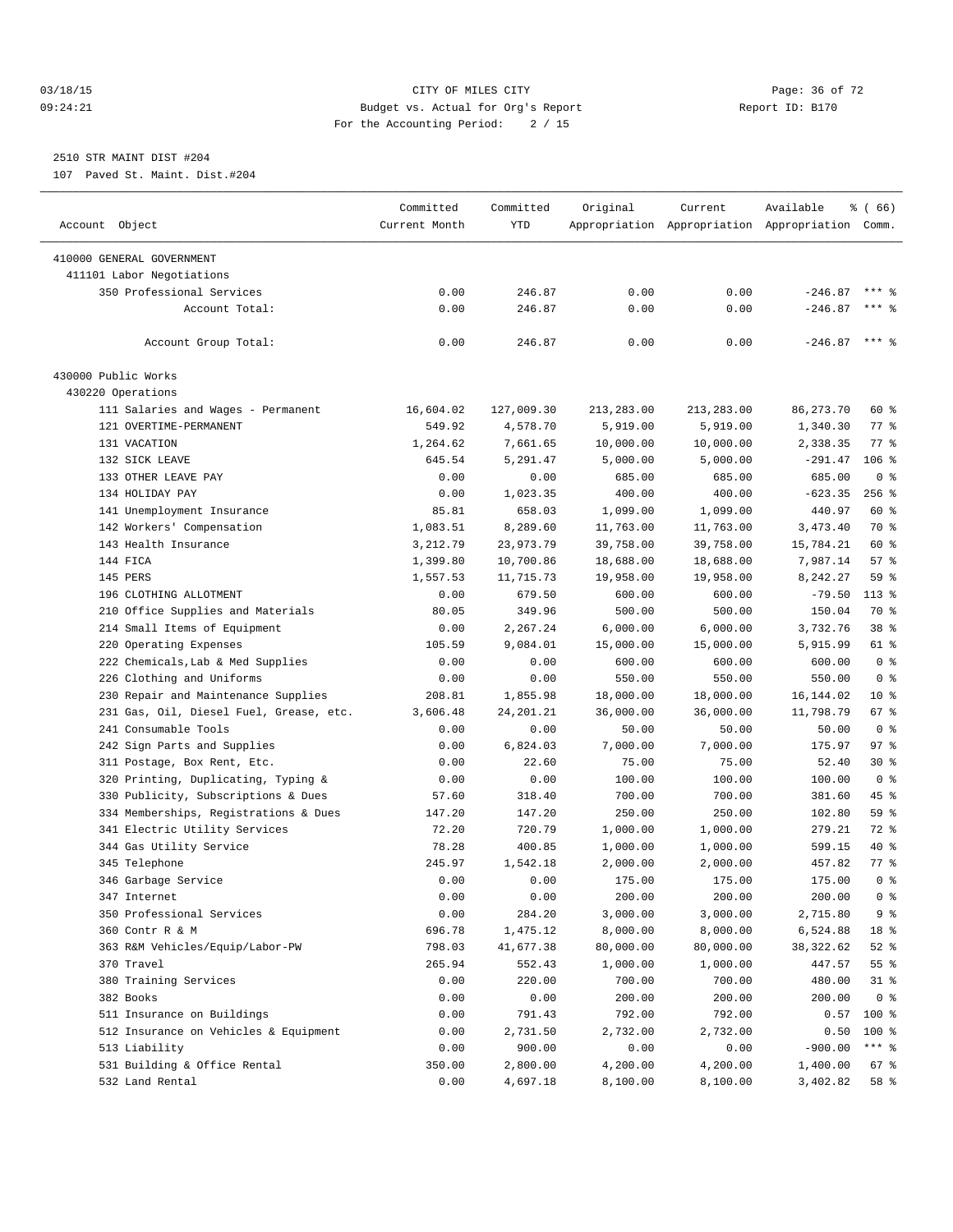#### 03/18/15 Page: 36 of 72 09:24:21 Budget vs. Actual for Org's Report Communication Report ID: B170 For the Accounting Period: 2 / 15

————————————————————————————————————————————————————————————————————————————————————————————————————————————————————————————————————

# 2510 STR MAINT DIST #204

107 Paved St. Maint. Dist.#204

|                                         | Committed     | Committed   | Original   | Current    | Available                                       | % (66)         |
|-----------------------------------------|---------------|-------------|------------|------------|-------------------------------------------------|----------------|
| Account Object                          | Current Month | YTD         |            |            | Appropriation Appropriation Appropriation Comm. |                |
|                                         |               |             |            |            |                                                 |                |
| 410000 GENERAL GOVERNMENT               |               |             |            |            |                                                 |                |
| 411101 Labor Negotiations               |               |             |            |            |                                                 |                |
| 350 Professional Services               | 0.00          | 246.87      | 0.00       | 0.00       | $-246.87$                                       | $***$ %        |
| Account Total:                          | 0.00          | 246.87      | 0.00       | 0.00       | $-246.87$                                       | $***$ 8        |
| Account Group Total:                    | 0.00          | 246.87      | 0.00       | 0.00       | $-246.87$ *** \$                                |                |
| 430000 Public Works                     |               |             |            |            |                                                 |                |
| 430220 Operations                       |               |             |            |            |                                                 |                |
| 111 Salaries and Wages - Permanent      | 16,604.02     | 127,009.30  | 213,283.00 | 213,283.00 | 86, 273. 70                                     | 60 %           |
| 121 OVERTIME-PERMANENT                  | 549.92        | 4,578.70    | 5,919.00   | 5,919.00   | 1,340.30                                        | 77 %           |
| 131 VACATION                            | 1,264.62      | 7,661.65    | 10,000.00  | 10,000.00  | 2,338.35                                        | 77.8           |
| 132 SICK LEAVE                          | 645.54        | 5,291.47    | 5,000.00   | 5,000.00   | $-291.47$                                       | $106$ %        |
| 133 OTHER LEAVE PAY                     | 0.00          | 0.00        | 685.00     | 685.00     | 685.00                                          | 0 <sup>8</sup> |
| 134 HOLIDAY PAY                         | 0.00          | 1,023.35    | 400.00     | 400.00     | $-623.35$                                       | $256$ %        |
| 141 Unemployment Insurance              | 85.81         | 658.03      | 1,099.00   | 1,099.00   | 440.97                                          | 60 %           |
| 142 Workers' Compensation               | 1,083.51      | 8,289.60    | 11,763.00  | 11,763.00  | 3,473.40                                        | 70 %           |
| 143 Health Insurance                    | 3,212.79      | 23,973.79   | 39,758.00  | 39,758.00  | 15,784.21                                       | 60 %           |
| 144 FICA                                | 1,399.80      | 10,700.86   | 18,688.00  | 18,688.00  | 7,987.14                                        | 57%            |
| 145 PERS                                | 1,557.53      | 11,715.73   | 19,958.00  | 19,958.00  | 8,242.27                                        | 59 %           |
| 196 CLOTHING ALLOTMENT                  | 0.00          | 679.50      | 600.00     | 600.00     | $-79.50$                                        | $113*$         |
| 210 Office Supplies and Materials       | 80.05         | 349.96      | 500.00     | 500.00     | 150.04                                          | 70 %           |
| 214 Small Items of Equipment            | 0.00          | 2,267.24    | 6,000.00   | 6,000.00   | 3,732.76                                        | 38 %           |
| 220 Operating Expenses                  | 105.59        | 9,084.01    | 15,000.00  | 15,000.00  | 5,915.99                                        | 61 %           |
| 222 Chemicals, Lab & Med Supplies       | 0.00          | 0.00        | 600.00     | 600.00     | 600.00                                          | 0 <sup>8</sup> |
| 226 Clothing and Uniforms               | 0.00          | 0.00        | 550.00     | 550.00     | 550.00                                          | 0 <sup>8</sup> |
| 230 Repair and Maintenance Supplies     | 208.81        | 1,855.98    | 18,000.00  | 18,000.00  | 16,144.02                                       | $10*$          |
| 231 Gas, Oil, Diesel Fuel, Grease, etc. | 3,606.48      | 24, 201. 21 | 36,000.00  | 36,000.00  | 11,798.79                                       | 67 %           |
| 241 Consumable Tools                    | 0.00          | 0.00        | 50.00      | 50.00      | 50.00                                           | 0 <sup>8</sup> |
| 242 Sign Parts and Supplies             | 0.00          | 6,824.03    | 7,000.00   | 7,000.00   | 175.97                                          | 97%            |
|                                         |               |             |            |            |                                                 | $30*$          |
| 311 Postage, Box Rent, Etc.             | 0.00          | 22.60       | 75.00      | 75.00      | 52.40                                           | 0 <sup>8</sup> |
| 320 Printing, Duplicating, Typing &     | 0.00          | 0.00        | 100.00     | 100.00     | 100.00                                          |                |
| 330 Publicity, Subscriptions & Dues     | 57.60         | 318.40      | 700.00     | 700.00     | 381.60                                          | 45 %           |
| 334 Memberships, Registrations & Dues   | 147.20        | 147.20      | 250.00     | 250.00     | 102.80                                          | 59 %           |
| 341 Electric Utility Services           | 72.20         | 720.79      | 1,000.00   | 1,000.00   | 279.21                                          | 72 %           |
| 344 Gas Utility Service                 | 78.28         | 400.85      | 1,000.00   | 1,000.00   | 599.15                                          | 40 %           |
| 345 Telephone                           | 245.97        | 1,542.18    | 2,000.00   | 2,000.00   | 457.82                                          | 77.8           |
| 346 Garbage Service                     | 0.00          | 0.00        | 175.00     | 175.00     | 175.00                                          | 0 <sup>8</sup> |
| 347 Internet                            | 0.00          | 0.00        | 200.00     | 200.00     | 200.00                                          | 0 <sup>8</sup> |
| 350 Professional Services               | 0.00          | 284.20      | 3,000.00   | 3,000.00   | 2,715.80                                        | 9 %            |
| 360 Contr R & M                         | 696.78        | 1,475.12    | 8,000.00   | 8,000.00   | 6,524.88                                        | 18 %           |
| 363 R&M Vehicles/Equip/Labor-PW         | 798.03        | 41,677.38   | 80,000.00  | 80,000.00  | 38,322.62                                       | $52$ $%$       |
| 370 Travel                              | 265.94        | 552.43      | 1,000.00   | 1,000.00   | 447.57                                          | 55 %           |
| 380 Training Services                   | 0.00          | 220.00      | 700.00     | 700.00     | 480.00                                          | $31$ %         |
| 382 Books                               | 0.00          | 0.00        | 200.00     | 200.00     | 200.00                                          | 0 <sup>8</sup> |
| 511 Insurance on Buildings              | 0.00          | 791.43      | 792.00     | 792.00     | 0.57                                            | $100$ %        |
| 512 Insurance on Vehicles & Equipment   | 0.00          | 2,731.50    | 2,732.00   | 2,732.00   | 0.50                                            | 100 %          |
| 513 Liability                           | 0.00          | 900.00      | 0.00       | 0.00       | $-900.00$                                       | *** 응          |
| 531 Building & Office Rental            | 350.00        | 2,800.00    | 4,200.00   | 4,200.00   | 1,400.00                                        | 67 %           |
| 532 Land Rental                         | 0.00          | 4,697.18    | 8,100.00   | 8,100.00   | 3,402.82                                        | 58 %           |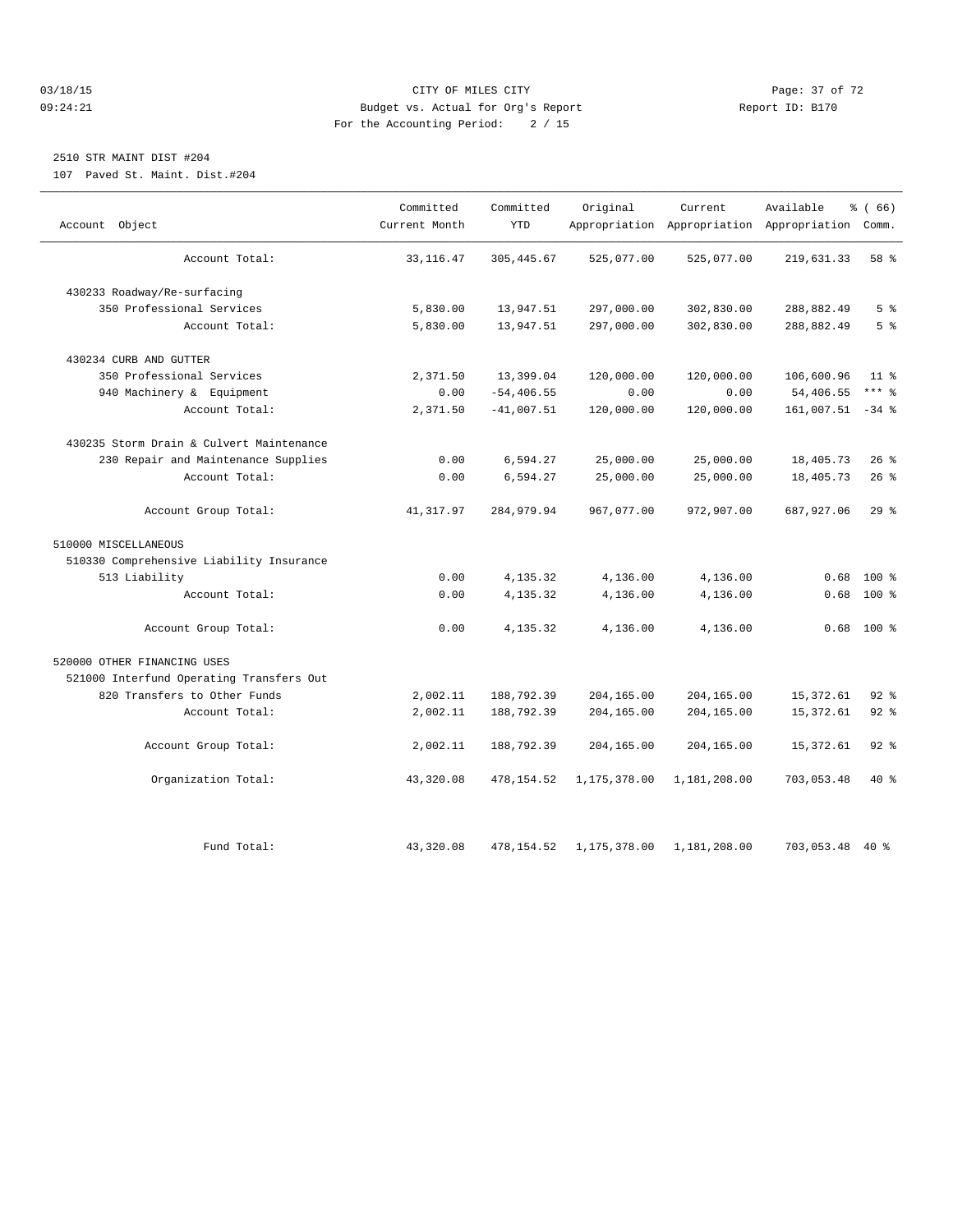#### 03/18/15 Page: 37 of 72 09:24:21 Budget vs. Actual for Org's Report Communication Report ID: B170 For the Accounting Period: 2 / 15

## 2510 STR MAINT DIST #204

107 Paved St. Maint. Dist.#204

|                                          | Committed     | Committed     | Original     | Current      | Available                                       | % (66)         |
|------------------------------------------|---------------|---------------|--------------|--------------|-------------------------------------------------|----------------|
| Account Object                           | Current Month | <b>YTD</b>    |              |              | Appropriation Appropriation Appropriation Comm. |                |
| Account Total:                           | 33, 116.47    | 305, 445.67   | 525,077.00   | 525,077.00   | 219,631.33                                      | 58 %           |
| 430233 Roadway/Re-surfacing              |               |               |              |              |                                                 |                |
| 350 Professional Services                | 5,830.00      | 13,947.51     | 297,000.00   | 302,830.00   | 288,882.49                                      | 5 <sup>8</sup> |
| Account Total:                           | 5,830.00      | 13,947.51     | 297,000.00   | 302,830.00   | 288,882.49                                      | 5 <sup>°</sup> |
| 430234 CURB AND GUTTER                   |               |               |              |              |                                                 |                |
| 350 Professional Services                | 2,371.50      | 13,399.04     | 120,000.00   | 120,000.00   | 106,600.96                                      | $11$ $\approx$ |
| 940 Machinery & Equipment                | 0.00          | $-54, 406.55$ | 0.00         | 0.00         | 54,406.55                                       | $***$ 8        |
| Account Total:                           | 2,371.50      | $-41,007.51$  | 120,000.00   | 120,000.00   | $161,007.51 -34$ %                              |                |
| 430235 Storm Drain & Culvert Maintenance |               |               |              |              |                                                 |                |
| 230 Repair and Maintenance Supplies      | 0.00          | 6,594.27      | 25,000.00    | 25,000.00    | 18,405.73                                       | $26$ %         |
| Account Total:                           | 0.00          | 6,594.27      | 25,000.00    | 25,000.00    | 18,405.73                                       | 26%            |
| Account Group Total:                     | 41,317.97     | 284,979.94    | 967,077.00   | 972,907.00   | 687,927.06                                      | 29%            |
| 510000 MISCELLANEOUS                     |               |               |              |              |                                                 |                |
| 510330 Comprehensive Liability Insurance |               |               |              |              |                                                 |                |
| 513 Liability                            | 0.00          | 4,135.32      | 4,136.00     | 4,136.00     | 0.68                                            | $100*$         |
| Account Total:                           | 0.00          | 4,135.32      | 4,136.00     | 4,136.00     | 0.68                                            | $100*$         |
| Account Group Total:                     | 0.00          | 4,135.32      | 4,136.00     | 4,136.00     |                                                 | $0.68$ 100 %   |
| 520000 OTHER FINANCING USES              |               |               |              |              |                                                 |                |
| 521000 Interfund Operating Transfers Out |               |               |              |              |                                                 |                |
| 820 Transfers to Other Funds             | 2,002.11      | 188,792.39    | 204,165.00   | 204,165.00   | 15,372.61                                       | $92$ $%$       |
| Account Total:                           | 2,002.11      | 188,792.39    | 204,165.00   | 204,165.00   | 15, 372.61                                      | $92$ $%$       |
| Account Group Total:                     | 2,002.11      | 188,792.39    | 204,165.00   | 204,165.00   | 15, 372.61                                      | $92$ $%$       |
| Organization Total:                      | 43,320.08     | 478, 154.52   | 1,175,378.00 | 1,181,208.00 | 703,053.48                                      | $40*$          |
|                                          |               |               |              |              |                                                 |                |
| Fund Total:                              | 43,320.08     | 478, 154.52   | 1,175,378.00 | 1,181,208.00 | 703,053.48 40 %                                 |                |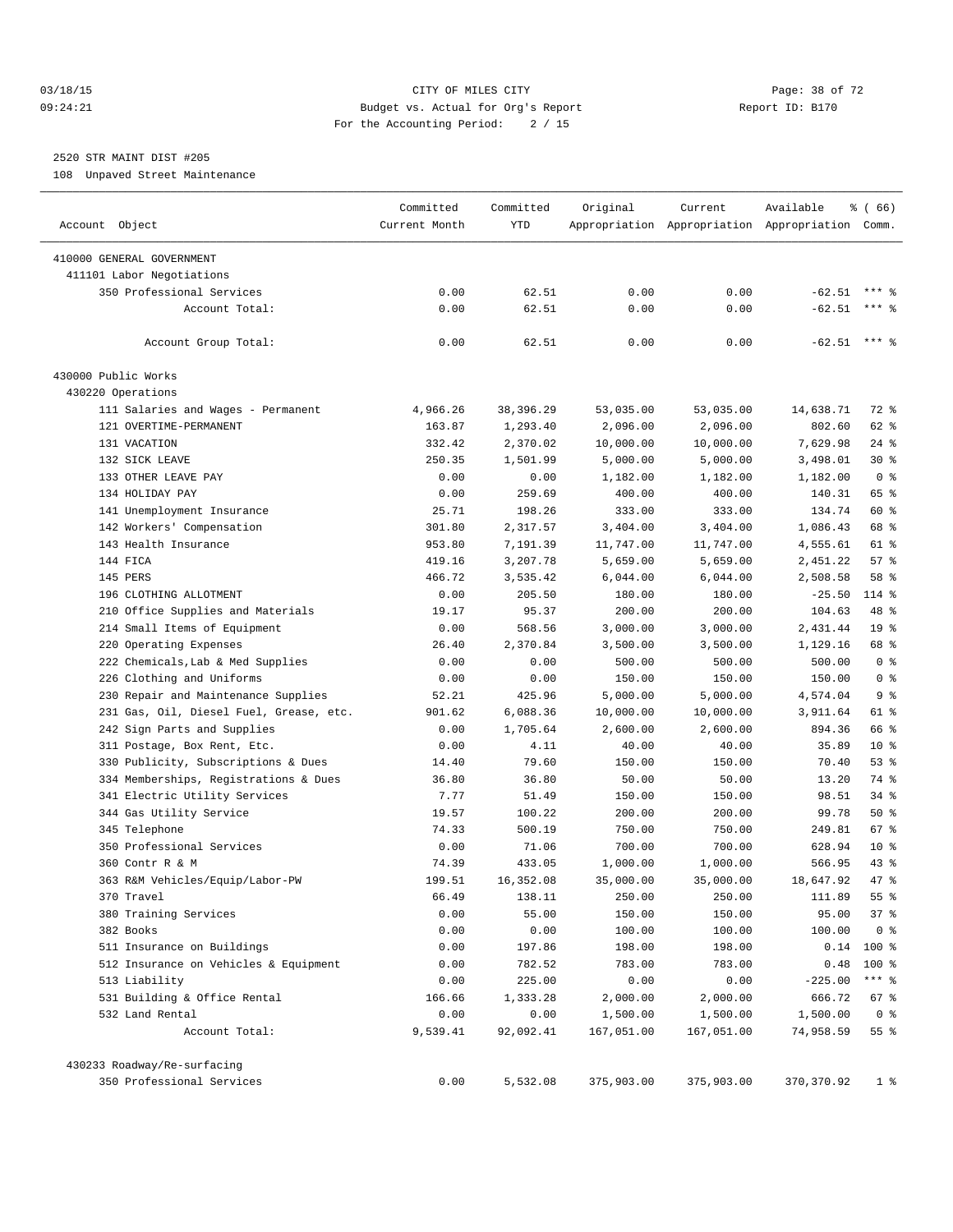#### 03/18/15 Page: 38 of 72 09:24:21 Budget vs. Actual for Org's Report Report ID: B170 For the Accounting Period: 2 / 15

## 2520 STR MAINT DIST #205

108 Unpaved Street Maintenance

|                                                          | Committed     | Committed  | Original   | Current    | Available                                       | % (66)          |
|----------------------------------------------------------|---------------|------------|------------|------------|-------------------------------------------------|-----------------|
| Account Object                                           | Current Month | YTD        |            |            | Appropriation Appropriation Appropriation Comm. |                 |
| 410000 GENERAL GOVERNMENT                                |               |            |            |            |                                                 |                 |
| 411101 Labor Negotiations                                |               |            |            |            |                                                 |                 |
| 350 Professional Services                                | 0.00          | 62.51      | 0.00       | 0.00       | $-62.51$                                        |                 |
| Account Total:                                           | 0.00          | 62.51      | 0.00       | 0.00       | $-62.51$                                        | $***$ 2         |
| Account Group Total:                                     | 0.00          | 62.51      | 0.00       | 0.00       | $-62.51$ *** \$                                 |                 |
| 430000 Public Works                                      |               |            |            |            |                                                 |                 |
| 430220 Operations                                        |               |            |            |            |                                                 |                 |
| 111 Salaries and Wages - Permanent                       | 4,966.26      | 38, 396.29 | 53,035.00  | 53,035.00  | 14,638.71                                       | 72 %            |
| 121 OVERTIME-PERMANENT                                   | 163.87        | 1,293.40   | 2,096.00   | 2,096.00   | 802.60                                          | 62 %            |
| 131 VACATION                                             | 332.42        | 2,370.02   | 10,000.00  | 10,000.00  | 7,629.98                                        | $24$ %          |
| 132 SICK LEAVE                                           | 250.35        | 1,501.99   | 5,000.00   | 5,000.00   | 3,498.01                                        | $30*$           |
| 133 OTHER LEAVE PAY                                      | 0.00          | 0.00       | 1,182.00   | 1,182.00   | 1,182.00                                        | 0 <sup>8</sup>  |
| 134 HOLIDAY PAY                                          | 0.00          | 259.69     | 400.00     | 400.00     | 140.31                                          | 65 %            |
| 141 Unemployment Insurance                               | 25.71         | 198.26     | 333.00     | 333.00     | 134.74                                          | 60 %            |
| 142 Workers' Compensation                                | 301.80        | 2,317.57   | 3,404.00   | 3,404.00   | 1,086.43                                        | 68 %            |
| 143 Health Insurance                                     | 953.80        | 7,191.39   | 11,747.00  | 11,747.00  | 4,555.61                                        | 61 %            |
| 144 FICA                                                 | 419.16        | 3,207.78   | 5,659.00   | 5,659.00   | 2,451.22                                        | 57%             |
| 145 PERS                                                 | 466.72        | 3,535.42   | 6,044.00   | 6,044.00   | 2,508.58                                        | 58 %            |
| 196 CLOTHING ALLOTMENT                                   | 0.00          | 205.50     | 180.00     | 180.00     | $-25.50$                                        | 114 %           |
| 210 Office Supplies and Materials                        | 19.17         | 95.37      | 200.00     | 200.00     | 104.63                                          | 48 %            |
| 214 Small Items of Equipment                             | 0.00          | 568.56     | 3,000.00   | 3,000.00   | 2,431.44                                        | 19 <sup>°</sup> |
| 220 Operating Expenses                                   | 26.40         | 2,370.84   | 3,500.00   | 3,500.00   | 1,129.16                                        | 68 %            |
| 222 Chemicals, Lab & Med Supplies                        | 0.00          | 0.00       | 500.00     | 500.00     | 500.00                                          | 0 <sup>8</sup>  |
| 226 Clothing and Uniforms                                | 0.00          | 0.00       | 150.00     | 150.00     | 150.00                                          | 0 <sup>8</sup>  |
| 230 Repair and Maintenance Supplies                      | 52.21         | 425.96     | 5,000.00   | 5,000.00   | 4,574.04                                        | 9 <sup>8</sup>  |
| 231 Gas, Oil, Diesel Fuel, Grease, etc.                  | 901.62        | 6,088.36   | 10,000.00  | 10,000.00  | 3,911.64                                        | 61 %            |
| 242 Sign Parts and Supplies                              | 0.00          | 1,705.64   | 2,600.00   | 2,600.00   | 894.36                                          | 66 %            |
| 311 Postage, Box Rent, Etc.                              | 0.00          | 4.11       | 40.00      | 40.00      | 35.89                                           | $10*$           |
| 330 Publicity, Subscriptions & Dues                      | 14.40         | 79.60      | 150.00     | 150.00     | 70.40                                           | $53$ $%$        |
| 334 Memberships, Registrations & Dues                    | 36.80         | 36.80      | 50.00      | 50.00      | 13.20                                           | 74 %            |
| 341 Electric Utility Services                            | 7.77          | 51.49      | 150.00     | 150.00     | 98.51                                           | $34$ $%$        |
| 344 Gas Utility Service                                  | 19.57         | 100.22     | 200.00     | 200.00     | 99.78                                           | 50%             |
| 345 Telephone                                            | 74.33         | 500.19     | 750.00     | 750.00     | 249.81                                          | 67 %            |
| 350 Professional Services                                | 0.00          | 71.06      | 700.00     | 700.00     | 628.94                                          | $10*$           |
| 360 Contr R & M                                          | 74.39         | 433.05     | 1,000.00   | 1,000.00   | 566.95                                          | 43 %            |
| 363 R&M Vehicles/Equip/Labor-PW                          | 199.51        | 16,352.08  | 35,000.00  | 35,000.00  | 18,647.92                                       | 47.8            |
| 370 Travel                                               | 66.49         | 138.11     | 250.00     | 250.00     | 111.89                                          | 55 %            |
| 380 Training Services                                    | 0.00          | 55.00      | 150.00     | 150.00     | 95.00                                           | 37%             |
| 382 Books                                                | 0.00          | 0.00       | 100.00     | 100.00     | 100.00                                          | 0 <sup>8</sup>  |
| 511 Insurance on Buildings                               | 0.00          | 197.86     | 198.00     | 198.00     | 0.14                                            | $100$ %         |
| 512 Insurance on Vehicles & Equipment                    | 0.00          | 782.52     | 783.00     | 783.00     | 0.48                                            | 100 %           |
| 513 Liability                                            | 0.00          | 225.00     | 0.00       | 0.00       | $-225.00$                                       | $***$ $_{8}$    |
| 531 Building & Office Rental                             | 166.66        | 1,333.28   | 2,000.00   | 2,000.00   | 666.72                                          | 67 %            |
| 532 Land Rental                                          | 0.00          | 0.00       | 1,500.00   | 1,500.00   | 1,500.00                                        | 0 <sup>8</sup>  |
| Account Total:                                           | 9,539.41      | 92,092.41  | 167,051.00 | 167,051.00 | 74,958.59                                       | $55$ $%$        |
|                                                          |               |            |            |            |                                                 |                 |
| 430233 Roadway/Re-surfacing<br>350 Professional Services | 0.00          | 5,532.08   | 375,903.00 | 375,903.00 | 370, 370.92                                     | $1$ %           |
|                                                          |               |            |            |            |                                                 |                 |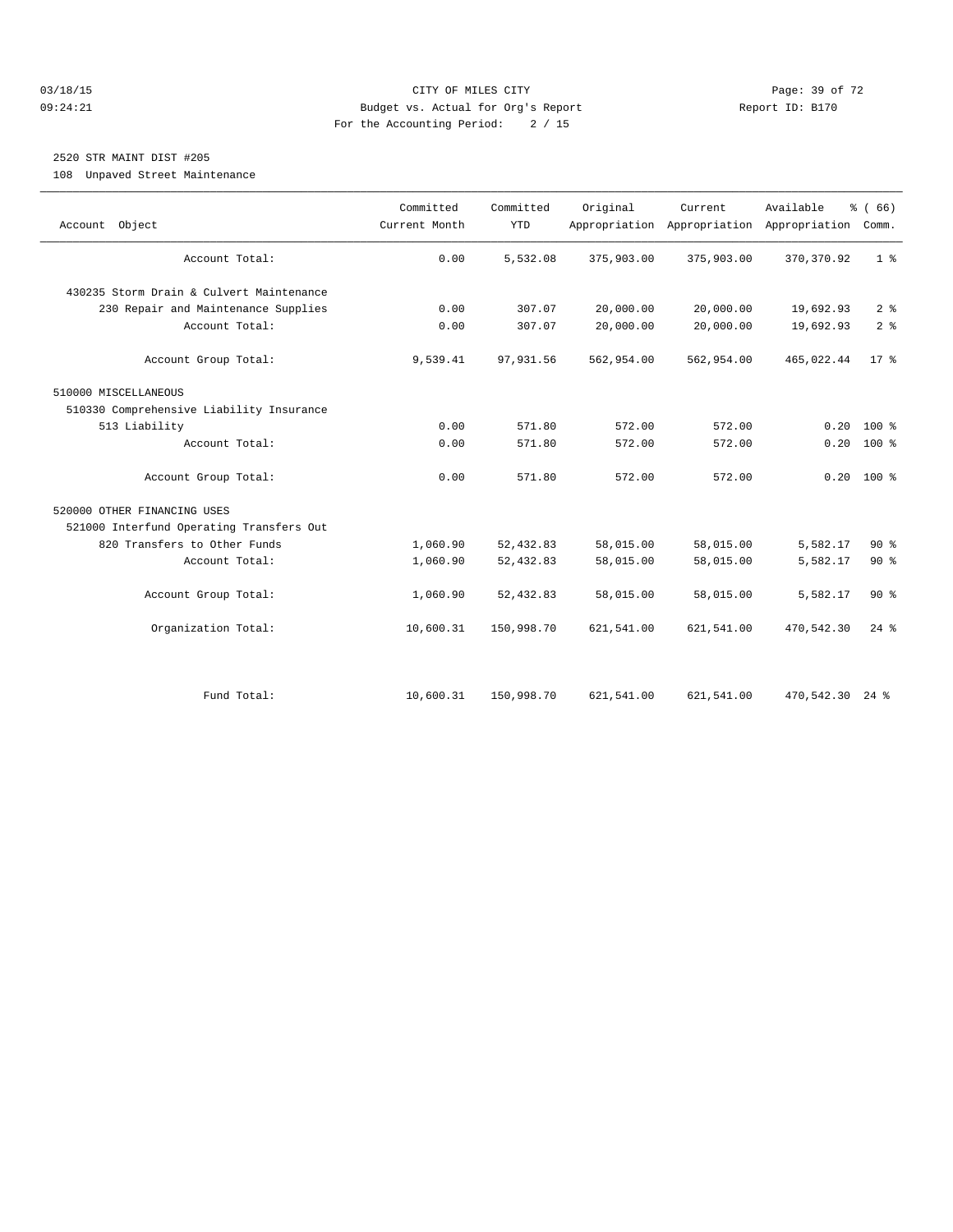#### 03/18/15 Page: 39 of 72 09:24:21 Budget vs. Actual for Org's Report Report ID: B170 For the Accounting Period: 2 / 15

## 2520 STR MAINT DIST #205

108 Unpaved Street Maintenance

| Account Object                           | Committed<br>Current Month | Committed<br><b>YTD</b> | Original   | Current    | Available<br>Appropriation Appropriation Appropriation | % (66)<br>Comm. |
|------------------------------------------|----------------------------|-------------------------|------------|------------|--------------------------------------------------------|-----------------|
| Account Total:                           | 0.00                       | 5,532.08                | 375,903.00 | 375,903.00 | 370, 370.92                                            | 1 <sup>8</sup>  |
| 430235 Storm Drain & Culvert Maintenance |                            |                         |            |            |                                                        |                 |
| 230 Repair and Maintenance Supplies      | 0.00                       | 307.07                  | 20,000.00  | 20,000.00  | 19,692.93                                              | 2 <sup>°</sup>  |
| Account Total:                           | 0.00                       | 307.07                  | 20,000.00  | 20,000.00  | 19,692.93                                              | 2 <sup>°</sup>  |
| Account Group Total:                     | 9,539.41                   | 97,931.56               | 562,954.00 | 562,954.00 | 465,022.44                                             | $17*$           |
| 510000 MISCELLANEOUS                     |                            |                         |            |            |                                                        |                 |
| 510330 Comprehensive Liability Insurance |                            |                         |            |            |                                                        |                 |
| 513 Liability                            | 0.00                       | 571.80                  | 572.00     | 572.00     | 0.20                                                   | $100*$          |
| Account Total:                           | 0.00                       | 571.80                  | 572.00     | 572.00     | 0.20                                                   | $100*$          |
| Account Group Total:                     | 0.00                       | 571.80                  | 572.00     | 572.00     |                                                        | $0.20$ 100 %    |
| 520000 OTHER FINANCING USES              |                            |                         |            |            |                                                        |                 |
| 521000 Interfund Operating Transfers Out |                            |                         |            |            |                                                        |                 |
| 820 Transfers to Other Funds             | 1,060.90                   | 52, 432.83              | 58,015.00  | 58,015.00  | 5,582.17                                               | $90*$           |
| Account Total:                           | 1,060.90                   | 52, 432.83              | 58,015.00  | 58,015.00  | 5,582.17                                               | $90*$           |
| Account Group Total:                     | 1,060.90                   | 52, 432.83              | 58,015.00  | 58,015.00  | 5,582.17                                               | $90*$           |
| Organization Total:                      | 10,600.31                  | 150,998.70              | 621,541.00 | 621,541.00 | 470,542.30                                             | $24$ $%$        |
|                                          |                            |                         |            |            |                                                        |                 |
| Fund Total:                              | 10,600.31                  | 150,998.70              | 621,541.00 | 621,541.00 | 470,542.30 24 %                                        |                 |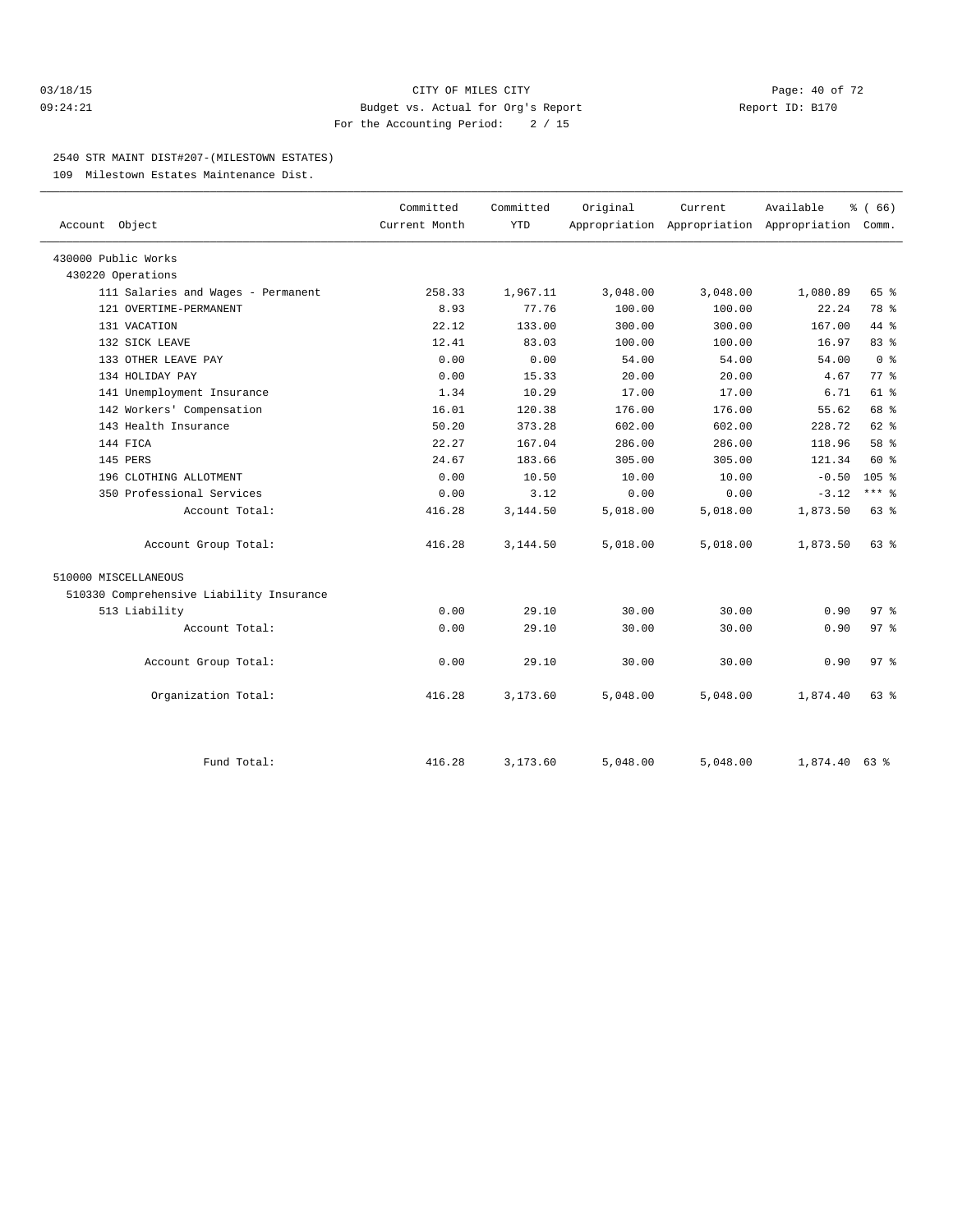#### 03/18/15 Page: 40 of 72 09:24:21 Budget vs. Actual for Org's Report Report ID: B170 For the Accounting Period: 2 / 15

#### 2540 STR MAINT DIST#207-(MILESTOWN ESTATES)

109 Milestown Estates Maintenance Dist.

| Account Object                           | Committed<br>Current Month | Committed<br><b>YTD</b> | Original | Current<br>Appropriation Appropriation Appropriation Comm. | Available       | % (66)           |
|------------------------------------------|----------------------------|-------------------------|----------|------------------------------------------------------------|-----------------|------------------|
| 430000 Public Works                      |                            |                         |          |                                                            |                 |                  |
| 430220 Operations                        |                            |                         |          |                                                            |                 |                  |
| 111 Salaries and Wages - Permanent       | 258.33                     | 1,967.11                | 3,048.00 | 3,048.00                                                   | 1,080.89        | 65 %             |
| 121 OVERTIME-PERMANENT                   | 8.93                       | 77.76                   | 100.00   | 100.00                                                     | 22.24           | 78 %             |
| 131 VACATION                             | 22.12                      | 133.00                  | 300.00   | 300.00                                                     | 167.00          | 44 %             |
| 132 SICK LEAVE                           | 12.41                      | 83.03                   | 100.00   | 100.00                                                     | 16.97           | 83%              |
| 133 OTHER LEAVE PAY                      | 0.00                       | 0.00                    | 54.00    | 54.00                                                      | 54.00           | 0 <sup>8</sup>   |
| 134 HOLIDAY PAY                          | 0.00                       | 15.33                   | 20.00    | 20.00                                                      | 4.67            | 77.8             |
| 141 Unemployment Insurance               | 1.34                       | 10.29                   | 17.00    | 17.00                                                      | 6.71            | 61 %             |
| 142 Workers' Compensation                | 16.01                      | 120.38                  | 176.00   | 176.00                                                     | 55.62           | 68 %             |
| 143 Health Insurance                     | 50.20                      | 373.28                  | 602.00   | 602.00                                                     | 228.72          | $62$ %           |
| 144 FICA                                 | 22.27                      | 167.04                  | 286.00   | 286.00                                                     | 118.96          | 58 %             |
| 145 PERS                                 | 24.67                      | 183.66                  | 305.00   | 305.00                                                     | 121.34          | 60 %             |
| 196 CLOTHING ALLOTMENT                   | 0.00                       | 10.50                   | 10.00    | 10.00                                                      | $-0.50$         | 105 <sup>8</sup> |
| 350 Professional Services                | 0.00                       | 3.12                    | 0.00     | 0.00                                                       | $-3.12$         | $***$ 8          |
| Account Total:                           | 416.28                     | 3,144.50                | 5,018.00 | 5,018.00                                                   | 1,873.50        | 63 %             |
| Account Group Total:                     | 416.28                     | 3,144.50                | 5,018.00 | 5,018.00                                                   | 1,873.50        | $63$ $%$         |
| 510000 MISCELLANEOUS                     |                            |                         |          |                                                            |                 |                  |
| 510330 Comprehensive Liability Insurance |                            |                         |          |                                                            |                 |                  |
| 513 Liability                            | 0.00                       | 29.10                   | 30.00    | 30.00                                                      | 0.90            | 97.8             |
| Account Total:                           | 0.00                       | 29.10                   | 30.00    | 30.00                                                      | 0.90            | 97 <sub>8</sub>  |
| Account Group Total:                     | 0.00                       | 29.10                   | 30.00    | 30.00                                                      | 0.90            | 97.8             |
| Organization Total:                      | 416.28                     | 3,173.60                | 5,048.00 | 5,048.00                                                   | 1,874.40        | $63$ $%$         |
| Fund Total:                              | 416.28                     | 3,173.60                | 5,048.00 | 5,048.00                                                   | $1,874.40$ 63 % |                  |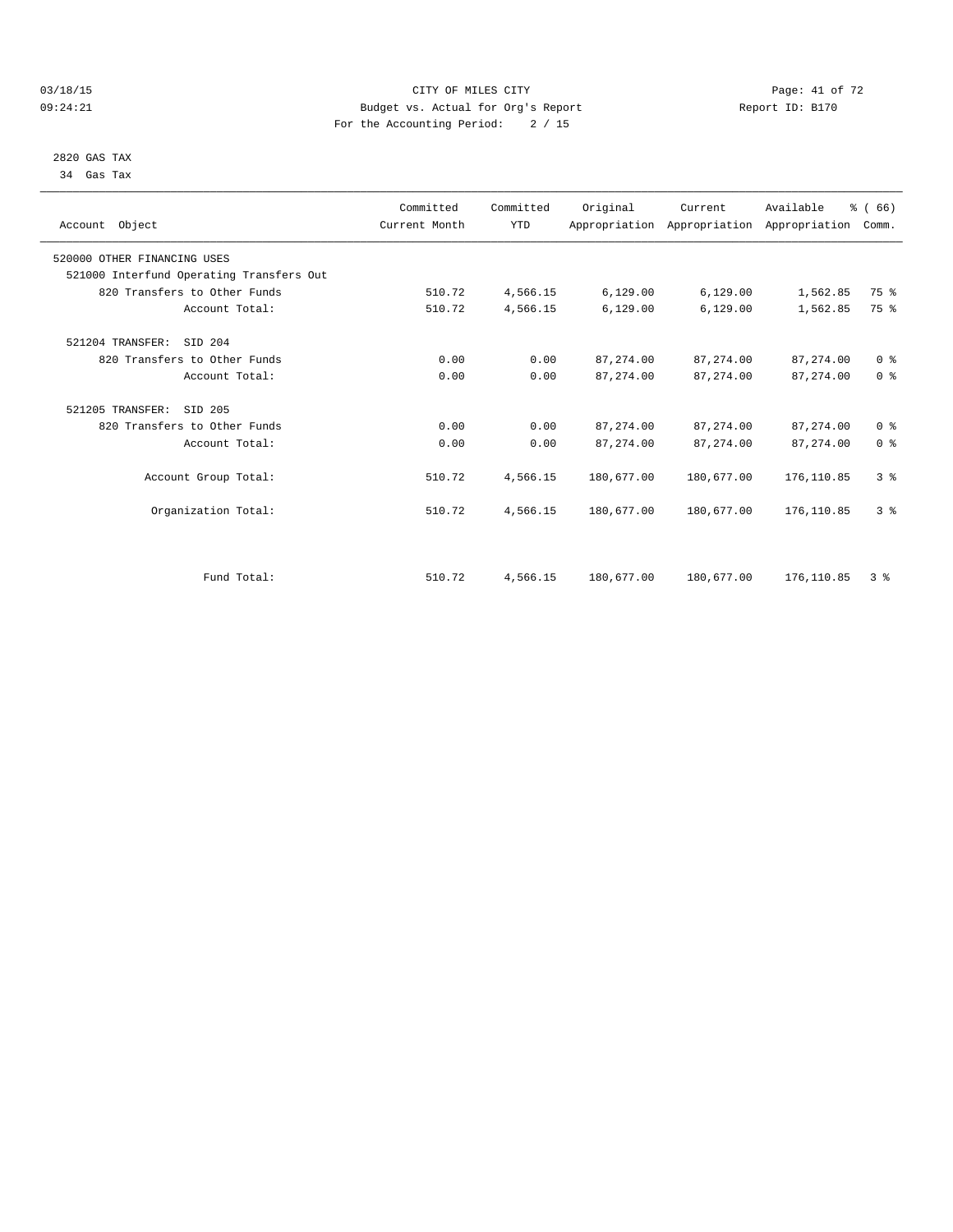#### 03/18/15 Page: 41 of 72 09:24:21 Budget vs. Actual for Org's Report Communication Report ID: B170 For the Accounting Period: 2 / 15

 2820 GAS TAX 34 Gas Tax

| Account Object                           | Committed<br>Current Month | Committed<br><b>YTD</b> | Original    | Current<br>Appropriation Appropriation Appropriation | Available   | % (66)<br>Comm. |  |
|------------------------------------------|----------------------------|-------------------------|-------------|------------------------------------------------------|-------------|-----------------|--|
| 520000 OTHER FINANCING USES              |                            |                         |             |                                                      |             |                 |  |
| 521000 Interfund Operating Transfers Out |                            |                         |             |                                                      |             |                 |  |
| 820 Transfers to Other Funds             | 510.72                     | 4,566.15                | 6, 129.00   | 6,129.00                                             | 1,562.85    | 75 %            |  |
| Account Total:                           | 510.72                     | 4,566.15                | 6, 129.00   | 6,129.00                                             | 1,562.85    | 75 %            |  |
| 521204 TRANSFER:<br>SID 204              |                            |                         |             |                                                      |             |                 |  |
| 820 Transfers to Other Funds             | 0.00                       | 0.00                    | 87, 274.00  | 87, 274.00                                           | 87,274.00   | 0 <sup>8</sup>  |  |
| Account Total:                           | 0.00                       | 0.00                    | 87, 274.00  | 87, 274.00                                           | 87, 274.00  | 0 <sup>8</sup>  |  |
| 521205 TRANSFER:<br>SID 205              |                            |                         |             |                                                      |             |                 |  |
| 820 Transfers to Other Funds             | 0.00                       | 0.00                    | 87, 274.00  | 87, 274, 00                                          | 87, 274, 00 | 0 <sup>8</sup>  |  |
| Account Total:                           | 0.00                       | 0.00                    | 87, 274, 00 | 87, 274, 00                                          | 87, 274, 00 | 0 <sup>8</sup>  |  |
| Account Group Total:                     | 510.72                     | 4,566.15                | 180,677.00  | 180,677.00                                           | 176,110.85  | 3%              |  |
| Organization Total:                      | 510.72                     | 4,566.15                | 180,677.00  | 180,677.00                                           | 176, 110.85 | 3 <sup>8</sup>  |  |
|                                          |                            |                         |             |                                                      |             |                 |  |
| Fund Total:                              | 510.72                     | 4,566.15                | 180,677.00  | 180,677.00                                           | 176,110.85  | 3%              |  |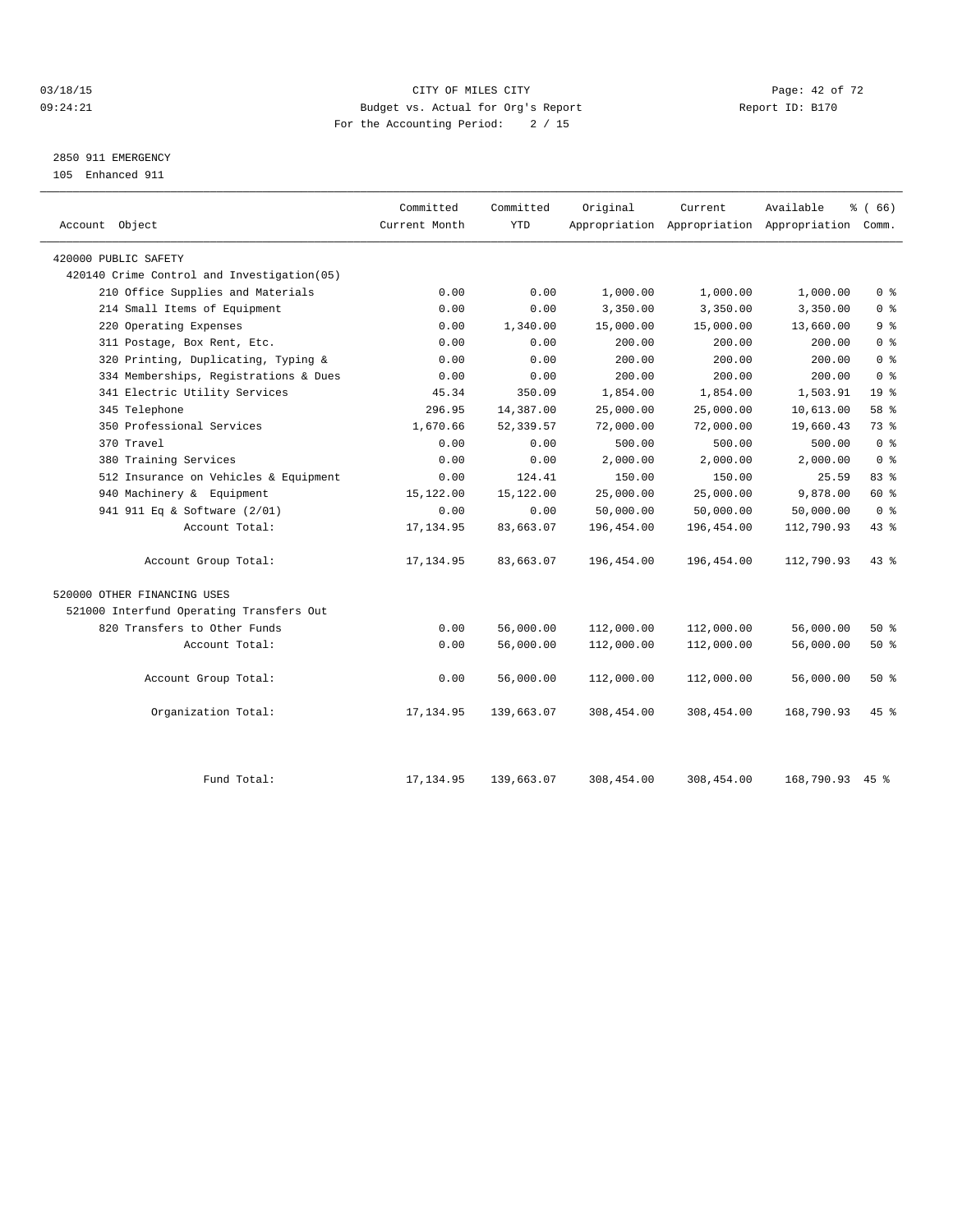#### 03/18/15 Page: 42 of 72 09:24:21 Budget vs. Actual for Org's Report Communication Report ID: B170 For the Accounting Period: 2 / 15

2850 911 EMERGENCY

105 Enhanced 911

| Account Object                              | Committed<br>Current Month | Committed<br><b>YTD</b> | Original   | Current    | Available<br>Appropriation Appropriation Appropriation Comm. | % (66)          |
|---------------------------------------------|----------------------------|-------------------------|------------|------------|--------------------------------------------------------------|-----------------|
| 420000 PUBLIC SAFETY                        |                            |                         |            |            |                                                              |                 |
| 420140 Crime Control and Investigation (05) |                            |                         |            |            |                                                              |                 |
| 210 Office Supplies and Materials           | 0.00                       | 0.00                    | 1,000.00   | 1,000.00   | 1,000.00                                                     | 0 <sup>8</sup>  |
| 214 Small Items of Equipment                | 0.00                       | 0.00                    | 3,350.00   | 3,350.00   | 3,350.00                                                     | 0 <sup>8</sup>  |
| 220 Operating Expenses                      | 0.00                       | 1,340.00                | 15,000.00  | 15,000.00  | 13,660.00                                                    | 9%              |
| 311 Postage, Box Rent, Etc.                 | 0.00                       | 0.00                    | 200.00     | 200.00     | 200.00                                                       | 0 <sup>8</sup>  |
| 320 Printing, Duplicating, Typing &         | 0.00                       | 0.00                    | 200.00     | 200.00     | 200.00                                                       | 0 <sup>8</sup>  |
| 334 Memberships, Registrations & Dues       | 0.00                       | 0.00                    | 200.00     | 200.00     | 200.00                                                       | 0 <sup>8</sup>  |
| 341 Electric Utility Services               | 45.34                      | 350.09                  | 1,854.00   | 1,854.00   | 1,503.91                                                     | 19 <sup>°</sup> |
| 345 Telephone                               | 296.95                     | 14,387.00               | 25,000.00  | 25,000.00  | 10,613.00                                                    | 58 %            |
| 350 Professional Services                   | 1,670.66                   | 52, 339.57              | 72,000.00  | 72,000.00  | 19,660.43                                                    | 73.8            |
| 370 Travel                                  | 0.00                       | 0.00                    | 500.00     | 500.00     | 500.00                                                       | 0 <sup>8</sup>  |
| 380 Training Services                       | 0.00                       | 0.00                    | 2,000.00   | 2,000.00   | 2,000.00                                                     | 0 <sup>8</sup>  |
| 512 Insurance on Vehicles & Equipment       | 0.00                       | 124.41                  | 150.00     | 150.00     | 25.59                                                        | 83 %            |
| 940 Machinery & Equipment                   | 15,122.00                  | 15,122.00               | 25,000.00  | 25,000.00  | 9,878.00                                                     | 60 %            |
| 941 911 Eq & Software (2/01)                | 0.00                       | 0.00                    | 50,000.00  | 50,000.00  | 50,000.00                                                    | 0 <sup>8</sup>  |
| Account Total:                              | 17, 134.95                 | 83,663.07               | 196,454.00 | 196,454.00 | 112,790.93                                                   | 43 %            |
| Account Group Total:                        | 17, 134.95                 | 83,663.07               | 196,454.00 | 196,454.00 | 112,790.93                                                   | $43*$           |
| 520000 OTHER FINANCING USES                 |                            |                         |            |            |                                                              |                 |
| 521000 Interfund Operating Transfers Out    |                            |                         |            |            |                                                              |                 |
| 820 Transfers to Other Funds                | 0.00                       | 56,000.00               | 112,000.00 | 112,000.00 | 56,000.00                                                    | $50*$           |
| Account Total:                              | 0.00                       | 56,000.00               | 112,000.00 | 112,000.00 | 56,000.00                                                    | $50*$           |
| Account Group Total:                        | 0.00                       | 56,000.00               | 112,000.00 | 112,000.00 | 56,000.00                                                    | $50*$           |
| Organization Total:                         | 17,134.95                  | 139,663.07              | 308,454.00 | 308,454.00 | 168,790.93                                                   | $45*$           |
| Fund Total:                                 | 17, 134.95                 | 139,663.07              | 308,454.00 | 308,454.00 | 168,790.93 45 %                                              |                 |
|                                             |                            |                         |            |            |                                                              |                 |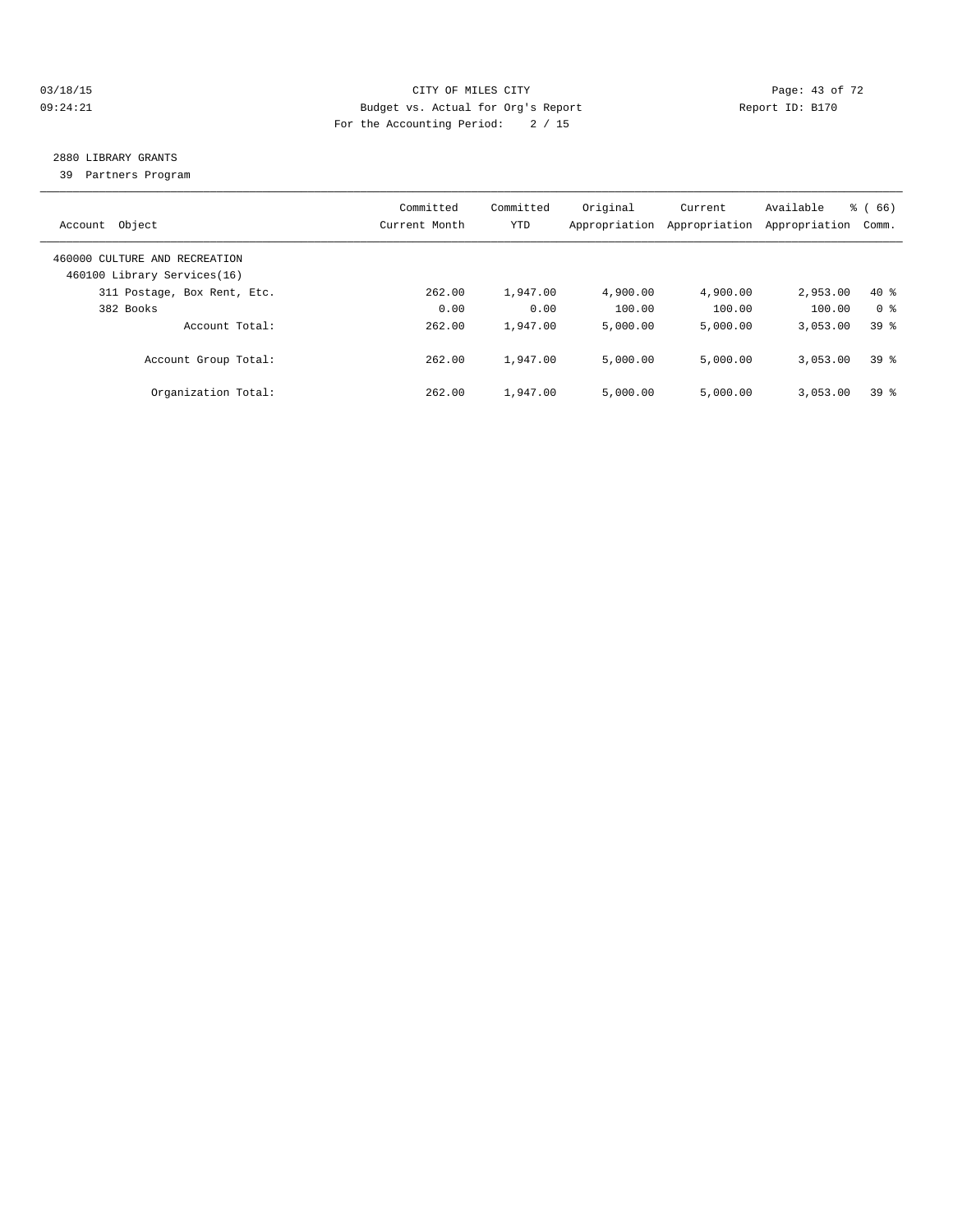#### 03/18/15 Page: 43 of 72 09:24:21 Budget vs. Actual for Org's Report Changer Report ID: B170 For the Accounting Period: 2 / 15

## 2880 LIBRARY GRANTS

39 Partners Program

| Object<br>Account                                            | Committed<br>Current Month | Committed<br>YTD | Original<br>Appropriation | Current<br>Appropriation | Available<br>Appropriation | % (66)<br>Comm. |
|--------------------------------------------------------------|----------------------------|------------------|---------------------------|--------------------------|----------------------------|-----------------|
| 460000 CULTURE AND RECREATION<br>460100 Library Services(16) |                            |                  |                           |                          |                            |                 |
| 311 Postage, Box Rent, Etc.                                  | 262.00                     | 1,947.00         | 4,900.00                  | 4,900.00                 | 2,953.00                   | $40*$           |
| 382 Books                                                    | 0.00                       | 0.00             | 100.00                    | 100.00                   | 100.00                     | 0 <sup>8</sup>  |
| Account Total:                                               | 262.00                     | 1,947.00         | 5.000.00                  | 5.000.00                 | 3,053.00                   | $39*$           |
| Account Group Total:                                         | 262.00                     | 1,947.00         | 5.000.00                  | 5.000.00                 | 3,053.00                   | 398             |
| Organization Total:                                          | 262.00                     | 1,947.00         | 5.000.00                  | 5.000.00                 | 3,053.00                   | 398             |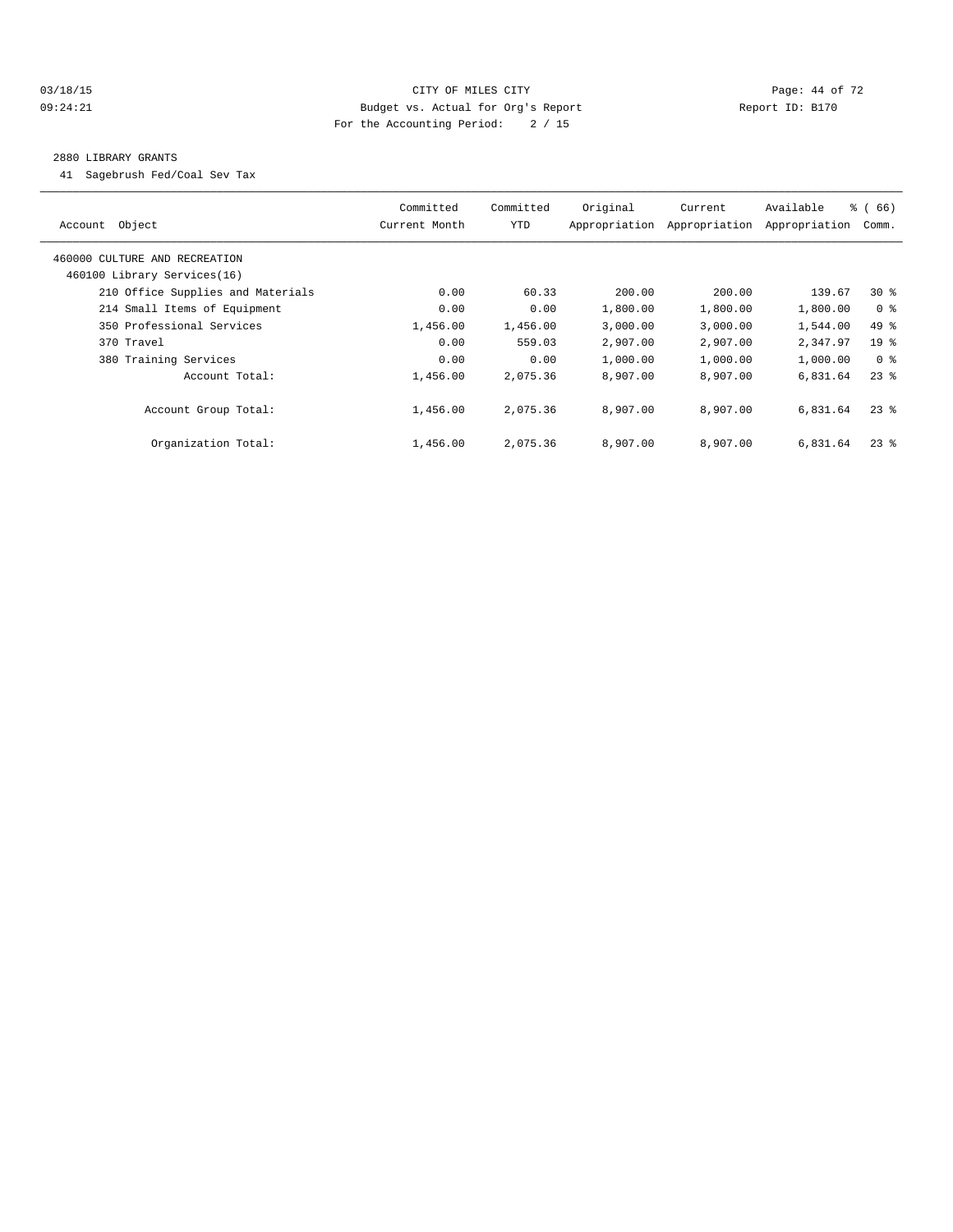#### 03/18/15 Page: 44 of 72 09:24:21 Budget vs. Actual for Org's Report Changer Report ID: B170 For the Accounting Period: 2 / 15

#### 2880 LIBRARY GRANTS

41 Sagebrush Fed/Coal Sev Tax

| Object<br>Account                                            | Committed<br>Current Month | Committed<br><b>YTD</b> | Original<br>Appropriation | Current<br>Appropriation | Available<br>Appropriation | $\frac{3}{6}$ (66)<br>Comm. |
|--------------------------------------------------------------|----------------------------|-------------------------|---------------------------|--------------------------|----------------------------|-----------------------------|
| 460000 CULTURE AND RECREATION<br>460100 Library Services(16) |                            |                         |                           |                          |                            |                             |
| 210 Office Supplies and Materials                            | 0.00                       | 60.33                   | 200.00                    | 200.00                   | 139.67                     | $30*$                       |
|                                                              |                            |                         |                           |                          |                            |                             |
| 214 Small Items of Equipment                                 | 0.00                       | 0.00                    | 1,800.00                  | 1,800.00                 | 1,800.00                   | 0 <sup>8</sup>              |
| 350 Professional Services                                    | 1,456.00                   | 1,456.00                | 3,000.00                  | 3,000.00                 | 1,544.00                   | 49 %                        |
| 370 Travel                                                   | 0.00                       | 559.03                  | 2,907.00                  | 2,907.00                 | 2,347.97                   | 19 <sup>°</sup>             |
| 380 Training Services                                        | 0.00                       | 0.00                    | 1,000.00                  | 1,000.00                 | 1,000.00                   | 0 <sup>8</sup>              |
| Account Total:                                               | 1,456.00                   | 2,075.36                | 8,907.00                  | 8,907.00                 | 6,831.64                   | $23$ $%$                    |
| Account Group Total:                                         | 1,456.00                   | 2,075.36                | 8,907.00                  | 8,907.00                 | 6,831.64                   | $23$ $%$                    |
| Organization Total:                                          | 1,456.00                   | 2,075.36                | 8,907.00                  | 8,907.00                 | 6,831.64                   | $23$ $%$                    |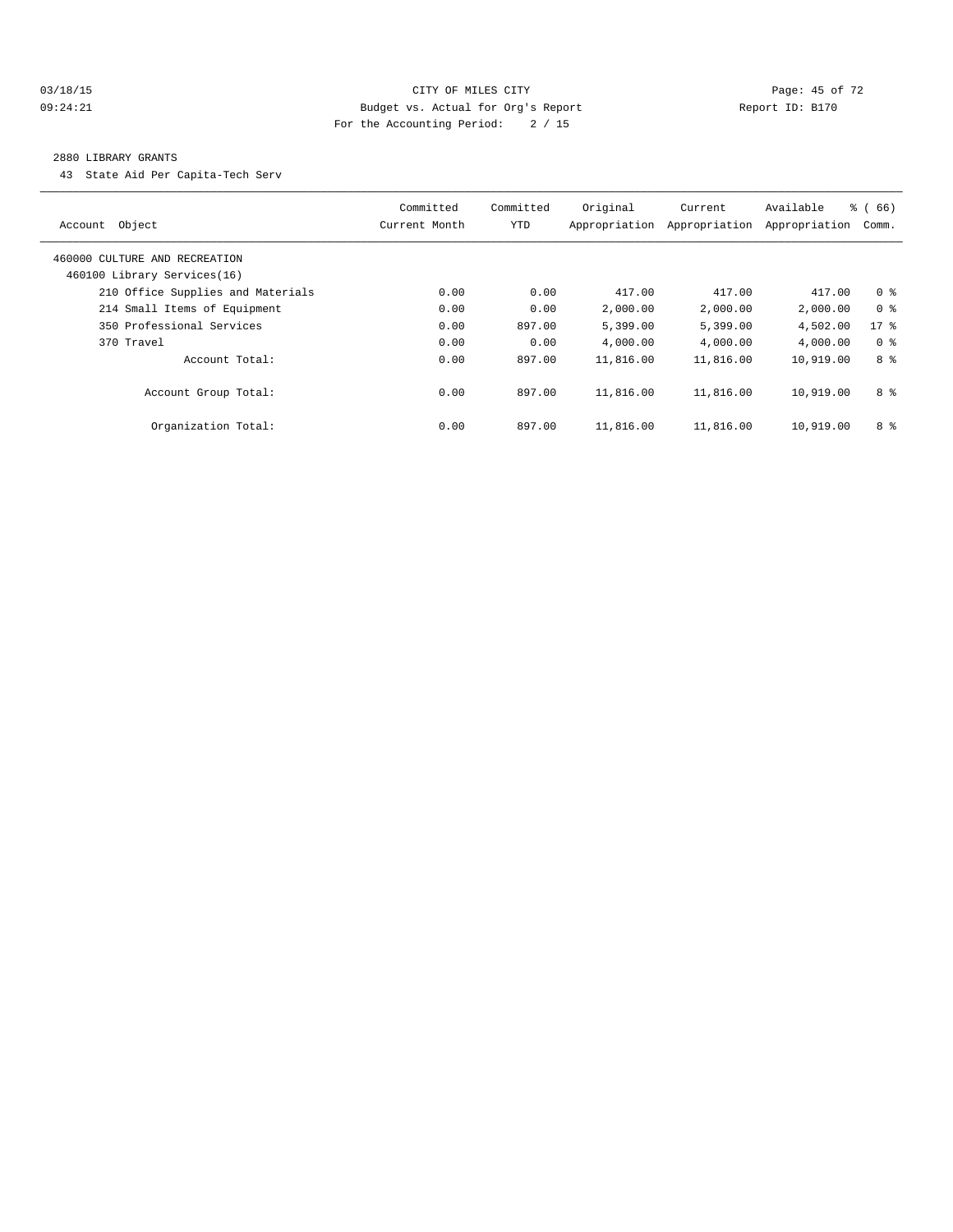#### 03/18/15 Page: 45 of 72 09:24:21 Budget vs. Actual for Org's Report Changer Report ID: B170 For the Accounting Period: 2 / 15

#### 2880 LIBRARY GRANTS

43 State Aid Per Capita-Tech Serv

|                                   | Committed     | Committed  | Original      | Current       | Available     | % (66)         |
|-----------------------------------|---------------|------------|---------------|---------------|---------------|----------------|
| Object<br>Account                 | Current Month | <b>YTD</b> | Appropriation | Appropriation | Appropriation | Comm.          |
| 460000 CULTURE AND RECREATION     |               |            |               |               |               |                |
| 460100 Library Services(16)       |               |            |               |               |               |                |
| 210 Office Supplies and Materials | 0.00          | 0.00       | 417.00        | 417.00        | 417.00        | 0 <sup>8</sup> |
| 214 Small Items of Equipment      | 0.00          | 0.00       | 2,000.00      | 2,000.00      | 2,000.00      | 0 <sup>8</sup> |
| 350 Professional Services         | 0.00          | 897.00     | 5,399.00      | 5,399.00      | 4,502.00      | 17.8           |
| 370 Travel                        | 0.00          | 0.00       | 4,000.00      | 4,000.00      | 4,000.00      | 0 <sup>8</sup> |
| Account Total:                    | 0.00          | 897.00     | 11,816.00     | 11,816.00     | 10,919.00     | 8 %            |
| Account Group Total:              | 0.00          | 897.00     | 11,816.00     | 11,816.00     | 10,919.00     | 8 %            |
| Organization Total:               | 0.00          | 897.00     | 11,816.00     | 11,816.00     | 10,919.00     | 8 %            |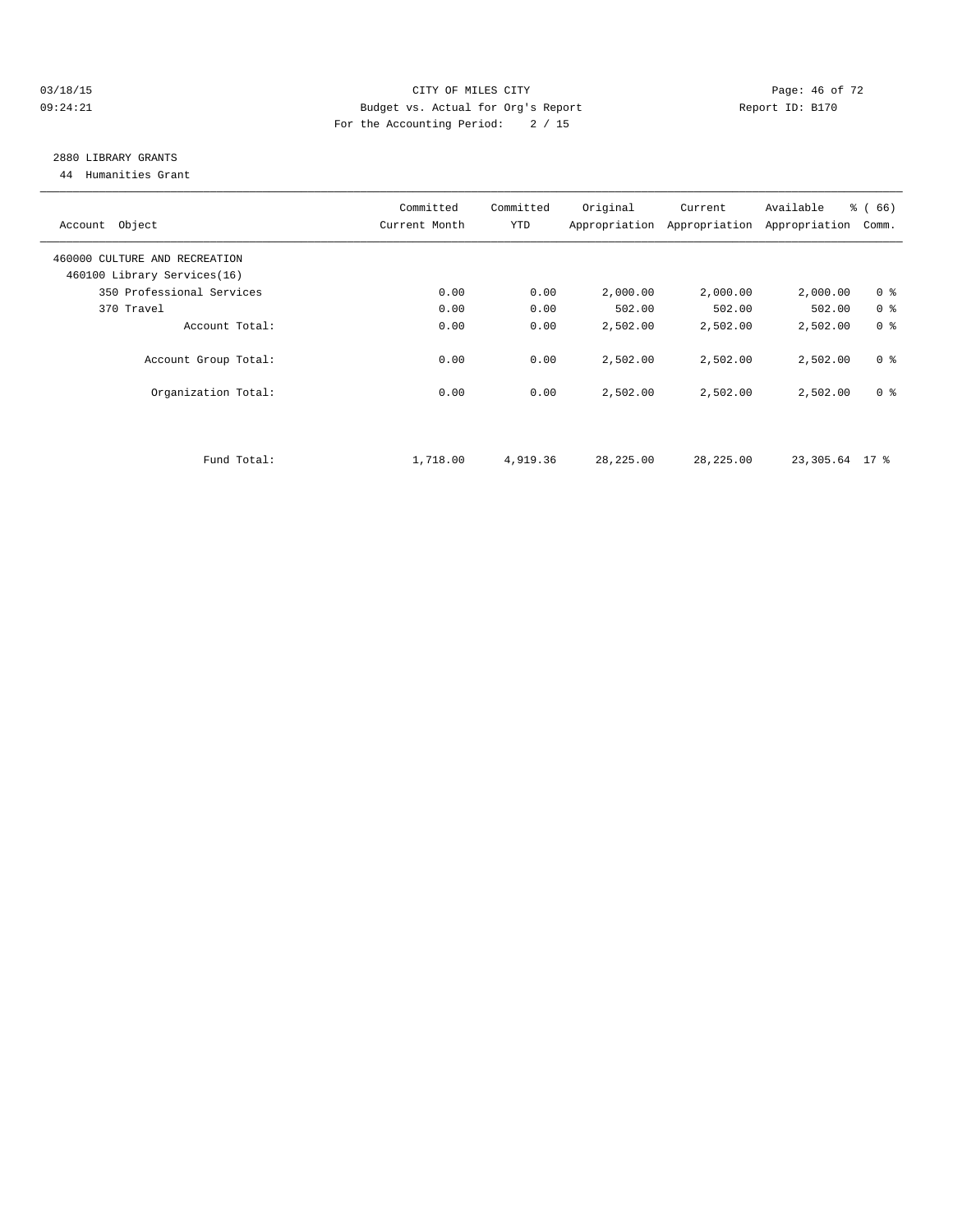#### $03/18/15$  Page: 46 of 72 09:24:21 Budget vs. Actual for Org's Report Changer Report ID: B170 For the Accounting Period: 2 / 15

# 2880 LIBRARY GRANTS

44 Humanities Grant

| Account Object                | Committed<br>Current Month | Committed<br>YTD | Original  | Current<br>Appropriation Appropriation | Available<br>Appropriation | % (66)<br>Comm. |
|-------------------------------|----------------------------|------------------|-----------|----------------------------------------|----------------------------|-----------------|
| 460000 CULTURE AND RECREATION |                            |                  |           |                                        |                            |                 |
| 460100 Library Services(16)   |                            |                  |           |                                        |                            |                 |
| 350 Professional Services     | 0.00                       | 0.00             | 2,000.00  | 2,000.00                               | 2,000.00                   | 0 <sup>8</sup>  |
| 370 Travel                    | 0.00                       | 0.00             | 502.00    | 502.00                                 | 502.00                     | 0 <sup>8</sup>  |
| Account Total:                | 0.00                       | 0.00             | 2,502.00  | 2,502.00                               | 2,502.00                   | 0 <sup>8</sup>  |
| Account Group Total:          | 0.00                       | 0.00             | 2,502.00  | 2,502.00                               | 2,502.00                   | 0 <sup>8</sup>  |
| Organization Total:           | 0.00                       | 0.00             | 2,502.00  | 2,502.00                               | 2,502.00                   | 0 <sup>8</sup>  |
|                               |                            |                  |           |                                        |                            |                 |
| Fund Total:                   | 1,718.00                   | 4,919.36         | 28,225.00 | 28, 225.00                             | 23,305.64 17 %             |                 |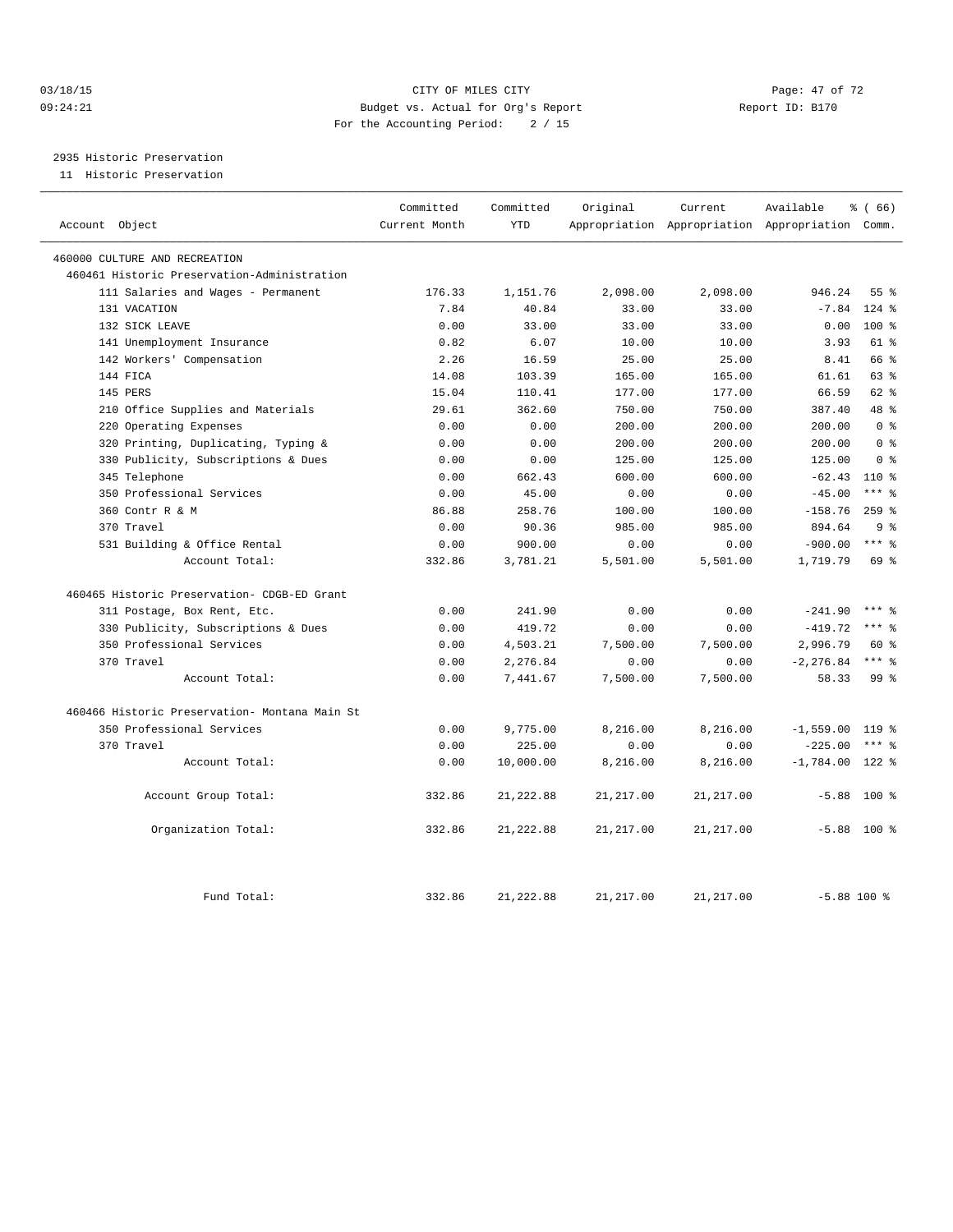#### $03/18/15$  Page: 47 of 72 09:24:21 Budget vs. Actual for Org's Report Communication Report ID: B170 For the Accounting Period: 2 / 15

2935 Historic Preservation

11 Historic Preservation

|                                               | Committed     | Committed  | Original    | Current    | Available                                       | % (66)          |
|-----------------------------------------------|---------------|------------|-------------|------------|-------------------------------------------------|-----------------|
| Account Object                                | Current Month | <b>YTD</b> |             |            | Appropriation Appropriation Appropriation Comm. |                 |
| 460000 CULTURE AND RECREATION                 |               |            |             |            |                                                 |                 |
| 460461 Historic Preservation-Administration   |               |            |             |            |                                                 |                 |
| 111 Salaries and Wages - Permanent            | 176.33        | 1,151.76   | 2,098.00    | 2,098.00   | 946.24                                          | 55 <sup>8</sup> |
| 131 VACATION                                  | 7.84          | 40.84      | 33.00       | 33.00      | $-7.84$                                         | $124$ $%$       |
| 132 SICK LEAVE                                | 0.00          | 33.00      | 33.00       | 33.00      | 0.00                                            | $100*$          |
| 141 Unemployment Insurance                    | 0.82          | 6.07       | 10.00       | 10.00      | 3.93                                            | 61 %            |
| 142 Workers' Compensation                     | 2.26          | 16.59      | 25.00       | 25.00      | 8.41                                            | 66 %            |
| 144 FICA                                      | 14.08         | 103.39     | 165.00      | 165.00     | 61.61                                           | 63 %            |
| 145 PERS                                      | 15.04         | 110.41     | 177.00      | 177.00     | 66.59                                           | $62$ $%$        |
| 210 Office Supplies and Materials             | 29.61         | 362.60     | 750.00      | 750.00     | 387.40                                          | 48 %            |
| 220 Operating Expenses                        | 0.00          | 0.00       | 200.00      | 200.00     | 200.00                                          | 0 <sup>8</sup>  |
| Printing, Duplicating, Typing &<br>320        | 0.00          | 0.00       | 200.00      | 200.00     | 200.00                                          | 0 <sup>8</sup>  |
| 330 Publicity, Subscriptions & Dues           | 0.00          | 0.00       | 125.00      | 125.00     | 125.00                                          | 0 <sup>8</sup>  |
| 345 Telephone                                 | 0.00          | 662.43     | 600.00      | 600.00     | $-62.43$                                        | $110*$          |
| 350 Professional Services                     | 0.00          | 45.00      | 0.00        | 0.00       | $-45.00$                                        | $***$ 8         |
| 360 Contr R & M                               | 86.88         | 258.76     | 100.00      | 100.00     | $-158.76$                                       | $259$ $%$       |
| 370 Travel                                    | 0.00          | 90.36      | 985.00      | 985.00     | 894.64                                          | 9 <sup>8</sup>  |
| 531 Building & Office Rental                  | 0.00          | 900.00     | 0.00        | 0.00       | $-900.00$                                       | $***$ $_{8}$    |
| Account Total:                                | 332.86        | 3,781.21   | 5,501.00    | 5,501.00   | 1,719.79                                        | 69 %            |
| 460465 Historic Preservation- CDGB-ED Grant   |               |            |             |            |                                                 |                 |
| 311 Postage, Box Rent, Etc.                   | 0.00          | 241.90     | 0.00        | 0.00       | $-241.90$                                       | $***$ 2         |
| 330 Publicity, Subscriptions & Dues           | 0.00          | 419.72     | 0.00        | 0.00       | $-419.72$                                       | $***$ $%$       |
| 350 Professional Services                     | 0.00          | 4,503.21   | 7,500.00    | 7,500.00   | 2,996.79                                        | 60 %            |
| 370 Travel                                    | 0.00          | 2,276.84   | 0.00        | 0.00       | $-2, 276.84$                                    | $***$ 8         |
| Account Total:                                | 0.00          | 7,441.67   | 7,500.00    | 7,500.00   | 58.33                                           | $99*$           |
| 460466 Historic Preservation- Montana Main St |               |            |             |            |                                                 |                 |
| 350 Professional Services                     | 0.00          | 9,775.00   | 8,216.00    | 8,216.00   | $-1,559.00$                                     | 119 %           |
| 370 Travel                                    | 0.00          | 225.00     | 0.00        | 0.00       | $-225.00$                                       | $***$ $_{8}$    |
| Account Total:                                | 0.00          | 10,000.00  | 8,216.00    | 8,216.00   | $-1,784.00$                                     | $122$ %         |
| Account Group Total:                          | 332.86        | 21, 222.88 | 21, 217.00  | 21, 217.00 | $-5.88$                                         | $100$ %         |
| Organization Total:                           | 332.86        | 21, 222.88 | 21, 217.00  | 21, 217.00 |                                                 | $-5.88$ 100 %   |
| Fund Total:                                   | 332.86        | 21, 222.88 | 21, 217, 00 | 21, 217.00 | $-5.88$ 100 %                                   |                 |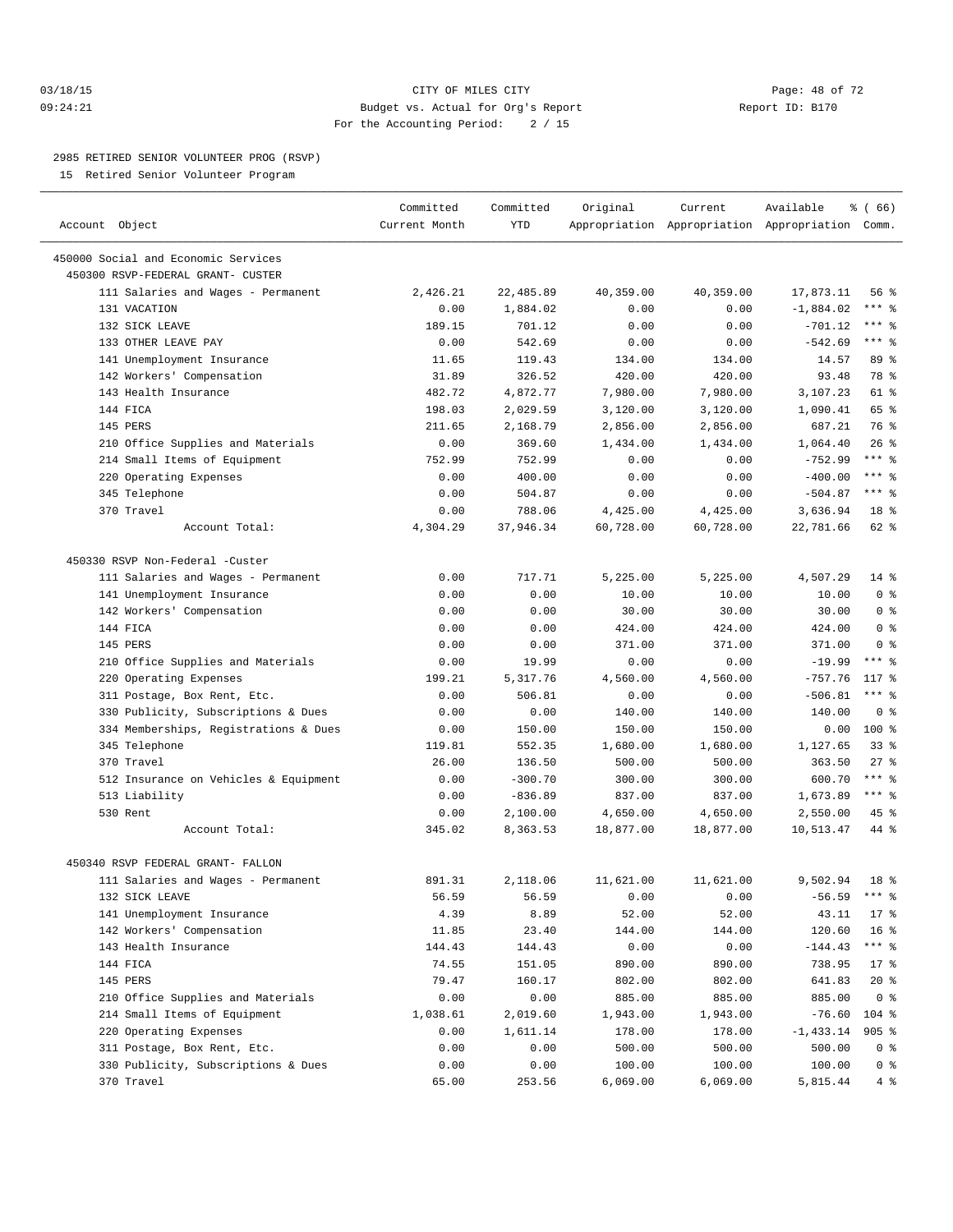#### 03/18/15 Page: 48 of 72 09:24:21 Budget vs. Actual for Org's Report Report ID: B170 For the Accounting Period: 2 / 15

————————————————————————————————————————————————————————————————————————————————————————————————————————————————————————————————————

#### 2985 RETIRED SENIOR VOLUNTEER PROG (RSVP)

15 Retired Senior Volunteer Program

|                                       | Committed     | Committed | Original              | Current   | Available                                       | 8 ( 66 )            |
|---------------------------------------|---------------|-----------|-----------------------|-----------|-------------------------------------------------|---------------------|
| Account Object                        | Current Month | YTD       |                       |           | Appropriation Appropriation Appropriation Comm. |                     |
| 450000 Social and Economic Services   |               |           |                       |           |                                                 |                     |
| 450300 RSVP-FEDERAL GRANT- CUSTER     |               |           |                       |           |                                                 |                     |
| 111 Salaries and Wages - Permanent    | 2,426.21      | 22,485.89 | 40,359.00             | 40,359.00 | 17,873.11                                       | 56 %                |
| 131 VACATION                          | 0.00          | 1,884.02  | 0.00                  | 0.00      | $-1,884.02$                                     | *** %               |
| 132 SICK LEAVE                        | 189.15        | 701.12    | 0.00                  | 0.00      | $-701.12$                                       | $***$ $-$           |
| 133 OTHER LEAVE PAY                   | 0.00          | 542.69    | 0.00                  | 0.00      | $-542.69$                                       | $***$ 8             |
| 141 Unemployment Insurance            | 11.65         | 119.43    | 134.00                | 134.00    | 14.57                                           | 89 %                |
| 142 Workers' Compensation             | 31.89         | 326.52    | 420.00                | 420.00    | 93.48                                           | 78 %                |
| 143 Health Insurance                  | 482.72        | 4,872.77  | 7,980.00              | 7,980.00  | 3,107.23                                        | 61 %                |
| 144 FICA                              | 198.03        | 2,029.59  | 3,120.00              | 3,120.00  | 1,090.41                                        | 65 %                |
| 145 PERS                              | 211.65        | 2,168.79  | 2,856.00              | 2,856.00  | 687.21                                          | 76 %                |
| 210 Office Supplies and Materials     | 0.00          | 369.60    | 1,434.00              | 1,434.00  | 1,064.40                                        | $26$ %              |
| 214 Small Items of Equipment          | 752.99        | 752.99    | 0.00                  | 0.00      | $-752.99$                                       | $***$ $-$           |
| 220 Operating Expenses                | 0.00          | 400.00    | 0.00                  | 0.00      | $-400.00$                                       | $***$ $-$           |
| 345 Telephone                         | 0.00          | 504.87    | 0.00                  | 0.00      | $-504.87$                                       | $***$ $%$           |
| 370 Travel                            | 0.00          | 788.06    |                       |           |                                                 | 18 <sup>°</sup>     |
| Account Total:                        |               | 37,946.34 | 4,425.00<br>60,728.00 | 4,425.00  | 3,636.94                                        | 62 %                |
|                                       | 4,304.29      |           |                       | 60,728.00 | 22,781.66                                       |                     |
| 450330 RSVP Non-Federal -Custer       |               |           |                       |           |                                                 |                     |
| 111 Salaries and Wages - Permanent    | 0.00          | 717.71    | 5,225.00              | 5,225.00  | 4,507.29                                        | $14$ %              |
| 141 Unemployment Insurance            | 0.00          | 0.00      | 10.00                 | 10.00     | 10.00                                           | 0 <sup>8</sup>      |
| 142 Workers' Compensation             | 0.00          | 0.00      | 30.00                 | 30.00     | 30.00                                           | 0 <sup>8</sup>      |
| 144 FICA                              | 0.00          | 0.00      | 424.00                | 424.00    | 424.00                                          | 0 <sup>8</sup>      |
| 145 PERS                              | 0.00          | 0.00      | 371.00                | 371.00    | 371.00                                          | 0 <sup>8</sup>      |
| 210 Office Supplies and Materials     | 0.00          | 19.99     | 0.00                  | 0.00      | $-19.99$                                        | $***$ $%$           |
| 220 Operating Expenses                | 199.21        | 5,317.76  | 4,560.00              | 4,560.00  | $-757.76$                                       | $117*$              |
| 311 Postage, Box Rent, Etc.           | 0.00          | 506.81    | 0.00                  | 0.00      | $-506.81$                                       | $***$ $%$           |
| 330 Publicity, Subscriptions & Dues   | 0.00          | 0.00      | 140.00                | 140.00    | 140.00                                          | 0 <sup>8</sup>      |
| 334 Memberships, Registrations & Dues | 0.00          | 150.00    | 150.00                | 150.00    | 0.00                                            | $100*$              |
| 345 Telephone                         | 119.81        | 552.35    | 1,680.00              | 1,680.00  | 1,127.65                                        | $33$ $%$            |
| 370 Travel                            | 26.00         | 136.50    | 500.00                | 500.00    | 363.50                                          | $27$ %              |
| 512 Insurance on Vehicles & Equipment | 0.00          | $-300.70$ | 300.00                | 300.00    | 600.70                                          | $***$ $-$           |
| 513 Liability                         | 0.00          | $-836.89$ | 837.00                | 837.00    | 1,673.89                                        | *** %               |
| 530 Rent                              | 0.00          | 2,100.00  | 4,650.00              | 4,650.00  | 2,550.00                                        | 45 %                |
| Account Total:                        | 345.02        | 8,363.53  | 18,877.00             | 18,877.00 | 10,513.47                                       | 44 %                |
|                                       |               |           |                       |           |                                                 |                     |
| 450340 RSVP FEDERAL GRANT- FALLON     |               |           |                       |           |                                                 |                     |
| 111 Salaries and Wages - Permanent    | 891.31        | 2,118.06  | 11,621.00             | 11,621.00 | 9,502.94                                        | 18 <sup>8</sup>     |
| 132 SICK LEAVE                        | 56.59         | 56.59     | 0.00                  | 0.00      | $-56.59$                                        | $***$ $\frac{6}{6}$ |
| 141 Unemployment Insurance            | 4.39          | 8.89      | 52.00                 | 52.00     | 43.11                                           | $17*$               |
| 142 Workers' Compensation             | 11.85         | 23.40     | 144.00                | 144.00    | 120.60                                          | 16 <sup>°</sup>     |
| 143 Health Insurance                  | 144.43        | 144.43    | 0.00                  | 0.00      | $-144.43$                                       | $***$ $_{8}$        |
| 144 FICA                              | 74.55         | 151.05    | 890.00                | 890.00    | 738.95                                          | $17*$               |
| 145 PERS                              | 79.47         | 160.17    | 802.00                | 802.00    | 641.83                                          | $20*$               |
| 210 Office Supplies and Materials     | 0.00          | 0.00      | 885.00                | 885.00    | 885.00                                          | 0 <sup>8</sup>      |
| 214 Small Items of Equipment          | 1,038.61      | 2,019.60  | 1,943.00              | 1,943.00  | $-76.60$                                        | 104 %               |
| 220 Operating Expenses                | 0.00          | 1,611.14  | 178.00                | 178.00    | $-1,433.14$                                     | $905$ %             |
| 311 Postage, Box Rent, Etc.           | 0.00          | 0.00      | 500.00                | 500.00    | 500.00                                          | $0$ %               |
| 330 Publicity, Subscriptions & Dues   | 0.00          | 0.00      | 100.00                | 100.00    | 100.00                                          | 0 <sup>8</sup>      |
| 370 Travel                            | 65.00         | 253.56    | 6,069.00              | 6,069.00  | 5,815.44                                        | 4%                  |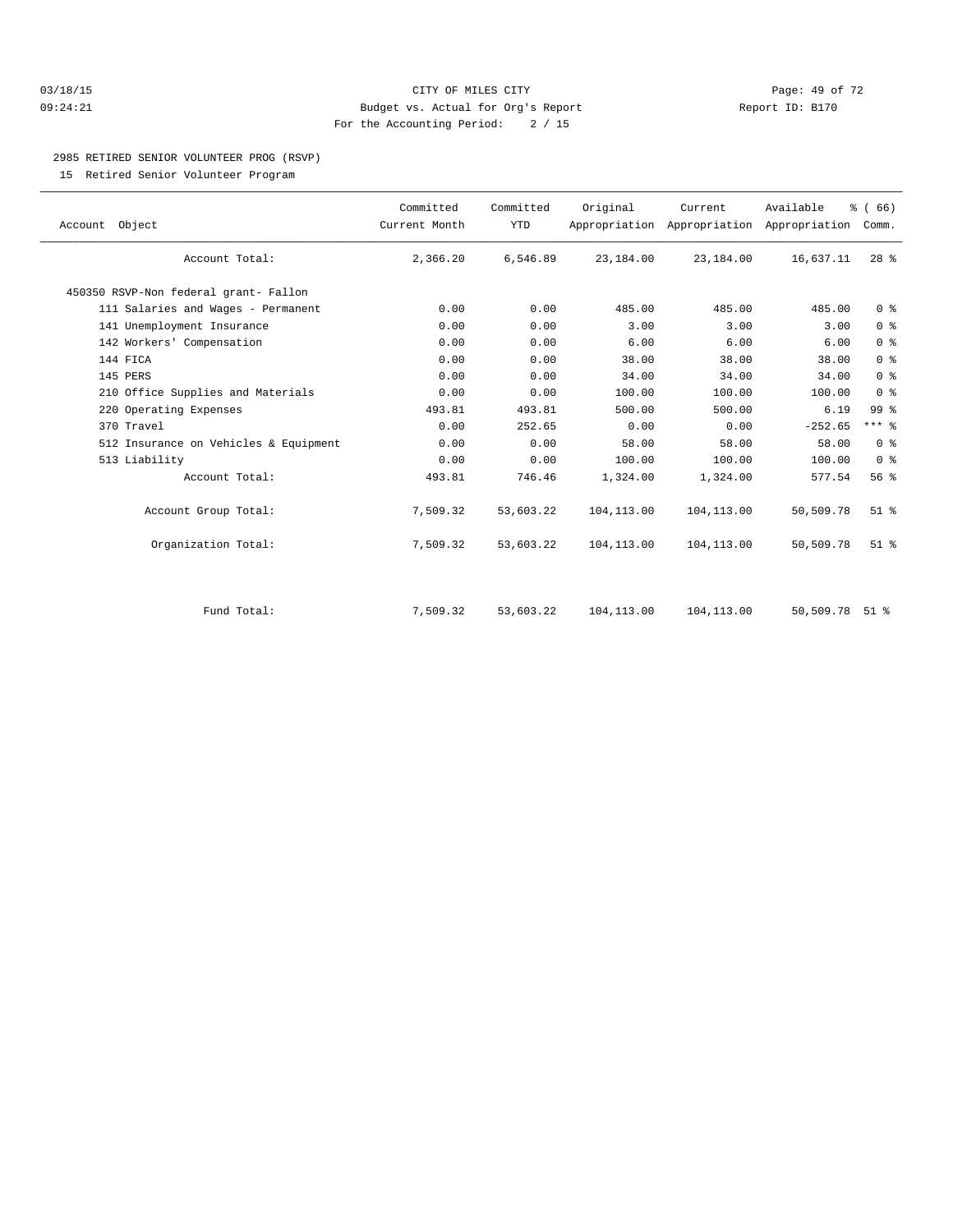#### 03/18/15 Page: 49 of 72 09:24:21 Budget vs. Actual for Org's Report Report ID: B170 For the Accounting Period: 2 / 15

# 2985 RETIRED SENIOR VOLUNTEER PROG (RSVP)

15 Retired Senior Volunteer Program

| Account Object                        | Committed<br>Current Month | Committed<br><b>YTD</b> | Original    | Current     | Available<br>Appropriation Appropriation Appropriation | % (66)<br>Comm. |  |
|---------------------------------------|----------------------------|-------------------------|-------------|-------------|--------------------------------------------------------|-----------------|--|
| Account Total:                        | 2,366.20                   | 6,546.89                | 23,184.00   | 23,184.00   | 16,637.11                                              | $28$ %          |  |
| 450350 RSVP-Non federal grant- Fallon |                            |                         |             |             |                                                        |                 |  |
| 111 Salaries and Wages - Permanent    | 0.00                       | 0.00                    | 485.00      | 485.00      | 485.00                                                 | 0 <sup>8</sup>  |  |
| 141 Unemployment Insurance            | 0.00                       | 0.00                    | 3.00        | 3.00        | 3.00                                                   | 0 <sup>°</sup>  |  |
| 142 Workers' Compensation             | 0.00                       | 0.00                    | 6.00        | 6.00        | 6.00                                                   | 0 <sup>°</sup>  |  |
| 144 FICA                              | 0.00                       | 0.00                    | 38.00       | 38.00       | 38.00                                                  | 0 <sup>8</sup>  |  |
| 145 PERS                              | 0.00                       | 0.00                    | 34.00       | 34.00       | 34.00                                                  | 0 <sup>8</sup>  |  |
| 210 Office Supplies and Materials     | 0.00                       | 0.00                    | 100.00      | 100.00      | 100.00                                                 | 0 <sup>8</sup>  |  |
| 220 Operating Expenses                | 493.81                     | 493.81                  | 500.00      | 500.00      | 6.19                                                   | 99 %            |  |
| 370 Travel                            | 0.00                       | 252.65                  | 0.00        | 0.00        | $-252.65$                                              | $***$ $%$       |  |
| 512 Insurance on Vehicles & Equipment | 0.00                       | 0.00                    | 58.00       | 58.00       | 58.00                                                  | 0 <sup>8</sup>  |  |
| 513 Liability                         | 0.00                       | 0.00                    | 100.00      | 100.00      | 100.00                                                 | 0 <sup>8</sup>  |  |
| Account Total:                        | 493.81                     | 746.46                  | 1,324.00    | 1,324.00    | 577.54                                                 | 56 %            |  |
| Account Group Total:                  | 7,509.32                   | 53,603.22               | 104, 113.00 | 104, 113.00 | 50,509.78                                              | $51$ %          |  |
| Organization Total:                   | 7,509.32                   | 53,603.22               | 104, 113.00 | 104,113.00  | 50,509.78                                              | $51$ $%$        |  |
|                                       |                            |                         |             |             |                                                        |                 |  |
| Fund Total:                           | 7,509.32                   | 53,603.22               | 104, 113.00 | 104, 113.00 | 50,509.78                                              | $51$ %          |  |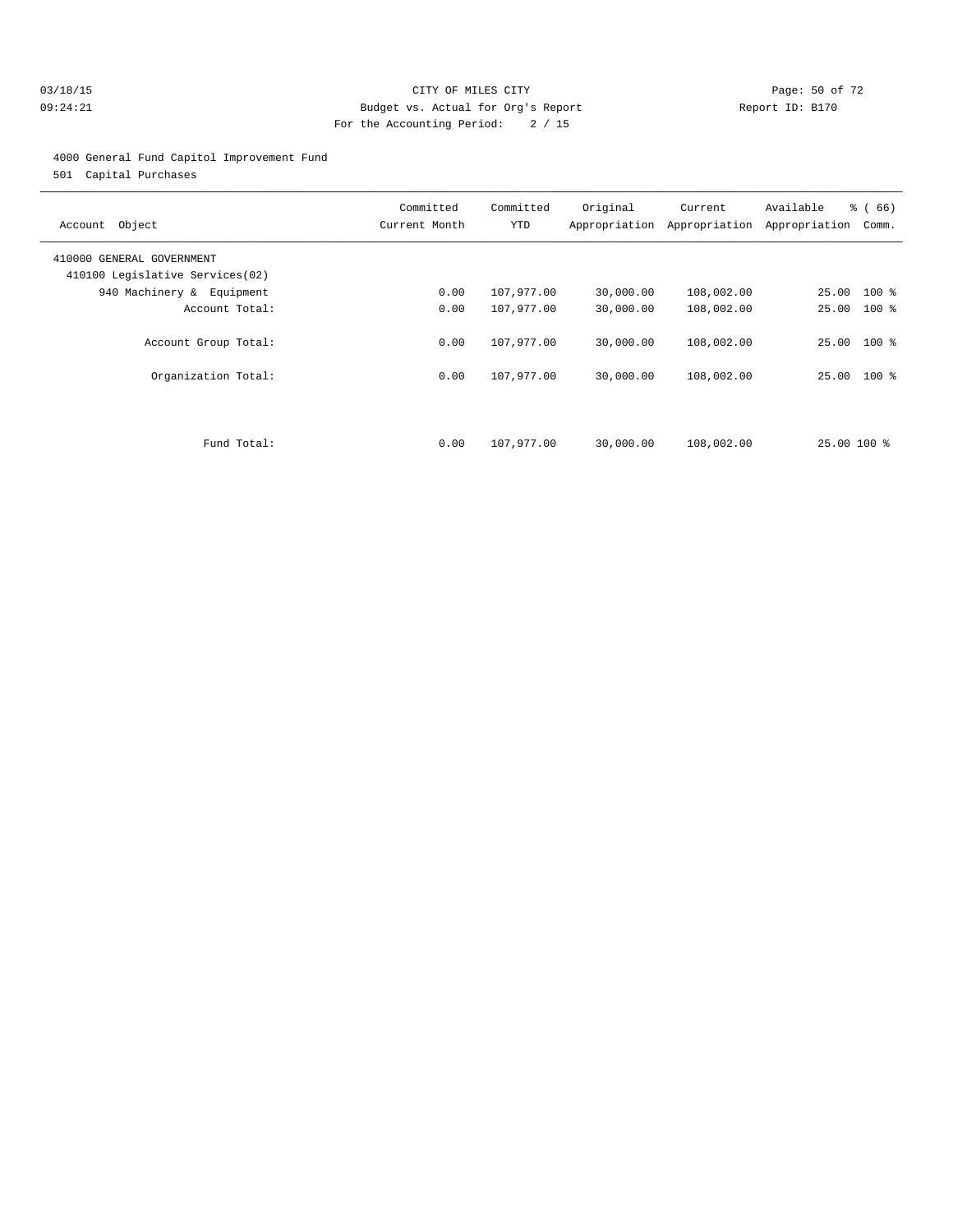#### 03/18/15 Page: 50 of 72 09:24:21 Budget vs. Actual for Org's Report Communication Report ID: B170 For the Accounting Period: 2 / 15

#### 4000 General Fund Capitol Improvement Fund

501 Capital Purchases

| Account Object                                               | Committed<br>Current Month | Committed<br>YTD         | Original<br>Appropriation | Current<br>Appropriation | Available<br>Appropriation | % (66)<br>Comm. |
|--------------------------------------------------------------|----------------------------|--------------------------|---------------------------|--------------------------|----------------------------|-----------------|
| 410000 GENERAL GOVERNMENT<br>410100 Legislative Services(02) |                            |                          |                           |                          |                            |                 |
| 940 Machinery & Equipment                                    | 0.00                       | 107,977.00               | 30,000.00                 | 108,002.00               | 25.00 100 %                |                 |
| Account Total:                                               | 0.00                       | 107,977.00               | 30,000.00                 | 108,002.00               | 25.00                      | $100*$          |
| Account Group Total:<br>Organization Total:                  | 0.00<br>0.00               | 107,977.00<br>107,977.00 | 30,000.00<br>30,000.00    | 108,002.00<br>108,002.00 | 25.00 100 %<br>25.00 100 % |                 |
| Fund Total:                                                  | 0.00                       | 107,977.00               | 30,000.00                 | 108,002.00               | 25.00 100 %                |                 |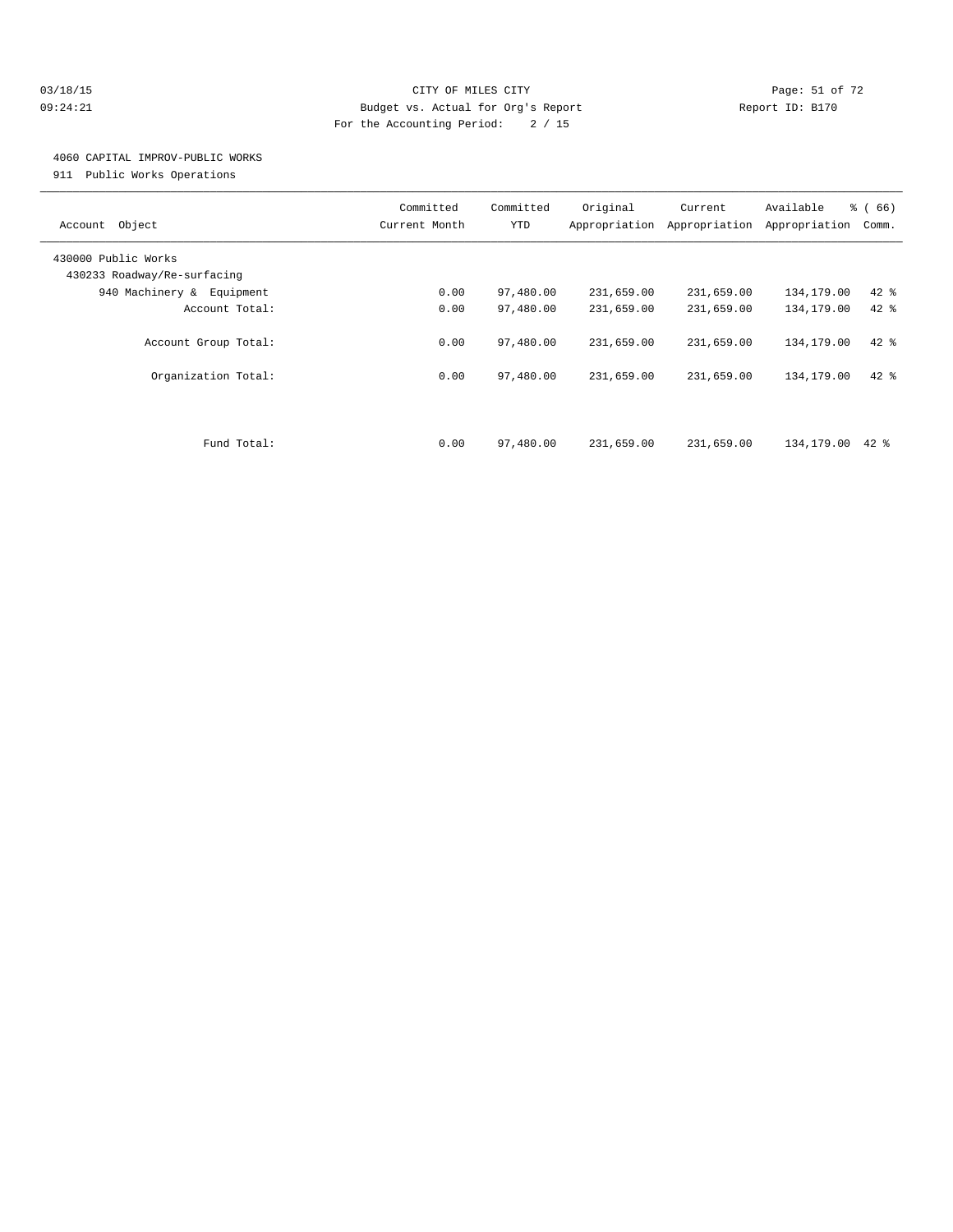#### 03/18/15 Page: 51 of 72 09:24:21 Budget vs. Actual for Org's Report Communication Report ID: B170 For the Accounting Period: 2 / 15

## 4060 CAPITAL IMPROV-PUBLIC WORKS

911 Public Works Operations

| Object<br>Account                                  | Committed<br>Current Month | Committed<br>YTD | Original<br>Appropriation | Current<br>Appropriation | Available<br>Appropriation | % (66)<br>Comm. |
|----------------------------------------------------|----------------------------|------------------|---------------------------|--------------------------|----------------------------|-----------------|
| 430000 Public Works<br>430233 Roadway/Re-surfacing |                            |                  |                           |                          |                            |                 |
| 940 Machinery & Equipment                          | 0.00                       | 97,480.00        | 231,659.00                | 231,659.00               | 134,179.00                 | $42$ %          |
| Account Total:                                     | 0.00                       | 97,480.00        | 231,659.00                | 231,659.00               | 134,179.00                 | 42 %            |
| Account Group Total:                               | 0.00                       | 97,480.00        | 231,659.00                | 231,659.00               | 134,179.00                 | $42$ %          |
| Organization Total:                                | 0.00                       | 97,480.00        | 231,659.00                | 231,659.00               | 134,179.00                 | $42$ %          |
| Fund Total:                                        | 0.00                       | 97,480.00        | 231,659.00                | 231,659.00               | 134,179.00                 | 42 %            |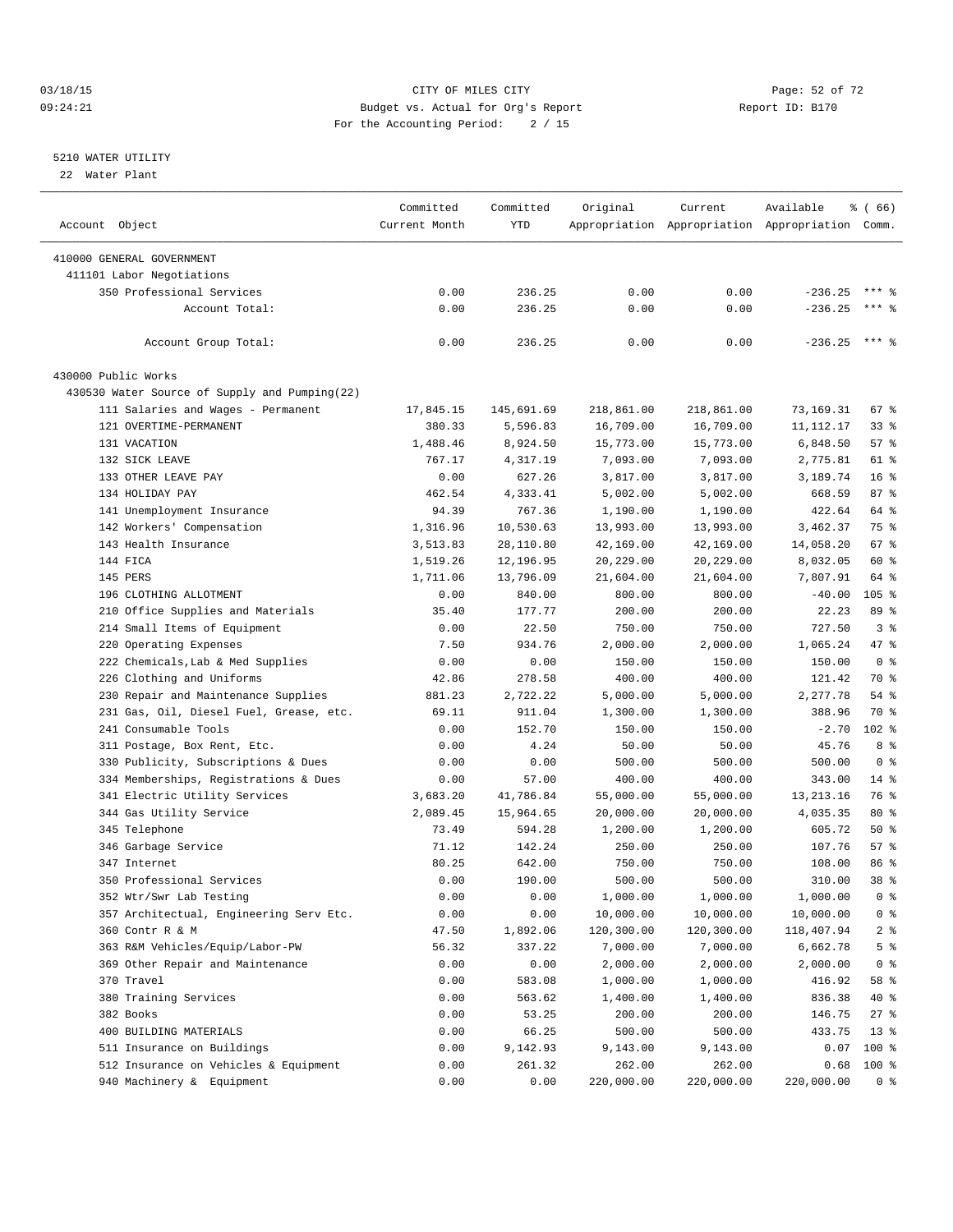#### 03/18/15 Page: 52 of 72 09:24:21 Budget vs. Actual for Org's Report Communication Report ID: B170 For the Accounting Period: 2 / 15

————————————————————————————————————————————————————————————————————————————————————————————————————————————————————————————————————

#### 5210 WATER UTILITY

22 Water Plant

|                                               | Committed     | Committed  | Original   | Current    | Available                                       | <sub>ර</sub> ි (66) |
|-----------------------------------------------|---------------|------------|------------|------------|-------------------------------------------------|---------------------|
| Account Object                                | Current Month | YTD        |            |            | Appropriation Appropriation Appropriation Comm. |                     |
| 410000 GENERAL GOVERNMENT                     |               |            |            |            |                                                 |                     |
| 411101 Labor Negotiations                     |               |            |            |            |                                                 |                     |
| 350 Professional Services                     | 0.00          | 236.25     | 0.00       | 0.00       | $-236.25$                                       | $***$ $%$           |
| Account Total:                                |               |            |            |            |                                                 | $***$ $-$           |
|                                               | 0.00          | 236.25     | 0.00       | 0.00       | $-236.25$                                       |                     |
| Account Group Total:                          | 0.00          | 236.25     | 0.00       | 0.00       | $-236.25$ *** \$                                |                     |
| 430000 Public Works                           |               |            |            |            |                                                 |                     |
| 430530 Water Source of Supply and Pumping(22) |               |            |            |            |                                                 |                     |
| 111 Salaries and Wages - Permanent            | 17,845.15     | 145,691.69 | 218,861.00 | 218,861.00 | 73,169.31                                       | 67%                 |
| 121 OVERTIME-PERMANENT                        | 380.33        | 5,596.83   | 16,709.00  | 16,709.00  | 11, 112. 17                                     | 338                 |
| 131 VACATION                                  | 1,488.46      | 8,924.50   | 15,773.00  | 15,773.00  | 6,848.50                                        | 57%                 |
| 132 SICK LEAVE                                | 767.17        | 4,317.19   | 7,093.00   | 7,093.00   | 2,775.81                                        | 61 %                |
| 133 OTHER LEAVE PAY                           | 0.00          | 627.26     | 3,817.00   | 3,817.00   | 3,189.74                                        | $16*$               |
| 134 HOLIDAY PAY                               | 462.54        | 4,333.41   | 5,002.00   | 5,002.00   | 668.59                                          | 87%                 |
| 141 Unemployment Insurance                    | 94.39         | 767.36     | 1,190.00   | 1,190.00   | 422.64                                          | 64 %                |
| 142 Workers' Compensation                     | 1,316.96      | 10,530.63  | 13,993.00  | 13,993.00  | 3,462.37                                        | 75 %                |
| 143 Health Insurance                          | 3,513.83      | 28,110.80  | 42,169.00  | 42,169.00  | 14,058.20                                       | 67 %                |
| 144 FICA                                      | 1,519.26      | 12,196.95  | 20,229.00  | 20,229.00  | 8,032.05                                        | 60 %                |
| 145 PERS                                      | 1,711.06      | 13,796.09  | 21,604.00  | 21,604.00  | 7,807.91                                        | 64 %                |
| 196 CLOTHING ALLOTMENT                        | 0.00          | 840.00     | 800.00     | 800.00     | $-40.00$                                        | $105$ %             |
| 210 Office Supplies and Materials             | 35.40         | 177.77     | 200.00     | 200.00     | 22.23                                           | 89 %                |
| 214 Small Items of Equipment                  | 0.00          | 22.50      | 750.00     | 750.00     | 727.50                                          | 3%                  |
| 220 Operating Expenses                        | 7.50          | 934.76     | 2,000.00   | 2,000.00   | 1,065.24                                        | 47 %                |
| 222 Chemicals, Lab & Med Supplies             | 0.00          | 0.00       | 150.00     | 150.00     | 150.00                                          | 0 <sup>8</sup>      |
| 226 Clothing and Uniforms                     | 42.86         | 278.58     | 400.00     | 400.00     | 121.42                                          | 70 %                |
| 230 Repair and Maintenance Supplies           | 881.23        | 2,722.22   | 5,000.00   | 5,000.00   | 2,277.78                                        | 54 %                |
| 231 Gas, Oil, Diesel Fuel, Grease, etc.       | 69.11         | 911.04     | 1,300.00   | 1,300.00   | 388.96                                          | 70 %                |
| 241 Consumable Tools                          |               | 152.70     |            | 150.00     |                                                 | $102$ %             |
|                                               | 0.00          |            | 150.00     |            | $-2.70$                                         |                     |
| 311 Postage, Box Rent, Etc.                   | 0.00          | 4.24       | 50.00      | 50.00      | 45.76                                           | 8 %                 |
| 330 Publicity, Subscriptions & Dues           | 0.00          | 0.00       | 500.00     | 500.00     | 500.00                                          | 0 <sup>8</sup>      |
| 334 Memberships, Registrations & Dues         | 0.00          | 57.00      | 400.00     | 400.00     | 343.00                                          | $14*$               |
| 341 Electric Utility Services                 | 3,683.20      | 41,786.84  | 55,000.00  | 55,000.00  | 13, 213. 16                                     | 76 %                |
| 344 Gas Utility Service                       | 2,089.45      | 15,964.65  | 20,000.00  | 20,000.00  | 4,035.35                                        | 80%                 |
| 345 Telephone                                 | 73.49         | 594.28     | 1,200.00   | 1,200.00   | 605.72                                          | $50*$               |
| 346 Garbage Service                           | 71.12         | 142.24     | 250.00     | 250.00     | 107.76                                          | 57%                 |
| 347 Internet                                  | 80.25         | 642.00     | 750.00     | 750.00     | 108.00                                          | 86 %                |
| 350 Professional Services                     | 0.00          | 190.00     | 500.00     | 500.00     | 310.00                                          | 38 %                |
| 352 Wtr/Swr Lab Testing                       | 0.00          | 0.00       | 1,000.00   | 1,000.00   | 1,000.00                                        | 0 %                 |
| 357 Architectual, Engineering Serv Etc.       | 0.00          | 0.00       | 10,000.00  | 10,000.00  | 10,000.00                                       | $0$ %               |
| 360 Contr R & M                               | 47.50         | 1,892.06   | 120,300.00 | 120,300.00 | 118,407.94                                      | $2$ $\frac{6}{9}$   |
| 363 R&M Vehicles/Equip/Labor-PW               | 56.32         | 337.22     | 7,000.00   | 7,000.00   | 6,662.78                                        | 5 <sup>°</sup>      |
| 369 Other Repair and Maintenance              | 0.00          | 0.00       | 2,000.00   | 2,000.00   | 2,000.00                                        | 0 <sup>8</sup>      |
| 370 Travel                                    | 0.00          | 583.08     | 1,000.00   | 1,000.00   | 416.92                                          | 58 %                |
| 380 Training Services                         | 0.00          | 563.62     | 1,400.00   | 1,400.00   | 836.38                                          | 40 %                |
| 382 Books                                     | 0.00          | 53.25      | 200.00     | 200.00     | 146.75                                          | $27$ %              |
| 400 BUILDING MATERIALS                        | 0.00          | 66.25      | 500.00     | 500.00     | 433.75                                          | $13*$               |
| 511 Insurance on Buildings                    | 0.00          | 9,142.93   | 9,143.00   | 9,143.00   | 0.07                                            | 100 %               |
| 512 Insurance on Vehicles & Equipment         | 0.00          | 261.32     | 262.00     | 262.00     | 0.68                                            | 100 %               |
| 940 Machinery & Equipment                     | 0.00          | 0.00       | 220,000.00 | 220,000.00 | 220,000.00                                      | 0 <sup>8</sup>      |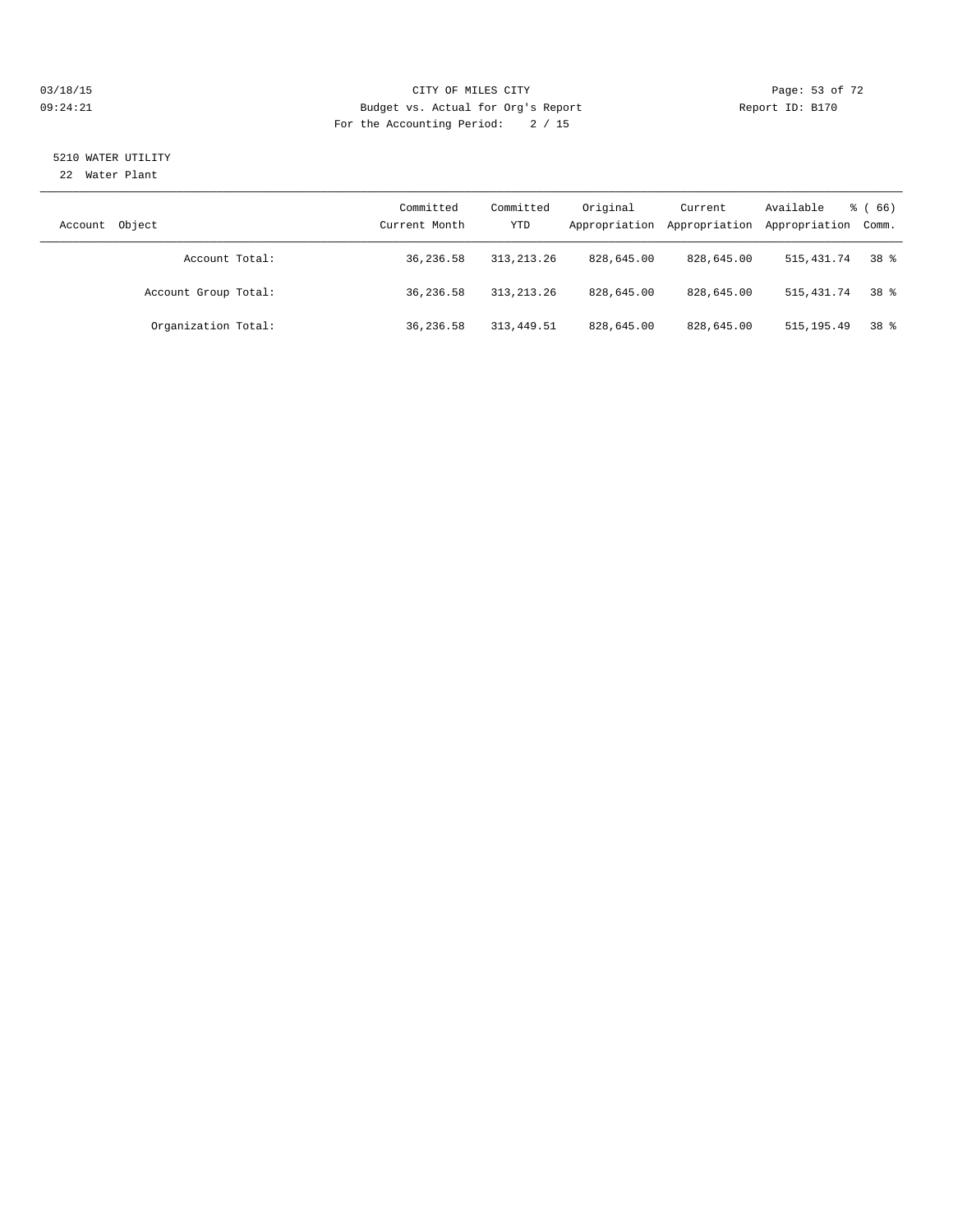#### 03/18/15 Page: 53 of 72 09:24:21 Budget vs. Actual for Org's Report Communication Report ID: B170 For the Accounting Period: 2 / 15

# 5210 WATER UTILITY

22 Water Plant

| Object<br>Account    | Committed<br>Current Month | Committed<br>YTD | Original<br>Appropriation | Current<br>Appropriation | Available<br>Appropriation Comm. | $\frac{3}{6}$ (66) |
|----------------------|----------------------------|------------------|---------------------------|--------------------------|----------------------------------|--------------------|
| Account Total:       | 36,236.58                  | 313, 213, 26     | 828,645.00                | 828,645.00               | 515,431.74                       | 38 %               |
| Account Group Total: | 36,236.58                  | 313, 213, 26     | 828,645.00                | 828,645.00               | 515,431.74                       | 38 <sup>8</sup>    |
| Organization Total:  | 36,236.58                  | 313, 449.51      | 828,645.00                | 828,645.00               | 515, 195.49                      | 38 <sup>8</sup>    |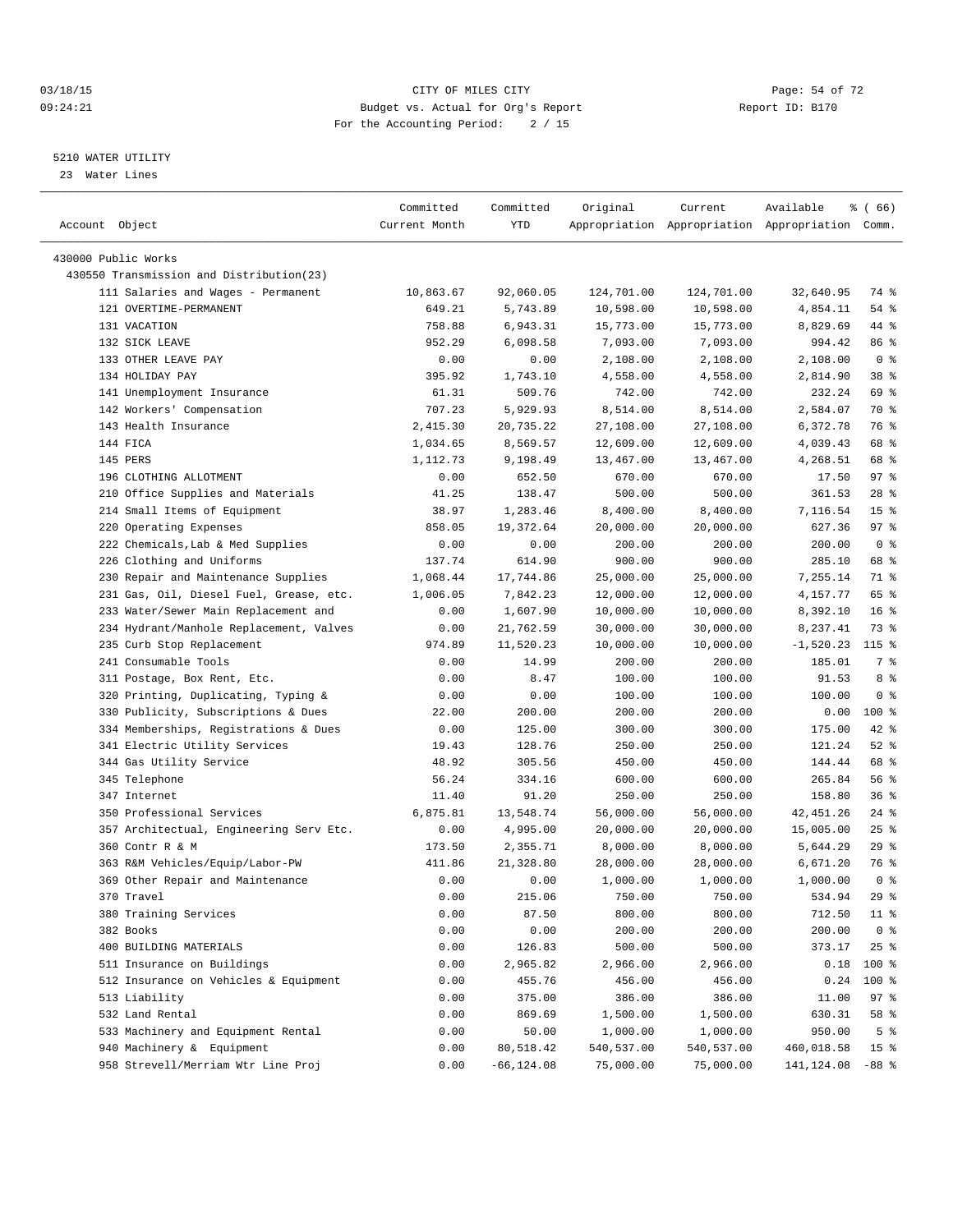#### 03/18/15 Page: 54 of 72 09:24:21 Budget vs. Actual for Org's Report Communication Report ID: B170 For the Accounting Period: 2 / 15

————————————————————————————————————————————————————————————————————————————————————————————————————————————————————————————————————

#### 5210 WATER UTILITY

23 Water Lines

|                                          | Committed     | Committed     | Original   | Current    | Available                                       | % ( 66)         |
|------------------------------------------|---------------|---------------|------------|------------|-------------------------------------------------|-----------------|
| Account Object                           | Current Month | YTD           |            |            | Appropriation Appropriation Appropriation Comm. |                 |
| 430000 Public Works                      |               |               |            |            |                                                 |                 |
| 430550 Transmission and Distribution(23) |               |               |            |            |                                                 |                 |
| 111 Salaries and Wages - Permanent       | 10,863.67     | 92,060.05     | 124,701.00 | 124,701.00 | 32,640.95                                       | 74 %            |
| 121 OVERTIME-PERMANENT                   | 649.21        | 5,743.89      | 10,598.00  | 10,598.00  | 4,854.11                                        | 54 %            |
| 131 VACATION                             | 758.88        | 6,943.31      | 15,773.00  | 15,773.00  | 8,829.69                                        | 44 %            |
| 132 SICK LEAVE                           | 952.29        | 6,098.58      | 7,093.00   | 7,093.00   | 994.42                                          | 86 %            |
| 133 OTHER LEAVE PAY                      | 0.00          | 0.00          | 2,108.00   | 2,108.00   | 2,108.00                                        | 0 <sup>8</sup>  |
| 134 HOLIDAY PAY                          | 395.92        | 1,743.10      | 4,558.00   | 4,558.00   | 2,814.90                                        | 38 %            |
| 141 Unemployment Insurance               | 61.31         | 509.76        | 742.00     | 742.00     | 232.24                                          | 69 %            |
| 142 Workers' Compensation                | 707.23        | 5,929.93      | 8,514.00   | 8,514.00   | 2,584.07                                        | 70 %            |
| 143 Health Insurance                     | 2,415.30      | 20,735.22     | 27,108.00  | 27,108.00  | 6,372.78                                        | 76 %            |
| 144 FICA                                 | 1,034.65      | 8,569.57      | 12,609.00  | 12,609.00  | 4,039.43                                        | 68 %            |
| 145 PERS                                 | 1,112.73      | 9,198.49      | 13,467.00  | 13,467.00  | 4,268.51                                        | 68 %            |
| 196 CLOTHING ALLOTMENT                   | 0.00          | 652.50        | 670.00     | 670.00     | 17.50                                           | 97%             |
| 210 Office Supplies and Materials        | 41.25         | 138.47        | 500.00     | 500.00     | 361.53                                          | $28$ %          |
| 214 Small Items of Equipment             | 38.97         | 1,283.46      | 8,400.00   | 8,400.00   | 7,116.54                                        | 15 <sup>°</sup> |
| 220 Operating Expenses                   | 858.05        | 19,372.64     | 20,000.00  | 20,000.00  | 627.36                                          | 97%             |
| 222 Chemicals, Lab & Med Supplies        | 0.00          | 0.00          | 200.00     | 200.00     | 200.00                                          | 0 <sup>8</sup>  |
| 226 Clothing and Uniforms                | 137.74        | 614.90        | 900.00     | 900.00     | 285.10                                          | 68 %            |
| 230 Repair and Maintenance Supplies      | 1,068.44      | 17,744.86     | 25,000.00  | 25,000.00  | 7,255.14                                        | 71 %            |
| 231 Gas, Oil, Diesel Fuel, Grease, etc.  | 1,006.05      | 7,842.23      | 12,000.00  | 12,000.00  | 4,157.77                                        | 65 %            |
| 233 Water/Sewer Main Replacement and     | 0.00          | 1,607.90      | 10,000.00  | 10,000.00  | 8,392.10                                        | $16*$           |
| 234 Hydrant/Manhole Replacement, Valves  | 0.00          | 21,762.59     | 30,000.00  | 30,000.00  | 8,237.41                                        | 73 %            |
| 235 Curb Stop Replacement                | 974.89        | 11,520.23     | 10,000.00  | 10,000.00  | $-1,520.23$                                     | $115*$          |
| 241 Consumable Tools                     | 0.00          | 14.99         | 200.00     | 200.00     | 185.01                                          | 7 %             |
| 311 Postage, Box Rent, Etc.              | 0.00          | 8.47          | 100.00     | 100.00     | 91.53                                           | 8 %             |
| 320 Printing, Duplicating, Typing &      | 0.00          | 0.00          | 100.00     | 100.00     | 100.00                                          | 0 <sup>8</sup>  |
| 330 Publicity, Subscriptions & Dues      | 22.00         | 200.00        | 200.00     | 200.00     | 0.00                                            | $100*$          |
| 334 Memberships, Registrations & Dues    | 0.00          | 125.00        | 300.00     | 300.00     | 175.00                                          | 42 %            |
| 341 Electric Utility Services            | 19.43         | 128.76        | 250.00     | 250.00     | 121.24                                          | $52$ $%$        |
| 344 Gas Utility Service                  | 48.92         | 305.56        | 450.00     | 450.00     | 144.44                                          | 68 %            |
| 345 Telephone                            | 56.24         | 334.16        | 600.00     | 600.00     | 265.84                                          | 56%             |
| 347 Internet                             | 11.40         | 91.20         | 250.00     | 250.00     | 158.80                                          | 36%             |
| 350 Professional Services                | 6,875.81      | 13,548.74     | 56,000.00  | 56,000.00  | 42, 451.26                                      | $24$ %          |
| 357 Architectual, Engineering Serv Etc.  | 0.00          | 4,995.00      | 20,000.00  | 20,000.00  | 15,005.00                                       | $25$ $%$        |
| 360 Contr R & M                          | 173.50        | 2,355.71      | 8,000.00   | 8,000.00   | 5,644.29                                        | 29%             |
| 363 R&M Vehicles/Equip/Labor-PW          | 411.86        | 21,328.80     | 28,000.00  | 28,000.00  | 6,671.20                                        | 76 %            |
| 369 Other Repair and Maintenance         | 0.00          | 0.00          | 1,000.00   | 1,000.00   | 1,000.00                                        | 0 <sup>8</sup>  |
| 370 Travel                               | 0.00          | 215.06        | 750.00     | 750.00     | 534.94                                          | 29%             |
| 380 Training Services                    | 0.00          | 87.50         | 800.00     | 800.00     | 712.50                                          | $11$ %          |
| 382 Books                                | 0.00          | 0.00          | 200.00     | 200.00     | 200.00                                          | 0 <sup>8</sup>  |
| 400 BUILDING MATERIALS                   | 0.00          | 126.83        | 500.00     | 500.00     | 373.17                                          | $25$ $%$        |
| 511 Insurance on Buildings               | 0.00          | 2,965.82      | 2,966.00   | 2,966.00   | 0.18                                            | 100 %           |
| 512 Insurance on Vehicles & Equipment    | 0.00          | 455.76        | 456.00     | 456.00     | 0.24                                            | 100 %           |
| 513 Liability                            | 0.00          | 375.00        | 386.00     | 386.00     | 11.00                                           | 97%             |
| 532 Land Rental                          | 0.00          | 869.69        | 1,500.00   | 1,500.00   | 630.31                                          | 58 %            |
| 533 Machinery and Equipment Rental       | 0.00          | 50.00         | 1,000.00   | 1,000.00   | 950.00                                          | 5 <sup>°</sup>  |
| 940 Machinery & Equipment                | 0.00          | 80,518.42     | 540,537.00 | 540,537.00 | 460,018.58                                      | 15 <sup>8</sup> |
| 958 Strevell/Merriam Wtr Line Proj       | 0.00          | $-66, 124.08$ | 75,000.00  | 75,000.00  | 141, 124.08 - 88 %                              |                 |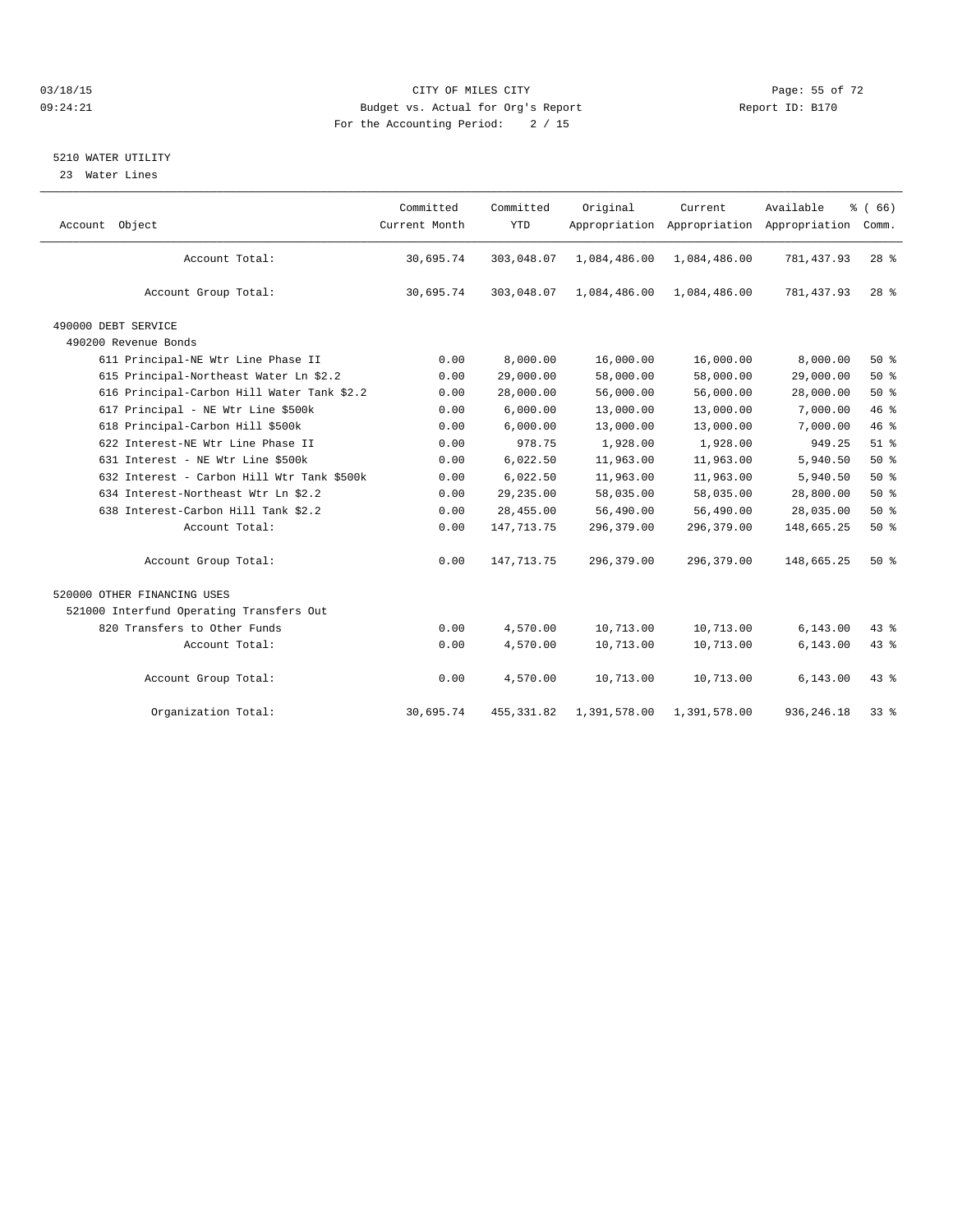#### $O3/18/15$  Page: 55 of 72 09:24:21 Budget vs. Actual for Org's Report Communication Report ID: B170 For the Accounting Period: 2 / 15

#### 5210 WATER UTILITY

23 Water Lines

| Account Object                             | Committed<br>Current Month | Committed<br><b>YTD</b> | Original     | Current      | Available<br>Appropriation Appropriation Appropriation | % (66)<br>Comm. |
|--------------------------------------------|----------------------------|-------------------------|--------------|--------------|--------------------------------------------------------|-----------------|
| Account Total:                             | 30,695.74                  | 303,048.07              | 1,084,486.00 | 1,084,486.00 | 781,437.93                                             | $28$ %          |
| Account Group Total:                       | 30,695.74                  | 303,048.07              | 1,084,486.00 | 1,084,486.00 | 781, 437.93                                            | 28 <sup>8</sup> |
| 490000 DEBT SERVICE                        |                            |                         |              |              |                                                        |                 |
| 490200 Revenue Bonds                       |                            |                         |              |              |                                                        |                 |
| 611 Principal-NE Wtr Line Phase II         | 0.00                       | 8,000.00                | 16,000.00    | 16,000.00    | 8,000.00                                               | $50*$           |
| 615 Principal-Northeast Water Ln \$2.2     | 0.00                       | 29,000.00               | 58,000.00    | 58,000.00    | 29,000.00                                              | 50%             |
| 616 Principal-Carbon Hill Water Tank \$2.2 | 0.00                       | 28,000.00               | 56,000.00    | 56,000.00    | 28,000.00                                              | $50*$           |
| 617 Principal - NE Wtr Line \$500k         | 0.00                       | 6,000.00                | 13,000.00    | 13,000.00    | 7,000.00                                               | 46%             |
| 618 Principal-Carbon Hill \$500k           | 0.00                       | 6,000.00                | 13,000.00    | 13,000.00    | 7,000.00                                               | 46%             |
| 622 Interest-NE Wtr Line Phase II          | 0.00                       | 978.75                  | 1,928.00     | 1,928.00     | 949.25                                                 | $51$ $%$        |
| 631 Interest - NE Wtr Line \$500k          | 0.00                       | 6,022.50                | 11,963.00    | 11,963.00    | 5,940.50                                               | 50%             |
| 632 Interest - Carbon Hill Wtr Tank \$500k | 0.00                       | 6,022.50                | 11,963.00    | 11,963.00    | 5,940.50                                               | $50*$           |
| 634 Interest-Northeast Wtr Ln \$2.2        | 0.00                       | 29,235.00               | 58,035.00    | 58,035.00    | 28,800.00                                              | 50%             |
| 638 Interest-Carbon Hill Tank \$2.2        | 0.00                       | 28,455.00               | 56,490.00    | 56,490.00    | 28,035.00                                              | $50*$           |
| Account Total:                             | 0.00                       | 147, 713. 75            | 296,379.00   | 296,379.00   | 148,665.25                                             | 50%             |
| Account Group Total:                       | 0.00                       | 147, 713. 75            | 296,379.00   | 296,379.00   | 148,665.25                                             | $50*$           |
| 520000 OTHER FINANCING USES                |                            |                         |              |              |                                                        |                 |
| 521000 Interfund Operating Transfers Out   |                            |                         |              |              |                                                        |                 |
| 820 Transfers to Other Funds               | 0.00                       | 4,570.00                | 10,713.00    | 10,713.00    | 6, 143.00                                              | $43*$           |
| Account Total:                             | 0.00                       | 4,570.00                | 10,713.00    | 10,713.00    | 6, 143.00                                              | 43.8            |
| Account Group Total:                       | 0.00                       | 4,570.00                | 10,713.00    | 10,713.00    | 6, 143.00                                              | 43 %            |
| Organization Total:                        | 30,695.74                  | 455, 331.82             | 1,391,578.00 | 1,391,578.00 | 936, 246.18                                            | $33*$           |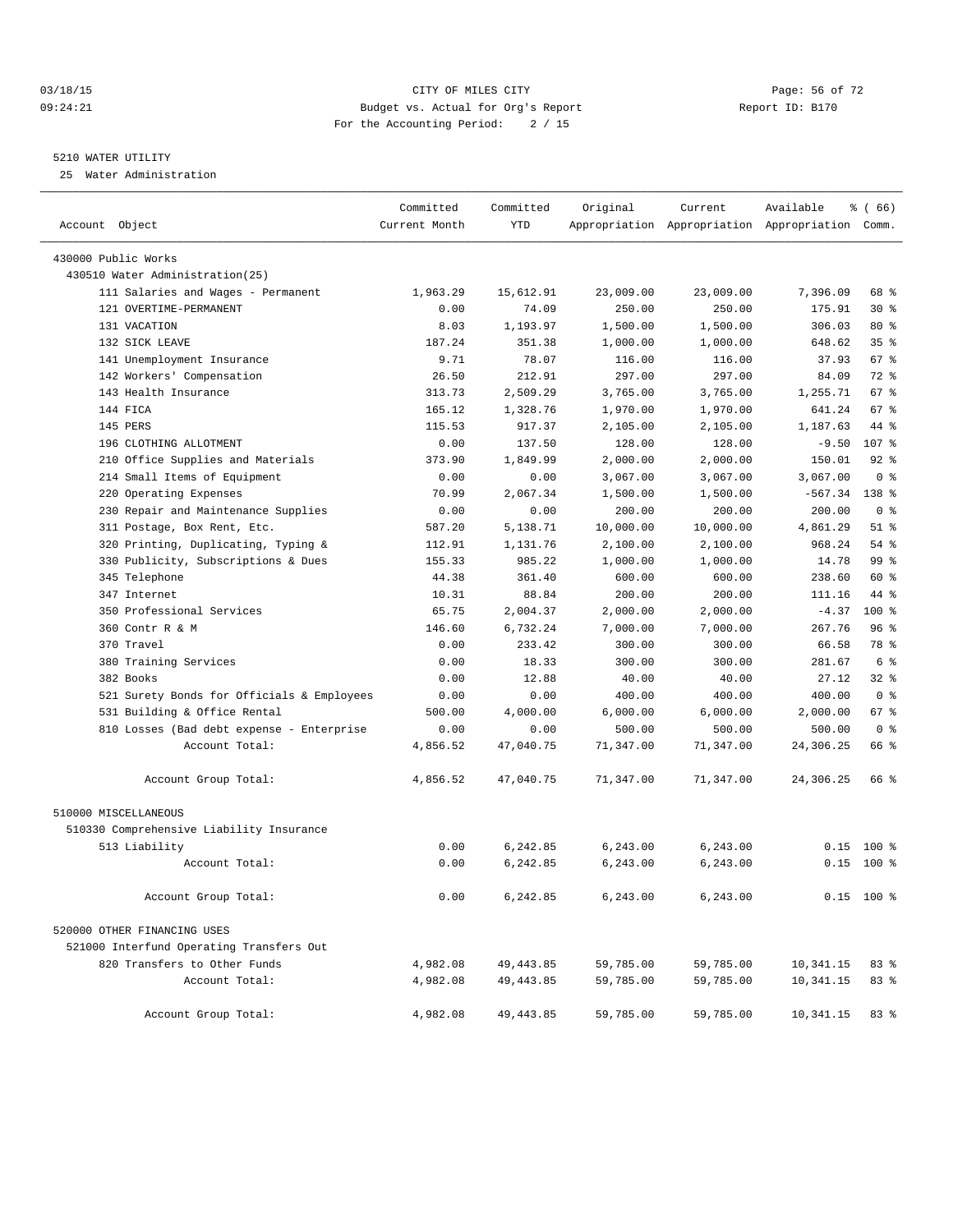#### 03/18/15 Page: 56 of 72 09:24:21 Budget vs. Actual for Org's Report Communication Report ID: B170 For the Accounting Period: 2 / 15

————————————————————————————————————————————————————————————————————————————————————————————————————————————————————————————————————

#### 5210 WATER UTILITY

25 Water Administration

|                                 |                                            | Committed     | Committed  | Original  | Current   | Available                                       | $\frac{3}{6}$ (66) |  |
|---------------------------------|--------------------------------------------|---------------|------------|-----------|-----------|-------------------------------------------------|--------------------|--|
| Account Object                  |                                            | Current Month | <b>YTD</b> |           |           | Appropriation Appropriation Appropriation Comm. |                    |  |
| 430000 Public Works             |                                            |               |            |           |           |                                                 |                    |  |
| 430510 Water Administration(25) |                                            |               |            |           |           |                                                 |                    |  |
|                                 | 111 Salaries and Wages - Permanent         | 1,963.29      | 15,612.91  | 23,009.00 | 23,009.00 | 7,396.09                                        | 68 %               |  |
| 121 OVERTIME-PERMANENT          |                                            | 0.00          | 74.09      | 250.00    | 250.00    | 175.91                                          | $30*$              |  |
| 131 VACATION                    |                                            | 8.03          | 1,193.97   | 1,500.00  | 1,500.00  | 306.03                                          | 80%                |  |
| 132 SICK LEAVE                  |                                            | 187.24        | 351.38     | 1,000.00  | 1,000.00  | 648.62                                          | 35 <sup>8</sup>    |  |
|                                 | 141 Unemployment Insurance                 | 9.71          | 78.07      | 116.00    | 116.00    | 37.93                                           | 67 %               |  |
| 142 Workers' Compensation       |                                            | 26.50         | 212.91     | 297.00    | 297.00    | 84.09                                           | 72 %               |  |
| 143 Health Insurance            |                                            | 313.73        | 2,509.29   | 3,765.00  | 3,765.00  | 1,255.71                                        | 67 %               |  |
| 144 FICA                        |                                            | 165.12        | 1,328.76   | 1,970.00  | 1,970.00  | 641.24                                          | 67 %               |  |
| 145 PERS                        |                                            | 115.53        | 917.37     | 2,105.00  | 2,105.00  | 1,187.63                                        | 44 %               |  |
| 196 CLOTHING ALLOTMENT          |                                            | 0.00          | 137.50     | 128.00    | 128.00    | $-9.50$                                         | 107 %              |  |
|                                 | 210 Office Supplies and Materials          | 373.90        | 1,849.99   | 2,000.00  | 2,000.00  | 150.01                                          | $92$ $%$           |  |
|                                 | 214 Small Items of Equipment               | 0.00          | 0.00       | 3,067.00  | 3,067.00  | 3,067.00                                        | 0 <sup>8</sup>     |  |
| 220 Operating Expenses          |                                            | 70.99         | 2,067.34   | 1,500.00  | 1,500.00  | $-567.34$                                       | $138*$             |  |
|                                 | 230 Repair and Maintenance Supplies        | 0.00          | 0.00       | 200.00    | 200.00    | 200.00                                          | 0 <sup>8</sup>     |  |
|                                 | 311 Postage, Box Rent, Etc.                | 587.20        | 5,138.71   | 10,000.00 | 10,000.00 | 4,861.29                                        | $51$ %             |  |
|                                 | 320 Printing, Duplicating, Typing &        | 112.91        | 1,131.76   | 2,100.00  | 2,100.00  | 968.24                                          | 54 %               |  |
|                                 | 330 Publicity, Subscriptions & Dues        | 155.33        | 985.22     | 1,000.00  | 1,000.00  | 14.78                                           | 99 %               |  |
| 345 Telephone                   |                                            | 44.38         | 361.40     | 600.00    | 600.00    | 238.60                                          | 60 %               |  |
| 347 Internet                    |                                            | 10.31         | 88.84      | 200.00    | 200.00    | 111.16                                          | 44 %               |  |
| 350 Professional Services       |                                            | 65.75         | 2,004.37   | 2,000.00  | 2,000.00  | $-4.37$                                         | $100*$             |  |
| 360 Contr R & M                 |                                            | 146.60        | 6,732.24   | 7,000.00  | 7,000.00  | 267.76                                          | 96%                |  |
| 370 Travel                      |                                            | 0.00          | 233.42     | 300.00    | 300.00    | 66.58                                           | 78 %               |  |
| 380 Training Services           |                                            | 0.00          | 18.33      | 300.00    | 300.00    | 281.67                                          | 6 %                |  |
| 382 Books                       |                                            | 0.00          | 12.88      | 40.00     | 40.00     | 27.12                                           | 32 %               |  |
|                                 | 521 Surety Bonds for Officials & Employees | 0.00          | 0.00       | 400.00    | 400.00    | 400.00                                          | 0 <sup>8</sup>     |  |
|                                 | 531 Building & Office Rental               | 500.00        | 4,000.00   | 6,000.00  | 6,000.00  | 2,000.00                                        | 67 %               |  |
|                                 | 810 Losses (Bad debt expense - Enterprise  | 0.00          | 0.00       | 500.00    | 500.00    | 500.00                                          | 0 <sup>8</sup>     |  |
|                                 | Account Total:                             | 4,856.52      | 47,040.75  | 71,347.00 | 71,347.00 | 24,306.25                                       | 66 %               |  |
|                                 | Account Group Total:                       | 4,856.52      | 47,040.75  | 71,347.00 | 71,347.00 | 24,306.25                                       | 66 %               |  |
| 510000 MISCELLANEOUS            |                                            |               |            |           |           |                                                 |                    |  |
|                                 | 510330 Comprehensive Liability Insurance   |               |            |           |           |                                                 |                    |  |
| 513 Liability                   |                                            | 0.00          | 6,242.85   | 6,243.00  | 6, 243.00 |                                                 | $0.15$ 100 %       |  |
|                                 | Account Total:                             | 0.00          | 6,242.85   | 6,243.00  | 6,243.00  |                                                 | $0.15$ 100 %       |  |
|                                 | Account Group Total:                       | 0.00          | 6,242.85   | 6,243.00  | 6,243.00  |                                                 | $0.15$ 100 %       |  |
| 520000 OTHER FINANCING USES     |                                            |               |            |           |           |                                                 |                    |  |
|                                 | 521000 Interfund Operating Transfers Out   |               |            |           |           |                                                 |                    |  |
|                                 | 820 Transfers to Other Funds               | 4,982.08      | 49, 443.85 | 59,785.00 | 59,785.00 | 10,341.15                                       | 83 %               |  |
|                                 | Account Total:                             | 4,982.08      | 49, 443.85 | 59,785.00 | 59,785.00 | 10, 341. 15                                     | 83%                |  |
|                                 | Account Group Total:                       | 4,982.08      | 49, 443.85 | 59,785.00 | 59,785.00 | 10,341.15                                       | 83%                |  |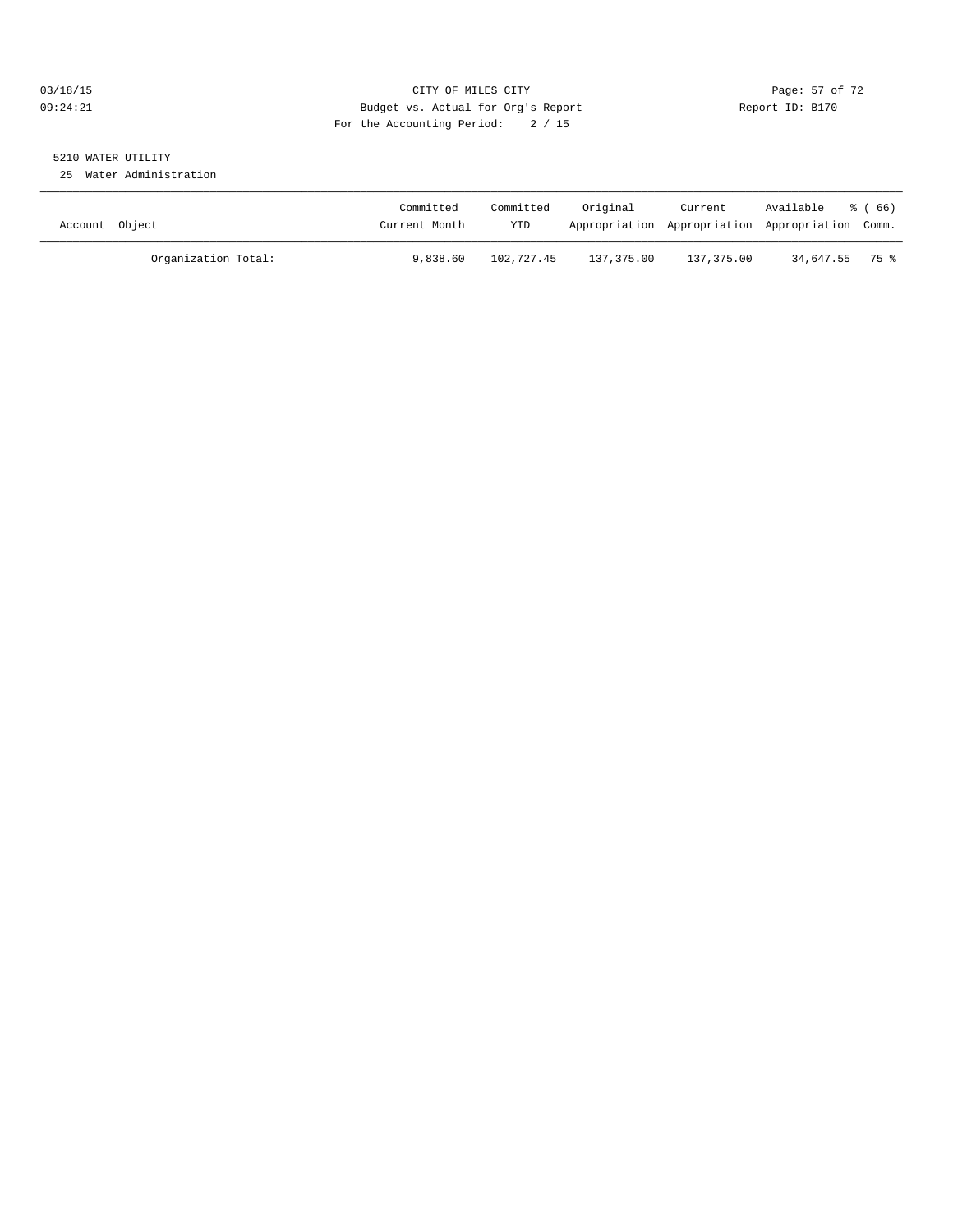#### 03/18/15 Page: 57 of 72 09:24:21 Budget vs. Actual for Org's Report Communication Report ID: B170 For the Accounting Period: 2 / 15

# 5210 WATER UTILITY

25 Water Administration

| Account Object |                     | Committed<br>Current Month | Committed<br>YTD | Original   | Current<br>Appropriation Appropriation Appropriation Comm. | Available      | ී ( 66 ) |
|----------------|---------------------|----------------------------|------------------|------------|------------------------------------------------------------|----------------|----------|
|                | Organization Total: | 9,838.60                   | 102,727.45       | 137,375.00 | 137,375.00                                                 | 34,647.55 75 % |          |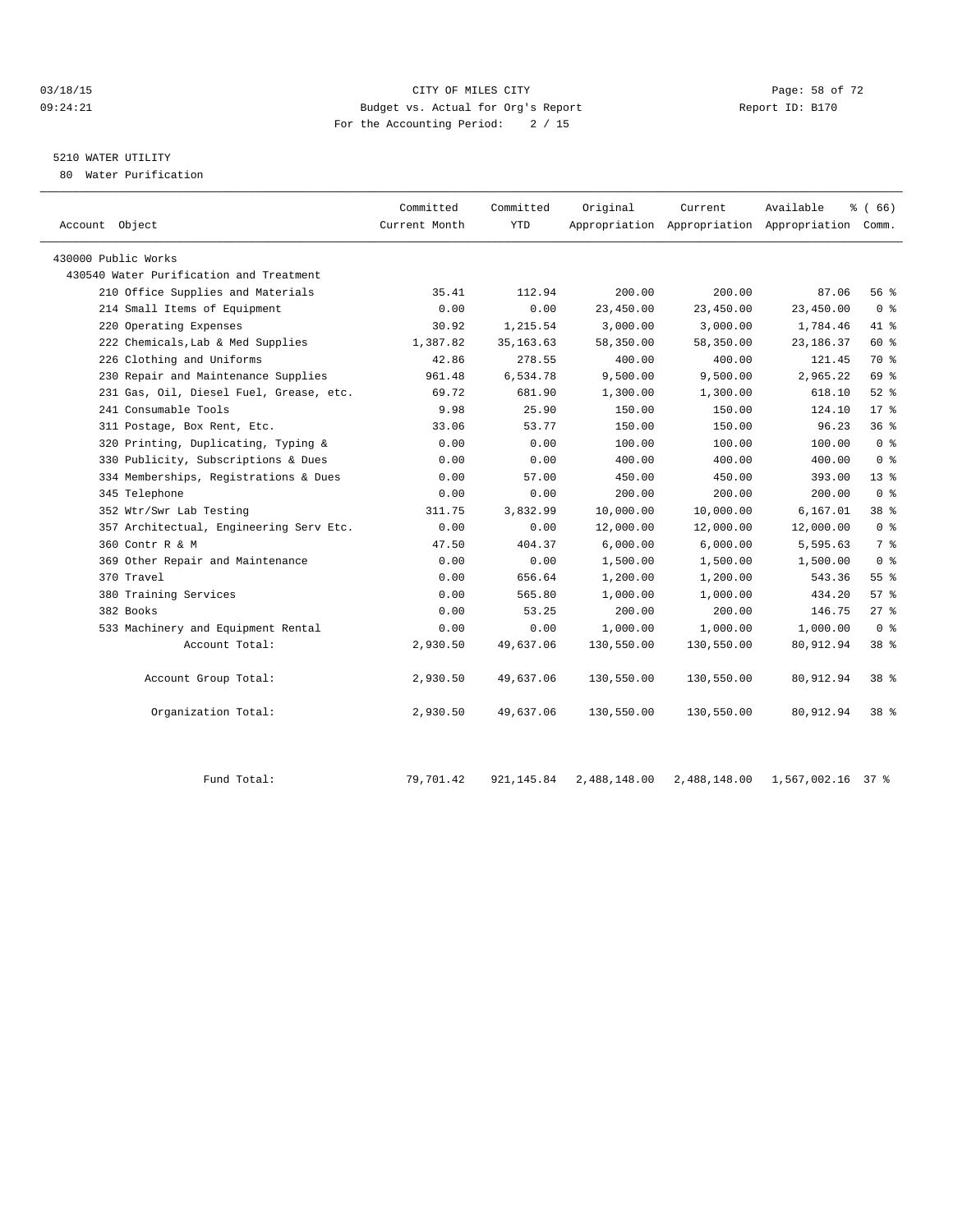#### 03/18/15 Page: 58 of 72 09:24:21 Budget vs. Actual for Org's Report Report ID: B170 For the Accounting Period: 2 / 15

## 5210 WATER UTILITY

80 Water Purification

| Account Object                          | Committed<br>Current Month | Committed<br><b>YTD</b> | Original   | Current    | Available<br>Appropriation Appropriation Appropriation Comm. | $\frac{8}{6}$ (66) |  |
|-----------------------------------------|----------------------------|-------------------------|------------|------------|--------------------------------------------------------------|--------------------|--|
| 430000 Public Works                     |                            |                         |            |            |                                                              |                    |  |
| 430540 Water Purification and Treatment |                            |                         |            |            |                                                              |                    |  |
| 210 Office Supplies and Materials       | 35.41                      | 112.94                  | 200.00     | 200.00     | 87.06                                                        | $56$ $\frac{6}{3}$ |  |
| 214 Small Items of Equipment            | 0.00                       | 0.00                    | 23,450.00  | 23,450.00  | 23,450.00                                                    | 0 <sup>8</sup>     |  |
| 220 Operating Expenses                  | 30.92                      | 1,215.54                | 3,000.00   | 3,000.00   | 1,784.46                                                     | 41 %               |  |
| 222 Chemicals, Lab & Med Supplies       | 1,387.82                   | 35, 163.63              | 58,350.00  | 58,350.00  | 23, 186. 37                                                  | 60 %               |  |
| 226 Clothing and Uniforms               | 42.86                      | 278.55                  | 400.00     | 400.00     | 121.45                                                       | 70 %               |  |
| 230 Repair and Maintenance Supplies     | 961.48                     | 6,534.78                | 9,500.00   | 9,500.00   | 2,965.22                                                     | 69 %               |  |
| 231 Gas, Oil, Diesel Fuel, Grease, etc. | 69.72                      | 681.90                  | 1,300.00   | 1,300.00   | 618.10                                                       | $52$ $%$           |  |
| 241 Consumable Tools                    | 9.98                       | 25.90                   | 150.00     | 150.00     | 124.10                                                       | $17*$              |  |
| 311 Postage, Box Rent, Etc.             | 33.06                      | 53.77                   | 150.00     | 150.00     | 96.23                                                        | 36 <sup>8</sup>    |  |
| 320 Printing, Duplicating, Typing &     | 0.00                       | 0.00                    | 100.00     | 100.00     | 100.00                                                       | 0 <sup>8</sup>     |  |
| 330 Publicity, Subscriptions & Dues     | 0.00                       | 0.00                    | 400.00     | 400.00     | 400.00                                                       | 0 <sup>8</sup>     |  |
| 334 Memberships, Registrations & Dues   | 0.00                       | 57.00                   | 450.00     | 450.00     | 393.00                                                       | $13$ %             |  |
| 345 Telephone                           | 0.00                       | 0.00                    | 200.00     | 200.00     | 200.00                                                       | 0 <sup>8</sup>     |  |
| 352 Wtr/Swr Lab Testing                 | 311.75                     | 3,832.99                | 10,000.00  | 10,000.00  | 6,167.01                                                     | 38 %               |  |
| 357 Architectual, Engineering Serv Etc. | 0.00                       | 0.00                    | 12,000.00  | 12,000.00  | 12,000.00                                                    | 0 <sup>8</sup>     |  |
| 360 Contr R & M                         | 47.50                      | 404.37                  | 6,000.00   | 6,000.00   | 5,595.63                                                     | 7 %                |  |
| 369 Other Repair and Maintenance        | 0.00                       | 0.00                    | 1,500.00   | 1,500.00   | 1,500.00                                                     | 0 <sup>8</sup>     |  |
| 370 Travel                              | 0.00                       | 656.64                  | 1,200.00   | 1,200.00   | 543.36                                                       | $55$ $%$           |  |
| 380 Training Services                   | 0.00                       | 565.80                  | 1,000.00   | 1,000.00   | 434.20                                                       | 57%                |  |
| 382 Books                               | 0.00                       | 53.25                   | 200.00     | 200.00     | 146.75                                                       | $27*$              |  |
| 533 Machinery and Equipment Rental      | 0.00                       | 0.00                    | 1,000.00   | 1,000.00   | 1,000.00                                                     | 0 <sup>8</sup>     |  |
| Account Total:                          | 2,930.50                   | 49,637.06               | 130,550.00 | 130,550.00 | 80,912.94                                                    | 38 %               |  |
| Account Group Total:                    | 2,930.50                   | 49,637.06               | 130,550.00 | 130,550.00 | 80,912.94                                                    | $38*$              |  |
| Organization Total:                     | 2,930.50                   | 49,637.06               | 130,550.00 | 130,550.00 | 80,912.94                                                    | $38*$              |  |
|                                         |                            |                         |            |            |                                                              |                    |  |

Fund Total: 79,701.42 921,145.84 2,488,148.00 2,488,148.00 1,567,002.16 37 %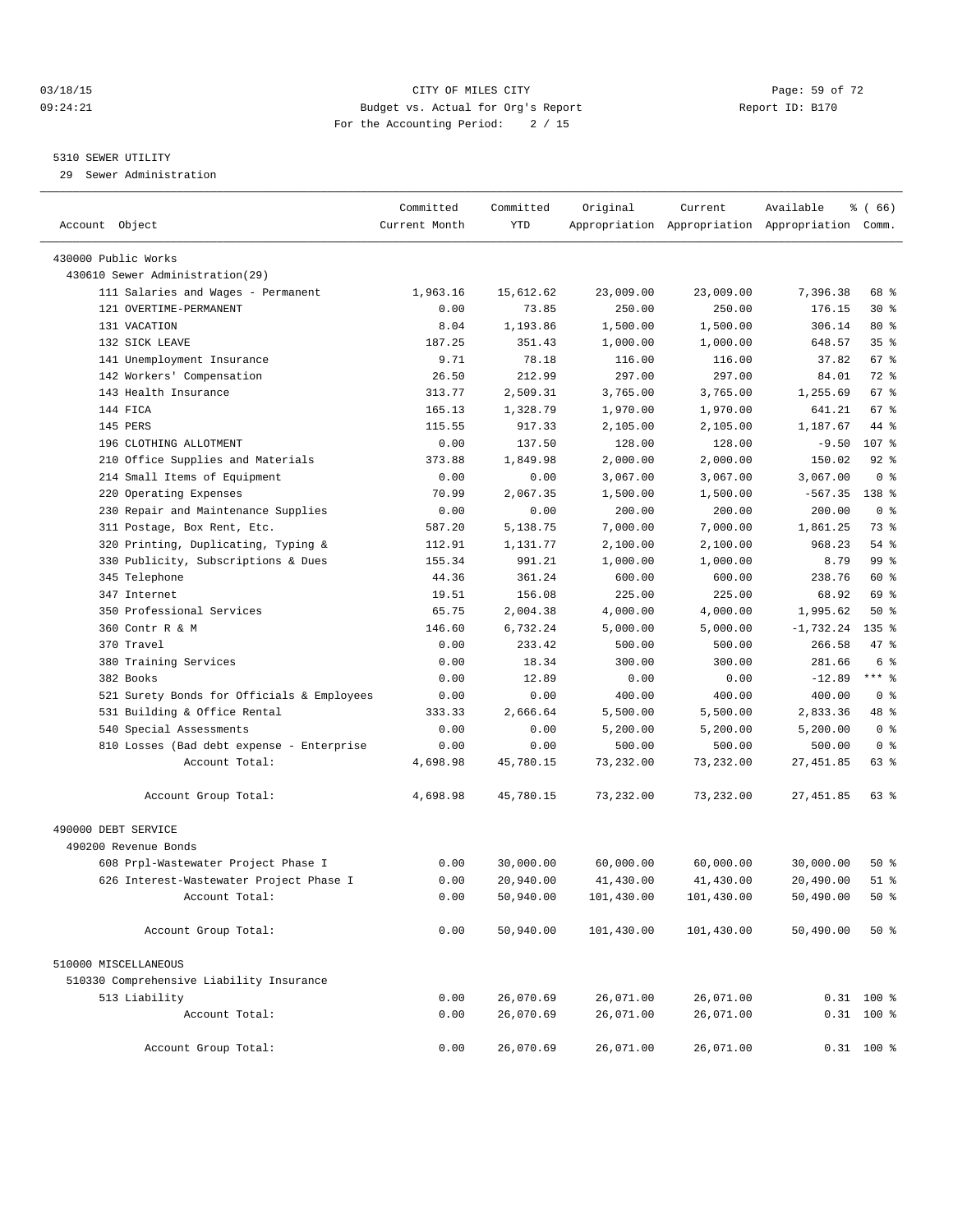#### 03/18/15 Page: 59 of 72 09:24:21 Budget vs. Actual for Org's Report Communication Report ID: B170 For the Accounting Period: 2 / 15

#### 5310 SEWER UTILITY

29 Sewer Administration

| Account Object                                          | Committed<br>Current Month | Committed<br><b>YTD</b> | Original   | Current    | Available<br>Appropriation Appropriation Appropriation Comm. | % (66)          |  |
|---------------------------------------------------------|----------------------------|-------------------------|------------|------------|--------------------------------------------------------------|-----------------|--|
|                                                         |                            |                         |            |            |                                                              |                 |  |
| 430000 Public Works<br>430610 Sewer Administration (29) |                            |                         |            |            |                                                              |                 |  |
| 111 Salaries and Wages - Permanent                      | 1,963.16                   | 15,612.62               | 23,009.00  | 23,009.00  | 7,396.38                                                     | 68 %            |  |
| 121 OVERTIME-PERMANENT                                  | 0.00                       | 73.85                   | 250.00     | 250.00     | 176.15                                                       | $30*$           |  |
| 131 VACATION                                            | 8.04                       | 1,193.86                | 1,500.00   | 1,500.00   | 306.14                                                       | $80*$           |  |
| 132 SICK LEAVE                                          | 187.25                     | 351.43                  | 1,000.00   | 1,000.00   | 648.57                                                       | 35 <sup>8</sup> |  |
| 141 Unemployment Insurance                              | 9.71                       | 78.18                   | 116.00     | 116.00     | 37.82                                                        | 67 %            |  |
| 142 Workers' Compensation                               | 26.50                      | 212.99                  | 297.00     | 297.00     | 84.01                                                        | 72 %            |  |
| 143 Health Insurance                                    | 313.77                     | 2,509.31                | 3,765.00   | 3,765.00   | 1,255.69                                                     | 67 %            |  |
| 144 FICA                                                | 165.13                     | 1,328.79                | 1,970.00   | 1,970.00   | 641.21                                                       | 67 %            |  |
| 145 PERS                                                | 115.55                     | 917.33                  | 2,105.00   | 2,105.00   | 1,187.67                                                     | 44 %            |  |
| 196 CLOTHING ALLOTMENT                                  | 0.00                       | 137.50                  | 128.00     | 128.00     | $-9.50$                                                      | 107 %           |  |
| 210 Office Supplies and Materials                       | 373.88                     | 1,849.98                | 2,000.00   | 2,000.00   | 150.02                                                       | $92$ $%$        |  |
| 214 Small Items of Equipment                            | 0.00                       | 0.00                    | 3,067.00   | 3,067.00   | 3,067.00                                                     | 0 <sup>8</sup>  |  |
| Operating Expenses<br>220                               | 70.99                      | 2,067.35                | 1,500.00   | 1,500.00   | $-567.35$                                                    | 138 %           |  |
| 230 Repair and Maintenance Supplies                     | 0.00                       | 0.00                    | 200.00     | 200.00     | 200.00                                                       | 0 <sup>8</sup>  |  |
| 311 Postage, Box Rent, Etc.                             | 587.20                     | 5,138.75                | 7,000.00   | 7,000.00   | 1,861.25                                                     | 73 %            |  |
| 320 Printing, Duplicating, Typing &                     | 112.91                     | 1,131.77                | 2,100.00   | 2,100.00   | 968.23                                                       | 54 %            |  |
| 330 Publicity, Subscriptions & Dues                     | 155.34                     | 991.21                  | 1,000.00   | 1,000.00   | 8.79                                                         | 99 %            |  |
| 345 Telephone                                           | 44.36                      | 361.24                  | 600.00     | 600.00     | 238.76                                                       | 60 %            |  |
| 347 Internet                                            | 19.51                      | 156.08                  | 225.00     | 225.00     | 68.92                                                        | 69 %            |  |
| 350 Professional Services                               | 65.75                      | 2,004.38                | 4,000.00   | 4,000.00   | 1,995.62                                                     | $50*$           |  |
| 360 Contr R & M                                         | 146.60                     | 6,732.24                | 5,000.00   | 5,000.00   | $-1,732.24$                                                  | $135$ $%$       |  |
| 370 Travel                                              | 0.00                       | 233.42                  | 500.00     | 500.00     | 266.58                                                       | 47 %            |  |
| 380 Training Services                                   | 0.00                       | 18.34                   | 300.00     | 300.00     | 281.66                                                       | 6 <sup>°</sup>  |  |
| 382 Books                                               | 0.00                       | 12.89                   | 0.00       | 0.00       | $-12.89$                                                     | $***$ $-$       |  |
| 521 Surety Bonds for Officials & Employees              | 0.00                       | 0.00                    | 400.00     | 400.00     | 400.00                                                       | 0 <sup>8</sup>  |  |
| 531 Building & Office Rental                            | 333.33                     | 2,666.64                | 5,500.00   | 5,500.00   | 2,833.36                                                     | 48 %            |  |
| 540 Special Assessments                                 | 0.00                       | 0.00                    | 5,200.00   | 5,200.00   | 5,200.00                                                     | 0 <sup>8</sup>  |  |
| 810 Losses (Bad debt expense - Enterprise               | 0.00                       | 0.00                    | 500.00     | 500.00     | 500.00                                                       | 0 <sup>8</sup>  |  |
| Account Total:                                          | 4,698.98                   | 45,780.15               | 73,232.00  | 73,232.00  | 27,451.85                                                    | 63 %            |  |
| Account Group Total:                                    | 4,698.98                   | 45,780.15               | 73,232.00  | 73,232.00  | 27, 451.85                                                   | 63 %            |  |
|                                                         |                            |                         |            |            |                                                              |                 |  |
| 490000 DEBT SERVICE<br>490200 Revenue Bonds             |                            |                         |            |            |                                                              |                 |  |
| 608 Prpl-Wastewater Project Phase I                     | 0.00                       | 30,000.00               | 60,000.00  | 60,000.00  | 30,000.00                                                    | $50*$           |  |
| 626 Interest-Wastewater Project Phase I                 | 0.00                       | 20,940.00               | 41,430.00  | 41,430.00  | 20,490.00                                                    | $51$ $%$        |  |
| Account Total:                                          | 0.00                       | 50,940.00               | 101,430.00 | 101,430.00 | 50,490.00                                                    | 50%             |  |
|                                                         |                            |                         |            |            |                                                              |                 |  |
| Account Group Total:                                    | 0.00                       | 50,940.00               | 101,430.00 | 101,430.00 | 50,490.00                                                    | 50%             |  |
| 510000 MISCELLANEOUS                                    |                            |                         |            |            |                                                              |                 |  |
| 510330 Comprehensive Liability Insurance                |                            |                         |            |            |                                                              |                 |  |
| 513 Liability                                           | 0.00                       | 26,070.69               | 26,071.00  | 26,071.00  |                                                              | $0.31$ 100 %    |  |
| Account Total:                                          | 0.00                       | 26,070.69               | 26,071.00  | 26,071.00  |                                                              | $0.31$ 100 %    |  |
| Account Group Total:                                    | 0.00                       | 26,070.69               | 26,071.00  | 26,071.00  |                                                              | $0.31$ 100 %    |  |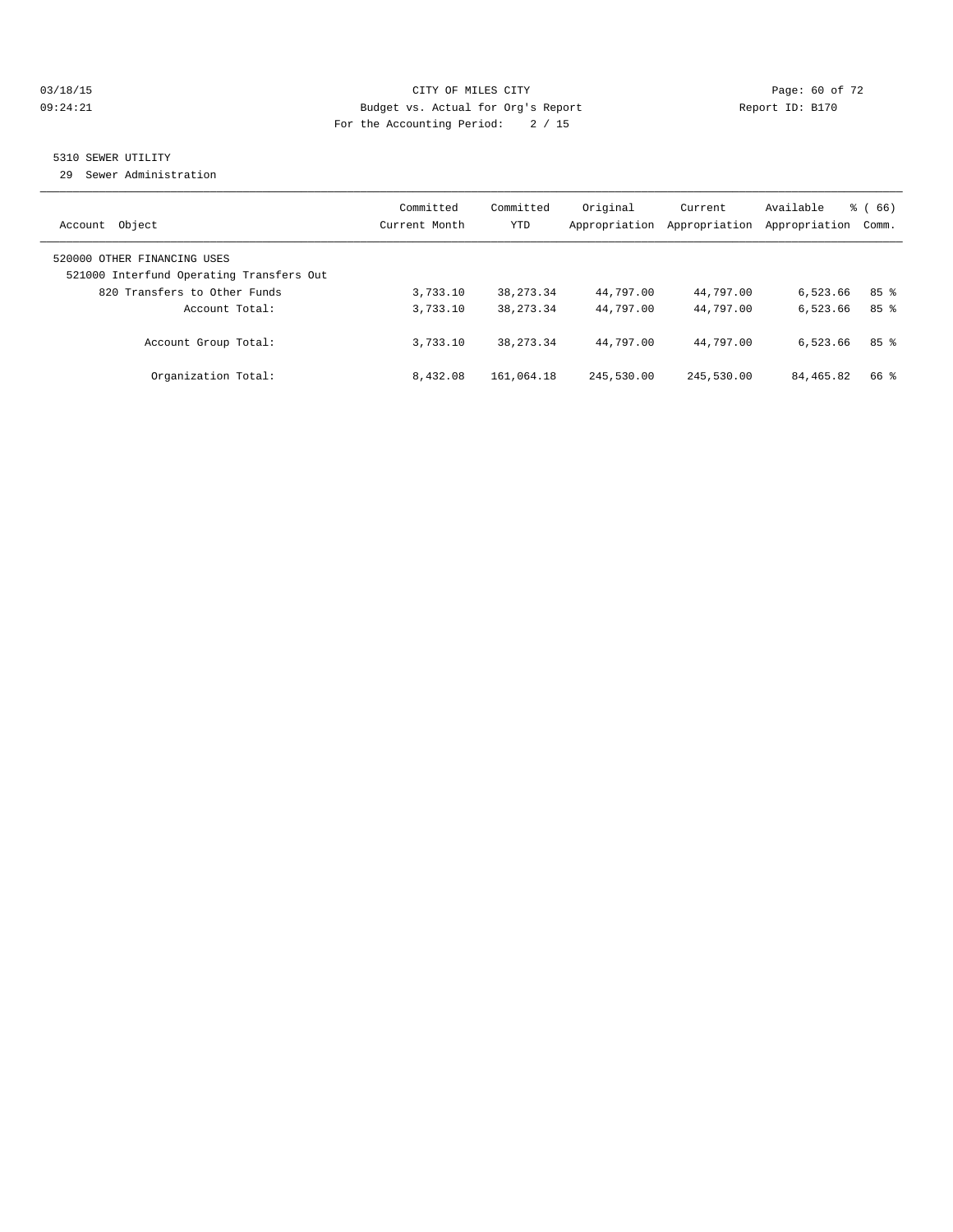#### 03/18/15 Page: 60 of 72 09:24:21 Budget vs. Actual for Org's Report Communication Report ID: B170 For the Accounting Period: 2 / 15

#### 5310 SEWER UTILITY

29 Sewer Administration

| Object<br>Account                                                                                       | Committed<br>Current Month | Committed<br><b>YTD</b> | Original<br>Appropriation | Current<br>Appropriation | Available<br>Appropriation | $\frac{6}{6}$ (66)<br>Comm. |
|---------------------------------------------------------------------------------------------------------|----------------------------|-------------------------|---------------------------|--------------------------|----------------------------|-----------------------------|
| 520000 OTHER FINANCING USES<br>521000 Interfund Operating Transfers Out<br>820 Transfers to Other Funds | 3,733.10                   | 38, 273. 34             | 44,797.00                 | 44,797.00                | 6,523.66                   | 85 <sup>8</sup>             |
| Account Total:                                                                                          | 3,733.10                   | 38, 273. 34             | 44,797.00                 | 44,797.00                | 6,523.66                   | 85%                         |
| Account Group Total:                                                                                    | 3,733.10                   | 38, 273. 34             | 44,797.00                 | 44,797.00                | 6,523.66                   | 85%                         |
| Organization Total:                                                                                     | 8,432.08                   | 161,064.18              | 245,530.00                | 245,530.00               | 84, 465.82                 | 66 %                        |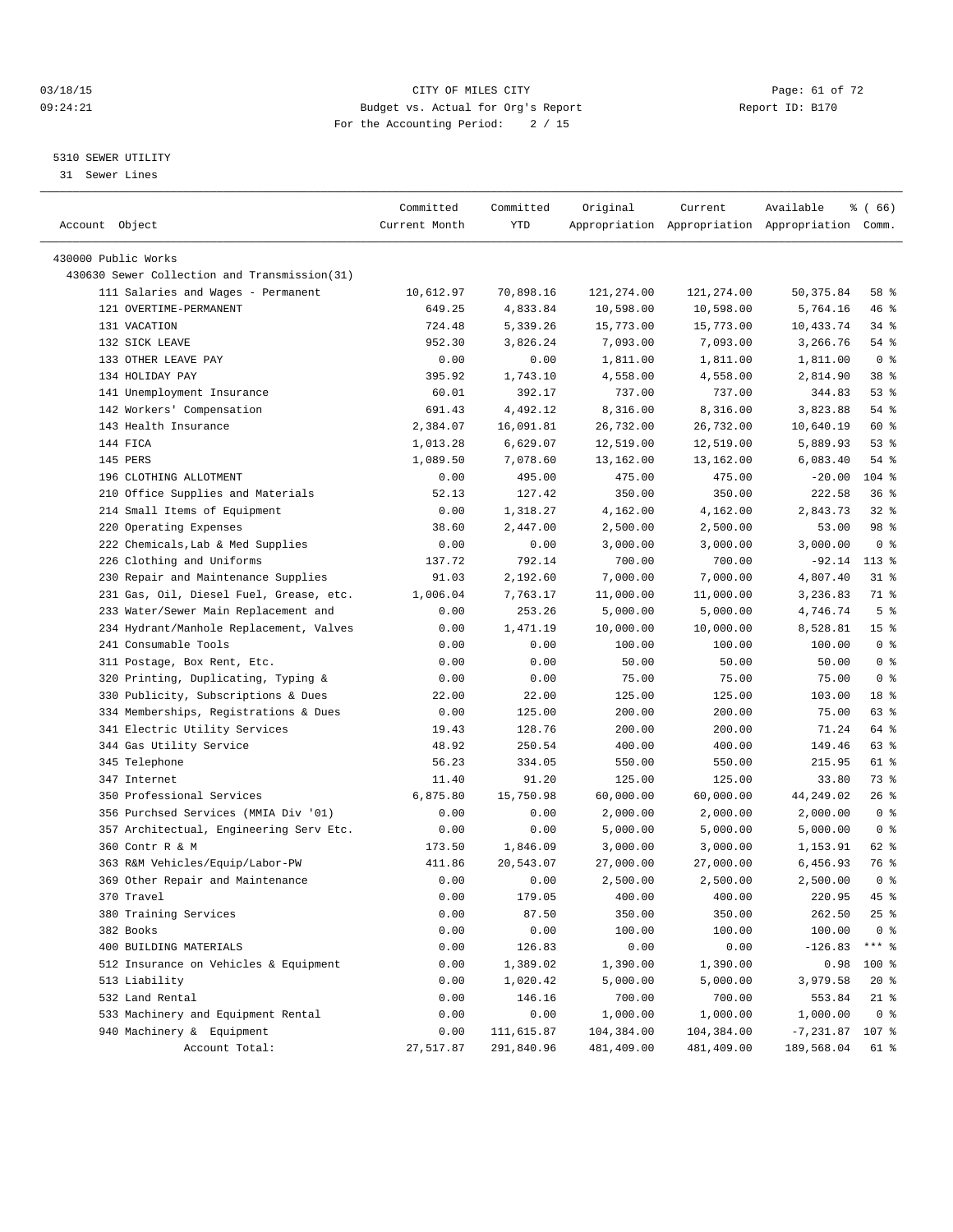#### 03/18/15 Page: 61 of 72 09:24:21 Budget vs. Actual for Org's Report Communication Report ID: B170 For the Accounting Period: 2 / 15

————————————————————————————————————————————————————————————————————————————————————————————————————————————————————————————————————

#### 5310 SEWER UTILITY

31 Sewer Lines

|                                              | Committed     | Committed          | Original               | Current    | Available                                       | % ( 66 )        |
|----------------------------------------------|---------------|--------------------|------------------------|------------|-------------------------------------------------|-----------------|
| Account Object                               | Current Month | YTD                |                        |            | Appropriation Appropriation Appropriation Comm. |                 |
|                                              |               |                    |                        |            |                                                 |                 |
| 430000 Public Works                          |               |                    |                        |            |                                                 |                 |
| 430630 Sewer Collection and Transmission(31) |               |                    |                        |            |                                                 |                 |
| 111 Salaries and Wages - Permanent           | 10,612.97     | 70,898.16          | 121,274.00             | 121,274.00 | 50,375.84                                       | 58 %            |
| 121 OVERTIME-PERMANENT                       | 649.25        | 4,833.84           | 10,598.00              | 10,598.00  | 5,764.16                                        | 46 %            |
| 131 VACATION                                 | 724.48        | 5,339.26           | 15,773.00              | 15,773.00  | 10,433.74                                       | 34 %            |
| 132 SICK LEAVE                               | 952.30        | 3,826.24           | 7,093.00               | 7,093.00   | 3,266.76                                        | 54 %            |
| 133 OTHER LEAVE PAY                          | 0.00          | 0.00               | 1,811.00               | 1,811.00   | 1,811.00                                        | 0 <sup>8</sup>  |
| 134 HOLIDAY PAY                              | 395.92        | 1,743.10           | 4,558.00               | 4,558.00   | 2,814.90                                        | 38 %            |
| 141 Unemployment Insurance                   | 60.01         | 392.17             | 737.00                 | 737.00     | 344.83                                          | 53%             |
| 142 Workers' Compensation                    | 691.43        | 4,492.12           | 8,316.00               | 8,316.00   | 3,823.88                                        | 54 %            |
| 143 Health Insurance                         | 2,384.07      | 16,091.81          | 26,732.00              | 26,732.00  | 10,640.19                                       | 60 %            |
| 144 FICA                                     | 1,013.28      | 6,629.07           | 12,519.00              | 12,519.00  | 5,889.93                                        | 53%             |
| 145 PERS                                     | 1,089.50      | 7,078.60           | 13,162.00              | 13,162.00  | 6,083.40                                        | 54 %            |
| 196 CLOTHING ALLOTMENT                       | 0.00          | 495.00             | 475.00                 | 475.00     | $-20.00$                                        | 104 %           |
| 210 Office Supplies and Materials            | 52.13         | 127.42             | 350.00                 | 350.00     | 222.58                                          | 36%             |
| 214 Small Items of Equipment                 | 0.00          | 1,318.27           | 4,162.00               | 4,162.00   | 2,843.73                                        | $32$ $%$        |
| 220 Operating Expenses                       | 38.60         | 2,447.00           | 2,500.00               | 2,500.00   | 53.00                                           | 98 %            |
| 222 Chemicals, Lab & Med Supplies            | 0.00          | 0.00               | 3,000.00               | 3,000.00   | 3,000.00                                        | 0 <sup>8</sup>  |
| 226 Clothing and Uniforms                    | 137.72        | 792.14             | 700.00                 | 700.00     | -92.14                                          | $113*$          |
| 230 Repair and Maintenance Supplies          | 91.03         | 2,192.60           | 7,000.00               | 7,000.00   | 4,807.40                                        | $31$ %          |
| 231 Gas, Oil, Diesel Fuel, Grease, etc.      | 1,006.04      | 7,763.17           | 11,000.00              | 11,000.00  | 3,236.83                                        | 71 %            |
| 233 Water/Sewer Main Replacement and         | 0.00          | 253.26             | 5,000.00               | 5,000.00   | 4,746.74                                        | 5 <sup>°</sup>  |
| 234 Hydrant/Manhole Replacement, Valves      | 0.00          | 1,471.19           | 10,000.00              | 10,000.00  | 8,528.81                                        | 15 <sup>°</sup> |
| 241 Consumable Tools                         | 0.00          | 0.00               | 100.00                 | 100.00     | 100.00                                          | 0 <sup>8</sup>  |
| 311 Postage, Box Rent, Etc.                  | 0.00          | 0.00               | 50.00                  | 50.00      | 50.00                                           | 0 <sup>8</sup>  |
| 320 Printing, Duplicating, Typing &          | 0.00          | 0.00               | 75.00                  | 75.00      | 75.00                                           | 0 <sup>8</sup>  |
| 330 Publicity, Subscriptions & Dues          | 22.00         | 22.00              | 125.00                 | 125.00     | 103.00                                          | 18 %            |
| 334 Memberships, Registrations & Dues        | 0.00          | 125.00             | 200.00                 | 200.00     | 75.00                                           | 63 %            |
| 341 Electric Utility Services                | 19.43         | 128.76             | 200.00                 | 200.00     | 71.24                                           | 64 %            |
| 344 Gas Utility Service                      | 48.92         | 250.54             | 400.00                 | 400.00     | 149.46                                          | 63 %            |
| 345 Telephone                                | 56.23         | 334.05             | 550.00                 | 550.00     | 215.95                                          | 61 %            |
| 347 Internet                                 | 11.40         | 91.20              | 125.00                 | 125.00     | 33.80                                           | 73 %            |
| 350 Professional Services                    | 6,875.80      | 15,750.98          | 60,000.00              | 60,000.00  | 44,249.02                                       | 26 %            |
| 356 Purchsed Services (MMIA Div '01)         | 0.00          | 0.00               | 2,000.00               | 2,000.00   | 2,000.00                                        | 0 <sup>8</sup>  |
| 357 Architectual, Engineering Serv Etc.      | 0.00          | 0.00               | 5,000.00               | 5,000.00   | 5,000.00                                        | 0 <sup>8</sup>  |
| 360 Contr R & M                              | 173.50        | 1,846.09           | 3,000.00               | 3,000.00   | 1,153.91                                        | 62 %            |
| 363 R&M Vehicles/Equip/Labor-PW              | 411.86        | 20,543.07          | 27,000.00              | 27,000.00  | 6,456.93                                        | 76 %            |
| 369 Other Repair and Maintenance             | 0.00          | 0.00               | 2,500.00               | 2,500.00   | 2,500.00                                        | 0 <sup>8</sup>  |
| 370 Travel                                   | 0.00          | 179.05             | 400.00                 | 400.00     | 220.95                                          | 45 %            |
| 380 Training Services                        | 0.00          | 87.50              | 350.00                 | 350.00     | 262.50                                          | $25$ $%$        |
| 382 Books                                    | 0.00          | 0.00               | 100.00                 | 100.00     | 100.00                                          | 0 <sup>8</sup>  |
| 400 BUILDING MATERIALS                       | 0.00          | 126.83             | 0.00                   | 0.00       | $-126.83$                                       | $***$ $_{8}$    |
|                                              |               |                    |                        |            |                                                 |                 |
| 512 Insurance on Vehicles & Equipment        | 0.00<br>0.00  | 1,389.02           | 1,390.00               | 1,390.00   | 0.98                                            | 100 %           |
| 513 Liability                                |               | 1,020.42<br>146.16 | 5,000.00               | 5,000.00   | 3,979.58<br>553.84                              | $20*$           |
| 532 Land Rental                              | 0.00          |                    | 700.00                 | 700.00     |                                                 | $21$ %          |
| 533 Machinery and Equipment Rental           | 0.00          | 0.00               | 1,000.00<br>104,384.00 | 1,000.00   | 1,000.00                                        | 0 <sup>8</sup>  |
| 940 Machinery & Equipment                    | 0.00          | 111,615.87         |                        | 104,384.00 | $-7,231.87$                                     | 107 %           |
| Account Total:                               | 27,517.87     | 291,840.96         | 481,409.00             | 481,409.00 | 189,568.04                                      | 61 %            |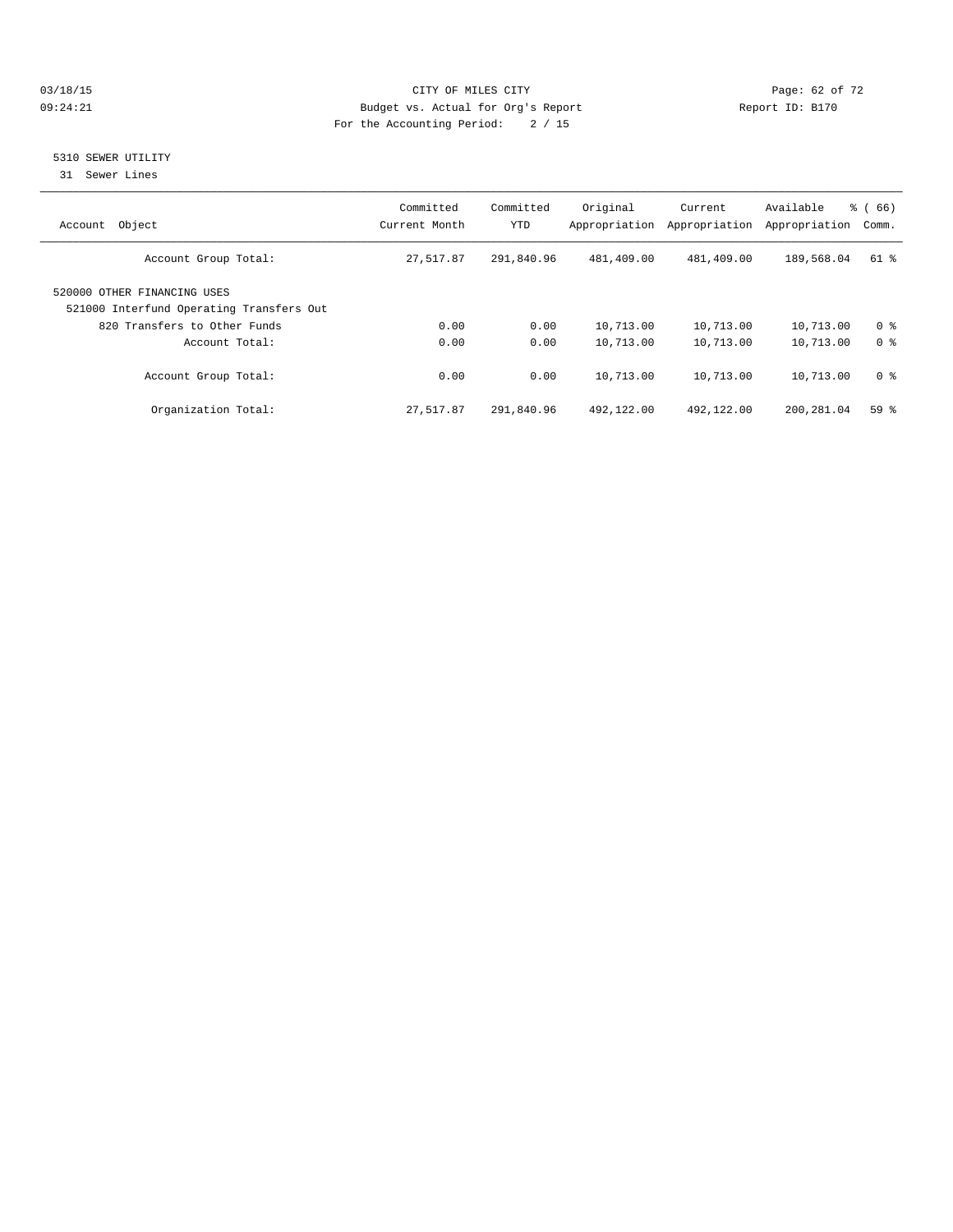#### 03/18/15 Page: 62 of 72 09:24:21 Budget vs. Actual for Org's Report Communication Report ID: B170 For the Accounting Period: 2 / 15

#### 5310 SEWER UTILITY

31 Sewer Lines

| Object<br>Account                                                       | Committed<br>Current Month | Committed<br><b>YTD</b> | Original<br>Appropriation | Current<br>Appropriation | Available<br>Appropriation | $\frac{6}{6}$ (66)<br>Comm. |
|-------------------------------------------------------------------------|----------------------------|-------------------------|---------------------------|--------------------------|----------------------------|-----------------------------|
| Account Group Total:                                                    | 27,517.87                  | 291,840.96              | 481,409.00                | 481,409.00               | 189,568.04                 | $61$ $%$                    |
| 520000 OTHER FINANCING USES<br>521000 Interfund Operating Transfers Out |                            |                         |                           |                          |                            |                             |
| 820 Transfers to Other Funds                                            | 0.00                       | 0.00                    | 10,713.00                 | 10,713.00                | 10,713.00                  | 0 <sup>8</sup>              |
| Account Total:                                                          | 0.00                       | 0.00                    | 10,713.00                 | 10,713.00                | 10,713.00                  | 0 <sup>8</sup>              |
| Account Group Total:                                                    | 0.00                       | 0.00                    | 10,713.00                 | 10,713.00                | 10,713.00                  | 0 <sup>8</sup>              |
| Organization Total:                                                     | 27,517.87                  | 291,840.96              | 492,122.00                | 492,122.00               | 200,281.04                 | 59 %                        |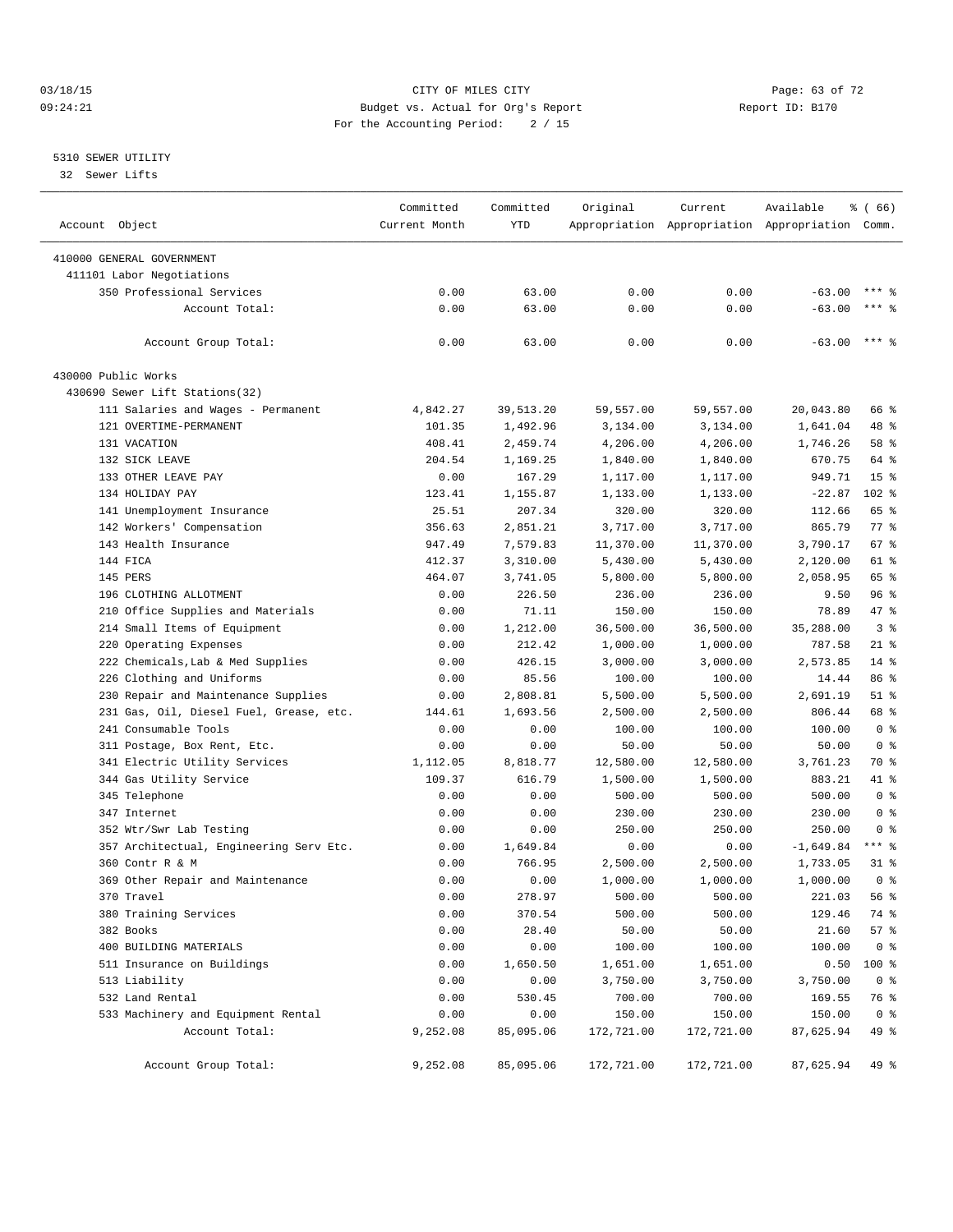#### 03/18/15 Page: 63 of 72 09:24:21 Budget vs. Actual for Org's Report Communication Report ID: B170 For the Accounting Period: 2 / 15

————————————————————————————————————————————————————————————————————————————————————————————————————————————————————————————————————

#### 5310 SEWER UTILITY

32 Sewer Lifts

|                                         | Committed     | Committed  | Original   | Current                                         | Available   | $\frac{3}{6}$ (66) |
|-----------------------------------------|---------------|------------|------------|-------------------------------------------------|-------------|--------------------|
| Account Object                          | Current Month | <b>YTD</b> |            | Appropriation Appropriation Appropriation Comm. |             |                    |
| 410000 GENERAL GOVERNMENT               |               |            |            |                                                 |             |                    |
| 411101 Labor Negotiations               |               |            |            |                                                 |             |                    |
| 350 Professional Services               | 0.00          | 63.00      | 0.00       | 0.00                                            | $-63.00$    | $***$ %            |
| Account Total:                          | 0.00          | 63.00      | 0.00       | 0.00                                            | $-63.00$    | $***$ $%$          |
|                                         |               |            |            |                                                 |             |                    |
| Account Group Total:                    | 0.00          | 63.00      | 0.00       | 0.00                                            | $-63.00$    | $***$ 8            |
| 430000 Public Works                     |               |            |            |                                                 |             |                    |
| 430690 Sewer Lift Stations(32)          |               |            |            |                                                 |             |                    |
| 111 Salaries and Wages - Permanent      | 4,842.27      | 39,513.20  | 59,557.00  | 59,557.00                                       | 20,043.80   | 66 %               |
| 121 OVERTIME-PERMANENT                  | 101.35        | 1,492.96   | 3,134.00   | 3,134.00                                        | 1,641.04    | 48 %               |
| 131 VACATION                            | 408.41        | 2,459.74   | 4,206.00   | 4,206.00                                        | 1,746.26    | 58 %               |
| 132 SICK LEAVE                          | 204.54        | 1,169.25   | 1,840.00   | 1,840.00                                        | 670.75      | 64 %               |
| 133 OTHER LEAVE PAY                     | 0.00          | 167.29     | 1,117.00   | 1,117.00                                        | 949.71      | 15 <sup>8</sup>    |
| 134 HOLIDAY PAY                         | 123.41        | 1,155.87   | 1,133.00   | 1,133.00                                        | $-22.87$    | 102 %              |
| 141 Unemployment Insurance              | 25.51         | 207.34     | 320.00     | 320.00                                          | 112.66      | 65 %               |
| 142 Workers' Compensation               | 356.63        | 2,851.21   | 3,717.00   | 3,717.00                                        | 865.79      | 77 %               |
| 143 Health Insurance                    | 947.49        | 7,579.83   | 11,370.00  | 11,370.00                                       | 3,790.17    | 67 %               |
| 144 FICA                                | 412.37        | 3,310.00   | 5,430.00   | 5,430.00                                        | 2,120.00    | 61 %               |
| 145 PERS                                | 464.07        | 3,741.05   | 5,800.00   | 5,800.00                                        | 2,058.95    | 65 %               |
| 196 CLOTHING ALLOTMENT                  | 0.00          | 226.50     | 236.00     | 236.00                                          | 9.50        | 96%                |
| 210 Office Supplies and Materials       | 0.00          | 71.11      | 150.00     | 150.00                                          | 78.89       | 47 %               |
| 214 Small Items of Equipment            | 0.00          | 1,212.00   | 36,500.00  | 36,500.00                                       | 35,288.00   | 3 <sup>8</sup>     |
| 220 Operating Expenses                  | 0.00          | 212.42     | 1,000.00   | 1,000.00                                        | 787.58      | $21$ %             |
| 222 Chemicals, Lab & Med Supplies       | 0.00          | 426.15     | 3,000.00   | 3,000.00                                        | 2,573.85    | $14$ %             |
| 226 Clothing and Uniforms               | 0.00          | 85.56      | 100.00     | 100.00                                          | 14.44       | 86 %               |
| 230 Repair and Maintenance Supplies     | 0.00          | 2,808.81   | 5,500.00   | 5,500.00                                        | 2,691.19    | $51$ %             |
| 231 Gas, Oil, Diesel Fuel, Grease, etc. | 144.61        | 1,693.56   | 2,500.00   | 2,500.00                                        | 806.44      | 68 %               |
| 241 Consumable Tools                    | 0.00          | 0.00       | 100.00     | 100.00                                          | 100.00      | 0 <sup>8</sup>     |
| 311 Postage, Box Rent, Etc.             | 0.00          | 0.00       | 50.00      | 50.00                                           | 50.00       | 0 <sup>8</sup>     |
| 341 Electric Utility Services           | 1,112.05      | 8,818.77   | 12,580.00  | 12,580.00                                       | 3,761.23    | 70 %               |
| 344 Gas Utility Service                 | 109.37        | 616.79     | 1,500.00   | 1,500.00                                        | 883.21      | 41 %               |
| 345 Telephone                           | 0.00          | 0.00       | 500.00     | 500.00                                          | 500.00      | 0 <sup>8</sup>     |
| 347 Internet                            | 0.00          | 0.00       | 230.00     | 230.00                                          | 230.00      | 0 <sup>8</sup>     |
| 352 Wtr/Swr Lab Testing                 | 0.00          | 0.00       | 250.00     | 250.00                                          | 250.00      | 0 <sup>8</sup>     |
| 357 Architectual, Engineering Serv Etc. | 0.00          | 1,649.84   | 0.00       | 0.00                                            | $-1,649.84$ | $***$ $-$          |
| 360 Contr R & M                         | 0.00          | 766.95     | 2,500.00   | 2,500.00                                        | 1,733.05    | 31 %               |
| 369 Other Repair and Maintenance        | 0.00          | 0.00       | 1,000.00   | 1,000.00                                        | 1,000.00    | 0 <sup>8</sup>     |
| 370 Travel                              | 0.00          | 278.97     | 500.00     | 500.00                                          | 221.03      | 56%                |
| 380 Training Services                   | 0.00          | 370.54     | 500.00     | 500.00                                          | 129.46      | 74 %               |
| 382 Books                               | 0.00          | 28.40      | 50.00      | 50.00                                           | 21.60       | 57%                |
| 400 BUILDING MATERIALS                  | 0.00          | 0.00       | 100.00     | 100.00                                          | 100.00      | 0 <sup>8</sup>     |
| 511 Insurance on Buildings              | 0.00          | 1,650.50   | 1,651.00   | 1,651.00                                        | 0.50        | 100 %              |
| 513 Liability                           | 0.00          | 0.00       | 3,750.00   | 3,750.00                                        | 3,750.00    | 0 <sup>8</sup>     |
| 532 Land Rental                         | 0.00          | 530.45     | 700.00     | 700.00                                          | 169.55      | 76 %               |
| 533 Machinery and Equipment Rental      | 0.00          | 0.00       | 150.00     | 150.00                                          | 150.00      | 0 <sup>8</sup>     |
| Account Total:                          | 9,252.08      | 85,095.06  | 172,721.00 | 172,721.00                                      | 87,625.94   | 49 %               |
| Account Group Total:                    | 9,252.08      | 85,095.06  | 172,721.00 | 172,721.00                                      | 87,625.94   | 49 %               |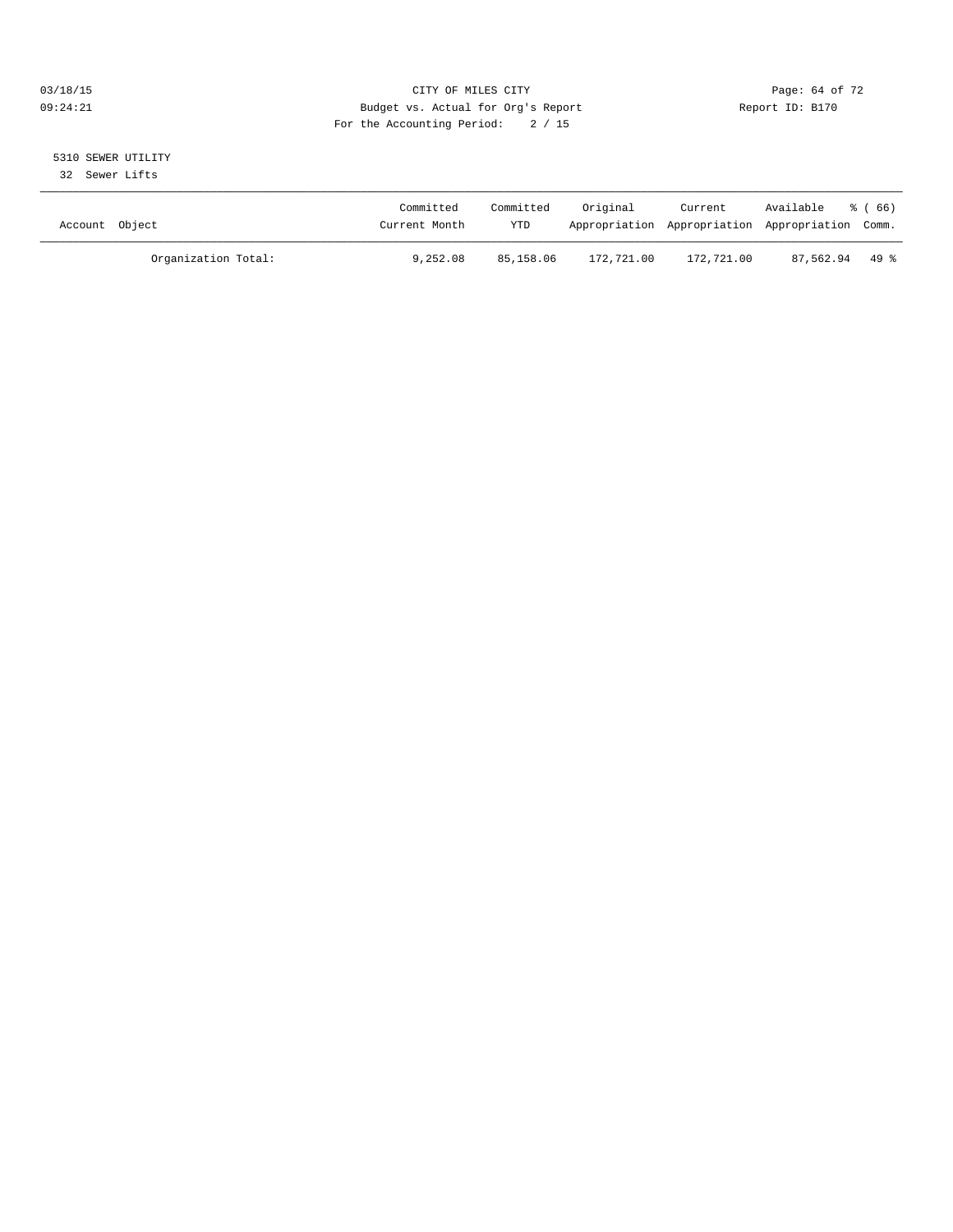#### 03/18/15 Page: 64 of 72 09:24:21 Budget vs. Actual for Org's Report Communication Report ID: B170 For the Accounting Period: 2 / 15

## 5310 SEWER UTILITY

32 Sewer Lifts

| Account Object |                     | Committed<br>Current Month | Committed<br>YTD | Original   | Current    | Available<br>Appropriation Appropriation Appropriation Comm. | ී (66) |
|----------------|---------------------|----------------------------|------------------|------------|------------|--------------------------------------------------------------|--------|
|                | Organization Total: | 9,252.08                   | 85,158.06        | 172,721.00 | 172,721.00 | 87,562.94 49 %                                               |        |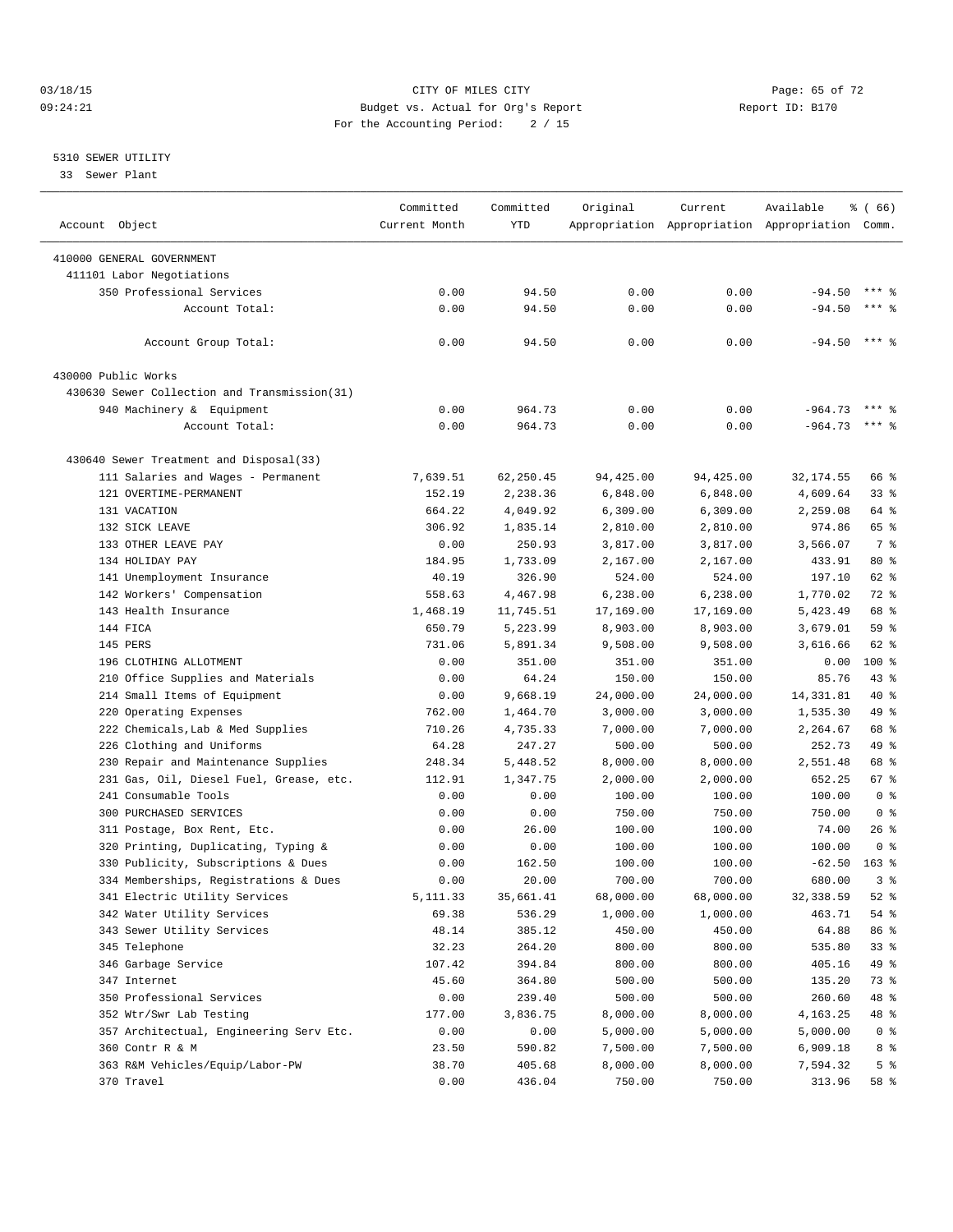#### $O3/18/15$  Page: 65 of 72 09:24:21 Budget vs. Actual for Org's Report Communication Report ID: B170 For the Accounting Period: 2 / 15

————————————————————————————————————————————————————————————————————————————————————————————————————————————————————————————————————

#### 5310 SEWER UTILITY

33 Sewer Plant

| Account Object                                                                | Committed<br>Current Month | Committed<br>YTD   | Original              | Current               | Available<br>Appropriation Appropriation Appropriation Comm. | ៖ ( 66)                   |  |
|-------------------------------------------------------------------------------|----------------------------|--------------------|-----------------------|-----------------------|--------------------------------------------------------------|---------------------------|--|
|                                                                               |                            |                    |                       |                       |                                                              |                           |  |
| 410000 GENERAL GOVERNMENT                                                     |                            |                    |                       |                       |                                                              |                           |  |
| 411101 Labor Negotiations                                                     |                            |                    |                       |                       |                                                              |                           |  |
| 350 Professional Services                                                     | 0.00                       | 94.50              | 0.00                  | 0.00                  | $-94.50$                                                     | $***$ $%$                 |  |
| Account Total:                                                                | 0.00                       | 94.50              | 0.00                  | 0.00                  | $-94.50$                                                     | $***$ %                   |  |
|                                                                               |                            |                    |                       |                       |                                                              |                           |  |
| Account Group Total:                                                          | 0.00                       | 94.50              | 0.00                  | 0.00                  | $-94.50$                                                     | $***$ 2                   |  |
| 430000 Public Works                                                           |                            |                    |                       |                       |                                                              |                           |  |
| 430630 Sewer Collection and Transmission(31)                                  |                            |                    |                       |                       |                                                              |                           |  |
| 940 Machinery & Equipment                                                     | 0.00                       | 964.73             | 0.00                  | 0.00                  | $-964.73$                                                    |                           |  |
| Account Total:                                                                | 0.00                       | 964.73             | 0.00                  | 0.00                  | $-964.73$                                                    | $***$ $%$                 |  |
|                                                                               |                            |                    |                       |                       |                                                              |                           |  |
| 430640 Sewer Treatment and Disposal(33)<br>111 Salaries and Wages - Permanent | 7,639.51                   | 62,250.45          | 94,425.00             | 94,425.00             | 32, 174.55                                                   | 66 %                      |  |
| 121 OVERTIME-PERMANENT                                                        | 152.19                     | 2,238.36           |                       |                       |                                                              | $33$ $%$                  |  |
| 131 VACATION                                                                  | 664.22                     | 4,049.92           | 6,848.00              | 6,848.00              | 4,609.64<br>2,259.08                                         | 64 %                      |  |
| 132 SICK LEAVE                                                                | 306.92                     | 1,835.14           | 6,309.00<br>2,810.00  | 6,309.00<br>2,810.00  | 974.86                                                       | 65 %                      |  |
| 133 OTHER LEAVE PAY                                                           | 0.00                       | 250.93             | 3,817.00              |                       | 3,566.07                                                     | 7 %                       |  |
| 134 HOLIDAY PAY                                                               | 184.95                     | 1,733.09           |                       | 3,817.00<br>2,167.00  | 433.91                                                       | $80*$                     |  |
|                                                                               |                            |                    | 2,167.00              |                       | 197.10                                                       | 62 %                      |  |
| 141 Unemployment Insurance                                                    | 40.19                      | 326.90<br>4,467.98 | 524.00                | 524.00                |                                                              | 72 %                      |  |
| 142 Workers' Compensation                                                     | 558.63                     |                    | 6,238.00              | 6,238.00              | 1,770.02                                                     | 68 %                      |  |
| 143 Health Insurance                                                          | 1,468.19                   | 11,745.51          | 17,169.00             | 17,169.00             | 5,423.49                                                     | 59 %                      |  |
| 144 FICA<br>145 PERS                                                          | 650.79                     | 5,223.99           | 8,903.00<br>9,508.00  | 8,903.00              | 3,679.01                                                     | 62 %                      |  |
|                                                                               | 731.06                     | 5,891.34           |                       | 9,508.00              | 3,616.66                                                     | $100*$                    |  |
| 196 CLOTHING ALLOTMENT                                                        | 0.00                       | 351.00             | 351.00                | 351.00                | 0.00                                                         |                           |  |
| 210 Office Supplies and Materials                                             | 0.00                       | 64.24              | 150.00                | 150.00                | 85.76                                                        | $43$ $%$<br>40 %          |  |
| 214 Small Items of Equipment                                                  | 0.00                       | 9,668.19           | 24,000.00             | 24,000.00             | 14, 331.81                                                   | 49 %                      |  |
| 220 Operating Expenses                                                        | 762.00                     | 1,464.70           | 3,000.00              | 3,000.00              | 1,535.30                                                     |                           |  |
| 222 Chemicals, Lab & Med Supplies                                             | 710.26                     | 4,735.33           | 7,000.00              | 7,000.00              | 2,264.67                                                     | 68 %                      |  |
| 226 Clothing and Uniforms                                                     | 64.28                      | 247.27             | 500.00                | 500.00                | 252.73                                                       | 49 %                      |  |
| 230 Repair and Maintenance Supplies                                           | 248.34                     | 5,448.52           | 8,000.00              | 8,000.00              | 2,551.48                                                     | 68 %                      |  |
| 231 Gas, Oil, Diesel Fuel, Grease, etc.                                       | 112.91                     | 1,347.75           | 2,000.00              | 2,000.00              | 652.25                                                       | 67%<br>0 <sup>8</sup>     |  |
| 241 Consumable Tools                                                          | 0.00                       | 0.00               | 100.00                | 100.00                | 100.00                                                       |                           |  |
| 300 PURCHASED SERVICES                                                        | 0.00                       | 0.00               | 750.00                | 750.00                | 750.00                                                       | 0 <sup>8</sup><br>$26$ %  |  |
| 311 Postage, Box Rent, Etc.                                                   | 0.00                       | 26.00              | 100.00                | 100.00                | 74.00                                                        |                           |  |
| 320 Printing, Duplicating, Typing &                                           | 0.00                       | 0.00<br>162.50     | 100.00                | 100.00                | 100.00<br>$-62.50$                                           | 0 <sup>8</sup><br>$163$ % |  |
| 330 Publicity, Subscriptions & Dues                                           | 0.00                       | 20.00              | 100.00<br>700.00      | 100.00                | 680.00                                                       | 3%                        |  |
| 334 Memberships, Registrations & Dues<br>341 Electric Utility Services        | 0.00                       | 35,661.41          |                       | 700.00                | 32,338.59                                                    | $52$ $%$                  |  |
| 342 Water Utility Services                                                    | 5,111.33<br>69.38          | 536.29             | 68,000.00<br>1,000.00 | 68,000.00<br>1,000.00 | 463.71                                                       | 54 %                      |  |
| 343 Sewer Utility Services                                                    | 48.14                      | 385.12             | 450.00                | 450.00                | 64.88                                                        | 86 %                      |  |
| 345 Telephone                                                                 | 32.23                      | 264.20             | 800.00                | 800.00                | 535.80                                                       | 33%                       |  |
| 346 Garbage Service                                                           | 107.42                     | 394.84             | 800.00                | 800.00                | 405.16                                                       | 49 %                      |  |
| 347 Internet                                                                  | 45.60                      | 364.80             | 500.00                | 500.00                | 135.20                                                       | 73 %                      |  |
| 350 Professional Services                                                     | 0.00                       | 239.40             | 500.00                | 500.00                | 260.60                                                       | 48 %                      |  |
| 352 Wtr/Swr Lab Testing                                                       | 177.00                     | 3,836.75           | 8,000.00              | 8,000.00              | 4,163.25                                                     | 48 %                      |  |
| 357 Architectual, Engineering Serv Etc.                                       | 0.00                       | 0.00               | 5,000.00              | 5,000.00              | 5,000.00                                                     | 0 <sup>8</sup>            |  |
| 360 Contr R & M                                                               | 23.50                      | 590.82             | 7,500.00              | 7,500.00              | 6,909.18                                                     | 8 %                       |  |
| 363 R&M Vehicles/Equip/Labor-PW                                               | 38.70                      | 405.68             | 8,000.00              | 8,000.00              | 7,594.32                                                     | 5 <sup>°</sup>            |  |
| 370 Travel                                                                    | 0.00                       | 436.04             | 750.00                | 750.00                | 313.96                                                       | 58 %                      |  |
|                                                                               |                            |                    |                       |                       |                                                              |                           |  |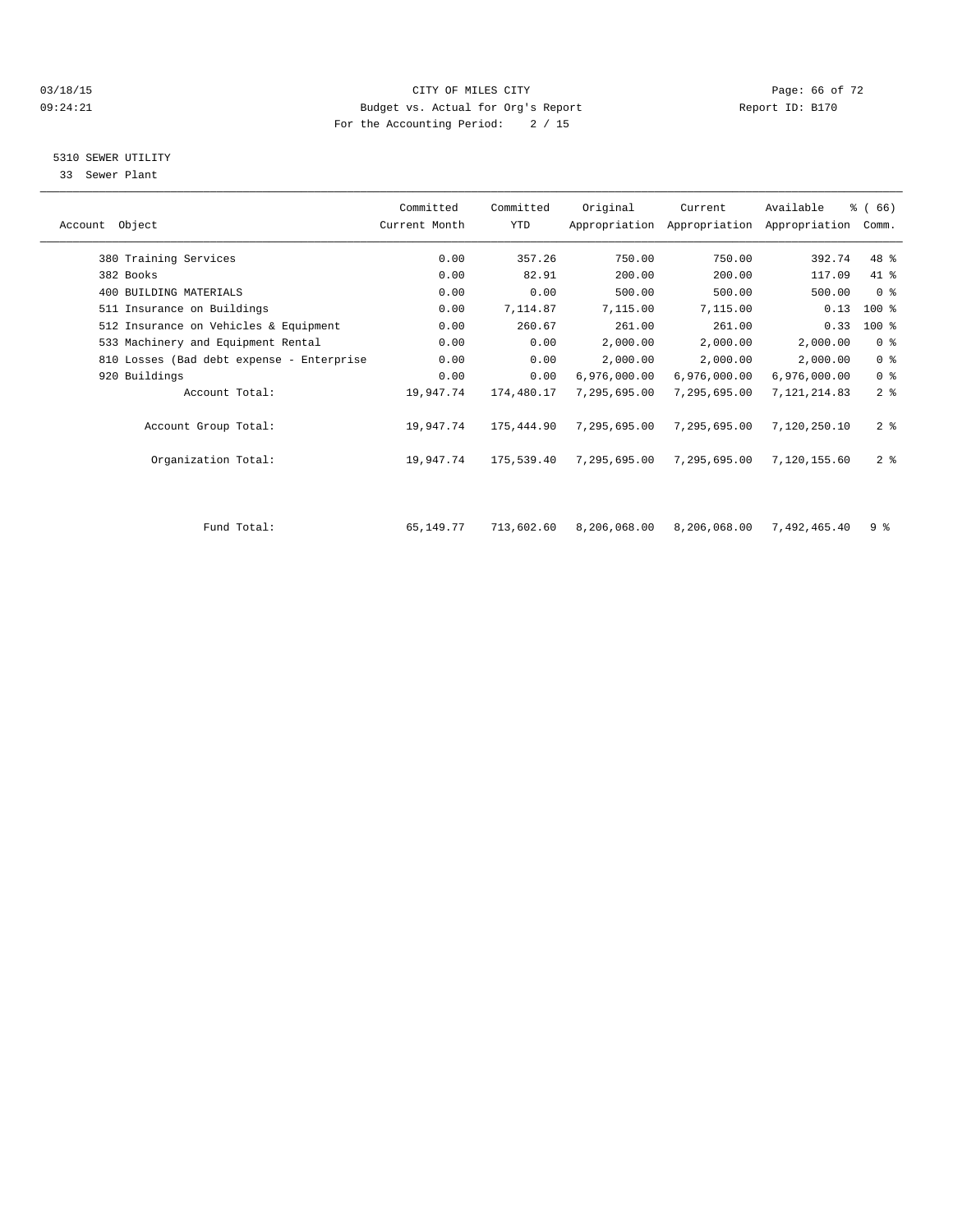#### 03/18/15 Page: 66 of 72 09:24:21 Budget vs. Actual for Org's Report Communication Report ID: B170 For the Accounting Period: 2 / 15

### 5310 SEWER UTILITY

33 Sewer Plant

|                                           | Committed     | Committed  | Original     | Current      | Available                                 | % (66)         |  |
|-------------------------------------------|---------------|------------|--------------|--------------|-------------------------------------------|----------------|--|
| Account Object                            | Current Month | YTD        |              |              | Appropriation Appropriation Appropriation | Comm.          |  |
| 380 Training Services                     | 0.00          | 357.26     | 750.00       | 750.00       | 392.74                                    | 48 %           |  |
| 382 Books                                 | 0.00          | 82.91      | 200.00       | 200.00       | 117.09                                    | 41 %           |  |
| 400 BUILDING MATERIALS                    | 0.00          | 0.00       | 500.00       | 500.00       | 500.00                                    | 0 <sup>8</sup> |  |
| 511 Insurance on Buildings                | 0.00          | 7,114.87   | 7,115.00     | 7,115.00     | 0.13                                      | $100$ %        |  |
| 512 Insurance on Vehicles & Equipment     | 0.00          | 260.67     | 261.00       | 261.00       | 0.33                                      | $100$ %        |  |
| 533 Machinery and Equipment Rental        | 0.00          | 0.00       | 2,000.00     | 2,000.00     | 2,000.00                                  | 0 <sup>8</sup> |  |
| 810 Losses (Bad debt expense - Enterprise | 0.00          | 0.00       | 2,000.00     | 2,000.00     | 2,000.00                                  | 0 <sup>8</sup> |  |
| 920 Buildings                             | 0.00          | 0.00       | 6,976,000.00 | 6,976,000.00 | 6,976,000.00                              | 0 <sup>8</sup> |  |
| Account Total:                            | 19,947.74     | 174,480.17 | 7,295,695.00 | 7,295,695.00 | 7.121.214.83                              | 2 <sup>8</sup> |  |
| Account Group Total:                      | 19,947.74     | 175,444.90 | 7,295,695.00 | 7,295,695.00 | 7,120,250.10                              | 2 <sup>8</sup> |  |
| Organization Total:                       | 19,947.74     | 175,539.40 | 7,295,695.00 | 7,295,695.00 | 7,120,155.60                              | 2 <sup>8</sup> |  |
|                                           |               |            |              |              |                                           |                |  |
| Fund Total:                               | 65,149.77     | 713,602.60 | 8,206,068.00 | 8,206,068.00 | 7,492,465.40                              | 9 <sup>°</sup> |  |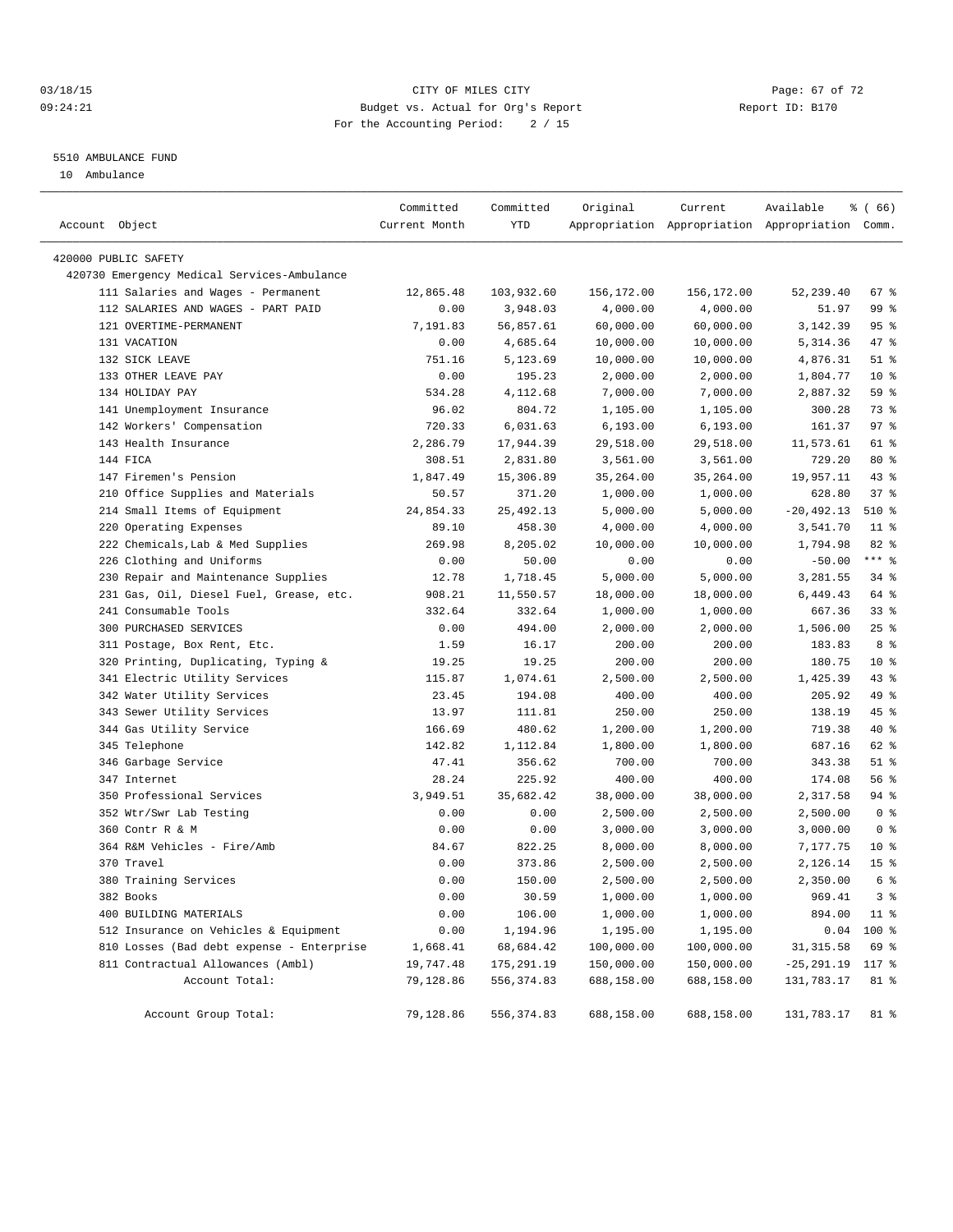#### 03/18/15 Page: 67 of 72 09:24:21 Budget vs. Actual for Org's Report Changer Report ID: B170 For the Accounting Period: 2 / 15

#### 5510 AMBULANCE FUND

10 Ambulance

| Account Object       |                                                             | Committed<br>Current Month | Committed<br><b>YTD</b> | Original              | Current              | Available<br>Appropriation Appropriation Appropriation Comm. | % (66)                   |
|----------------------|-------------------------------------------------------------|----------------------------|-------------------------|-----------------------|----------------------|--------------------------------------------------------------|--------------------------|
| 420000 PUBLIC SAFETY |                                                             |                            |                         |                       |                      |                                                              |                          |
|                      | 420730 Emergency Medical Services-Ambulance                 |                            |                         |                       |                      |                                                              |                          |
|                      | 111 Salaries and Wages - Permanent                          | 12,865.48                  | 103,932.60              | 156,172.00            | 156,172.00           | 52,239.40                                                    | 67 %                     |
|                      | 112 SALARIES AND WAGES - PART PAID                          | 0.00                       | 3,948.03                | 4,000.00              | 4,000.00             | 51.97                                                        | 99 %                     |
|                      | 121 OVERTIME-PERMANENT                                      | 7,191.83                   | 56,857.61               | 60,000.00             | 60,000.00            | 3,142.39                                                     | 95%                      |
|                      | 131 VACATION                                                | 0.00                       | 4,685.64                | 10,000.00             | 10,000.00            | 5,314.36                                                     | 47 %                     |
|                      | 132 SICK LEAVE                                              | 751.16                     | 5,123.69                | 10,000.00             | 10,000.00            | 4,876.31                                                     | $51$ %                   |
|                      | 133 OTHER LEAVE PAY                                         | 0.00                       | 195.23                  | 2,000.00              | 2,000.00             | 1,804.77                                                     | $10*$                    |
|                      | 134 HOLIDAY PAY                                             | 534.28                     | 4,112.68                | 7,000.00              | 7,000.00             | 2,887.32                                                     | 59 %                     |
|                      | 141 Unemployment Insurance                                  | 96.02                      | 804.72                  | 1,105.00              | 1,105.00             | 300.28                                                       | 73 %                     |
|                      | 142 Workers' Compensation                                   | 720.33                     | 6,031.63                | 6, 193.00             | 6, 193.00            | 161.37                                                       | 97%                      |
|                      | 143 Health Insurance                                        | 2,286.79                   | 17,944.39               | 29,518.00             | 29,518.00            | 11,573.61                                                    | 61 %                     |
|                      | 144 FICA                                                    | 308.51                     | 2,831.80                | 3,561.00              | 3,561.00             | 729.20                                                       | $80*$                    |
|                      | 147 Firemen's Pension                                       | 1,847.49                   | 15,306.89               | 35,264.00             | 35,264.00            | 19,957.11                                                    | 43 %                     |
|                      | 210 Office Supplies and Materials                           | 50.57                      | 371.20                  | 1,000.00              | 1,000.00             | 628.80                                                       | 37%                      |
|                      | 214 Small Items of Equipment                                | 24,854.33                  | 25, 492.13              | 5,000.00              | 5,000.00             | $-20, 492.13$                                                | 510 %                    |
|                      | 220 Operating Expenses                                      | 89.10                      | 458.30                  | 4,000.00              | 4,000.00             | 3,541.70                                                     | $11$ %                   |
|                      | 222 Chemicals, Lab & Med Supplies                           | 269.98                     | 8,205.02                | 10,000.00             | 10,000.00            | 1,794.98                                                     | $82$ $%$                 |
|                      | 226 Clothing and Uniforms                                   | 0.00                       | 50.00                   | 0.00                  | 0.00                 | $-50.00$                                                     | $***$ $_{8}$             |
|                      | 230 Repair and Maintenance Supplies                         | 12.78                      | 1,718.45                | 5,000.00              | 5,000.00             | 3,281.55                                                     | $34$ $%$                 |
|                      | 231 Gas, Oil, Diesel Fuel, Grease, etc.                     |                            | 11,550.57               | 18,000.00             | 18,000.00            | 6,449.43                                                     | 64 %                     |
|                      | 241 Consumable Tools                                        | 908.21<br>332.64           | 332.64                  |                       |                      | 667.36                                                       | 33%                      |
|                      | 300 PURCHASED SERVICES                                      | 0.00                       | 494.00                  | 1,000.00              | 1,000.00             | 1,506.00                                                     | $25$ $%$                 |
|                      |                                                             |                            |                         | 2,000.00              | 2,000.00             |                                                              | 8 %                      |
|                      | 311 Postage, Box Rent, Etc.                                 | 1.59                       | 16.17                   | 200.00                | 200.00               | 183.83                                                       | $10*$                    |
|                      | 320 Printing, Duplicating, Typing &                         | 19.25                      | 19.25                   | 200.00                | 200.00               | 180.75                                                       | 43 %                     |
|                      | 341 Electric Utility Services<br>342 Water Utility Services | 115.87<br>23.45            | 1,074.61<br>194.08      | 2,500.00              | 2,500.00<br>400.00   | 1,425.39<br>205.92                                           | 49 %                     |
|                      |                                                             |                            |                         | 400.00                |                      |                                                              | 45 %                     |
|                      | 343 Sewer Utility Services                                  | 13.97                      | 111.81                  | 250.00                | 250.00               | 138.19                                                       | 40 %                     |
|                      | 344 Gas Utility Service                                     | 166.69                     | 480.62                  | 1,200.00              | 1,200.00             | 719.38<br>687.16                                             | 62 %                     |
|                      | 345 Telephone                                               | 142.82<br>47.41            | 1,112.84                | 1,800.00              | 1,800.00             | 343.38                                                       | $51$ %                   |
|                      | 346 Garbage Service<br>347 Internet                         | 28.24                      | 356.62<br>225.92        | 700.00<br>400.00      | 700.00<br>400.00     | 174.08                                                       | 56 %                     |
|                      | 350 Professional Services                                   | 3,949.51                   | 35,682.42               |                       |                      |                                                              | 94 %                     |
|                      | 352 Wtr/Swr Lab Testing                                     | 0.00                       | 0.00                    | 38,000.00<br>2,500.00 | 38,000.00            | 2,317.58                                                     | 0 <sup>8</sup>           |
|                      | 360 Contr R & M                                             | 0.00                       |                         | 3,000.00              | 2,500.00<br>3,000.00 | 2,500.00<br>3,000.00                                         | 0 <sup>8</sup>           |
|                      | 364 R&M Vehicles - Fire/Amb                                 | 84.67                      | 0.00<br>822.25          | 8,000.00              | 8,000.00             | 7,177.75                                                     | $10*$                    |
|                      | 370 Travel                                                  | 0.00                       | 373.86                  | 2,500.00              | 2,500.00             | 2,126.14                                                     | 15 <sup>°</sup>          |
|                      | 380 Training Services                                       | 0.00                       | 150.00                  | 2,500.00              | 2,500.00             | 2,350.00                                                     | 6 %                      |
|                      |                                                             |                            |                         | 1,000.00              |                      |                                                              |                          |
|                      | 382 Books<br>400 BUILDING MATERIALS                         | 0.00                       | 30.59                   |                       | 1,000.00             | 969.41<br>894.00                                             | 3 <sup>8</sup><br>$11$ % |
|                      | 512 Insurance on Vehicles & Equipment                       | 0.00                       | 106.00<br>1,194.96      | 1,000.00              | 1,000.00             |                                                              |                          |
|                      |                                                             | 0.00                       |                         | 1,195.00              | 1,195.00             | 0.04                                                         | 100 %                    |
|                      | 810 Losses (Bad debt expense - Enterprise                   | 1,668.41                   | 68,684.42               | 100,000.00            | 100,000.00           | 31, 315.58                                                   | 69 %                     |
|                      | 811 Contractual Allowances (Ambl)                           | 19,747.48                  | 175, 291.19             | 150,000.00            | 150,000.00           | $-25, 291.19$                                                | 117 %                    |
|                      | Account Total:                                              | 79,128.86                  | 556, 374.83             | 688,158.00            | 688,158.00           | 131,783.17                                                   | 81 %                     |
|                      | Account Group Total:                                        | 79,128.86                  | 556,374.83              | 688,158.00            | 688,158.00           | 131,783.17                                                   | 81 %                     |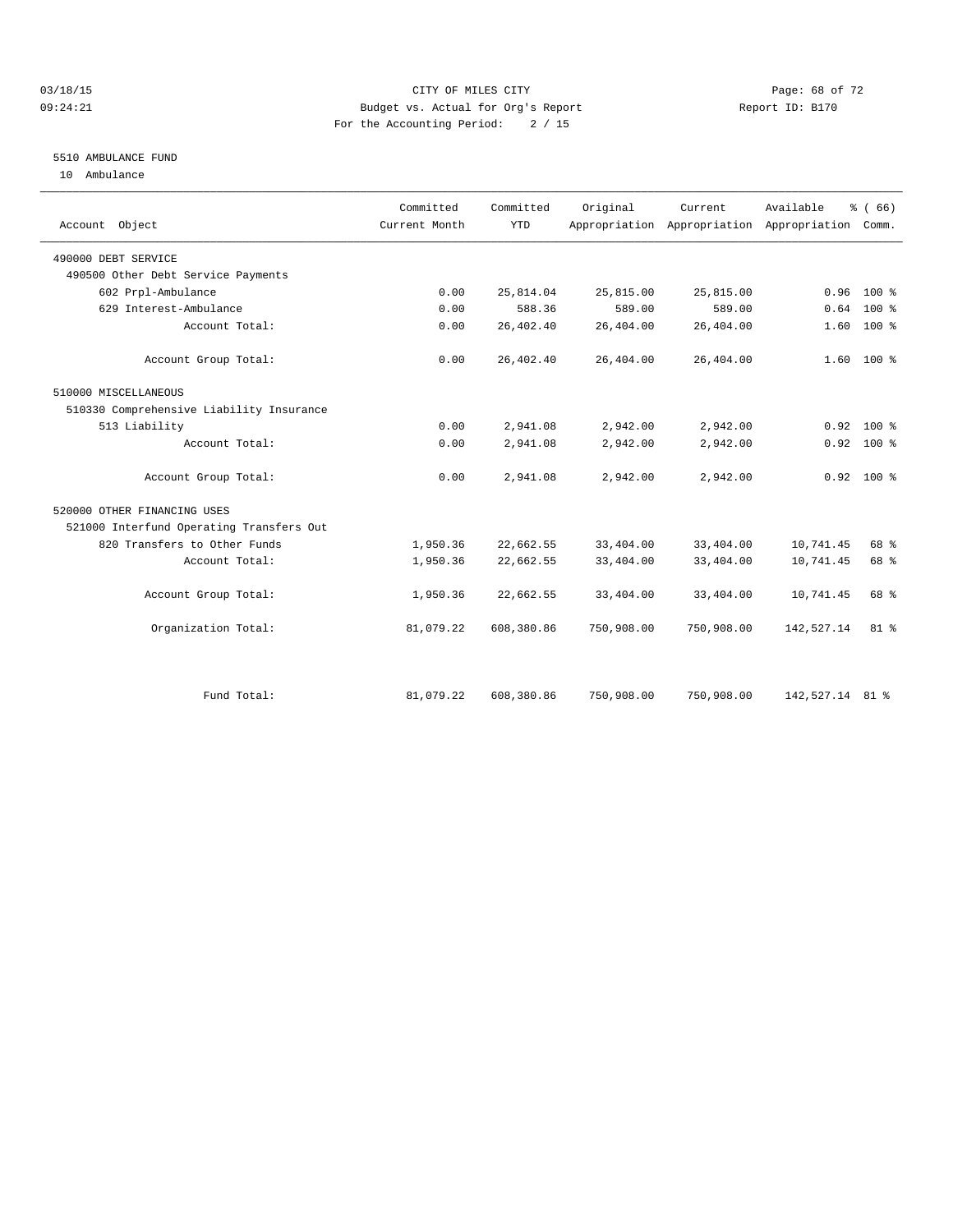#### $O3/18/15$  Page: 68 of 72 09:24:21 Budget vs. Actual for Org's Report Communication Report ID: B170 For the Accounting Period: 2 / 15

### 5510 AMBULANCE FUND

10 Ambulance

| Account Object                           | Committed<br>Current Month | Committed<br><b>YTD</b> | Original   | Current.   | Available<br>Appropriation Appropriation Appropriation Comm. | % (66)       |
|------------------------------------------|----------------------------|-------------------------|------------|------------|--------------------------------------------------------------|--------------|
| 490000 DEBT SERVICE                      |                            |                         |            |            |                                                              |              |
| 490500 Other Debt Service Payments       |                            |                         |            |            |                                                              |              |
| 602 Prpl-Ambulance                       | 0.00                       | 25,814.04               | 25,815.00  | 25,815.00  | 0.96                                                         | 100 %        |
| 629 Interest-Ambulance                   | 0.00                       | 588.36                  | 589.00     | 589.00     | 0.64                                                         | $100*$       |
| Account Total:                           | 0.00                       | 26,402.40               | 26,404.00  | 26,404.00  | 1.60                                                         | $100*$       |
| Account Group Total:                     | 0.00                       | 26,402.40               | 26,404.00  | 26,404.00  |                                                              | $1.60$ 100 % |
| 510000 MISCELLANEOUS                     |                            |                         |            |            |                                                              |              |
| 510330 Comprehensive Liability Insurance |                            |                         |            |            |                                                              |              |
| 513 Liability                            | 0.00                       | 2,941.08                | 2,942.00   | 2,942.00   | 0.92                                                         | $100*$       |
| Account Total:                           | 0.00                       | 2,941.08                | 2,942.00   | 2,942.00   |                                                              | $0.92$ 100 % |
| Account Group Total:                     | 0.00                       | 2,941.08                | 2,942.00   | 2,942.00   |                                                              | $0.92$ 100 % |
| 520000 OTHER FINANCING USES              |                            |                         |            |            |                                                              |              |
| 521000 Interfund Operating Transfers Out |                            |                         |            |            |                                                              |              |
| 820 Transfers to Other Funds             | 1,950.36                   | 22,662.55               | 33,404.00  | 33,404.00  | 10,741.45                                                    | 68 %         |
| Account Total:                           | 1,950.36                   | 22,662.55               | 33,404.00  | 33,404.00  | 10,741.45                                                    | 68 %         |
| Account Group Total:                     | 1,950.36                   | 22,662.55               | 33,404.00  | 33,404.00  | 10,741.45                                                    | 68 %         |
| Organization Total:                      | 81,079.22                  | 608,380.86              | 750,908.00 | 750,908.00 | 142,527.14                                                   | $81$ %       |
|                                          |                            |                         |            |            |                                                              |              |
| Fund Total:                              | 81,079.22                  | 608,380.86              | 750,908.00 | 750,908.00 | 142,527.14 81 %                                              |              |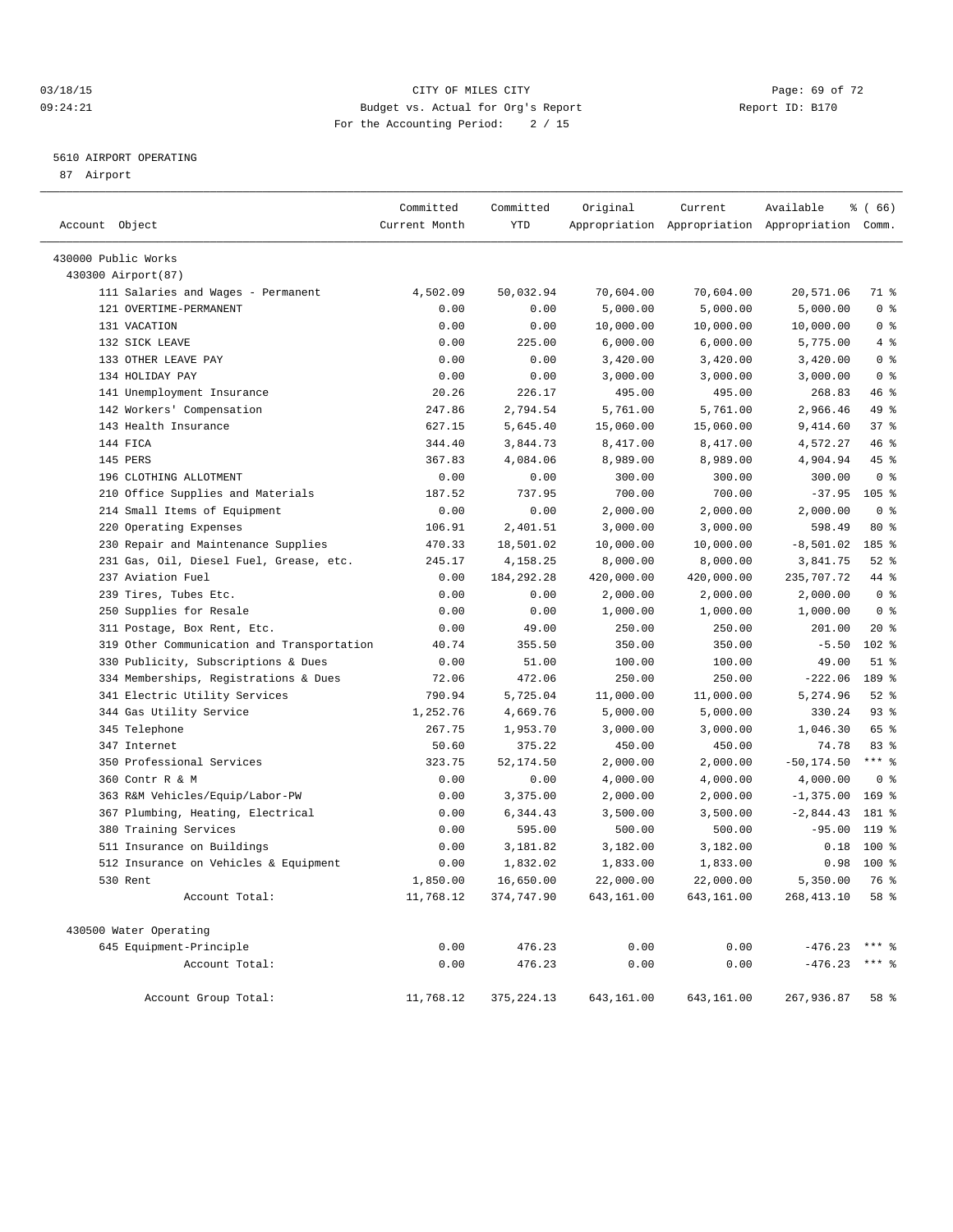#### 03/18/15 Page: 69 of 72 09:24:21 Budget vs. Actual for Org's Report Changer Report ID: B170 For the Accounting Period: 2 / 15

#### 5610 AIRPORT OPERATING

87 Airport

| Account Object                             | Committed<br>Current Month | Committed<br>YTD | Original   | Current    | Available<br>Appropriation Appropriation Appropriation Comm. | % (66)           |
|--------------------------------------------|----------------------------|------------------|------------|------------|--------------------------------------------------------------|------------------|
| 430000 Public Works                        |                            |                  |            |            |                                                              |                  |
| 430300 Airport (87)                        |                            |                  |            |            |                                                              |                  |
| 111 Salaries and Wages - Permanent         | 4,502.09                   | 50,032.94        | 70,604.00  | 70,604.00  | 20,571.06                                                    | 71 %             |
| 121 OVERTIME-PERMANENT                     | 0.00                       | 0.00             | 5,000.00   | 5,000.00   | 5,000.00                                                     | 0 <sup>8</sup>   |
| 131 VACATION                               | 0.00                       | 0.00             | 10,000.00  | 10,000.00  | 10,000.00                                                    | 0 <sup>8</sup>   |
| 132 SICK LEAVE                             | 0.00                       | 225.00           | 6,000.00   | 6,000.00   | 5,775.00                                                     | 4%               |
| 133 OTHER LEAVE PAY                        | 0.00                       | 0.00             | 3,420.00   | 3,420.00   | 3,420.00                                                     | 0 <sup>8</sup>   |
| 134 HOLIDAY PAY                            | 0.00                       | 0.00             | 3,000.00   | 3,000.00   | 3,000.00                                                     | 0 <sup>8</sup>   |
| 141 Unemployment Insurance                 | 20.26                      | 226.17           | 495.00     | 495.00     | 268.83                                                       | 46 %             |
| 142 Workers' Compensation                  | 247.86                     | 2,794.54         | 5,761.00   | 5,761.00   | 2,966.46                                                     | 49 %             |
| 143 Health Insurance                       | 627.15                     | 5,645.40         | 15,060.00  | 15,060.00  | 9,414.60                                                     | 37%              |
| 144 FICA                                   | 344.40                     | 3,844.73         | 8,417.00   | 8,417.00   | 4,572.27                                                     | 46 %             |
| 145 PERS                                   | 367.83                     | 4,084.06         | 8,989.00   | 8,989.00   | 4,904.94                                                     | 45 %             |
| 196 CLOTHING ALLOTMENT                     | 0.00                       | 0.00             | 300.00     | 300.00     | 300.00                                                       | 0 <sup>8</sup>   |
| 210 Office Supplies and Materials          | 187.52                     | 737.95           | 700.00     | 700.00     | $-37.95$                                                     | 105 <sub>8</sub> |
| 214 Small Items of Equipment               | 0.00                       | 0.00             | 2,000.00   | 2,000.00   | 2,000.00                                                     | 0 <sup>8</sup>   |
| 220 Operating Expenses                     | 106.91                     | 2,401.51         | 3,000.00   | 3,000.00   | 598.49                                                       | 80 %             |
| 230 Repair and Maintenance Supplies        | 470.33                     | 18,501.02        | 10,000.00  | 10,000.00  | $-8,501.02$                                                  | 185 %            |
| 231 Gas, Oil, Diesel Fuel, Grease, etc.    | 245.17                     | 4,158.25         | 8,000.00   | 8,000.00   | 3,841.75                                                     | $52$ $%$         |
| 237 Aviation Fuel                          | 0.00                       | 184, 292. 28     | 420,000.00 | 420,000.00 | 235,707.72                                                   | 44 %             |
| 239 Tires, Tubes Etc.                      | 0.00                       | 0.00             | 2,000.00   | 2,000.00   | 2,000.00                                                     | 0 <sup>8</sup>   |
| 250 Supplies for Resale                    | 0.00                       | 0.00             | 1,000.00   | 1,000.00   | 1,000.00                                                     | 0 <sup>8</sup>   |
| 311 Postage, Box Rent, Etc.                | 0.00                       | 49.00            | 250.00     | 250.00     | 201.00                                                       | $20*$            |
| 319 Other Communication and Transportation | 40.74                      | 355.50           | 350.00     | 350.00     | $-5.50$                                                      | 102 %            |
| Publicity, Subscriptions & Dues<br>330     | 0.00                       | 51.00            | 100.00     | 100.00     | 49.00                                                        | $51$ %           |
| 334 Memberships, Registrations & Dues      | 72.06                      | 472.06           | 250.00     | 250.00     | $-222.06$                                                    | 189 %            |
| 341 Electric Utility Services              | 790.94                     | 5,725.04         | 11,000.00  | 11,000.00  | 5,274.96                                                     | $52$ $%$         |
| 344 Gas Utility Service                    | 1,252.76                   | 4,669.76         | 5,000.00   | 5,000.00   | 330.24                                                       | $93$ $%$         |
| 345 Telephone                              | 267.75                     | 1,953.70         | 3,000.00   | 3,000.00   | 1,046.30                                                     | 65 %             |
| 347 Internet                               | 50.60                      | 375.22           | 450.00     | 450.00     | 74.78                                                        | 83%              |
| 350 Professional Services                  | 323.75                     | 52, 174.50       | 2,000.00   | 2,000.00   | $-50, 174.50$                                                | $***$ $_{8}$     |
| 360 Contr R & M                            | 0.00                       | 0.00             | 4,000.00   | 4,000.00   | 4,000.00                                                     | 0 <sup>8</sup>   |
| 363 R&M Vehicles/Equip/Labor-PW            | 0.00                       | 3,375.00         | 2,000.00   | 2,000.00   | $-1, 375.00$                                                 | $169$ %          |
| 367 Plumbing, Heating, Electrical          | 0.00                       | 6,344.43         | 3,500.00   | 3,500.00   | $-2,844.43$                                                  | 181 %            |
| Training Services<br>380                   | 0.00                       | 595.00           | 500.00     | 500.00     | $-95.00$                                                     | 119 %            |
| 511 Insurance on Buildings                 | 0.00                       | 3,181.82         | 3,182.00   | 3,182.00   | 0.18                                                         | $100*$           |
| 512 Insurance on Vehicles & Equipment      | 0.00                       | 1,832.02         | 1,833.00   | 1,833.00   | 0.98                                                         | $100*$           |
| 530 Rent                                   | 1,850.00                   | 16,650.00        | 22,000.00  | 22,000.00  | 5,350.00                                                     | 76 %             |
| Account Total:                             | 11,768.12                  | 374,747.90       | 643,161.00 | 643,161.00 | 268, 413.10                                                  | 58 %             |
| 430500 Water Operating                     |                            |                  |            |            |                                                              |                  |
| 645 Equipment-Principle                    | 0.00                       | 476.23           | 0.00       | 0.00       | $-476.23$ *** %                                              |                  |
| Account Total:                             | 0.00                       | 476.23           | 0.00       | 0.00       | $-476.23$ *** \$                                             |                  |
| Account Group Total:                       | 11,768.12                  | 375, 224.13      | 643,161.00 | 643,161.00 | 267,936.87                                                   | 58 %             |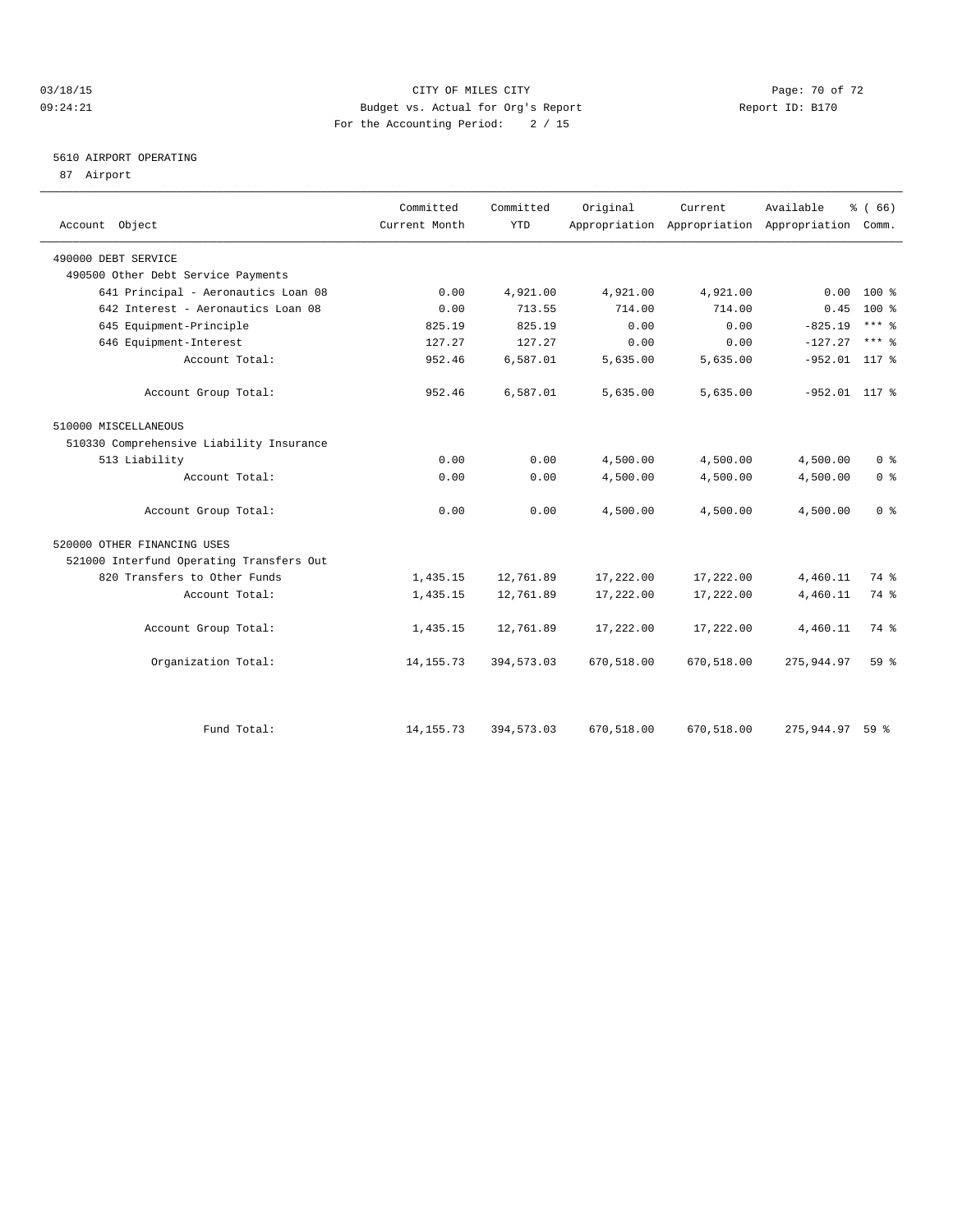#### 03/18/15 Page: 70 of 72 09:24:21 Budget vs. Actual for Org's Report Changer Report ID: B170 For the Accounting Period: 2 / 15

### 5610 AIRPORT OPERATING

87 Airport

| Account Object                           | Committed<br>Current Month | Committed<br><b>YTD</b> | Original   | Current.<br>Appropriation Appropriation Appropriation | Available       | % (66)<br>Comm.     |
|------------------------------------------|----------------------------|-------------------------|------------|-------------------------------------------------------|-----------------|---------------------|
|                                          |                            |                         |            |                                                       |                 |                     |
| 490000 DEBT SERVICE                      |                            |                         |            |                                                       |                 |                     |
| 490500 Other Debt Service Payments       |                            |                         |            |                                                       |                 |                     |
| 641 Principal - Aeronautics Loan 08      | 0.00                       | 4,921.00                | 4,921.00   | 4,921.00                                              | 0.00            | $100*$              |
| 642 Interest - Aeronautics Loan 08       | 0.00                       | 713.55                  | 714.00     | 714.00                                                | 0.45            | $100*$              |
| 645 Equipment-Principle                  | 825.19                     | 825.19                  | 0.00       | 0.00                                                  | $-825.19$       | $***$ $%$           |
| 646 Equipment-Interest                   | 127.27                     | 127.27                  | 0.00       | 0.00                                                  | $-127.27$       | $***$ $\frac{6}{5}$ |
| Account Total:                           | 952.46                     | 6,587.01                | 5,635.00   | 5,635.00                                              | $-952.01$ 117 % |                     |
| Account Group Total:                     | 952.46                     | 6,587.01                | 5,635.00   | 5.635.00                                              | $-952.01$ 117 % |                     |
| 510000 MISCELLANEOUS                     |                            |                         |            |                                                       |                 |                     |
| 510330 Comprehensive Liability Insurance |                            |                         |            |                                                       |                 |                     |
| 513 Liability                            | 0.00                       | 0.00                    | 4,500.00   | 4,500.00                                              | 4,500.00        | 0 <sup>8</sup>      |
| Account Total:                           | 0.00                       | 0.00                    | 4,500.00   | 4,500.00                                              | 4,500.00        | 0 <sup>8</sup>      |
| Account Group Total:                     | 0.00                       | 0.00                    | 4,500.00   | 4,500.00                                              | 4,500.00        | 0 <sup>8</sup>      |
| 520000 OTHER FINANCING USES              |                            |                         |            |                                                       |                 |                     |
| 521000 Interfund Operating Transfers Out |                            |                         |            |                                                       |                 |                     |
| 820 Transfers to Other Funds             | 1,435.15                   | 12,761.89               | 17,222.00  | 17,222.00                                             | 4,460.11        | 74 %                |
| Account Total:                           | 1,435.15                   | 12,761.89               | 17,222.00  | 17,222.00                                             | 4,460.11        | 74 %                |
| Account Group Total:                     | 1,435.15                   | 12,761.89               | 17,222.00  | 17,222.00                                             | 4,460.11        | 74 %                |
| Organization Total:                      | 14, 155. 73                | 394,573.03              | 670,518.00 | 670,518.00                                            | 275, 944.97     | $59*$               |
|                                          |                            |                         |            |                                                       |                 |                     |
| Fund Total:                              | 14, 155. 73                | 394,573.03              | 670,518.00 | 670,518.00                                            | 275,944.97      | 59 <sup>8</sup>     |